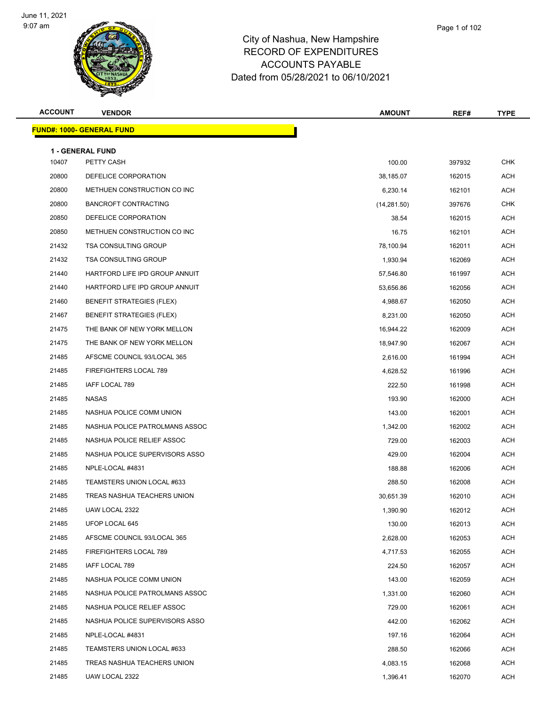

| <b>ACCOUNT</b> | <b>VENDOR</b>                                                        | <b>AMOUNT</b>         | REF#             | <b>TYPE</b> |
|----------------|----------------------------------------------------------------------|-----------------------|------------------|-------------|
|                | <b>FUND#: 1000- GENERAL FUND</b>                                     |                       |                  |             |
|                |                                                                      |                       |                  |             |
| 10407          | <b>1 - GENERAL FUND</b><br>PETTY CASH                                | 100.00                | 397932           | <b>CHK</b>  |
| 20800          | DEFELICE CORPORATION                                                 | 38,185.07             | 162015           | ACH         |
| 20800          | METHUEN CONSTRUCTION CO INC                                          | 6,230.14              | 162101           | ACH         |
| 20800          | <b>BANCROFT CONTRACTING</b>                                          | (14, 281.50)          | 397676           | <b>CHK</b>  |
| 20850          | DEFELICE CORPORATION                                                 |                       |                  | <b>ACH</b>  |
| 20850          | METHUEN CONSTRUCTION CO INC                                          | 38.54<br>16.75        | 162015<br>162101 | ACH         |
| 21432          | <b>TSA CONSULTING GROUP</b>                                          | 78,100.94             | 162011           | ACH         |
| 21432          | <b>TSA CONSULTING GROUP</b>                                          |                       |                  | ACH         |
| 21440          | HARTFORD LIFE IPD GROUP ANNUIT                                       | 1,930.94              | 162069           | <b>ACH</b>  |
|                |                                                                      | 57,546.80             | 161997           | <b>ACH</b>  |
| 21440          | HARTFORD LIFE IPD GROUP ANNUIT                                       | 53,656.86<br>4,988.67 | 162056           |             |
| 21460          | <b>BENEFIT STRATEGIES (FLEX)</b><br><b>BENEFIT STRATEGIES (FLEX)</b> |                       | 162050           | ACH         |
| 21467          |                                                                      | 8,231.00              | 162050           | ACH         |
| 21475          | THE BANK OF NEW YORK MELLON                                          | 16,944.22             | 162009           | ACH         |
| 21475          | THE BANK OF NEW YORK MELLON                                          | 18,947.90             | 162067           | <b>ACH</b>  |
| 21485          | AFSCME COUNCIL 93/LOCAL 365                                          | 2,616.00              | 161994           | <b>ACH</b>  |
| 21485          | FIREFIGHTERS LOCAL 789                                               | 4,628.52              | 161996           | ACH         |
| 21485          | IAFF LOCAL 789                                                       | 222.50                | 161998           | <b>ACH</b>  |
| 21485          | NASAS                                                                | 193.90                | 162000           | ACH         |
| 21485          | NASHUA POLICE COMM UNION                                             | 143.00                | 162001           | <b>ACH</b>  |
| 21485          | NASHUA POLICE PATROLMANS ASSOC                                       | 1,342.00              | 162002           | <b>ACH</b>  |
| 21485          | NASHUA POLICE RELIEF ASSOC                                           | 729.00                | 162003           | ACH         |
| 21485          | NASHUA POLICE SUPERVISORS ASSO                                       | 429.00                | 162004           | ACH         |
| 21485          | NPLE-LOCAL #4831                                                     | 188.88                | 162006           | ACH         |
| 21485          | TEAMSTERS UNION LOCAL #633                                           | 288.50                | 162008           | <b>ACH</b>  |
| 21485          | TREAS NASHUA TEACHERS UNION                                          | 30,651.39             | 162010           | ACH         |
| 21485          | UAW LOCAL 2322                                                       | 1,390.90              | 162012           | ACH         |
| 21485          | UFOP LOCAL 645                                                       | 130.00                | 162013           | ACH         |
| 21485          | AFSCME COUNCIL 93/LOCAL 365                                          | 2,628.00              | 162053           | ACH         |
| 21485          | FIREFIGHTERS LOCAL 789                                               | 4,717.53              | 162055           | ACH         |
| 21485          | IAFF LOCAL 789                                                       | 224.50                | 162057           | ACH         |
| 21485          | NASHUA POLICE COMM UNION                                             | 143.00                | 162059           | ACH         |
| 21485          | NASHUA POLICE PATROLMANS ASSOC                                       | 1,331.00              | 162060           | ACH         |
| 21485          | NASHUA POLICE RELIEF ASSOC                                           | 729.00                | 162061           | ACH         |
| 21485          | NASHUA POLICE SUPERVISORS ASSO                                       | 442.00                | 162062           | ACH         |
| 21485          | NPLE-LOCAL #4831                                                     | 197.16                | 162064           | ACH         |
| 21485          | TEAMSTERS UNION LOCAL #633                                           | 288.50                | 162066           | ACH         |
| 21485          | TREAS NASHUA TEACHERS UNION                                          | 4,083.15              | 162068           | ACH         |
| 21485          | UAW LOCAL 2322                                                       | 1,396.41              | 162070           | ACH         |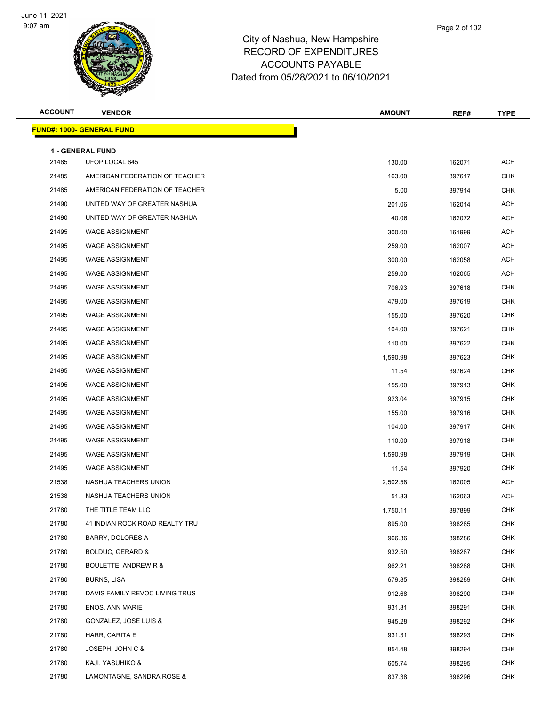

| <b>ACCOUNT</b> | <b>VENDOR</b>                     | <b>AMOUNT</b> | REF#   | <b>TYPE</b> |
|----------------|-----------------------------------|---------------|--------|-------------|
|                | <u> FUND#: 1000- GENERAL FUND</u> |               |        |             |
|                | <b>1 - GENERAL FUND</b>           |               |        |             |
| 21485          | UFOP LOCAL 645                    | 130.00        | 162071 | <b>ACH</b>  |
| 21485          | AMERICAN FEDERATION OF TEACHER    | 163.00        | 397617 | <b>CHK</b>  |
| 21485          | AMERICAN FEDERATION OF TEACHER    | 5.00          | 397914 | <b>CHK</b>  |
| 21490          | UNITED WAY OF GREATER NASHUA      | 201.06        | 162014 | ACH         |
| 21490          | UNITED WAY OF GREATER NASHUA      | 40.06         | 162072 | <b>ACH</b>  |
| 21495          | <b>WAGE ASSIGNMENT</b>            | 300.00        | 161999 | ACH         |
| 21495          | <b>WAGE ASSIGNMENT</b>            | 259.00        | 162007 | <b>ACH</b>  |
| 21495          | <b>WAGE ASSIGNMENT</b>            | 300.00        | 162058 | <b>ACH</b>  |
| 21495          | <b>WAGE ASSIGNMENT</b>            | 259.00        | 162065 | ACH         |
| 21495          | <b>WAGE ASSIGNMENT</b>            | 706.93        | 397618 | <b>CHK</b>  |
| 21495          | <b>WAGE ASSIGNMENT</b>            | 479.00        | 397619 | <b>CHK</b>  |
| 21495          | <b>WAGE ASSIGNMENT</b>            | 155.00        | 397620 | <b>CHK</b>  |
| 21495          | <b>WAGE ASSIGNMENT</b>            | 104.00        | 397621 | <b>CHK</b>  |
| 21495          | <b>WAGE ASSIGNMENT</b>            | 110.00        | 397622 | <b>CHK</b>  |
| 21495          | <b>WAGE ASSIGNMENT</b>            | 1,590.98      | 397623 | <b>CHK</b>  |
| 21495          | <b>WAGE ASSIGNMENT</b>            | 11.54         | 397624 | <b>CHK</b>  |
| 21495          | <b>WAGE ASSIGNMENT</b>            | 155.00        | 397913 | <b>CHK</b>  |
| 21495          | <b>WAGE ASSIGNMENT</b>            | 923.04        | 397915 | <b>CHK</b>  |
| 21495          | <b>WAGE ASSIGNMENT</b>            | 155.00        | 397916 | <b>CHK</b>  |
| 21495          | <b>WAGE ASSIGNMENT</b>            | 104.00        | 397917 | <b>CHK</b>  |
| 21495          | <b>WAGE ASSIGNMENT</b>            | 110.00        | 397918 | <b>CHK</b>  |
| 21495          | <b>WAGE ASSIGNMENT</b>            | 1,590.98      | 397919 | <b>CHK</b>  |
| 21495          | <b>WAGE ASSIGNMENT</b>            | 11.54         | 397920 | <b>CHK</b>  |
| 21538          | NASHUA TEACHERS UNION             | 2,502.58      | 162005 | ACH         |
| 21538          | NASHUA TEACHERS UNION             | 51.83         | 162063 | <b>ACH</b>  |
| 21780          | THE TITLE TEAM LLC                | 1,750.11      | 397899 | <b>CHK</b>  |
| 21780          | 41 INDIAN ROCK ROAD REALTY TRU    | 895.00        | 398285 | CHK         |
| 21780          | BARRY, DOLORES A                  | 966.36        | 398286 | <b>CHK</b>  |
| 21780          | BOLDUC, GERARD &                  | 932.50        | 398287 | <b>CHK</b>  |
| 21780          | BOULETTE, ANDREW R &              | 962.21        | 398288 | <b>CHK</b>  |
| 21780          | <b>BURNS, LISA</b>                | 679.85        | 398289 | <b>CHK</b>  |
| 21780          | DAVIS FAMILY REVOC LIVING TRUS    | 912.68        | 398290 | <b>CHK</b>  |
| 21780          | <b>ENOS, ANN MARIE</b>            | 931.31        | 398291 | <b>CHK</b>  |
| 21780          | <b>GONZALEZ, JOSE LUIS &amp;</b>  | 945.28        | 398292 | <b>CHK</b>  |
| 21780          | HARR, CARITA E                    | 931.31        | 398293 | <b>CHK</b>  |
| 21780          | JOSEPH, JOHN C &                  | 854.48        | 398294 | <b>CHK</b>  |
| 21780          | KAJI, YASUHIKO &                  | 605.74        | 398295 | CHK         |
| 21780          | LAMONTAGNE, SANDRA ROSE &         | 837.38        | 398296 | <b>CHK</b>  |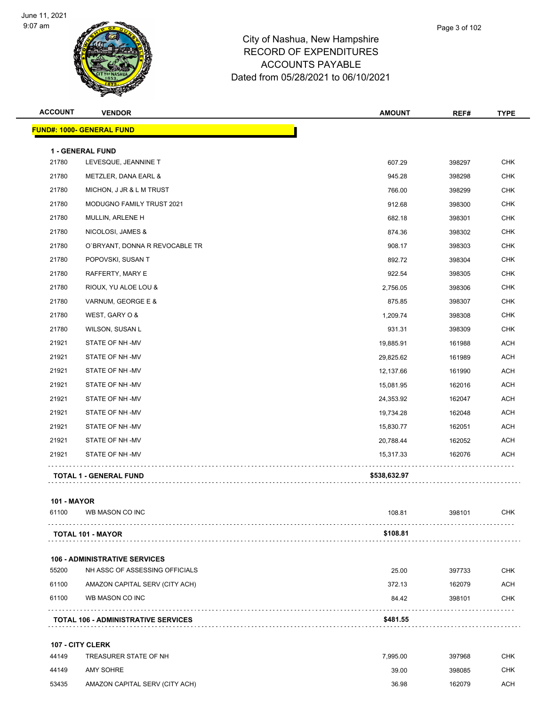

| <b>ACCOUNT</b>     | <b>VENDOR</b>                              | <b>AMOUNT</b> | REF#             | <b>TYPE</b> |
|--------------------|--------------------------------------------|---------------|------------------|-------------|
|                    | <b>FUND#: 1000- GENERAL FUND</b>           |               |                  |             |
|                    |                                            |               |                  |             |
| 21780              | 1 - GENERAL FUND<br>LEVESQUE, JEANNINE T   | 607.29        | 398297           | <b>CHK</b>  |
| 21780              | METZLER, DANA EARL &                       | 945.28        | 398298           | <b>CHK</b>  |
| 21780              | MICHON, J JR & L M TRUST                   | 766.00        |                  | <b>CHK</b>  |
| 21780              | MODUGNO FAMILY TRUST 2021                  |               | 398299<br>398300 | <b>CHK</b>  |
|                    |                                            | 912.68        |                  |             |
| 21780              | MULLIN, ARLENE H                           | 682.18        | 398301           | <b>CHK</b>  |
| 21780              | NICOLOSI, JAMES &                          | 874.36        | 398302           | CHK         |
| 21780              | O'BRYANT, DONNA R REVOCABLE TR             | 908.17        | 398303           | <b>CHK</b>  |
| 21780              | POPOVSKI, SUSAN T                          | 892.72        | 398304           | <b>CHK</b>  |
| 21780              | RAFFERTY, MARY E                           | 922.54        | 398305           | <b>CHK</b>  |
| 21780              | RIOUX, YU ALOE LOU &                       | 2,756.05      | 398306           | <b>CHK</b>  |
| 21780              | VARNUM, GEORGE E &                         | 875.85        | 398307           | <b>CHK</b>  |
| 21780              | WEST, GARY O &                             | 1,209.74      | 398308           | <b>CHK</b>  |
| 21780              | WILSON, SUSAN L                            | 931.31        | 398309           | <b>CHK</b>  |
| 21921              | STATE OF NH-MV                             | 19,885.91     | 161988           | <b>ACH</b>  |
| 21921              | STATE OF NH-MV                             | 29,825.62     | 161989           | <b>ACH</b>  |
| 21921              | STATE OF NH-MV                             | 12,137.66     | 161990           | <b>ACH</b>  |
| 21921              | STATE OF NH-MV                             | 15,081.95     | 162016           | <b>ACH</b>  |
| 21921              | STATE OF NH-MV                             | 24,353.92     | 162047           | <b>ACH</b>  |
| 21921              | STATE OF NH-MV                             | 19,734.28     | 162048           | <b>ACH</b>  |
| 21921              | STATE OF NH-MV                             | 15,830.77     | 162051           | <b>ACH</b>  |
| 21921              | STATE OF NH-MV                             | 20,788.44     | 162052           | <b>ACH</b>  |
| 21921              | STATE OF NH-MV                             | 15,317.33     | 162076           | <b>ACH</b>  |
|                    | <b>TOTAL 1 - GENERAL FUND</b>              | \$538,632.97  |                  |             |
| <b>101 - MAYOR</b> |                                            |               |                  |             |
| 61100              | WB MASON CO INC                            | 108.81        | 398101           | CHK         |
|                    | <b>TOTAL 101 - MAYOR</b>                   | \$108.81      |                  |             |
|                    | <b>106 - ADMINISTRATIVE SERVICES</b>       |               |                  |             |
| 55200              | NH ASSC OF ASSESSING OFFICIALS             | 25.00         | 397733           | <b>CHK</b>  |
| 61100              | AMAZON CAPITAL SERV (CITY ACH)             | 372.13        | 162079           | ACH         |
| 61100              | WB MASON CO INC                            | 84.42         | 398101           | CHK         |
|                    | <b>TOTAL 106 - ADMINISTRATIVE SERVICES</b> | \$481.55      |                  |             |
|                    |                                            |               |                  |             |
|                    | 107 - CITY CLERK                           |               |                  |             |

| 44149 | TREASURER STATE OF NH          | 7.995.00 | 397968 | CHK |
|-------|--------------------------------|----------|--------|-----|
| 44149 | AMY SOHRE                      | 39.00    | 398085 | СНК |
| 53435 | AMAZON CAPITAL SERV (CITY ACH) | 36.98    | 162079 | ACH |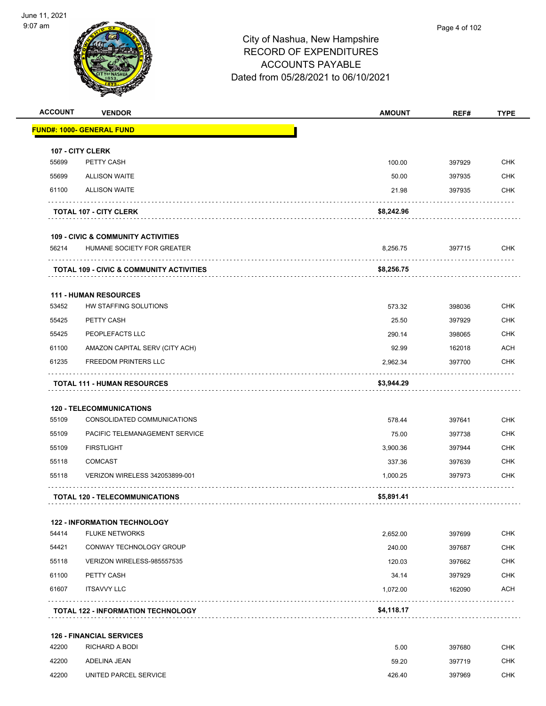

| <b>ACCOUNT</b> | <b>VENDOR</b>                                       | <b>AMOUNT</b> | REF#   | <b>TYPE</b> |
|----------------|-----------------------------------------------------|---------------|--------|-------------|
|                | FUND#: 1000- GENERAL FUND                           |               |        |             |
|                | 107 - CITY CLERK                                    |               |        |             |
| 55699          | PETTY CASH                                          | 100.00        | 397929 | <b>CHK</b>  |
| 55699          | <b>ALLISON WAITE</b>                                | 50.00         | 397935 | <b>CHK</b>  |
| 61100          | <b>ALLISON WAITE</b>                                | 21.98         | 397935 | <b>CHK</b>  |
|                | <b>TOTAL 107 - CITY CLERK</b>                       | \$8,242.96    |        |             |
|                | <b>109 - CIVIC &amp; COMMUNITY ACTIVITIES</b>       |               |        |             |
| 56214          | HUMANE SOCIETY FOR GREATER                          | 8,256.75      | 397715 | <b>CHK</b>  |
|                | <b>TOTAL 109 - CIVIC &amp; COMMUNITY ACTIVITIES</b> | \$8,256.75    |        |             |
|                | <b>111 - HUMAN RESOURCES</b>                        |               |        |             |
| 53452          | HW STAFFING SOLUTIONS                               | 573.32        | 398036 | <b>CHK</b>  |
| 55425          | PETTY CASH                                          | 25.50         | 397929 | <b>CHK</b>  |
| 55425          | PEOPLEFACTS LLC                                     | 290.14        | 398065 | <b>CHK</b>  |
| 61100          | AMAZON CAPITAL SERV (CITY ACH)                      | 92.99         | 162018 | <b>ACH</b>  |
| 61235          | <b>FREEDOM PRINTERS LLC</b>                         | 2,962.34      | 397700 | <b>CHK</b>  |
|                | <b>TOTAL 111 - HUMAN RESOURCES</b>                  | \$3,944.29    |        |             |
|                | <b>120 - TELECOMMUNICATIONS</b>                     |               |        |             |
| 55109          | CONSOLIDATED COMMUNICATIONS                         | 578.44        | 397641 | <b>CHK</b>  |
| 55109          | PACIFIC TELEMANAGEMENT SERVICE                      | 75.00         | 397738 | <b>CHK</b>  |
| 55109          | <b>FIRSTLIGHT</b>                                   | 3,900.36      | 397944 | <b>CHK</b>  |
| 55118          | <b>COMCAST</b>                                      | 337.36        | 397639 | <b>CHK</b>  |
| 55118          | VERIZON WIRELESS 342053899-001                      | 1,000.25      | 397973 | <b>CHK</b>  |
|                | <b>TOTAL 120 - TELECOMMUNICATIONS</b>               | \$5,891.41    |        |             |
|                | <b>122 - INFORMATION TECHNOLOGY</b>                 |               |        |             |
| 54414          | <b>FLUKE NETWORKS</b>                               | 2,652.00      | 397699 | <b>CHK</b>  |
| 54421          | CONWAY TECHNOLOGY GROUP                             | 240.00        | 397687 | <b>CHK</b>  |
| 55118          | VERIZON WIRELESS-985557535                          | 120.03        | 397662 | <b>CHK</b>  |
| 61100          | PETTY CASH                                          | 34.14         | 397929 | <b>CHK</b>  |
| 61607          | <b>ITSAVVY LLC</b>                                  | 1,072.00      | 162090 | <b>ACH</b>  |
|                | <b>TOTAL 122 - INFORMATION TECHNOLOGY</b>           | \$4,118.17    |        | .           |
|                | <b>126 - FINANCIAL SERVICES</b>                     |               |        |             |
| 42200          | RICHARD A BODI                                      | 5.00          | 397680 | <b>CHK</b>  |
| 42200          | ADELINA JEAN                                        | 59.20         | 397719 | <b>CHK</b>  |

A 2200 UNITED PARCEL SERVICE A LOCAL CONTROL CHINA AND A LOCAL AND A 426.40 AND 426.40 AND 426.40 CHK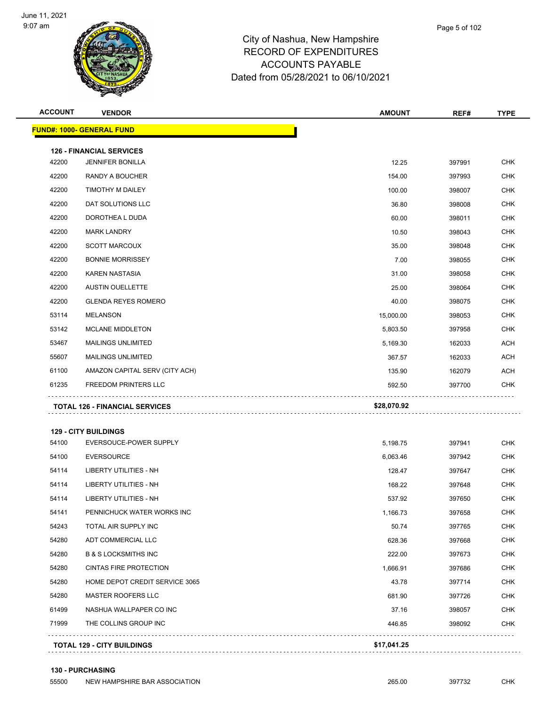

| <b>ACCOUNT</b> | <b>VENDOR</b>                         | <b>AMOUNT</b> | REF#   | <b>TYPE</b> |
|----------------|---------------------------------------|---------------|--------|-------------|
|                | <b>FUND#: 1000- GENERAL FUND</b>      |               |        |             |
|                | <b>126 - FINANCIAL SERVICES</b>       |               |        |             |
| 42200          | <b>JENNIFER BONILLA</b>               | 12.25         | 397991 | <b>CHK</b>  |
| 42200          | RANDY A BOUCHER                       | 154.00        | 397993 | <b>CHK</b>  |
| 42200          | TIMOTHY M DAILEY                      | 100.00        | 398007 | <b>CHK</b>  |
| 42200          | DAT SOLUTIONS LLC                     | 36.80         | 398008 | <b>CHK</b>  |
| 42200          | DOROTHEA L DUDA                       | 60.00         | 398011 | <b>CHK</b>  |
| 42200          | <b>MARK LANDRY</b>                    | 10.50         | 398043 | <b>CHK</b>  |
| 42200          | <b>SCOTT MARCOUX</b>                  | 35.00         | 398048 | CHK         |
| 42200          | <b>BONNIE MORRISSEY</b>               | 7.00          | 398055 | <b>CHK</b>  |
| 42200          | <b>KAREN NASTASIA</b>                 | 31.00         | 398058 | <b>CHK</b>  |
| 42200          | <b>AUSTIN OUELLETTE</b>               | 25.00         | 398064 | <b>CHK</b>  |
| 42200          | <b>GLENDA REYES ROMERO</b>            | 40.00         | 398075 | <b>CHK</b>  |
| 53114          | <b>MELANSON</b>                       | 15,000.00     | 398053 | <b>CHK</b>  |
| 53142          | <b>MCLANE MIDDLETON</b>               | 5,803.50      | 397958 | <b>CHK</b>  |
| 53467          | <b>MAILINGS UNLIMITED</b>             | 5,169.30      | 162033 | <b>ACH</b>  |
| 55607          | <b>MAILINGS UNLIMITED</b>             | 367.57        | 162033 | <b>ACH</b>  |
| 61100          | AMAZON CAPITAL SERV (CITY ACH)        | 135.90        | 162079 | <b>ACH</b>  |
| 61235          | <b>FREEDOM PRINTERS LLC</b>           | 592.50        | 397700 | CHK         |
|                | <b>TOTAL 126 - FINANCIAL SERVICES</b> | \$28,070.92   |        |             |
|                |                                       |               |        |             |
|                | <b>129 - CITY BUILDINGS</b>           |               |        |             |
| 54100          | EVERSOUCE-POWER SUPPLY                | 5,198.75      | 397941 | <b>CHK</b>  |
| 54100          | <b>EVERSOURCE</b>                     | 6,063.46      | 397942 | <b>CHK</b>  |
| 54114          | LIBERTY UTILITIES - NH                | 128.47        | 397647 | <b>CHK</b>  |
| 54114          | LIBERTY UTILITIES - NH                | 168.22        | 397648 | <b>CHK</b>  |
| 54114          | LIBERTY UTILITIES - NH                | 537.92        | 397650 | <b>CHK</b>  |
| 54141          | PENNICHUCK WATER WORKS INC            | 1,166.73      | 397658 | <b>CHK</b>  |
| 54243          | TOTAL AIR SUPPLY INC                  | 50.74         | 397765 | <b>CHK</b>  |
| 54280          | ADT COMMERCIAL LLC                    | 628.36        | 397668 | <b>CHK</b>  |
| 54280          | <b>B &amp; S LOCKSMITHS INC</b>       | 222.00        | 397673 | <b>CHK</b>  |
| 54280          | <b>CINTAS FIRE PROTECTION</b>         | 1,666.91      | 397686 | <b>CHK</b>  |
| 54280          | HOME DEPOT CREDIT SERVICE 3065        | 43.78         | 397714 | <b>CHK</b>  |
| 54280          | <b>MASTER ROOFERS LLC</b>             | 681.90        | 397726 | <b>CHK</b>  |
| 61499          | NASHUA WALLPAPER CO INC               | 37.16         | 398057 | <b>CHK</b>  |
| 71999          | THE COLLINS GROUP INC                 | 446.85        | 398092 | CHK         |
|                | <b>TOTAL 129 - CITY BUILDINGS</b>     | \$17,041.25   |        |             |

**130 - PURCHASING**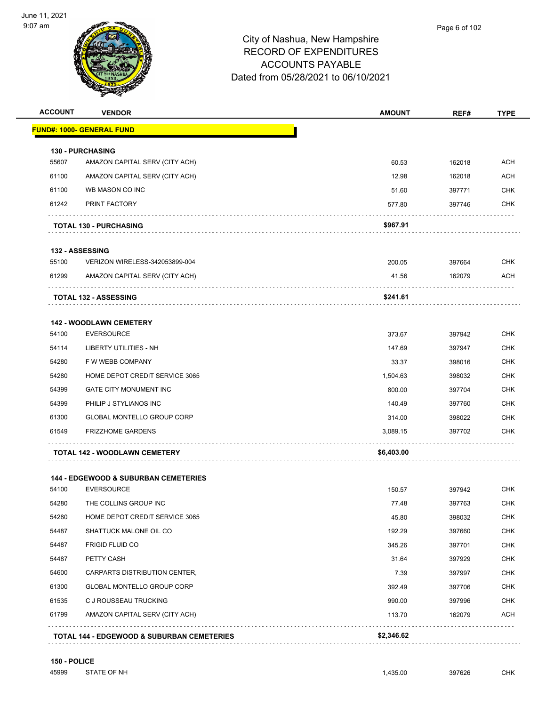

| <b>ACCOUNT</b> | <b>VENDOR</b>                                         | <b>AMOUNT</b> | REF#   | <b>TYPE</b> |
|----------------|-------------------------------------------------------|---------------|--------|-------------|
|                | FUND#: 1000- GENERAL FUND                             |               |        |             |
|                | <b>130 - PURCHASING</b>                               |               |        |             |
| 55607          | AMAZON CAPITAL SERV (CITY ACH)                        | 60.53         | 162018 | <b>ACH</b>  |
| 61100          | AMAZON CAPITAL SERV (CITY ACH)                        | 12.98         | 162018 | <b>ACH</b>  |
| 61100          | WB MASON CO INC                                       | 51.60         | 397771 | <b>CHK</b>  |
| 61242          | PRINT FACTORY                                         | 577.80        | 397746 | <b>CHK</b>  |
|                | <b>TOTAL 130 - PURCHASING</b>                         | \$967.91      |        |             |
|                | 132 - ASSESSING                                       |               |        |             |
| 55100          | VERIZON WIRELESS-342053899-004                        | 200.05        | 397664 | <b>CHK</b>  |
| 61299          | AMAZON CAPITAL SERV (CITY ACH)                        | 41.56         | 162079 | <b>ACH</b>  |
|                | <b>TOTAL 132 - ASSESSING</b>                          | \$241.61      |        |             |
|                | <b>142 - WOODLAWN CEMETERY</b>                        |               |        |             |
| 54100          | <b>EVERSOURCE</b>                                     | 373.67        | 397942 | <b>CHK</b>  |
| 54114          | LIBERTY UTILITIES - NH                                | 147.69        | 397947 | <b>CHK</b>  |
| 54280          | F W WEBB COMPANY                                      | 33.37         | 398016 | <b>CHK</b>  |
| 54280          | HOME DEPOT CREDIT SERVICE 3065                        | 1,504.63      | 398032 | <b>CHK</b>  |
| 54399          | <b>GATE CITY MONUMENT INC</b>                         | 800.00        | 397704 | <b>CHK</b>  |
| 54399          | PHILIP J STYLIANOS INC                                | 140.49        | 397760 | <b>CHK</b>  |
| 61300          | GLOBAL MONTELLO GROUP CORP                            | 314.00        | 398022 | <b>CHK</b>  |
| 61549          | <b>FRIZZHOME GARDENS</b>                              | 3,089.15      | 397702 | <b>CHK</b>  |
|                | TOTAL 142 - WOODLAWN CEMETERY                         | \$6,403.00    |        |             |
|                | <b>144 - EDGEWOOD &amp; SUBURBAN CEMETERIES</b>       |               |        |             |
| 54100          | <b>EVERSOURCE</b>                                     | 150.57        | 397942 | CHK         |
| 54280          | THE COLLINS GROUP INC                                 | 77.48         | 397763 | <b>CHK</b>  |
| 54280          | HOME DEPOT CREDIT SERVICE 3065                        | 45.80         | 398032 | <b>CHK</b>  |
| 54487          | SHATTUCK MALONE OIL CO                                | 192.29        | 397660 | <b>CHK</b>  |
| 54487          | <b>FRIGID FLUID CO</b>                                | 345.26        | 397701 | <b>CHK</b>  |
| 54487          | PETTY CASH                                            | 31.64         | 397929 | <b>CHK</b>  |
| 54600          | CARPARTS DISTRIBUTION CENTER,                         | 7.39          | 397997 | <b>CHK</b>  |
| 61300          | <b>GLOBAL MONTELLO GROUP CORP</b>                     | 392.49        | 397706 | <b>CHK</b>  |
| 61535          | C J ROUSSEAU TRUCKING                                 | 990.00        | 397996 | CHK         |
| 61799          | AMAZON CAPITAL SERV (CITY ACH)                        | 113.70        | 162079 | <b>ACH</b>  |
|                | <b>TOTAL 144 - EDGEWOOD &amp; SUBURBAN CEMETERIES</b> | \$2,346.62    |        |             |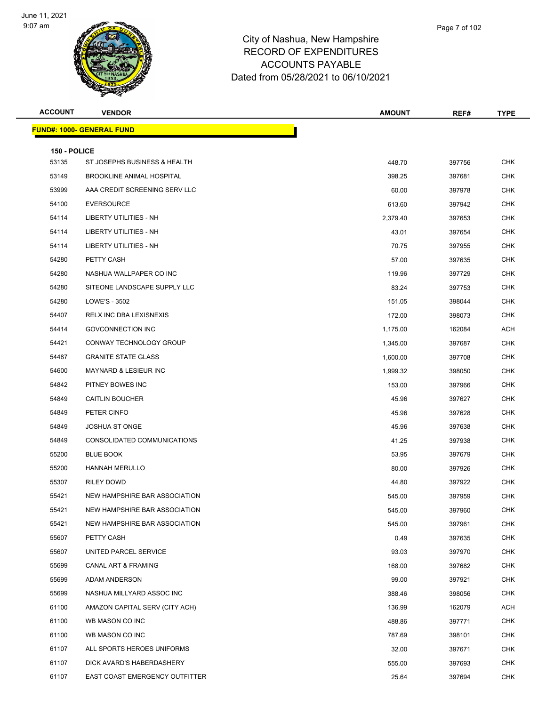

| <b>ACCOUNT</b>        | <b>VENDOR</b>                    | <b>AMOUNT</b> | REF#   | <b>TYPE</b> |
|-----------------------|----------------------------------|---------------|--------|-------------|
|                       | <b>FUND#: 1000- GENERAL FUND</b> |               |        |             |
|                       |                                  |               |        |             |
| 150 - POLICE<br>53135 | ST JOSEPHS BUSINESS & HEALTH     | 448.70        | 397756 | <b>CHK</b>  |
| 53149                 | <b>BROOKLINE ANIMAL HOSPITAL</b> | 398.25        | 397681 | <b>CHK</b>  |
| 53999                 | AAA CREDIT SCREENING SERV LLC    | 60.00         | 397978 | <b>CHK</b>  |
| 54100                 | <b>EVERSOURCE</b>                | 613.60        | 397942 | <b>CHK</b>  |
| 54114                 | LIBERTY UTILITIES - NH           | 2,379.40      | 397653 | <b>CHK</b>  |
| 54114                 | LIBERTY UTILITIES - NH           | 43.01         | 397654 | <b>CHK</b>  |
| 54114                 | LIBERTY UTILITIES - NH           | 70.75         | 397955 | <b>CHK</b>  |
| 54280                 | PETTY CASH                       | 57.00         | 397635 | <b>CHK</b>  |
| 54280                 | NASHUA WALLPAPER CO INC          | 119.96        | 397729 | <b>CHK</b>  |
| 54280                 | SITEONE LANDSCAPE SUPPLY LLC     | 83.24         | 397753 | <b>CHK</b>  |
| 54280                 | LOWE'S - 3502                    | 151.05        | 398044 | <b>CHK</b>  |
| 54407                 | RELX INC DBA LEXISNEXIS          | 172.00        | 398073 | <b>CHK</b>  |
| 54414                 | <b>GOVCONNECTION INC</b>         | 1,175.00      | 162084 | <b>ACH</b>  |
| 54421                 | CONWAY TECHNOLOGY GROUP          | 1,345.00      | 397687 | <b>CHK</b>  |
| 54487                 | <b>GRANITE STATE GLASS</b>       | 1,600.00      | 397708 | <b>CHK</b>  |
| 54600                 | <b>MAYNARD &amp; LESIEUR INC</b> | 1,999.32      | 398050 | <b>CHK</b>  |
| 54842                 | PITNEY BOWES INC                 | 153.00        | 397966 | <b>CHK</b>  |
| 54849                 | <b>CAITLIN BOUCHER</b>           | 45.96         | 397627 | <b>CHK</b>  |
| 54849                 | PETER CINFO                      | 45.96         | 397628 | <b>CHK</b>  |
| 54849                 | <b>JOSHUA ST ONGE</b>            | 45.96         | 397638 | <b>CHK</b>  |
| 54849                 | CONSOLIDATED COMMUNICATIONS      | 41.25         | 397938 | <b>CHK</b>  |
| 55200                 | <b>BLUE BOOK</b>                 | 53.95         | 397679 | <b>CHK</b>  |
| 55200                 | <b>HANNAH MERULLO</b>            | 80.00         | 397926 | <b>CHK</b>  |
| 55307                 | <b>RILEY DOWD</b>                | 44.80         | 397922 | <b>CHK</b>  |
| 55421                 | NEW HAMPSHIRE BAR ASSOCIATION    | 545.00        | 397959 | <b>CHK</b>  |
| 55421                 | NEW HAMPSHIRE BAR ASSOCIATION    | 545.00        | 397960 | <b>CHK</b>  |
| 55421                 | NEW HAMPSHIRE BAR ASSOCIATION    | 545.00        | 397961 | <b>CHK</b>  |
| 55607                 | PETTY CASH                       | 0.49          | 397635 | <b>CHK</b>  |
| 55607                 | UNITED PARCEL SERVICE            | 93.03         | 397970 | <b>CHK</b>  |
| 55699                 | CANAL ART & FRAMING              | 168.00        | 397682 | <b>CHK</b>  |
| 55699                 | ADAM ANDERSON                    | 99.00         | 397921 | <b>CHK</b>  |
| 55699                 | NASHUA MILLYARD ASSOC INC        | 388.46        | 398056 | <b>CHK</b>  |
| 61100                 | AMAZON CAPITAL SERV (CITY ACH)   | 136.99        | 162079 | ACH         |
| 61100                 | WB MASON CO INC                  | 488.86        | 397771 | <b>CHK</b>  |
| 61100                 | WB MASON CO INC                  | 787.69        | 398101 | <b>CHK</b>  |
| 61107                 | ALL SPORTS HEROES UNIFORMS       | 32.00         | 397671 | <b>CHK</b>  |
| 61107                 | DICK AVARD'S HABERDASHERY        | 555.00        | 397693 | <b>CHK</b>  |
| 61107                 | EAST COAST EMERGENCY OUTFITTER   | 25.64         | 397694 | <b>CHK</b>  |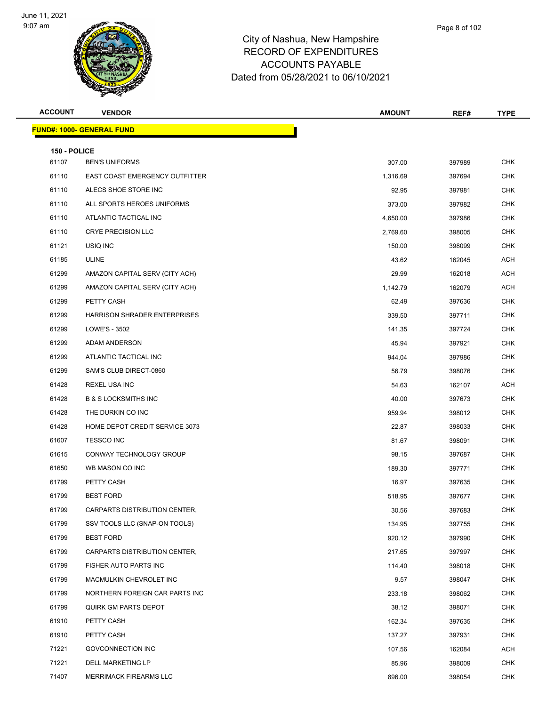

| <b>ACCOUNT</b>        | <b>VENDOR</b>                                | <b>AMOUNT</b> | REF#   | <b>TYPE</b> |
|-----------------------|----------------------------------------------|---------------|--------|-------------|
|                       | <b>FUND#: 1000- GENERAL FUND</b>             |               |        |             |
|                       |                                              |               |        |             |
| 150 - POLICE<br>61107 | <b>BEN'S UNIFORMS</b>                        | 307.00        | 397989 | CHK         |
| 61110                 | EAST COAST EMERGENCY OUTFITTER               | 1,316.69      | 397694 | <b>CHK</b>  |
| 61110                 | ALECS SHOE STORE INC                         | 92.95         | 397981 | <b>CHK</b>  |
| 61110                 | ALL SPORTS HEROES UNIFORMS                   | 373.00        | 397982 | <b>CHK</b>  |
| 61110                 | ATLANTIC TACTICAL INC                        | 4,650.00      | 397986 | <b>CHK</b>  |
| 61110                 | <b>CRYE PRECISION LLC</b>                    | 2,769.60      | 398005 | <b>CHK</b>  |
| 61121                 | USIQ INC                                     | 150.00        | 398099 | <b>CHK</b>  |
| 61185                 | <b>ULINE</b>                                 |               |        | ACH         |
| 61299                 |                                              | 43.62         | 162045 | ACH         |
| 61299                 | AMAZON CAPITAL SERV (CITY ACH)               | 29.99         | 162018 | ACH         |
|                       | AMAZON CAPITAL SERV (CITY ACH)<br>PETTY CASH | 1,142.79      | 162079 | <b>CHK</b>  |
| 61299                 | HARRISON SHRADER ENTERPRISES                 | 62.49         | 397636 | <b>CHK</b>  |
| 61299                 |                                              | 339.50        | 397711 |             |
| 61299                 | LOWE'S - 3502                                | 141.35        | 397724 | <b>CHK</b>  |
| 61299                 | ADAM ANDERSON                                | 45.94         | 397921 | <b>CHK</b>  |
| 61299                 | ATLANTIC TACTICAL INC                        | 944.04        | 397986 | <b>CHK</b>  |
| 61299                 | SAM'S CLUB DIRECT-0860                       | 56.79         | 398076 | <b>CHK</b>  |
| 61428                 | REXEL USA INC                                | 54.63         | 162107 | ACH         |
| 61428                 | <b>B &amp; S LOCKSMITHS INC</b>              | 40.00         | 397673 | <b>CHK</b>  |
| 61428                 | THE DURKIN CO INC                            | 959.94        | 398012 | <b>CHK</b>  |
| 61428                 | HOME DEPOT CREDIT SERVICE 3073               | 22.87         | 398033 | <b>CHK</b>  |
| 61607                 | <b>TESSCO INC</b>                            | 81.67         | 398091 | <b>CHK</b>  |
| 61615                 | CONWAY TECHNOLOGY GROUP                      | 98.15         | 397687 | <b>CHK</b>  |
| 61650                 | WB MASON CO INC                              | 189.30        | 397771 | <b>CHK</b>  |
| 61799                 | PETTY CASH                                   | 16.97         | 397635 | <b>CHK</b>  |
| 61799                 | <b>BEST FORD</b>                             | 518.95        | 397677 | <b>CHK</b>  |
| 61799                 | CARPARTS DISTRIBUTION CENTER,                | 30.56         | 397683 | <b>CHK</b>  |
| 61799                 | SSV TOOLS LLC (SNAP-ON TOOLS)                | 134.95        | 397755 | <b>CHK</b>  |
| 61799                 | <b>BEST FORD</b>                             | 920.12        | 397990 | <b>CHK</b>  |
| 61799                 | CARPARTS DISTRIBUTION CENTER,                | 217.65        | 397997 | <b>CHK</b>  |
| 61799                 | FISHER AUTO PARTS INC                        | 114.40        | 398018 | <b>CHK</b>  |
| 61799                 | MACMULKIN CHEVROLET INC                      | 9.57          | 398047 | <b>CHK</b>  |
| 61799                 | NORTHERN FOREIGN CAR PARTS INC               | 233.18        | 398062 | <b>CHK</b>  |
| 61799                 | <b>QUIRK GM PARTS DEPOT</b>                  | 38.12         | 398071 | <b>CHK</b>  |
| 61910                 | PETTY CASH                                   | 162.34        | 397635 | <b>CHK</b>  |
| 61910                 | PETTY CASH                                   | 137.27        | 397931 | <b>CHK</b>  |
| 71221                 | GOVCONNECTION INC                            | 107.56        | 162084 | ACH         |
| 71221                 | DELL MARKETING LP                            | 85.96         | 398009 | <b>CHK</b>  |
| 71407                 | MERRIMACK FIREARMS LLC                       | 896.00        | 398054 | <b>CHK</b>  |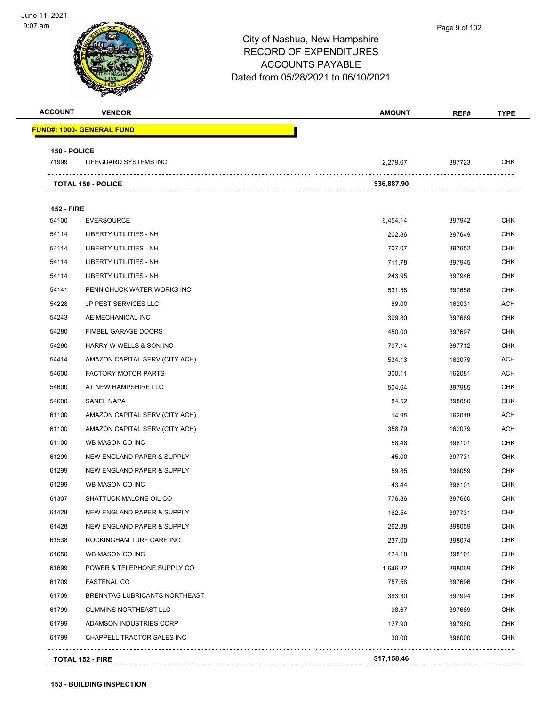

| <b>ACCOUNT</b>    | <b>VENDOR</b>                         | <b>AMOUNT</b> | REF#   | TYPE       |
|-------------------|---------------------------------------|---------------|--------|------------|
|                   | FUND#: 1000- GENERAL FUND             |               |        |            |
| 150 - POLICE      |                                       |               |        |            |
| 71999             | <b>LIFEGUARD SYSTEMS INC</b>          | 2,279.67      | 397723 | <b>CHK</b> |
|                   | <b>TOTAL 150 - POLICE</b>             | \$36,887.90   |        |            |
| <b>152 - FIRE</b> |                                       |               |        |            |
| 54100             | <b>EVERSOURCE</b>                     | 6,454.14      | 397942 | <b>CHK</b> |
| 54114             | LIBERTY UTILITIES - NH                | 202.86        | 397649 | <b>CHK</b> |
| 54114             | LIBERTY UTILITIES - NH                | 707.07        | 397652 | <b>CHK</b> |
| 54114             | LIBERTY UTILITIES - NH                | 711.78        | 397945 | <b>CHK</b> |
| 54114             | LIBERTY UTILITIES - NH                | 243.95        | 397946 | <b>CHK</b> |
| 54141             | PENNICHUCK WATER WORKS INC            | 531.58        | 397658 | <b>CHK</b> |
| 54228             | <b>JP PEST SERVICES LLC</b>           | 89.00         | 162031 | <b>ACH</b> |
| 54243             | AE MECHANICAL INC                     | 399.80        | 397669 | <b>CHK</b> |
| 54280             | FIMBEL GARAGE DOORS                   | 450.00        | 397697 | <b>CHK</b> |
| 54280             | HARRY W WELLS & SON INC               | 707.14        | 397712 | <b>CHK</b> |
| 54414             | AMAZON CAPITAL SERV (CITY ACH)        | 534.13        | 162079 | <b>ACH</b> |
| 54600             | <b>FACTORY MOTOR PARTS</b>            | 300.11        | 162081 | <b>ACH</b> |
| 54600             | AT NEW HAMPSHIRE LLC                  | 504.64        | 397985 | <b>CHK</b> |
| 54600             | SANEL NAPA                            | 84.52         | 398080 | <b>CHK</b> |
| 61100             | AMAZON CAPITAL SERV (CITY ACH)        | 14.95         | 162018 | <b>ACH</b> |
| 61100             | AMAZON CAPITAL SERV (CITY ACH)        | 358.79        | 162079 | <b>ACH</b> |
| 61100             | WB MASON CO INC                       | 58.48         | 398101 | CHK        |
| 61299             | NEW ENGLAND PAPER & SUPPLY            | 45.00         | 397731 | <b>CHK</b> |
| 61299             | NEW ENGLAND PAPER & SUPPLY            | 59.85         | 398059 | <b>CHK</b> |
| 61299             | WB MASON CO INC                       | 43.44         | 398101 | <b>CHK</b> |
| 61307             | SHATTUCK MALONE OIL CO                | 776.86        | 397660 | <b>CHK</b> |
| 61428             | NEW ENGLAND PAPER & SUPPLY            | 162.54        | 397731 | <b>CHK</b> |
| 61428             | <b>NEW ENGLAND PAPER &amp; SUPPLY</b> | 262.88        | 398059 | <b>CHK</b> |
| 61538             | ROCKINGHAM TURF CARE INC              | 237.00        | 398074 | <b>CHK</b> |
| 61650             | WB MASON CO INC                       | 174.18        | 398101 | <b>CHK</b> |
| 61699             | POWER & TELEPHONE SUPPLY CO           | 1,646.32      | 398069 | <b>CHK</b> |
| 61709             | <b>FASTENAL CO</b>                    | 757.58        | 397696 | CHK        |
| 61709             | BRENNTAG LUBRICANTS NORTHEAST         | 383.30        | 397994 | <b>CHK</b> |
| 61799             | <b>CUMMINS NORTHEAST LLC</b>          | 98.67         | 397689 | <b>CHK</b> |
| 61799             | ADAMSON INDUSTRIES CORP               | 127.90        | 397980 | <b>CHK</b> |
| 61799             | CHAPPELL TRACTOR SALES INC            | 30.00         | 398000 | <b>CHK</b> |

**153 - BUILDING INSPECTION**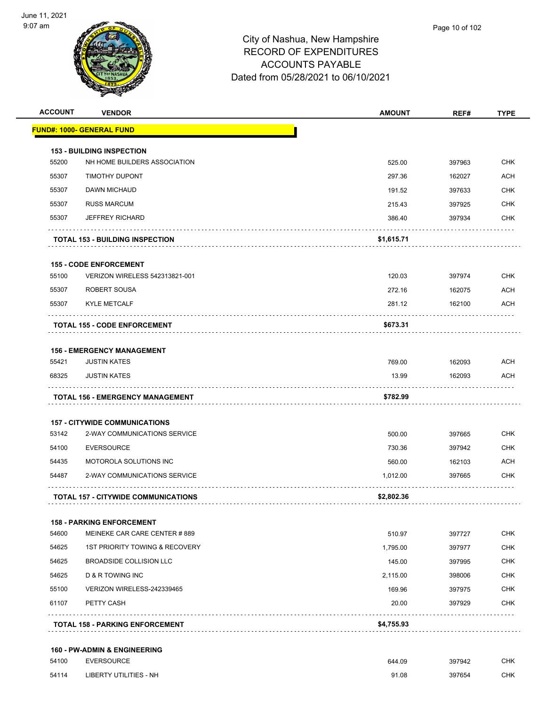

| <b>ACCOUNT</b> | <b>VENDOR</b>                              | <b>AMOUNT</b> | REF#   | <b>TYPE</b> |
|----------------|--------------------------------------------|---------------|--------|-------------|
|                | <u> FUND#: 1000- GENERAL FUND</u>          |               |        |             |
|                | <b>153 - BUILDING INSPECTION</b>           |               |        |             |
| 55200          | NH HOME BUILDERS ASSOCIATION               | 525.00        | 397963 | <b>CHK</b>  |
| 55307          | <b>TIMOTHY DUPONT</b>                      | 297.36        | 162027 | <b>ACH</b>  |
| 55307          | DAWN MICHAUD                               | 191.52        | 397633 | <b>CHK</b>  |
| 55307          | <b>RUSS MARCUM</b>                         | 215.43        | 397925 | <b>CHK</b>  |
| 55307          | <b>JEFFREY RICHARD</b>                     | 386.40        | 397934 | <b>CHK</b>  |
|                | <b>TOTAL 153 - BUILDING INSPECTION</b>     | \$1,615.71    |        |             |
|                | <b>155 - CODE ENFORCEMENT</b>              |               |        |             |
| 55100          | VERIZON WIRELESS 542313821-001             | 120.03        | 397974 | <b>CHK</b>  |
| 55307          | ROBERT SOUSA                               | 272.16        | 162075 | <b>ACH</b>  |
| 55307          | <b>KYLE METCALF</b>                        | 281.12        | 162100 | <b>ACH</b>  |
|                | TOTAL 155 - CODE ENFORCEMENT               | \$673.31      |        |             |
|                | <b>156 - EMERGENCY MANAGEMENT</b>          |               |        |             |
| 55421          | <b>JUSTIN KATES</b>                        | 769.00        | 162093 | <b>ACH</b>  |
| 68325          | <b>JUSTIN KATES</b>                        | 13.99         | 162093 | ACH         |
|                | <b>TOTAL 156 - EMERGENCY MANAGEMENT</b>    | \$782.99      |        |             |
|                | <b>157 - CITYWIDE COMMUNICATIONS</b>       |               |        |             |
| 53142          | 2-WAY COMMUNICATIONS SERVICE               | 500.00        | 397665 | <b>CHK</b>  |
| 54100          | <b>EVERSOURCE</b>                          | 730.36        | 397942 | <b>CHK</b>  |
| 54435          | <b>MOTOROLA SOLUTIONS INC</b>              | 560.00        | 162103 | ACH         |
| 54487          | 2-WAY COMMUNICATIONS SERVICE               | 1,012.00      | 397665 | <b>CHK</b>  |
|                | <b>TOTAL 157 - CITYWIDE COMMUNICATIONS</b> | \$2,802.36    |        |             |
|                | <b>158 - PARKING ENFORCEMENT</b>           |               |        |             |
| 54600          | MEINEKE CAR CARE CENTER #889               | 510.97        | 397727 | CHK         |
| 54625          | 1ST PRIORITY TOWING & RECOVERY             | 1,795.00      | 397977 | <b>CHK</b>  |
| 54625          | BROADSIDE COLLISION LLC                    | 145.00        | 397995 | <b>CHK</b>  |
| 54625          | <b>D &amp; R TOWING INC</b>                | 2,115.00      | 398006 | <b>CHK</b>  |
|                | VERIZON WIRELESS-242339465                 | 169.96        | 397975 | <b>CHK</b>  |
| 55100          |                                            |               |        |             |
| 61107          | PETTY CASH                                 | 20.00         | 397929 | CHK         |

#### **160 - PW-ADMIN & ENGINEERING**

| 54100 | <b>EVERSOURCE</b>             | 644.09 | 397942 | CHK. |
|-------|-------------------------------|--------|--------|------|
| 54114 | <b>LIBERTY UTILITIES - NH</b> | 91.08  | 397654 | CHK. |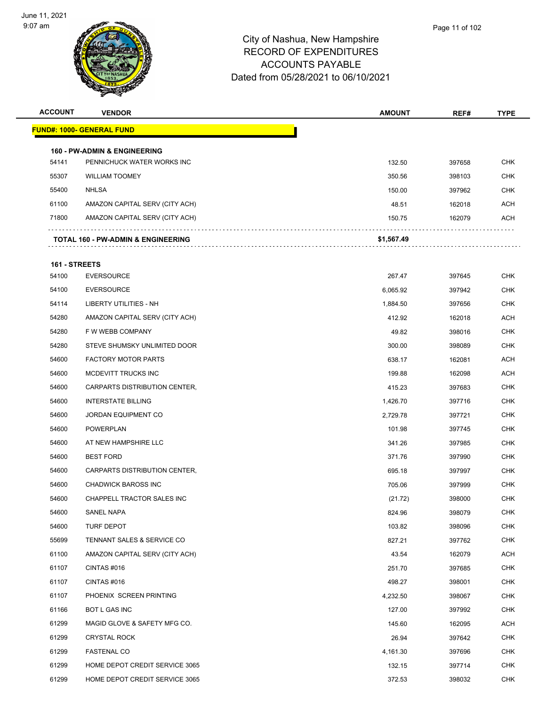

| <b>ACCOUNT</b> | <b>VENDOR</b>                                 | <b>AMOUNT</b> | REF#   | <b>TYPE</b> |
|----------------|-----------------------------------------------|---------------|--------|-------------|
|                | <u> FUND#: 1000- GENERAL FUND</u>             |               |        |             |
|                | <b>160 - PW-ADMIN &amp; ENGINEERING</b>       |               |        |             |
| 54141          | PENNICHUCK WATER WORKS INC                    | 132.50        | 397658 | <b>CHK</b>  |
| 55307          | <b>WILLIAM TOOMEY</b>                         | 350.56        | 398103 | <b>CHK</b>  |
| 55400          | <b>NHLSA</b>                                  | 150.00        | 397962 | <b>CHK</b>  |
| 61100          | AMAZON CAPITAL SERV (CITY ACH)                | 48.51         | 162018 | <b>ACH</b>  |
| 71800          | AMAZON CAPITAL SERV (CITY ACH)                | 150.75        | 162079 | ACH         |
|                | <b>TOTAL 160 - PW-ADMIN &amp; ENGINEERING</b> | \$1,567.49    |        |             |
| 161 - STREETS  |                                               |               |        |             |
| 54100          | <b>EVERSOURCE</b>                             | 267.47        | 397645 | <b>CHK</b>  |
| 54100          | <b>EVERSOURCE</b>                             | 6,065.92      | 397942 | <b>CHK</b>  |
| 54114          | LIBERTY UTILITIES - NH                        | 1,884.50      | 397656 | <b>CHK</b>  |
| 54280          | AMAZON CAPITAL SERV (CITY ACH)                | 412.92        | 162018 | <b>ACH</b>  |
| 54280          | F W WEBB COMPANY                              | 49.82         | 398016 | CHK         |
| 54280          | STEVE SHUMSKY UNLIMITED DOOR                  | 300.00        | 398089 | <b>CHK</b>  |
| 54600          | <b>FACTORY MOTOR PARTS</b>                    | 638.17        | 162081 | <b>ACH</b>  |
| 54600          | MCDEVITT TRUCKS INC                           | 199.88        | 162098 | ACH         |
| 54600          | CARPARTS DISTRIBUTION CENTER,                 | 415.23        | 397683 | <b>CHK</b>  |
| 54600          | <b>INTERSTATE BILLING</b>                     | 1,426.70      | 397716 | CHK         |
| 54600          | <b>JORDAN EQUIPMENT CO</b>                    | 2,729.78      | 397721 | <b>CHK</b>  |
| 54600          | <b>POWERPLAN</b>                              | 101.98        | 397745 | <b>CHK</b>  |
| 54600          | AT NEW HAMPSHIRE LLC                          | 341.26        | 397985 | <b>CHK</b>  |
| 54600          | <b>BEST FORD</b>                              | 371.76        | 397990 | <b>CHK</b>  |
| 54600          | CARPARTS DISTRIBUTION CENTER,                 | 695.18        | 397997 | CHK         |
| 54600          | <b>CHADWICK BAROSS INC</b>                    | 705.06        | 397999 | <b>CHK</b>  |
| 54600          | CHAPPELL TRACTOR SALES INC                    | (21.72)       | 398000 | <b>CHK</b>  |
| 54600          | SANEL NAPA                                    | 824.96        | 398079 | <b>CHK</b>  |
| 54600          | TURF DEPOT                                    | 103.82        | 398096 | <b>CHK</b>  |
| 55699          | TENNANT SALES & SERVICE CO                    | 827.21        | 397762 | <b>CHK</b>  |
| 61100          | AMAZON CAPITAL SERV (CITY ACH)                | 43.54         | 162079 | ACH         |
| 61107          | CINTAS#016                                    | 251.70        | 397685 | <b>CHK</b>  |
| 61107          | CINTAS #016                                   | 498.27        | 398001 | <b>CHK</b>  |
| 61107          | PHOENIX SCREEN PRINTING                       | 4,232.50      | 398067 | <b>CHK</b>  |
| 61166          | BOT L GAS INC                                 | 127.00        | 397992 | <b>CHK</b>  |
| 61299          | MAGID GLOVE & SAFETY MFG CO.                  | 145.60        | 162095 | ACH         |
| 61299          | <b>CRYSTAL ROCK</b>                           | 26.94         | 397642 | <b>CHK</b>  |
| 61299          | <b>FASTENAL CO</b>                            | 4,161.30      | 397696 | <b>CHK</b>  |
| 61299          | HOME DEPOT CREDIT SERVICE 3065                | 132.15        | 397714 | <b>CHK</b>  |
| 61299          | HOME DEPOT CREDIT SERVICE 3065                | 372.53        | 398032 | <b>CHK</b>  |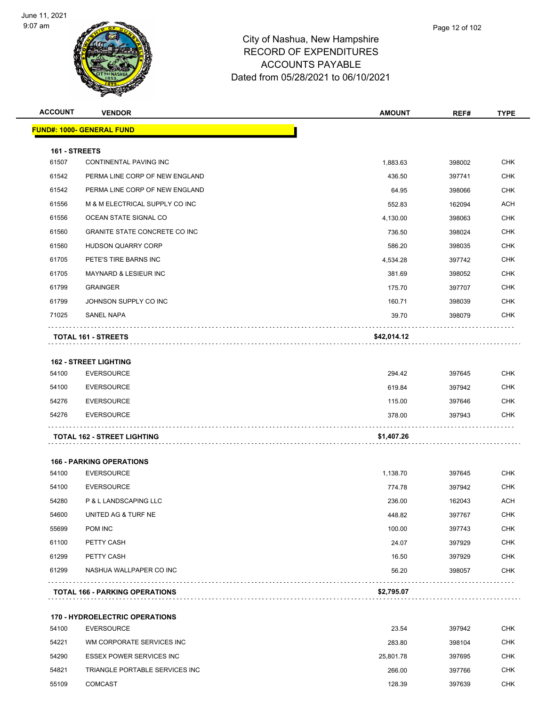

| <b>ACCOUNT</b> | <b>VENDOR</b>                         | <b>AMOUNT</b> | REF#   | <b>TYPE</b> |
|----------------|---------------------------------------|---------------|--------|-------------|
|                | <u> FUND#: 1000- GENERAL FUND</u>     |               |        |             |
| 161 - STREETS  |                                       |               |        |             |
| 61507          | CONTINENTAL PAVING INC                | 1,883.63      | 398002 | <b>CHK</b>  |
| 61542          | PERMA LINE CORP OF NEW ENGLAND        | 436.50        | 397741 | <b>CHK</b>  |
| 61542          | PERMA LINE CORP OF NEW ENGLAND        | 64.95         | 398066 | <b>CHK</b>  |
| 61556          | M & M ELECTRICAL SUPPLY CO INC        | 552.83        | 162094 | <b>ACH</b>  |
| 61556          | OCEAN STATE SIGNAL CO                 | 4,130.00      | 398063 | <b>CHK</b>  |
| 61560          | <b>GRANITE STATE CONCRETE CO INC</b>  | 736.50        | 398024 | <b>CHK</b>  |
| 61560          | <b>HUDSON QUARRY CORP</b>             | 586.20        | 398035 | <b>CHK</b>  |
| 61705          | PETE'S TIRE BARNS INC                 | 4,534.28      | 397742 | <b>CHK</b>  |
| 61705          | MAYNARD & LESIEUR INC                 | 381.69        | 398052 | <b>CHK</b>  |
| 61799          | <b>GRAINGER</b>                       | 175.70        | 397707 | <b>CHK</b>  |
| 61799          | JOHNSON SUPPLY CO INC                 | 160.71        | 398039 | <b>CHK</b>  |
| 71025          | <b>SANEL NAPA</b>                     | 39.70         | 398079 | <b>CHK</b>  |
|                | <b>TOTAL 161 - STREETS</b>            | \$42,014.12   |        |             |
|                | <b>162 - STREET LIGHTING</b>          |               |        |             |
| 54100          | <b>EVERSOURCE</b>                     | 294.42        | 397645 | <b>CHK</b>  |
| 54100          | <b>EVERSOURCE</b>                     | 619.84        | 397942 | <b>CHK</b>  |
| 54276          | <b>EVERSOURCE</b>                     | 115.00        | 397646 | CHK         |
| 54276          | <b>EVERSOURCE</b>                     | 378.00        | 397943 | <b>CHK</b>  |
|                | <b>TOTAL 162 - STREET LIGHTING</b>    | \$1,407.26    |        |             |
|                | <b>166 - PARKING OPERATIONS</b>       |               |        |             |
| 54100          | <b>EVERSOURCE</b>                     | 1,138.70      | 397645 | <b>CHK</b>  |
| 54100          | <b>EVERSOURCE</b>                     | 774.78        | 397942 | <b>CHK</b>  |
| 54280          | P & L LANDSCAPING LLC                 | 236.00        | 162043 | ACH         |
| 54600          | UNITED AG & TURF NE                   | 448.82        | 397767 | <b>CHK</b>  |
| 55699          | POM INC                               | 100.00        | 397743 | <b>CHK</b>  |
| 61100          | PETTY CASH                            | 24.07         | 397929 | <b>CHK</b>  |
| 61299          | PETTY CASH                            | 16.50         | 397929 | <b>CHK</b>  |
| 61299          | NASHUA WALLPAPER CO INC               | 56.20         | 398057 | <b>CHK</b>  |
|                | <b>TOTAL 166 - PARKING OPERATIONS</b> | \$2,795.07    |        |             |
|                | <b>170 - HYDROELECTRIC OPERATIONS</b> |               |        |             |
| 54100          | <b>EVERSOURCE</b>                     | 23.54         | 397942 | <b>CHK</b>  |
| 54221          | WM CORPORATE SERVICES INC             | 283.80        | 398104 | <b>CHK</b>  |
| 54290          | <b>ESSEX POWER SERVICES INC</b>       | 25,801.78     | 397695 | <b>CHK</b>  |
| 54821          | TRIANGLE PORTABLE SERVICES INC        | 266.00        | 397766 | <b>CHK</b>  |
| 55109          | <b>COMCAST</b>                        | 128.39        | 397639 | <b>CHK</b>  |
|                |                                       |               |        |             |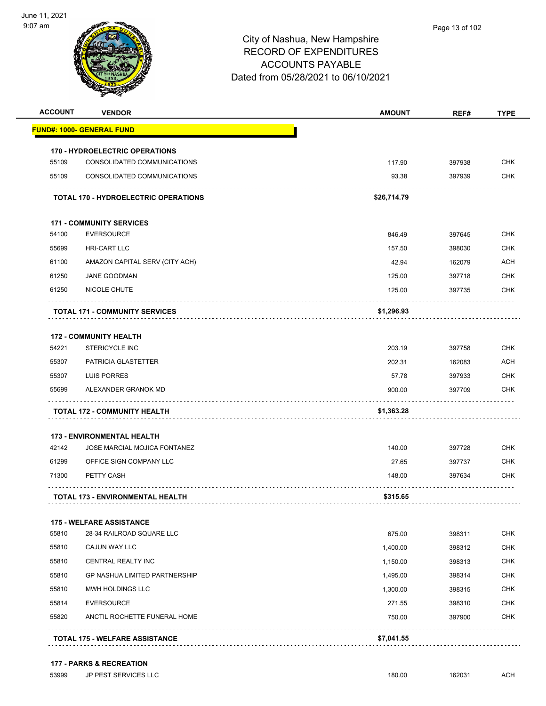

| <b>ACCOUNT</b> | <b>VENDOR</b>                               | <b>AMOUNT</b> | REF#   | <b>TYPE</b> |
|----------------|---------------------------------------------|---------------|--------|-------------|
|                | <u> FUND#: 1000- GENERAL FUND</u>           |               |        |             |
|                | <b>170 - HYDROELECTRIC OPERATIONS</b>       |               |        |             |
| 55109          | CONSOLIDATED COMMUNICATIONS                 | 117.90        | 397938 | <b>CHK</b>  |
| 55109          | CONSOLIDATED COMMUNICATIONS                 | 93.38         | 397939 | <b>CHK</b>  |
|                | <b>TOTAL 170 - HYDROELECTRIC OPERATIONS</b> | \$26,714.79   |        |             |
|                | <b>171 - COMMUNITY SERVICES</b>             |               |        |             |
| 54100          | <b>EVERSOURCE</b>                           | 846.49        | 397645 | <b>CHK</b>  |
| 55699          | <b>HRI-CART LLC</b>                         | 157.50        | 398030 | <b>CHK</b>  |
| 61100          | AMAZON CAPITAL SERV (CITY ACH)              | 42.94         | 162079 | ACH         |
| 61250          | <b>JANE GOODMAN</b>                         | 125.00        | 397718 | <b>CHK</b>  |
| 61250          | NICOLE CHUTE                                | 125.00        | 397735 | <b>CHK</b>  |
|                | <b>TOTAL 171 - COMMUNITY SERVICES</b>       | \$1,296.93    |        |             |
|                | <b>172 - COMMUNITY HEALTH</b>               |               |        |             |
| 54221          | <b>STERICYCLE INC</b>                       | 203.19        | 397758 | <b>CHK</b>  |
| 55307          | PATRICIA GLASTETTER                         | 202.31        | 162083 | <b>ACH</b>  |
| 55307          | LUIS PORRES                                 | 57.78         | 397933 | CHK         |
| 55699          | ALEXANDER GRANOK MD                         | 900.00        | 397709 | <b>CHK</b>  |
|                | <b>TOTAL 172 - COMMUNITY HEALTH</b>         | \$1,363.28    |        |             |
|                | <b>173 - ENVIRONMENTAL HEALTH</b>           |               |        |             |
| 42142          | JOSE MARCIAL MOJICA FONTANEZ                | 140.00        | 397728 | <b>CHK</b>  |
| 61299          | OFFICE SIGN COMPANY LLC                     | 27.65         | 397737 | <b>CHK</b>  |
| 71300          | PETTY CASH                                  | 148.00        | 397634 | CHK         |
|                | <b>TOTAL 173 - ENVIRONMENTAL HEALTH</b>     | \$315.65      |        |             |
|                | <b>175 - WELFARE ASSISTANCE</b>             |               |        |             |
| 55810          | 28-34 RAILROAD SQUARE LLC                   | 675.00        | 398311 | <b>CHK</b>  |
| 55810          | CAJUN WAY LLC                               | 1,400.00      | 398312 | <b>CHK</b>  |
| 55810          | CENTRAL REALTY INC                          | 1,150.00      | 398313 | CHK         |
| 55810          | <b>GP NASHUA LIMITED PARTNERSHIP</b>        | 1,495.00      | 398314 | <b>CHK</b>  |
| 55810          | MWH HOLDINGS LLC                            | 1,300.00      | 398315 | <b>CHK</b>  |
| 55814          | <b>EVERSOURCE</b>                           | 271.55        | 398310 | CHK         |
| 55820          | ANCTIL ROCHETTE FUNERAL HOME                | 750.00        | 397900 | <b>CHK</b>  |
|                |                                             |               |        |             |

#### **177 - PARKS & RECREATION**

er and the state of the state of the state of the state of the state of the state of the state of the state of the state of the state of the state of the state of the state of the state of the state of the state of the sta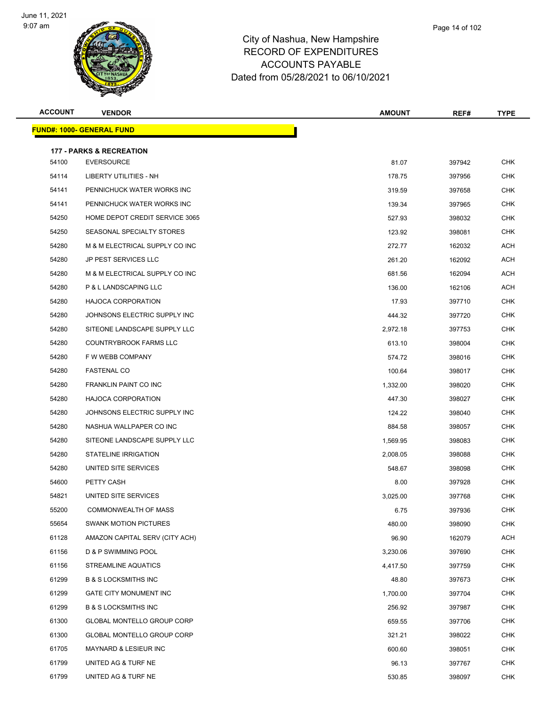

**FUND#: 1000- GENERAL FUND**

# City of Nashua, New Hampshire RECORD OF EXPENDITURES ACCOUNTS PAYABLE

|                |                                     | <b>ACCOUNTS PAYABLE</b><br>Dated from 05/28/2021 to 06/10/2021 |               |        |                    |  |
|----------------|-------------------------------------|----------------------------------------------------------------|---------------|--------|--------------------|--|
| <b>ACCOUNT</b> | <b>VENDOR</b>                       |                                                                | <b>AMOUNT</b> | REF#   | <b>TYPE</b>        |  |
|                | IND#: 1000- GENERAL FUND            |                                                                |               |        |                    |  |
|                | <b>177 - PARKS &amp; RECREATION</b> |                                                                |               |        |                    |  |
| 54100          | <b>EVERSOURCE</b>                   |                                                                | 81.07         | 397942 | <b>CHK</b>         |  |
| 54114          | <b>LIBERTY UTILITIES - NH</b>       |                                                                | 178.75        | 397956 | <b>CHK</b>         |  |
| 54141          | PENNICHUCK WATER WORKS INC          |                                                                | 319.59        | 397658 | <b>CHK</b>         |  |
| 54141          | PENNICHUCK WATER WORKS INC          |                                                                | 139.34        | 397965 | <b>CHK</b>         |  |
| 54250          | HOME DEPOT CREDIT SERVICE 3065      |                                                                | 527.93        | 398032 | <b>CHK</b>         |  |
| 54250          | SEASONAL SPECIALTY STORES           |                                                                | 123.92        | 398081 | <b>CHK</b>         |  |
| 54280          | M & M ELECTRICAL SUPPLY CO INC      |                                                                | 272.77        | 162032 | <b>ACH</b>         |  |
| 54280          | JP PEST SERVICES LLC                |                                                                | 261.20        | 162092 | <b>ACH</b>         |  |
| 54280          | M & M ELECTRICAL SUPPLY CO INC      |                                                                | 681.56        | 162094 | <b>ACH</b>         |  |
| 54280          | P & L LANDSCAPING LLC               |                                                                | 136.00        | 162106 | <b>ACH</b>         |  |
| 0.1000         | LIA IOOA CODDODATION                |                                                                | 1702          | 207740 | C <sub>1</sub> 11Z |  |

| 54250 | SEASONAL SPECIALTY STORES         | 123.92   | 398081 | <b>CHK</b> |
|-------|-----------------------------------|----------|--------|------------|
| 54280 | M & M ELECTRICAL SUPPLY CO INC    | 272.77   | 162032 | <b>ACH</b> |
| 54280 | JP PEST SERVICES LLC              | 261.20   | 162092 | <b>ACH</b> |
| 54280 | M & M ELECTRICAL SUPPLY CO INC    | 681.56   | 162094 | <b>ACH</b> |
| 54280 | P & L LANDSCAPING LLC             | 136.00   | 162106 | <b>ACH</b> |
| 54280 | HAJOCA CORPORATION                | 17.93    | 397710 | <b>CHK</b> |
| 54280 | JOHNSONS ELECTRIC SUPPLY INC      | 444.32   | 397720 | <b>CHK</b> |
| 54280 | SITEONE LANDSCAPE SUPPLY LLC      | 2,972.18 | 397753 | <b>CHK</b> |
| 54280 | COUNTRYBROOK FARMS LLC            | 613.10   | 398004 | <b>CHK</b> |
| 54280 | F W WEBB COMPANY                  | 574.72   | 398016 | <b>CHK</b> |
| 54280 | <b>FASTENAL CO</b>                | 100.64   | 398017 | <b>CHK</b> |
| 54280 | FRANKLIN PAINT CO INC             | 1,332.00 | 398020 | <b>CHK</b> |
| 54280 | HAJOCA CORPORATION                | 447.30   | 398027 | <b>CHK</b> |
| 54280 | JOHNSONS ELECTRIC SUPPLY INC      | 124.22   | 398040 | <b>CHK</b> |
| 54280 | NASHUA WALLPAPER CO INC           | 884.58   | 398057 | <b>CHK</b> |
| 54280 | SITEONE LANDSCAPE SUPPLY LLC      | 1,569.95 | 398083 | <b>CHK</b> |
| 54280 | STATELINE IRRIGATION              | 2,008.05 | 398088 | <b>CHK</b> |
| 54280 | UNITED SITE SERVICES              | 548.67   | 398098 | <b>CHK</b> |
| 54600 | PETTY CASH                        | 8.00     | 397928 | <b>CHK</b> |
| 54821 | UNITED SITE SERVICES              | 3,025.00 | 397768 | <b>CHK</b> |
| 55200 | COMMONWEALTH OF MASS              | 6.75     | 397936 | <b>CHK</b> |
| 55654 | <b>SWANK MOTION PICTURES</b>      | 480.00   | 398090 | <b>CHK</b> |
| 61128 | AMAZON CAPITAL SERV (CITY ACH)    | 96.90    | 162079 | <b>ACH</b> |
| 61156 | D & P SWIMMING POOL               | 3,230.06 | 397690 | <b>CHK</b> |
| 61156 | <b>STREAMLINE AQUATICS</b>        | 4,417.50 | 397759 | <b>CHK</b> |
| 61299 | <b>B &amp; S LOCKSMITHS INC</b>   | 48.80    | 397673 | <b>CHK</b> |
| 61299 | GATE CITY MONUMENT INC            | 1,700.00 | 397704 | <b>CHK</b> |
| 61299 | <b>B &amp; S LOCKSMITHS INC</b>   | 256.92   | 397987 | <b>CHK</b> |
| 61300 | <b>GLOBAL MONTELLO GROUP CORP</b> | 659.55   | 397706 | CHK        |
| 61300 | <b>GLOBAL MONTELLO GROUP CORP</b> | 321.21   | 398022 | <b>CHK</b> |
| 61705 | MAYNARD & LESIEUR INC             | 600.60   | 398051 | <b>CHK</b> |
| 61799 | UNITED AG & TURF NE               | 96.13    | 397767 | <b>CHK</b> |
| 61799 | UNITED AG & TURF NE               | 530.85   | 398097 | <b>CHK</b> |
|       |                                   |          |        |            |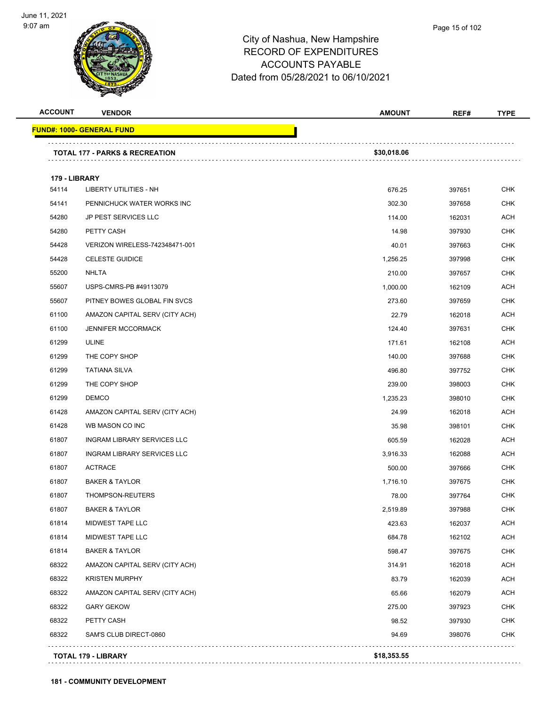

| <b>ACCOUNT</b> | <b>VENDOR</b>                             | <b>AMOUNT</b> | REF#   | <b>TYPE</b> |
|----------------|-------------------------------------------|---------------|--------|-------------|
|                | <b>FUND#: 1000- GENERAL FUND</b>          |               |        |             |
|                |                                           |               |        |             |
|                | <b>TOTAL 177 - PARKS &amp; RECREATION</b> | \$30,018.06   |        |             |
| 179 - LIBRARY  |                                           |               |        |             |
| 54114          | LIBERTY UTILITIES - NH                    | 676.25        | 397651 | <b>CHK</b>  |
| 54141          | PENNICHUCK WATER WORKS INC                | 302.30        | 397658 | <b>CHK</b>  |
| 54280          | <b>JP PEST SERVICES LLC</b>               | 114.00        | 162031 | <b>ACH</b>  |
| 54280          | PETTY CASH                                | 14.98         | 397930 | <b>CHK</b>  |
| 54428          | VERIZON WIRELESS-742348471-001            | 40.01         | 397663 | <b>CHK</b>  |
| 54428          | <b>CELESTE GUIDICE</b>                    | 1,256.25      | 397998 | <b>CHK</b>  |
| 55200          | <b>NHLTA</b>                              | 210.00        | 397657 | <b>CHK</b>  |
| 55607          | USPS-CMRS-PB #49113079                    | 1,000.00      | 162109 | <b>ACH</b>  |
| 55607          | PITNEY BOWES GLOBAL FIN SVCS              | 273.60        | 397659 | <b>CHK</b>  |
| 61100          | AMAZON CAPITAL SERV (CITY ACH)            | 22.79         | 162018 | <b>ACH</b>  |
| 61100          | <b>JENNIFER MCCORMACK</b>                 | 124.40        | 397631 | <b>CHK</b>  |
| 61299          | <b>ULINE</b>                              | 171.61        | 162108 | <b>ACH</b>  |
| 61299          | THE COPY SHOP                             | 140.00        | 397688 | <b>CHK</b>  |
| 61299          | <b>TATIANA SILVA</b>                      | 496.80        | 397752 | <b>CHK</b>  |
| 61299          | THE COPY SHOP                             | 239.00        | 398003 | <b>CHK</b>  |
| 61299          | <b>DEMCO</b>                              | 1,235.23      | 398010 | <b>CHK</b>  |
| 61428          | AMAZON CAPITAL SERV (CITY ACH)            | 24.99         | 162018 | <b>ACH</b>  |
| 61428          | WB MASON CO INC                           | 35.98         | 398101 | <b>CHK</b>  |
| 61807          | INGRAM LIBRARY SERVICES LLC               | 605.59        | 162028 | <b>ACH</b>  |
| 61807          | INGRAM LIBRARY SERVICES LLC               | 3,916.33      | 162088 | <b>ACH</b>  |
| 61807          | <b>ACTRACE</b>                            | 500.00        | 397666 | CHK         |
| 61807          | <b>BAKER &amp; TAYLOR</b>                 | 1,716.10      | 397675 | <b>CHK</b>  |
| 61807          | THOMPSON-REUTERS                          | 78.00         | 397764 | <b>CHK</b>  |
| 61807          | <b>BAKER &amp; TAYLOR</b>                 | 2,519.89      | 397988 | CHK         |
| 61814          | MIDWEST TAPE LLC                          | 423.63        | 162037 | <b>ACH</b>  |
| 61814          | MIDWEST TAPE LLC                          | 684.78        | 162102 | <b>ACH</b>  |
| 61814          | <b>BAKER &amp; TAYLOR</b>                 | 598.47        | 397675 | <b>CHK</b>  |
| 68322          | AMAZON CAPITAL SERV (CITY ACH)            | 314.91        | 162018 | <b>ACH</b>  |
| 68322          | <b>KRISTEN MURPHY</b>                     | 83.79         | 162039 | ACH         |
| 68322          | AMAZON CAPITAL SERV (CITY ACH)            | 65.66         | 162079 | <b>ACH</b>  |
| 68322          | <b>GARY GEKOW</b>                         | 275.00        | 397923 | <b>CHK</b>  |
| 68322          | PETTY CASH                                | 98.52         | 397930 | <b>CHK</b>  |
| 68322          | SAM'S CLUB DIRECT-0860                    | 94.69         | 398076 | <b>CHK</b>  |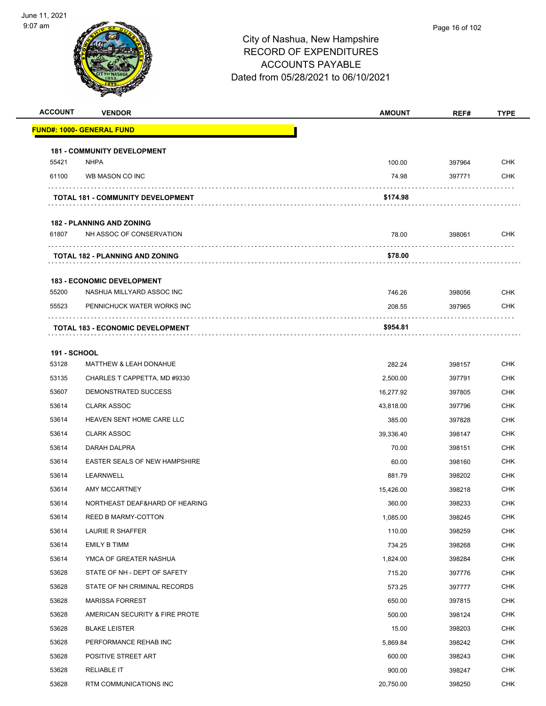

| <b>ACCOUNT</b>      | <b>VENDOR</b>                            | <b>AMOUNT</b> | REF#   | <b>TYPE</b> |
|---------------------|------------------------------------------|---------------|--------|-------------|
|                     | <b>FUND#: 1000- GENERAL FUND</b>         |               |        |             |
|                     | <b>181 - COMMUNITY DEVELOPMENT</b>       |               |        |             |
| 55421               | <b>NHPA</b>                              | 100.00        | 397964 | <b>CHK</b>  |
| 61100               | WB MASON CO INC                          | 74.98         | 397771 | CHK         |
|                     | <b>TOTAL 181 - COMMUNITY DEVELOPMENT</b> | \$174.98      |        |             |
|                     | <b>182 - PLANNING AND ZONING</b>         |               |        |             |
| 61807               | NH ASSOC OF CONSERVATION                 | 78.00         | 398061 | <b>CHK</b>  |
|                     | TOTAL 182 - PLANNING AND ZONING          | \$78.00       | .      |             |
|                     | <b>183 - ECONOMIC DEVELOPMENT</b>        |               |        |             |
| 55200               | NASHUA MILLYARD ASSOC INC                | 746.26        | 398056 | <b>CHK</b>  |
| 55523               | PENNICHUCK WATER WORKS INC               | 208.55        | 397965 | <b>CHK</b>  |
|                     | TOTAL 183 - ECONOMIC DEVELOPMENT         | \$954.81      |        |             |
|                     |                                          |               |        |             |
| <b>191 - SCHOOL</b> |                                          |               |        |             |
| 53128               | <b>MATTHEW &amp; LEAH DONAHUE</b>        | 282.24        | 398157 | <b>CHK</b>  |
| 53135               | CHARLES T CAPPETTA, MD #9330             | 2,500.00      | 397791 | <b>CHK</b>  |
| 53607               | DEMONSTRATED SUCCESS                     | 16,277.92     | 397805 | <b>CHK</b>  |
| 53614               | <b>CLARK ASSOC</b>                       | 43,818.00     | 397796 | <b>CHK</b>  |
| 53614               | HEAVEN SENT HOME CARE LLC                | 385.00        | 397828 | <b>CHK</b>  |
| 53614               | <b>CLARK ASSOC</b>                       | 39,336.40     | 398147 | <b>CHK</b>  |
| 53614               | DARAH DALPRA                             | 70.00         | 398151 | <b>CHK</b>  |
| 53614               | <b>EASTER SEALS OF NEW HAMPSHIRE</b>     | 60.00         | 398160 | <b>CHK</b>  |
| 53614               | LEARNWELL                                | 881.79        | 398202 | <b>CHK</b>  |
| 53614               | <b>AMY MCCARTNEY</b>                     | 15,426.00     | 398218 | CHK         |
| 53614               | NORTHEAST DEAF&HARD OF HEARING           | 360.00        | 398233 | <b>CHK</b>  |
| 53614               | REED B MARMY-COTTON                      | 1,085.00      | 398245 | <b>CHK</b>  |
| 53614               | LAURIE R SHAFFER                         | 110.00        | 398259 | <b>CHK</b>  |
| 53614               | EMILY B TIMM                             | 734.25        | 398268 | <b>CHK</b>  |
| 53614               | YMCA OF GREATER NASHUA                   | 1,824.00      | 398284 | <b>CHK</b>  |
| 53628               | STATE OF NH - DEPT OF SAFETY             | 715.20        | 397776 | <b>CHK</b>  |
| 53628               | STATE OF NH CRIMINAL RECORDS             | 573.25        | 397777 | <b>CHK</b>  |
| 53628               | <b>MARISSA FORREST</b>                   | 650.00        | 397815 | <b>CHK</b>  |
| 53628               | AMERICAN SECURITY & FIRE PROTE           | 500.00        | 398124 | <b>CHK</b>  |
| 53628               | <b>BLAKE LEISTER</b>                     | 15.00         | 398203 | <b>CHK</b>  |
| 53628               | PERFORMANCE REHAB INC                    | 5,869.84      | 398242 | <b>CHK</b>  |
| 53628               | POSITIVE STREET ART                      | 600.00        | 398243 | <b>CHK</b>  |
| 53628               | <b>RELIABLE IT</b>                       | 900.00        | 398247 | <b>CHK</b>  |
| 53628               | RTM COMMUNICATIONS INC                   | 20,750.00     | 398250 | <b>CHK</b>  |
|                     |                                          |               |        |             |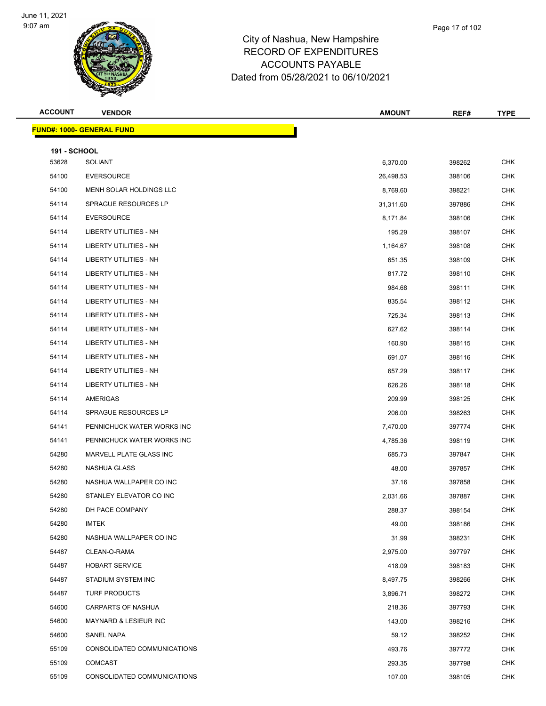

| <b>ACCOUNT</b>      | <b>VENDOR</b>                    | <b>AMOUNT</b> | REF#   | <b>TYPE</b> |
|---------------------|----------------------------------|---------------|--------|-------------|
|                     | <b>FUND#: 1000- GENERAL FUND</b> |               |        |             |
| <b>191 - SCHOOL</b> |                                  |               |        |             |
| 53628               | <b>SOLIANT</b>                   | 6,370.00      | 398262 | <b>CHK</b>  |
| 54100               | <b>EVERSOURCE</b>                | 26,498.53     | 398106 | <b>CHK</b>  |
| 54100               | MENH SOLAR HOLDINGS LLC          | 8,769.60      | 398221 | <b>CHK</b>  |
| 54114               | SPRAGUE RESOURCES LP             | 31,311.60     | 397886 | <b>CHK</b>  |
| 54114               | <b>EVERSOURCE</b>                | 8,171.84      | 398106 | <b>CHK</b>  |
| 54114               | LIBERTY UTILITIES - NH           | 195.29        | 398107 | <b>CHK</b>  |
| 54114               | LIBERTY UTILITIES - NH           | 1,164.67      | 398108 | <b>CHK</b>  |
| 54114               | <b>LIBERTY UTILITIES - NH</b>    | 651.35        | 398109 | <b>CHK</b>  |
| 54114               | LIBERTY UTILITIES - NH           | 817.72        | 398110 | <b>CHK</b>  |
| 54114               | <b>LIBERTY UTILITIES - NH</b>    | 984.68        | 398111 | <b>CHK</b>  |
| 54114               | LIBERTY UTILITIES - NH           | 835.54        | 398112 | <b>CHK</b>  |
| 54114               | <b>LIBERTY UTILITIES - NH</b>    | 725.34        | 398113 | CHK         |
| 54114               | <b>LIBERTY UTILITIES - NH</b>    | 627.62        | 398114 | <b>CHK</b>  |
| 54114               | LIBERTY UTILITIES - NH           | 160.90        | 398115 | <b>CHK</b>  |
| 54114               | <b>LIBERTY UTILITIES - NH</b>    | 691.07        | 398116 | <b>CHK</b>  |
| 54114               | <b>LIBERTY UTILITIES - NH</b>    | 657.29        | 398117 | <b>CHK</b>  |
| 54114               | LIBERTY UTILITIES - NH           | 626.26        | 398118 | <b>CHK</b>  |
| 54114               | AMERIGAS                         | 209.99        | 398125 | <b>CHK</b>  |
| 54114               | SPRAGUE RESOURCES LP             | 206.00        | 398263 | <b>CHK</b>  |
| 54141               | PENNICHUCK WATER WORKS INC       | 7,470.00      | 397774 | <b>CHK</b>  |
| 54141               | PENNICHUCK WATER WORKS INC       | 4,785.36      | 398119 | <b>CHK</b>  |
| 54280               | MARVELL PLATE GLASS INC          | 685.73        | 397847 | CHK         |
| 54280               | <b>NASHUA GLASS</b>              | 48.00         | 397857 | <b>CHK</b>  |
| 54280               | NASHUA WALLPAPER CO INC          | 37.16         | 397858 | CHK         |
| 54280               | STANLEY ELEVATOR CO INC          | 2,031.66      | 397887 | <b>CHK</b>  |
| 54280               | DH PACE COMPANY                  | 288.37        | 398154 | <b>CHK</b>  |
| 54280               | IMTEK                            | 49.00         | 398186 | <b>CHK</b>  |
| 54280               | NASHUA WALLPAPER CO INC          | 31.99         | 398231 | <b>CHK</b>  |
| 54487               | CLEAN-O-RAMA                     | 2,975.00      | 397797 | <b>CHK</b>  |
| 54487               | <b>HOBART SERVICE</b>            | 418.09        | 398183 | <b>CHK</b>  |
| 54487               | STADIUM SYSTEM INC               | 8,497.75      | 398266 | <b>CHK</b>  |
| 54487               | <b>TURF PRODUCTS</b>             | 3,896.71      | 398272 | <b>CHK</b>  |
| 54600               | CARPARTS OF NASHUA               | 218.36        | 397793 | <b>CHK</b>  |
| 54600               | MAYNARD & LESIEUR INC            | 143.00        | 398216 | <b>CHK</b>  |
| 54600               | SANEL NAPA                       | 59.12         | 398252 | <b>CHK</b>  |
| 55109               | CONSOLIDATED COMMUNICATIONS      | 493.76        | 397772 | CHK         |

 COMCAST 293.35 397798 CHK CONSOLIDATED COMMUNICATIONS 107.00 398105 CHK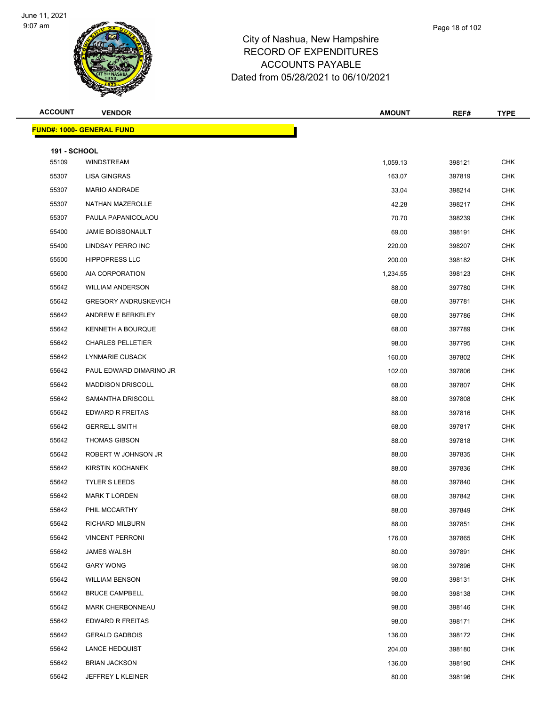**FUND#: 1** 



| <b>ACCOUNT</b>      | <b>VENDOR</b>                   | <b>AMOUNT</b> | REF#   | TYPE       |
|---------------------|---------------------------------|---------------|--------|------------|
|                     | <b>IND#: 1000- GENERAL FUND</b> |               |        |            |
| <b>191 - SCHOOL</b> |                                 |               |        |            |
| 55109               | <b>WINDSTREAM</b>               | 1,059.13      | 398121 | CHK        |
| 55307               | <b>LISA GINGRAS</b>             | 163.07        | 397819 | <b>CHK</b> |
| 55307               | MARIO ANDRADE                   | 33.04         | 398214 | <b>CHK</b> |
| 55307               | NATHAN MAZEROLLE                | 42.28         | 398217 | <b>CHK</b> |
| 55307               | PAULA PAPANICOLAOU              | 70.70         | 398239 | <b>CHK</b> |
| 55400               | <b>JAMIE BOISSONAULT</b>        | 69.00         | 398191 | <b>CHK</b> |
| 55400               | LINDSAY PERRO INC               | 220.00        | 398207 | <b>CHK</b> |
| 55500               | <b>HIPPOPRESS LLC</b>           | 200.00        | 398182 | <b>CHK</b> |
| 55600               | AIA CORPORATION                 | 1,234.55      | 398123 | <b>CHK</b> |
| 55642               | <b>WILLIAM ANDERSON</b>         | 88.00         | 397780 | <b>CHK</b> |
| 55642               | <b>GREGORY ANDRUSKEVICH</b>     | 68.00         | 397781 | <b>CHK</b> |
| 55642               | ANDREW E BERKELEY               | 68.00         | 397786 | <b>CHK</b> |
| 55642               | KENNETH A BOURQUE               | 68.00         | 397789 | <b>CHK</b> |
| 55642               | <b>CHARLES PELLETIER</b>        | 98.00         | 397795 | <b>CHK</b> |
| 55642               | LYNMARIE CUSACK                 | 160.00        | 397802 | <b>CHK</b> |
| 55642               | PAUL EDWARD DIMARINO JR         | 102.00        | 397806 | <b>CHK</b> |
| 55642               | <b>MADDISON DRISCOLL</b>        | 68.00         | 397807 | <b>CHK</b> |
| 55642               | SAMANTHA DRISCOLL               | 88.00         | 397808 | <b>CHK</b> |
| 55642               | EDWARD R FREITAS                | 88.00         | 397816 | <b>CHK</b> |
| 55642               | <b>GERRELL SMITH</b>            | 68.00         | 397817 | <b>CHK</b> |
| 55642               | <b>THOMAS GIBSON</b>            | 88.00         | 397818 | <b>CHK</b> |
| 55642               | ROBERT W JOHNSON JR             | 88.00         | 397835 | <b>CHK</b> |
| 55642               | KIRSTIN KOCHANEK                | 88.00         | 397836 | <b>CHK</b> |
| 55642               | <b>TYLER S LEEDS</b>            | 88.00         | 397840 | <b>CHK</b> |
| 55642               | <b>MARK T LORDEN</b>            | 68.00         | 397842 | <b>CHK</b> |
| 55642               | PHIL MCCARTHY                   | 88.00         | 397849 | CHK        |
| 55642               | RICHARD MILBURN                 | 88.00         | 397851 | CHK        |
| 55642               | <b>VINCENT PERRONI</b>          | 176.00        | 397865 | <b>CHK</b> |
| 55642               | <b>JAMES WALSH</b>              | 80.00         | 397891 | <b>CHK</b> |
| 55642               | <b>GARY WONG</b>                | 98.00         | 397896 | <b>CHK</b> |
| 55642               | <b>WILLIAM BENSON</b>           | 98.00         | 398131 | <b>CHK</b> |
| 55642               | <b>BRUCE CAMPBELL</b>           | 98.00         | 398138 | <b>CHK</b> |
| 55642               | <b>MARK CHERBONNEAU</b>         | 98.00         | 398146 | <b>CHK</b> |
| 55642               | EDWARD R FREITAS                | 98.00         | 398171 | <b>CHK</b> |
| 55642               | <b>GERALD GADBOIS</b>           | 136.00        | 398172 | <b>CHK</b> |
| 55642               | <b>LANCE HEDQUIST</b>           | 204.00        | 398180 | <b>CHK</b> |
| 55642               | <b>BRIAN JACKSON</b>            | 136.00        | 398190 | <b>CHK</b> |
| 55642               | JEFFREY L KLEINER               | 80.00         | 398196 | <b>CHK</b> |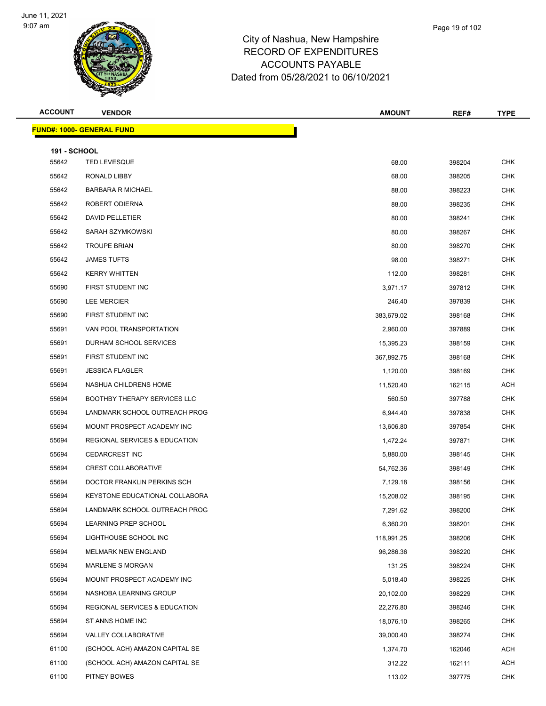

| <b>ACCOUNT</b>      | <b>VENDOR</b>                            | <b>AMOUNT</b> | REF#   | TYPE       |
|---------------------|------------------------------------------|---------------|--------|------------|
|                     | <b>FUND#: 1000- GENERAL FUND</b>         |               |        |            |
| <b>191 - SCHOOL</b> |                                          |               |        |            |
| 55642               | <b>TED LEVESQUE</b>                      | 68.00         | 398204 | <b>CHK</b> |
| 55642               | RONALD LIBBY                             | 68.00         | 398205 | <b>CHK</b> |
| 55642               | <b>BARBARA R MICHAEL</b>                 | 88.00         | 398223 | <b>CHK</b> |
| 55642               | ROBERT ODIERNA                           | 88.00         | 398235 | <b>CHK</b> |
| 55642               | DAVID PELLETIER                          | 80.00         | 398241 | <b>CHK</b> |
| 55642               | SARAH SZYMKOWSKI                         | 80.00         | 398267 | <b>CHK</b> |
| 55642               | <b>TROUPE BRIAN</b>                      | 80.00         | 398270 | <b>CHK</b> |
| 55642               | <b>JAMES TUFTS</b>                       | 98.00         | 398271 | <b>CHK</b> |
| 55642               | <b>KERRY WHITTEN</b>                     | 112.00        | 398281 | <b>CHK</b> |
| 55690               | FIRST STUDENT INC                        | 3,971.17      | 397812 | <b>CHK</b> |
| 55690               | <b>LEE MERCIER</b>                       | 246.40        | 397839 | <b>CHK</b> |
| 55690               | FIRST STUDENT INC                        | 383,679.02    | 398168 | <b>CHK</b> |
| 55691               | VAN POOL TRANSPORTATION                  | 2,960.00      | 397889 | <b>CHK</b> |
| 55691               | DURHAM SCHOOL SERVICES                   | 15,395.23     | 398159 | <b>CHK</b> |
| 55691               | FIRST STUDENT INC                        | 367,892.75    | 398168 | <b>CHK</b> |
| 55691               | <b>JESSICA FLAGLER</b>                   | 1,120.00      | 398169 | <b>CHK</b> |
| 55694               | NASHUA CHILDRENS HOME                    | 11,520.40     | 162115 | <b>ACH</b> |
| 55694               | <b>BOOTHBY THERAPY SERVICES LLC</b>      | 560.50        | 397788 | <b>CHK</b> |
| 55694               | LANDMARK SCHOOL OUTREACH PROG            | 6,944.40      | 397838 | <b>CHK</b> |
| 55694               | MOUNT PROSPECT ACADEMY INC               | 13,606.80     | 397854 | <b>CHK</b> |
| 55694               | <b>REGIONAL SERVICES &amp; EDUCATION</b> | 1,472.24      | 397871 | <b>CHK</b> |
| 55694               | <b>CEDARCREST INC</b>                    | 5,880.00      | 398145 | <b>CHK</b> |
| 55694               | <b>CREST COLLABORATIVE</b>               | 54,762.36     | 398149 | <b>CHK</b> |
| 55694               | DOCTOR FRANKLIN PERKINS SCH              | 7,129.18      | 398156 | <b>CHK</b> |
| 55694               | KEYSTONE EDUCATIONAL COLLABORA           | 15,208.02     | 398195 | <b>CHK</b> |
| 55694               | LANDMARK SCHOOL OUTREACH PROG            | 7,291.62      | 398200 | CHK        |
| 55694               | LEARNING PREP SCHOOL                     | 6,360.20      | 398201 | CHK        |
| 55694               | LIGHTHOUSE SCHOOL INC                    | 118,991.25    | 398206 | <b>CHK</b> |
| 55694               | MELMARK NEW ENGLAND                      | 96,286.36     | 398220 | <b>CHK</b> |
| 55694               | <b>MARLENE S MORGAN</b>                  | 131.25        | 398224 | <b>CHK</b> |
| 55694               | MOUNT PROSPECT ACADEMY INC               | 5,018.40      | 398225 | <b>CHK</b> |
| 55694               | NASHOBA LEARNING GROUP                   | 20,102.00     | 398229 | <b>CHK</b> |
| 55694               | <b>REGIONAL SERVICES &amp; EDUCATION</b> | 22,276.80     | 398246 | <b>CHK</b> |
| 55694               | ST ANNS HOME INC                         | 18,076.10     | 398265 | <b>CHK</b> |
| 55694               | VALLEY COLLABORATIVE                     | 39,000.40     | 398274 | <b>CHK</b> |
| 61100               | (SCHOOL ACH) AMAZON CAPITAL SE           | 1,374.70      | 162046 | ACH        |
| 61100               | (SCHOOL ACH) AMAZON CAPITAL SE           | 312.22        | 162111 | ACH        |
| 61100               | PITNEY BOWES                             | 113.02        | 397775 | <b>CHK</b> |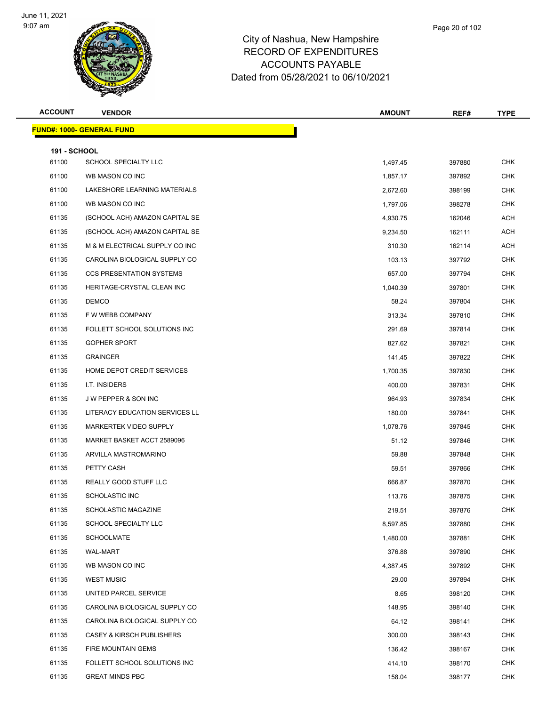

| <b>ACCOUNT</b>      | <b>VENDOR</b>                        | <b>AMOUNT</b> | REF#   | <b>TYPE</b> |
|---------------------|--------------------------------------|---------------|--------|-------------|
|                     | <u> FUND#: 1000- GENERAL FUND</u>    |               |        |             |
| <b>191 - SCHOOL</b> |                                      |               |        |             |
| 61100               | SCHOOL SPECIALTY LLC                 | 1,497.45      | 397880 | <b>CHK</b>  |
| 61100               | WB MASON CO INC                      | 1,857.17      | 397892 | <b>CHK</b>  |
| 61100               | LAKESHORE LEARNING MATERIALS         | 2,672.60      | 398199 | <b>CHK</b>  |
| 61100               | WB MASON CO INC                      | 1,797.06      | 398278 | <b>CHK</b>  |
| 61135               | (SCHOOL ACH) AMAZON CAPITAL SE       | 4,930.75      | 162046 | <b>ACH</b>  |
| 61135               | (SCHOOL ACH) AMAZON CAPITAL SE       | 9,234.50      | 162111 | <b>ACH</b>  |
| 61135               | M & M ELECTRICAL SUPPLY CO INC       | 310.30        | 162114 | <b>ACH</b>  |
| 61135               | CAROLINA BIOLOGICAL SUPPLY CO        | 103.13        | 397792 | <b>CHK</b>  |
| 61135               | <b>CCS PRESENTATION SYSTEMS</b>      | 657.00        | 397794 | <b>CHK</b>  |
| 61135               | HERITAGE-CRYSTAL CLEAN INC           | 1,040.39      | 397801 | <b>CHK</b>  |
| 61135               | <b>DEMCO</b>                         | 58.24         | 397804 | <b>CHK</b>  |
| 61135               | F W WEBB COMPANY                     | 313.34        | 397810 | <b>CHK</b>  |
| 61135               | FOLLETT SCHOOL SOLUTIONS INC         | 291.69        | 397814 | <b>CHK</b>  |
| 61135               | <b>GOPHER SPORT</b>                  | 827.62        | 397821 | <b>CHK</b>  |
| 61135               | <b>GRAINGER</b>                      | 141.45        | 397822 | <b>CHK</b>  |
| 61135               | HOME DEPOT CREDIT SERVICES           | 1,700.35      | 397830 | <b>CHK</b>  |
| 61135               | I.T. INSIDERS                        | 400.00        | 397831 | <b>CHK</b>  |
| 61135               | J W PEPPER & SON INC                 | 964.93        | 397834 | <b>CHK</b>  |
| 61135               | LITERACY EDUCATION SERVICES LL       | 180.00        | 397841 | <b>CHK</b>  |
| 61135               | <b>MARKERTEK VIDEO SUPPLY</b>        | 1,078.76      | 397845 | <b>CHK</b>  |
| 61135               | MARKET BASKET ACCT 2589096           | 51.12         | 397846 | <b>CHK</b>  |
| 61135               | ARVILLA MASTROMARINO                 | 59.88         | 397848 | <b>CHK</b>  |
| 61135               | PETTY CASH                           | 59.51         | 397866 | <b>CHK</b>  |
| 61135               | REALLY GOOD STUFF LLC                | 666.87        | 397870 | <b>CHK</b>  |
| 61135               | <b>SCHOLASTIC INC</b>                | 113.76        | 397875 | <b>CHK</b>  |
| 61135               | SCHOLASTIC MAGAZINE                  | 219.51        | 397876 | <b>CHK</b>  |
| 61135               | SCHOOL SPECIALTY LLC                 | 8,597.85      | 397880 | <b>CHK</b>  |
| 61135               | <b>SCHOOLMATE</b>                    | 1,480.00      | 397881 | <b>CHK</b>  |
| 61135               | <b>WAL-MART</b>                      | 376.88        | 397890 | <b>CHK</b>  |
| 61135               | WB MASON CO INC                      | 4,387.45      | 397892 | <b>CHK</b>  |
| 61135               | <b>WEST MUSIC</b>                    | 29.00         | 397894 | <b>CHK</b>  |
| 61135               | UNITED PARCEL SERVICE                | 8.65          | 398120 | <b>CHK</b>  |
| 61135               | CAROLINA BIOLOGICAL SUPPLY CO        | 148.95        | 398140 | <b>CHK</b>  |
| 61135               | CAROLINA BIOLOGICAL SUPPLY CO        | 64.12         | 398141 | <b>CHK</b>  |
| 61135               | <b>CASEY &amp; KIRSCH PUBLISHERS</b> | 300.00        | 398143 | CHK         |
| 61135               | FIRE MOUNTAIN GEMS                   | 136.42        | 398167 | <b>CHK</b>  |
| 61135               | FOLLETT SCHOOL SOLUTIONS INC         | 414.10        | 398170 | <b>CHK</b>  |
| 61135               | <b>GREAT MINDS PBC</b>               | 158.04        | 398177 | <b>CHK</b>  |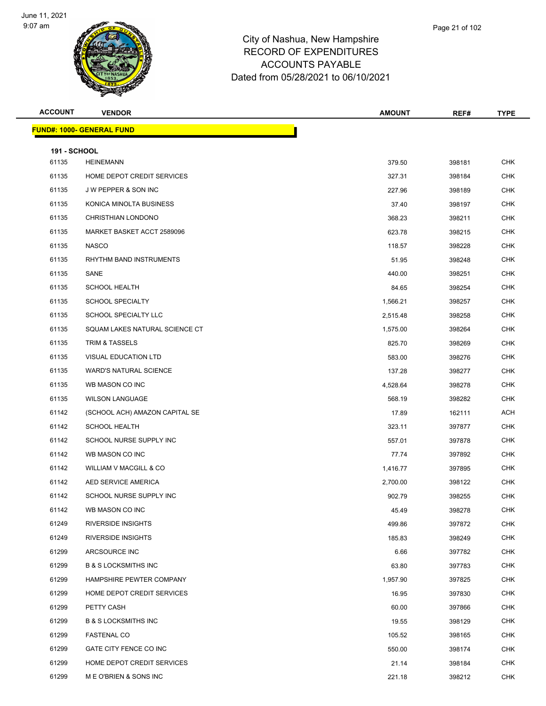

| <b>ACCOUNT</b>               | <b>VENDOR</b>                    | <b>AMOUNT</b> | REF#   | <b>TYPE</b> |
|------------------------------|----------------------------------|---------------|--------|-------------|
|                              | <b>FUND#: 1000- GENERAL FUND</b> |               |        |             |
|                              |                                  |               |        |             |
| <b>191 - SCHOOL</b><br>61135 | <b>HEINEMANN</b>                 | 379.50        | 398181 | <b>CHK</b>  |
| 61135                        | HOME DEPOT CREDIT SERVICES       | 327.31        | 398184 | <b>CHK</b>  |
| 61135                        | J W PEPPER & SON INC             | 227.96        | 398189 | <b>CHK</b>  |
| 61135                        | KONICA MINOLTA BUSINESS          | 37.40         | 398197 | <b>CHK</b>  |
| 61135                        | CHRISTHIAN LONDONO               | 368.23        | 398211 | <b>CHK</b>  |
| 61135                        | MARKET BASKET ACCT 2589096       | 623.78        | 398215 | <b>CHK</b>  |
| 61135                        | <b>NASCO</b>                     | 118.57        | 398228 | <b>CHK</b>  |
| 61135                        | RHYTHM BAND INSTRUMENTS          | 51.95         | 398248 | <b>CHK</b>  |
| 61135                        | SANE                             | 440.00        | 398251 | <b>CHK</b>  |
| 61135                        | <b>SCHOOL HEALTH</b>             | 84.65         | 398254 | <b>CHK</b>  |
| 61135                        | <b>SCHOOL SPECIALTY</b>          | 1,566.21      | 398257 | <b>CHK</b>  |
| 61135                        | SCHOOL SPECIALTY LLC             | 2,515.48      | 398258 | <b>CHK</b>  |
| 61135                        | SQUAM LAKES NATURAL SCIENCE CT   | 1,575.00      | 398264 | <b>CHK</b>  |
| 61135                        | <b>TRIM &amp; TASSELS</b>        | 825.70        | 398269 | <b>CHK</b>  |
| 61135                        | <b>VISUAL EDUCATION LTD</b>      | 583.00        | 398276 | <b>CHK</b>  |
| 61135                        | <b>WARD'S NATURAL SCIENCE</b>    | 137.28        | 398277 | <b>CHK</b>  |
| 61135                        | WB MASON CO INC                  | 4,528.64      | 398278 | <b>CHK</b>  |
| 61135                        | <b>WILSON LANGUAGE</b>           | 568.19        | 398282 | <b>CHK</b>  |
| 61142                        | (SCHOOL ACH) AMAZON CAPITAL SE   | 17.89         | 162111 | ACH         |
| 61142                        | <b>SCHOOL HEALTH</b>             | 323.11        | 397877 | <b>CHK</b>  |
| 61142                        | SCHOOL NURSE SUPPLY INC          | 557.01        | 397878 | <b>CHK</b>  |
| 61142                        | WB MASON CO INC                  | 77.74         | 397892 | <b>CHK</b>  |
| 61142                        | WILLIAM V MACGILL & CO           | 1,416.77      | 397895 | <b>CHK</b>  |
| 61142                        | AED SERVICE AMERICA              | 2,700.00      | 398122 | <b>CHK</b>  |
| 61142                        | SCHOOL NURSE SUPPLY INC          | 902.79        | 398255 | <b>CHK</b>  |
| 61142                        | WB MASON CO INC                  | 45.49         | 398278 | <b>CHK</b>  |
| 61249                        | <b>RIVERSIDE INSIGHTS</b>        | 499.86        | 397872 | <b>CHK</b>  |
| 61249                        | <b>RIVERSIDE INSIGHTS</b>        | 185.83        | 398249 | <b>CHK</b>  |
| 61299                        | ARCSOURCE INC                    | 6.66          | 397782 | <b>CHK</b>  |
| 61299                        | <b>B &amp; S LOCKSMITHS INC</b>  | 63.80         | 397783 | <b>CHK</b>  |
| 61299                        | HAMPSHIRE PEWTER COMPANY         | 1,957.90      | 397825 | <b>CHK</b>  |
| 61299                        | HOME DEPOT CREDIT SERVICES       | 16.95         | 397830 | <b>CHK</b>  |
| 61299                        | PETTY CASH                       | 60.00         | 397866 | <b>CHK</b>  |
| 61299                        | <b>B &amp; S LOCKSMITHS INC</b>  | 19.55         | 398129 | <b>CHK</b>  |
| 61299                        | <b>FASTENAL CO</b>               | 105.52        | 398165 | <b>CHK</b>  |
| 61299                        | GATE CITY FENCE CO INC           | 550.00        | 398174 | <b>CHK</b>  |
| 61299                        | HOME DEPOT CREDIT SERVICES       | 21.14         | 398184 | <b>CHK</b>  |
| 61299                        | M E O'BRIEN & SONS INC           | 221.18        | 398212 | <b>CHK</b>  |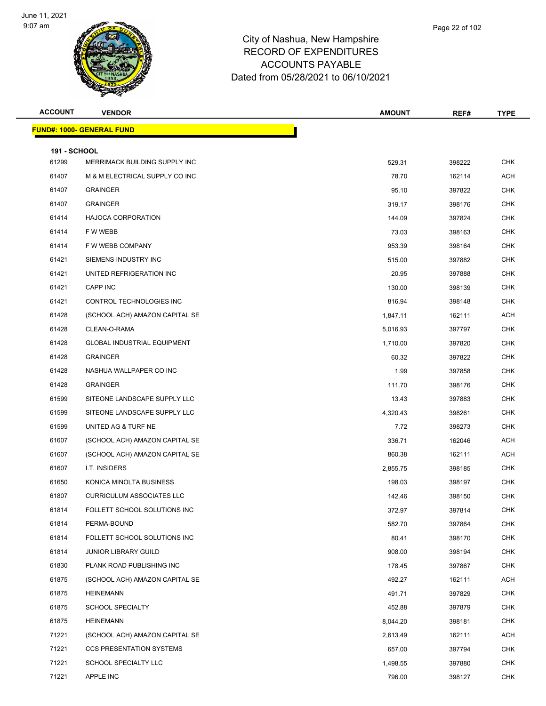

| Page 22 of 102 |  |  |  |  |  |
|----------------|--|--|--|--|--|
|----------------|--|--|--|--|--|

| <b>ACCOUNT</b>               | <b>VENDOR</b>                      | <b>AMOUNT</b> | REF#   | <b>TYPE</b> |
|------------------------------|------------------------------------|---------------|--------|-------------|
|                              | <b>FUND#: 1000- GENERAL FUND</b>   |               |        |             |
|                              |                                    |               |        |             |
| <b>191 - SCHOOL</b><br>61299 | MERRIMACK BUILDING SUPPLY INC      | 529.31        | 398222 | <b>CHK</b>  |
| 61407                        | M & M ELECTRICAL SUPPLY CO INC     | 78.70         | 162114 | <b>ACH</b>  |
| 61407                        | <b>GRAINGER</b>                    | 95.10         | 397822 | <b>CHK</b>  |
| 61407                        | <b>GRAINGER</b>                    | 319.17        | 398176 | <b>CHK</b>  |
| 61414                        | HAJOCA CORPORATION                 | 144.09        | 397824 | <b>CHK</b>  |
| 61414                        | F W WEBB                           | 73.03         | 398163 | <b>CHK</b>  |
| 61414                        | F W WEBB COMPANY                   | 953.39        | 398164 | <b>CHK</b>  |
| 61421                        | SIEMENS INDUSTRY INC               | 515.00        | 397882 | <b>CHK</b>  |
| 61421                        | UNITED REFRIGERATION INC           | 20.95         | 397888 | <b>CHK</b>  |
| 61421                        | CAPP INC                           | 130.00        | 398139 | <b>CHK</b>  |
| 61421                        | CONTROL TECHNOLOGIES INC           | 816.94        | 398148 | <b>CHK</b>  |
| 61428                        | (SCHOOL ACH) AMAZON CAPITAL SE     | 1,847.11      | 162111 | ACH         |
| 61428                        | CLEAN-O-RAMA                       | 5,016.93      | 397797 | <b>CHK</b>  |
| 61428                        | <b>GLOBAL INDUSTRIAL EQUIPMENT</b> | 1,710.00      | 397820 | <b>CHK</b>  |
| 61428                        | <b>GRAINGER</b>                    | 60.32         | 397822 | <b>CHK</b>  |
| 61428                        | NASHUA WALLPAPER CO INC            | 1.99          | 397858 | <b>CHK</b>  |
| 61428                        | <b>GRAINGER</b>                    | 111.70        | 398176 | <b>CHK</b>  |
| 61599                        | SITEONE LANDSCAPE SUPPLY LLC       | 13.43         | 397883 | <b>CHK</b>  |
| 61599                        | SITEONE LANDSCAPE SUPPLY LLC       | 4,320.43      | 398261 | <b>CHK</b>  |
| 61599                        | UNITED AG & TURF NE                | 7.72          | 398273 | <b>CHK</b>  |
| 61607                        | (SCHOOL ACH) AMAZON CAPITAL SE     | 336.71        | 162046 | <b>ACH</b>  |
| 61607                        | (SCHOOL ACH) AMAZON CAPITAL SE     | 860.38        | 162111 | <b>ACH</b>  |
| 61607                        | I.T. INSIDERS                      | 2,855.75      | 398185 | <b>CHK</b>  |
| 61650                        | KONICA MINOLTA BUSINESS            | 198.03        | 398197 | <b>CHK</b>  |
| 61807                        | <b>CURRICULUM ASSOCIATES LLC</b>   | 142.46        | 398150 | <b>CHK</b>  |
| 61814                        | FOLLETT SCHOOL SOLUTIONS INC       | 372.97        | 397814 | <b>CHK</b>  |
| 61814                        | PERMA-BOUND                        | 582.70        | 397864 | <b>CHK</b>  |
| 61814                        | FOLLETT SCHOOL SOLUTIONS INC       | 80.41         | 398170 | <b>CHK</b>  |
| 61814                        | <b>JUNIOR LIBRARY GUILD</b>        | 908.00        | 398194 | <b>CHK</b>  |
| 61830                        | PLANK ROAD PUBLISHING INC          | 178.45        | 397867 | <b>CHK</b>  |
| 61875                        | (SCHOOL ACH) AMAZON CAPITAL SE     | 492.27        | 162111 | ACH         |
| 61875                        | HEINEMANN                          | 491.71        | 397829 | CHK         |
| 61875                        | <b>SCHOOL SPECIALTY</b>            | 452.88        | 397879 | <b>CHK</b>  |
| 61875                        | HEINEMANN                          | 8,044.20      | 398181 | <b>CHK</b>  |
| 71221                        | (SCHOOL ACH) AMAZON CAPITAL SE     | 2,613.49      | 162111 | ACH         |
| 71221                        | <b>CCS PRESENTATION SYSTEMS</b>    | 657.00        | 397794 | CHK         |
| 71221                        | SCHOOL SPECIALTY LLC               | 1,498.55      | 397880 | CHK         |
| 71221                        | APPLE INC                          | 796.00        | 398127 | <b>CHK</b>  |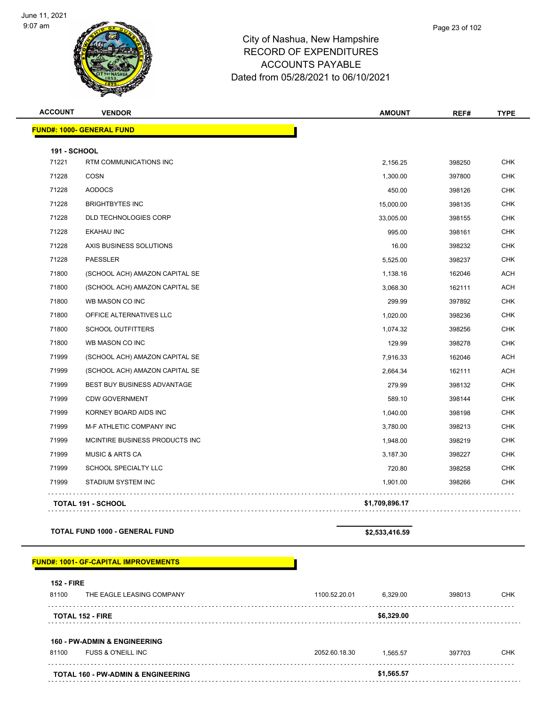

Page 23 of 102

| <b>ACCOUNT</b>      | <b>VENDOR</b>                     | <b>AMOUNT</b>  | REF#   | <b>TYPE</b> |
|---------------------|-----------------------------------|----------------|--------|-------------|
|                     | <u> FUND#: 1000- GENERAL FUND</u> |                |        |             |
| <b>191 - SCHOOL</b> |                                   |                |        |             |
| 71221               | RTM COMMUNICATIONS INC            | 2,156.25       | 398250 | <b>CHK</b>  |
| 71228               | <b>COSN</b>                       | 1,300.00       | 397800 | <b>CHK</b>  |
| 71228               | <b>AODOCS</b>                     | 450.00         | 398126 | <b>CHK</b>  |
| 71228               | <b>BRIGHTBYTES INC</b>            | 15,000.00      | 398135 | <b>CHK</b>  |
| 71228               | DLD TECHNOLOGIES CORP             | 33,005.00      | 398155 | <b>CHK</b>  |
| 71228               | <b>EKAHAU INC</b>                 | 995.00         | 398161 | <b>CHK</b>  |
| 71228               | AXIS BUSINESS SOLUTIONS           | 16.00          | 398232 | <b>CHK</b>  |
| 71228               | <b>PAESSLER</b>                   | 5,525.00       | 398237 | <b>CHK</b>  |
| 71800               | (SCHOOL ACH) AMAZON CAPITAL SE    | 1,138.16       | 162046 | <b>ACH</b>  |
| 71800               | (SCHOOL ACH) AMAZON CAPITAL SE    | 3,068.30       | 162111 | <b>ACH</b>  |
| 71800               | WB MASON CO INC                   | 299.99         | 397892 | <b>CHK</b>  |
| 71800               | OFFICE ALTERNATIVES LLC           | 1,020.00       | 398236 | <b>CHK</b>  |
| 71800               | <b>SCHOOL OUTFITTERS</b>          | 1,074.32       | 398256 | <b>CHK</b>  |
| 71800               | WB MASON CO INC                   | 129.99         | 398278 | <b>CHK</b>  |
| 71999               | (SCHOOL ACH) AMAZON CAPITAL SE    | 7,916.33       | 162046 | <b>ACH</b>  |
| 71999               | (SCHOOL ACH) AMAZON CAPITAL SE    | 2,664.34       | 162111 | <b>ACH</b>  |
| 71999               | BEST BUY BUSINESS ADVANTAGE       | 279.99         | 398132 | <b>CHK</b>  |
| 71999               | <b>CDW GOVERNMENT</b>             | 589.10         | 398144 | <b>CHK</b>  |
| 71999               | KORNEY BOARD AIDS INC             | 1,040.00       | 398198 | <b>CHK</b>  |
| 71999               | M-F ATHLETIC COMPANY INC          | 3,780.00       | 398213 | <b>CHK</b>  |
| 71999               | MCINTIRE BUSINESS PRODUCTS INC    | 1,948.00       | 398219 | <b>CHK</b>  |
| 71999               | <b>MUSIC &amp; ARTS CA</b>        | 3,187.30       | 398227 | <b>CHK</b>  |
| 71999               | SCHOOL SPECIALTY LLC              | 720.80         | 398258 | <b>CHK</b>  |
| 71999               | STADIUM SYSTEM INC                | 1,901.00       | 398266 | <b>CHK</b>  |
|                     | TOTAL 191 - SCHOOL                | \$1,709,896.17 |        |             |

**TOTAL 191 - SCHOOL \$1,709,896.17**

**TOTAL FUND 1000 - GENERAL FUND \$2,533,416.59** 

#### **FUND#: 1001- GF-CAPITAL IMPROVEMENTS**

| <b>152 - FIRE</b>                             |               |            |        |     |  |
|-----------------------------------------------|---------------|------------|--------|-----|--|
| THE EAGLE LEASING COMPANY<br>81100            | 1100.52.20.01 | 6,329.00   | 398013 | CHK |  |
| <b>TOTAL 152 - FIRE</b>                       | \$6,329.00    |            |        |     |  |
| <b>160 - PW-ADMIN &amp; ENGINEERING</b>       |               |            |        |     |  |
| <b>FUSS &amp; O'NEILL INC</b><br>81100        | 2052.60.18.30 | 1.565.57   | 397703 | снк |  |
| <b>TOTAL 160 - PW-ADMIN &amp; ENGINEERING</b> |               | \$1,565.57 |        |     |  |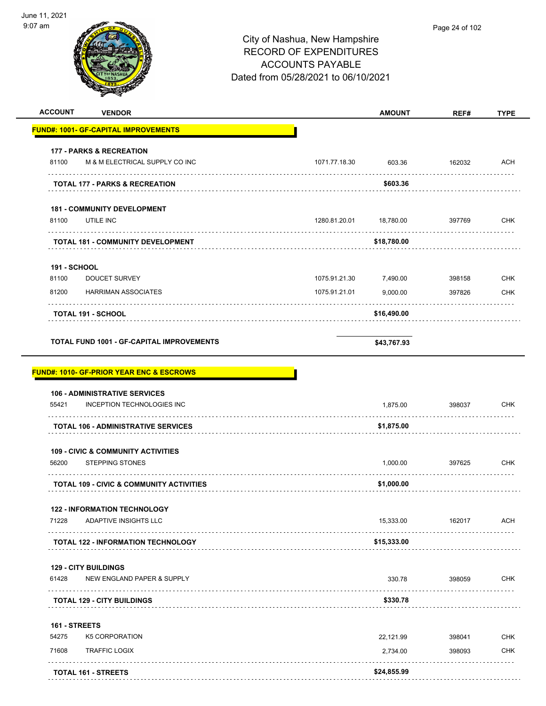

| <b>ACCOUNT</b><br><b>VENDOR</b>                                                             |               | <b>AMOUNT</b> | REF#        | <b>TYPE</b> |
|---------------------------------------------------------------------------------------------|---------------|---------------|-------------|-------------|
| <b>FUND#: 1001- GF-CAPITAL IMPROVEMENTS</b>                                                 |               |               |             |             |
| <b>177 - PARKS &amp; RECREATION</b>                                                         |               |               |             |             |
| M & M ELECTRICAL SUPPLY CO INC<br>81100                                                     | 1071.77.18.30 | 603.36        | 162032      | ACH         |
| <b>TOTAL 177 - PARKS &amp; RECREATION</b>                                                   |               | \$603.36      |             |             |
| <b>181 - COMMUNITY DEVELOPMENT</b>                                                          |               |               |             |             |
| UTILE INC<br>81100                                                                          | 1280.81.20.01 | 18,780.00     | 397769      | <b>CHK</b>  |
| .<br><b>TOTAL 181 - COMMUNITY DEVELOPMENT</b>                                               |               | \$18,780.00   | .           |             |
| <b>191 - SCHOOL</b>                                                                         |               |               |             |             |
| 81100<br>DOUCET SURVEY                                                                      | 1075.91.21.30 | 7,490.00      | 398158      | <b>CHK</b>  |
| 81200<br><b>HARRIMAN ASSOCIATES</b>                                                         | 1075.91.21.01 | 9,000.00      | 397826      | <b>CHK</b>  |
| <b>TOTAL 191 - SCHOOL</b>                                                                   |               | \$16,490.00   |             |             |
| TOTAL FUND 1001 - GF-CAPITAL IMPROVEMENTS                                                   |               | \$43,767.93   |             |             |
| <b>FUND#: 1010- GF-PRIOR YEAR ENC &amp; ESCROWS</b><br><b>106 - ADMINISTRATIVE SERVICES</b> |               |               |             |             |
| 55421<br>INCEPTION TECHNOLOGIES INC                                                         |               | 1,875.00      | 398037      | <b>CHK</b>  |
| <b>TOTAL 106 - ADMINISTRATIVE SERVICES</b>                                                  |               | \$1,875.00    |             |             |
| <b>109 - CIVIC &amp; COMMUNITY ACTIVITIES</b>                                               |               |               |             |             |
| 56200<br><b>STEPPING STONES</b>                                                             |               | 1,000.00      | 397625      | CHK         |
| <b>TOTAL 109 - CIVIC &amp; COMMUNITY ACTIVITIES</b>                                         |               | \$1,000.00    |             |             |
| <b>122 - INFORMATION TECHNOLOGY</b>                                                         |               |               |             |             |
| 71228<br>ADAPTIVE INSIGHTS LLC                                                              |               | 15,333.00     | 162017      | ACH         |
| <b>TOTAL 122 - INFORMATION TECHNOLOGY</b>                                                   |               | \$15,333.00   |             |             |
| <b>129 - CITY BUILDINGS</b>                                                                 |               |               |             |             |
| NEW ENGLAND PAPER & SUPPLY<br>61428                                                         |               | 330.78        | 398059<br>. | <b>CHK</b>  |
| <b>TOTAL 129 - CITY BUILDINGS</b>                                                           |               | \$330.78      |             |             |
| 161 - STREETS                                                                               |               |               |             |             |
| 54275<br>K5 CORPORATION                                                                     |               | 22,121.99     | 398041      | <b>CHK</b>  |
| 71608<br><b>TRAFFIC LOGIX</b>                                                               |               | 2,734.00      | 398093      | <b>CHK</b>  |
| <b>TOTAL 161 - STREETS</b>                                                                  |               | \$24,855.99   |             |             |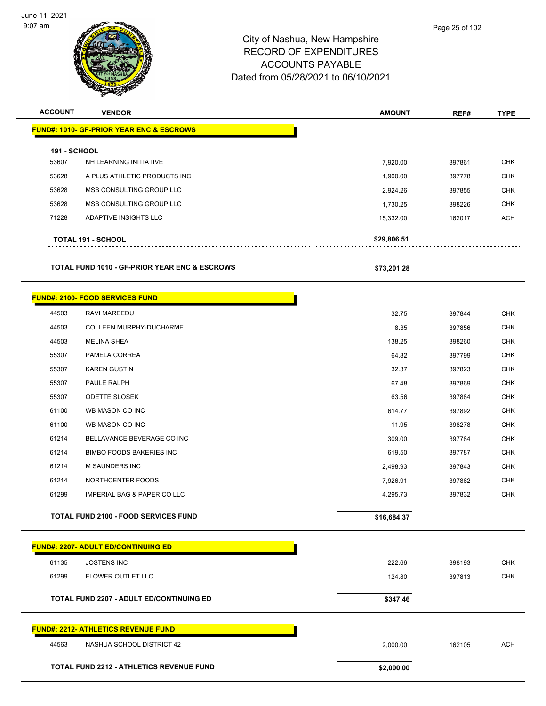

| <b>ACCOUNT</b>      | <b>VENDOR</b>                                            | <b>AMOUNT</b> | REF#   | <b>TYPE</b> |
|---------------------|----------------------------------------------------------|---------------|--------|-------------|
|                     | <b>FUND#: 1010- GF-PRIOR YEAR ENC &amp; ESCROWS</b>      |               |        |             |
| <b>191 - SCHOOL</b> |                                                          |               |        |             |
| 53607               | NH LEARNING INITIATIVE                                   | 7,920.00      | 397861 | <b>CHK</b>  |
| 53628               | A PLUS ATHLETIC PRODUCTS INC                             | 1,900.00      | 397778 | CHK         |
| 53628               | MSB CONSULTING GROUP LLC                                 | 2,924.26      | 397855 | <b>CHK</b>  |
| 53628               | MSB CONSULTING GROUP LLC                                 | 1,730.25      | 398226 | CHK         |
| 71228               | ADAPTIVE INSIGHTS LLC                                    | 15,332.00     | 162017 | <b>ACH</b>  |
|                     | <b>TOTAL 191 - SCHOOL</b>                                | \$29,806.51   |        |             |
|                     | <b>TOTAL FUND 1010 - GF-PRIOR YEAR ENC &amp; ESCROWS</b> | \$73,201.28   |        |             |
|                     | <b>FUND#: 2100- FOOD SERVICES FUND</b>                   |               |        |             |
| 44503               | RAVI MAREEDU                                             | 32.75         | 397844 | <b>CHK</b>  |
| 44503               | COLLEEN MURPHY-DUCHARME                                  | 8.35          | 397856 | <b>CHK</b>  |
| 44503               | <b>MELINA SHEA</b>                                       | 138.25        | 398260 | <b>CHK</b>  |
| 55307               | PAMELA CORREA                                            | 64.82         | 397799 | CHK         |
| 55307               | <b>KAREN GUSTIN</b>                                      | 32.37         | 397823 | <b>CHK</b>  |
| 55307               | PAULE RALPH                                              | 67.48         | 397869 | <b>CHK</b>  |
| 55307               | <b>ODETTE SLOSEK</b>                                     | 63.56         | 397884 | <b>CHK</b>  |
| 61100               | WB MASON CO INC                                          | 614.77        | 397892 | <b>CHK</b>  |
| 61100               | WB MASON CO INC                                          | 11.95         | 398278 | CHK         |
| 61214               | BELLAVANCE BEVERAGE CO INC                               | 309.00        | 397784 | <b>CHK</b>  |
| 61214               | <b>BIMBO FOODS BAKERIES INC</b>                          | 619.50        | 397787 | <b>CHK</b>  |
| 61214               | M SAUNDERS INC                                           | 2,498.93      | 397843 | <b>CHK</b>  |
| 61214               | NORTHCENTER FOODS                                        | 7,926.91      | 397862 | <b>CHK</b>  |
| 61299               | <b>IMPERIAL BAG &amp; PAPER CO LLC</b>                   | 4,295.73      | 397832 | <b>CHK</b>  |
|                     | <b>TOTAL FUND 2100 - FOOD SERVICES FUND</b>              | \$16,684.37   |        |             |
|                     | <b>FUND#: 2207- ADULT ED/CONTINUING ED</b>               |               |        |             |
| 61135               | <b>JOSTENS INC</b>                                       | 222.66        | 398193 | <b>CHK</b>  |
| 61299               | FLOWER OUTLET LLC                                        | 124.80        | 397813 | <b>CHK</b>  |
|                     | <b>TOTAL FUND 2207 - ADULT ED/CONTINUING ED</b>          | \$347.46      |        |             |
|                     | <b>FUND#: 2212- ATHLETICS REVENUE FUND</b>               |               |        |             |
| 44563               | NASHUA SCHOOL DISTRICT 42                                | 2,000.00      | 162105 | <b>ACH</b>  |
|                     | TOTAL FUND 2212 - ATHLETICS REVENUE FUND                 | \$2,000.00    |        |             |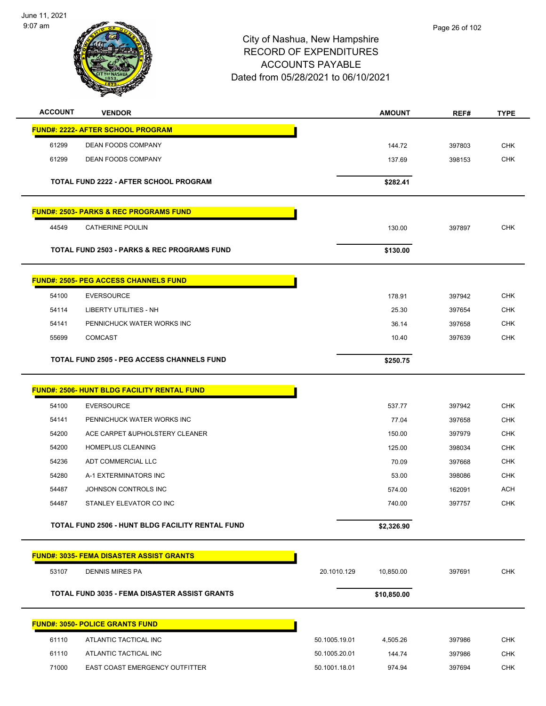June 11, 2021 9:07 am



| <b>ACCOUNT</b> | <b>VENDOR</b>                                          |               | <b>AMOUNT</b> | REF#   | <b>TYPE</b> |
|----------------|--------------------------------------------------------|---------------|---------------|--------|-------------|
|                | <b>FUND#: 2222- AFTER SCHOOL PROGRAM</b>               |               |               |        |             |
| 61299          | DEAN FOODS COMPANY                                     |               | 144.72        | 397803 | <b>CHK</b>  |
| 61299          | <b>DEAN FOODS COMPANY</b>                              |               | 137.69        | 398153 | <b>CHK</b>  |
|                |                                                        |               |               |        |             |
|                | TOTAL FUND 2222 - AFTER SCHOOL PROGRAM                 |               | \$282.41      |        |             |
|                | <u> FUND#: 2503- PARKS &amp; REC PROGRAMS FUND</u>     |               |               |        |             |
| 44549          | <b>CATHERINE POULIN</b>                                |               | 130.00        | 397897 | <b>CHK</b>  |
|                | <b>TOTAL FUND 2503 - PARKS &amp; REC PROGRAMS FUND</b> |               | \$130.00      |        |             |
|                | <b>FUND#: 2505- PEG ACCESS CHANNELS FUND</b>           |               |               |        |             |
| 54100          | <b>EVERSOURCE</b>                                      |               | 178.91        | 397942 | <b>CHK</b>  |
| 54114          | <b>LIBERTY UTILITIES - NH</b>                          |               | 25.30         | 397654 | <b>CHK</b>  |
| 54141          | PENNICHUCK WATER WORKS INC                             |               | 36.14         | 397658 | <b>CHK</b>  |
| 55699          | <b>COMCAST</b>                                         |               | 10.40         | 397639 | CHK         |
|                | <b>TOTAL FUND 2505 - PEG ACCESS CHANNELS FUND</b>      |               | \$250.75      |        |             |
|                | <b>FUND#: 2506- HUNT BLDG FACILITY RENTAL FUND</b>     |               |               |        |             |
| 54100          | <b>EVERSOURCE</b>                                      |               | 537.77        | 397942 | <b>CHK</b>  |
| 54141          | PENNICHUCK WATER WORKS INC                             |               | 77.04         | 397658 | <b>CHK</b>  |
| 54200          | ACE CARPET & UPHOLSTERY CLEANER                        |               | 150.00        | 397979 | CHK         |
| 54200          | HOMEPLUS CLEANING                                      |               | 125.00        | 398034 | <b>CHK</b>  |
| 54236          | ADT COMMERCIAL LLC                                     |               | 70.09         | 397668 | <b>CHK</b>  |
| 54280          | A-1 EXTERMINATORS INC                                  |               | 53.00         | 398086 | CHK         |
| 54487          | JOHNSON CONTROLS INC                                   |               | 574.00        | 162091 | <b>ACH</b>  |
| 54487          | STANLEY ELEVATOR CO INC                                |               | 740.00        | 397757 | <b>CHK</b>  |
|                | TOTAL FUND 2506 - HUNT BLDG FACILITY RENTAL FUND       |               | \$2,326.90    |        |             |
|                | <b>FUND#: 3035- FEMA DISASTER ASSIST GRANTS</b>        |               |               |        |             |
| 53107          | <b>DENNIS MIRES PA</b>                                 | 20.1010.129   | 10,850.00     | 397691 | <b>CHK</b>  |
|                | <b>TOTAL FUND 3035 - FEMA DISASTER ASSIST GRANTS</b>   |               | \$10,850.00   |        |             |
|                | <b>FUND#: 3050- POLICE GRANTS FUND</b>                 |               |               |        |             |
| 61110          | ATLANTIC TACTICAL INC                                  | 50.1005.19.01 | 4,505.26      | 397986 | <b>CHK</b>  |
| 61110          | ATLANTIC TACTICAL INC                                  | 50.1005.20.01 | 144.74        | 397986 | <b>CHK</b>  |
| 71000          | EAST COAST EMERGENCY OUTFITTER                         | 50.1001.18.01 | 974.94        | 397694 | <b>CHK</b>  |
|                |                                                        |               |               |        |             |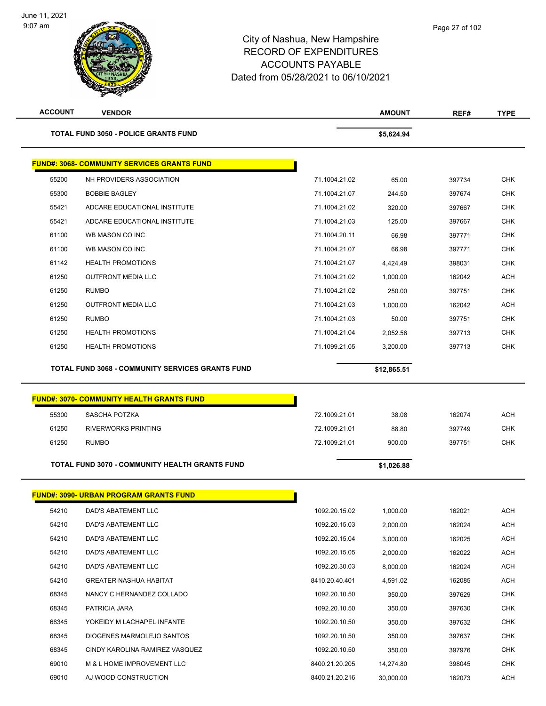| <b>ACCOUNT</b> | <b>VENDOR</b>                                           |                | <b>AMOUNT</b> | REF#   |                                                                                                                                                               |
|----------------|---------------------------------------------------------|----------------|---------------|--------|---------------------------------------------------------------------------------------------------------------------------------------------------------------|
|                | <b>TOTAL FUND 3050 - POLICE GRANTS FUND</b>             |                | \$5,624.94    |        |                                                                                                                                                               |
|                | <b>FUND#: 3068- COMMUNITY SERVICES GRANTS FUND</b>      |                |               |        |                                                                                                                                                               |
| 55200          | NH PROVIDERS ASSOCIATION                                | 71.1004.21.02  | 65.00         | 397734 | <b>CHK</b>                                                                                                                                                    |
| 55300          | <b>BOBBIE BAGLEY</b>                                    | 71.1004.21.07  | 244.50        | 397674 | <b>CHK</b>                                                                                                                                                    |
| 55421          | ADCARE EDUCATIONAL INSTITUTE                            | 71.1004.21.02  | 320.00        | 397667 | <b>CHK</b>                                                                                                                                                    |
| 55421          | ADCARE EDUCATIONAL INSTITUTE                            | 71.1004.21.03  | 125.00        | 397667 | <b>CHK</b>                                                                                                                                                    |
| 61100          | WB MASON CO INC                                         | 71.1004.20.11  | 66.98         | 397771 | <b>CHK</b>                                                                                                                                                    |
| 61100          | WB MASON CO INC                                         | 71.1004.21.07  | 66.98         | 397771 | <b>CHK</b>                                                                                                                                                    |
| 61142          | <b>HEALTH PROMOTIONS</b>                                | 71.1004.21.07  | 4,424.49      | 398031 | <b>CHK</b>                                                                                                                                                    |
| 61250          | <b>OUTFRONT MEDIA LLC</b>                               | 71.1004.21.02  | 1,000.00      | 162042 | <b>ACH</b>                                                                                                                                                    |
| 61250          | <b>RUMBO</b>                                            | 71.1004.21.02  | 250.00        | 397751 | <b>CHK</b>                                                                                                                                                    |
| 61250          | <b>OUTFRONT MEDIA LLC</b>                               | 71.1004.21.03  | 1,000.00      | 162042 | <b>ACH</b>                                                                                                                                                    |
| 61250          | <b>RUMBO</b>                                            | 71.1004.21.03  | 50.00         | 397751 | <b>CHK</b>                                                                                                                                                    |
| 61250          | <b>HEALTH PROMOTIONS</b>                                | 71.1004.21.04  | 2,052.56      | 397713 | <b>CHK</b>                                                                                                                                                    |
| 61250          | <b>HEALTH PROMOTIONS</b>                                | 71.1099.21.05  | 3,200.00      | 397713 | <b>CHK</b>                                                                                                                                                    |
|                |                                                         |                |               |        |                                                                                                                                                               |
|                | <b>TOTAL FUND 3068 - COMMUNITY SERVICES GRANTS FUND</b> |                | \$12,865.51   |        |                                                                                                                                                               |
|                |                                                         |                |               |        |                                                                                                                                                               |
|                | <b>FUND#: 3070- COMMUNITY HEALTH GRANTS FUND</b>        |                |               |        |                                                                                                                                                               |
| 55300          | SASCHA POTZKA                                           | 72.1009.21.01  | 38.08         | 162074 |                                                                                                                                                               |
| 61250          | <b>RIVERWORKS PRINTING</b>                              | 72.1009.21.01  | 88.80         | 397749 |                                                                                                                                                               |
| 61250          | <b>RUMBO</b>                                            | 72.1009.21.01  | 900.00        | 397751 |                                                                                                                                                               |
|                | TOTAL FUND 3070 - COMMUNITY HEALTH GRANTS FUND          |                | \$1,026.88    |        | <b>ACH</b><br><b>CHK</b><br><b>CHK</b>                                                                                                                        |
|                | <b>FUND#: 3090- URBAN PROGRAM GRANTS FUND</b>           |                |               |        |                                                                                                                                                               |
| 54210          | DAD'S ABATEMENT LLC                                     | 1092.20.15.02  | 1,000.00      | 162021 |                                                                                                                                                               |
| 54210          | DAD'S ABATEMENT LLC                                     | 1092.20.15.03  | 2,000.00      | 162024 |                                                                                                                                                               |
| 54210          | DAD'S ABATEMENT LLC                                     | 1092.20.15.04  | 3,000.00      | 162025 |                                                                                                                                                               |
| 54210          | DAD'S ABATEMENT LLC                                     | 1092.20.15.05  | 2,000.00      | 162022 |                                                                                                                                                               |
| 54210          | DAD'S ABATEMENT LLC                                     | 1092.20.30.03  | 8,000.00      | 162024 |                                                                                                                                                               |
| 54210          | <b>GREATER NASHUA HABITAT</b>                           | 8410.20.40.401 | 4,591.02      | 162085 |                                                                                                                                                               |
| 68345          | NANCY C HERNANDEZ COLLADO                               | 1092.20.10.50  | 350.00        | 397629 |                                                                                                                                                               |
| 68345          | PATRICIA JARA                                           | 1092.20.10.50  | 350.00        | 397630 |                                                                                                                                                               |
| 68345          | YOKEIDY M LACHAPEL INFANTE                              | 1092.20.10.50  | 350.00        | 397632 |                                                                                                                                                               |
| 68345          | DIOGENES MARMOLEJO SANTOS                               | 1092.20.10.50  | 350.00        | 397637 |                                                                                                                                                               |
| 68345          | CINDY KAROLINA RAMIREZ VASQUEZ                          | 1092.20.10.50  | 350.00        | 397976 |                                                                                                                                                               |
| 69010          | M & L HOME IMPROVEMENT LLC                              | 8400.21.20.205 | 14,274.80     | 398045 | ACH<br><b>ACH</b><br><b>ACH</b><br><b>ACH</b><br><b>ACH</b><br><b>ACH</b><br><b>CHK</b><br><b>CHK</b><br><b>CHK</b><br><b>CHK</b><br><b>CHK</b><br><b>CHK</b> |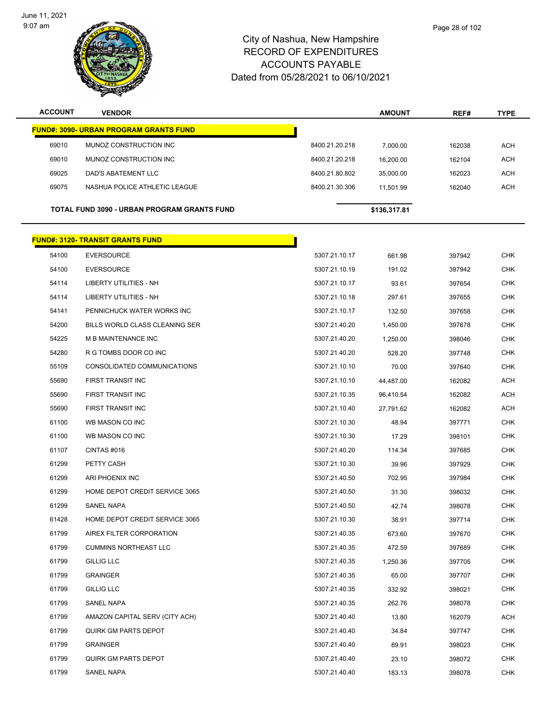$\overline{\phantom{0}}$ 



#### City of Nashua, New Hampshire RECORD OF EXPENDITURES ACCOUNTS PAYABLE Dated from 05/28/2021 to 06/10/2021

| <b>ACCOUNT</b> | <b>VENDOR</b>                                 |                | <b>AMOUNT</b> | REF#   | <b>TYPE</b> |
|----------------|-----------------------------------------------|----------------|---------------|--------|-------------|
|                | <b>FUND#: 3090- URBAN PROGRAM GRANTS FUND</b> |                |               |        |             |
| 69010          | MUNOZ CONSTRUCTION INC                        | 8400.21.20.218 | 7,000.00      | 162038 | <b>ACH</b>  |
| 69010          | MUNOZ CONSTRUCTION INC                        | 8400.21.20.218 | 16,200.00     | 162104 | <b>ACH</b>  |
| 69025          | DAD'S ABATEMENT LLC                           | 8400.21.80.802 | 35,000.00     | 162023 | <b>ACH</b>  |
| 69075          | NASHUA POLICE ATHLETIC LEAGUE                 | 8400.21.30.306 | 11,501.99     | 162040 | <b>ACH</b>  |
|                |                                               |                |               |        |             |
|                | TOTAL FUND 3090 - URBAN PROGRAM GRANTS FUND   |                | \$136,317.81  |        |             |
|                | <b>FUND#: 3120- TRANSIT GRANTS FUND</b>       |                |               |        |             |
| 54100          | <b>EVERSOURCE</b>                             | 5307.21.10.17  | 661.98        | 397942 | <b>CHK</b>  |
| 54100          | <b>EVERSOURCE</b>                             | 5307.21.10.19  | 191.02        | 397942 | <b>CHK</b>  |
| 54114          | LIBERTY UTILITIES - NH                        | 5307.21.10.17  | 93.61         | 397654 | <b>CHK</b>  |
| 54114          | LIBERTY UTILITIES - NH                        | 5307.21.10.18  | 297.61        | 397655 | <b>CHK</b>  |
| 54141          | PENNICHUCK WATER WORKS INC                    | 5307.21.10.17  | 132.50        | 397658 | <b>CHK</b>  |
| 54200          | BILLS WORLD CLASS CLEANING SER                | 5307.21.40.20  | 1,450.00      | 397678 | <b>CHK</b>  |
| 54225          | <b>M B MAINTENANCE INC</b>                    | 5307.21.40.20  | 1,250.00      | 398046 | <b>CHK</b>  |
| 54280          | R G TOMBS DOOR CO INC                         | 5307.21.40.20  | 528.20        | 397748 | <b>CHK</b>  |
| 55109          | CONSOLIDATED COMMUNICATIONS                   | 5307.21.10.10  | 70.00         | 397640 | <b>CHK</b>  |
| 55690          | FIRST TRANSIT INC                             | 5307.21.10.10  | 44,487.00     | 162082 | <b>ACH</b>  |
| 55690          | FIRST TRANSIT INC                             | 5307.21.10.35  | 96,410.54     | 162082 | <b>ACH</b>  |
| 55690          | FIRST TRANSIT INC                             | 5307.21.10.40  | 27,791.62     | 162082 | <b>ACH</b>  |
| 61100          | WB MASON CO INC                               | 5307.21.10.30  | 48.94         | 397771 | <b>CHK</b>  |
| 61100          | WB MASON CO INC                               | 5307.21.10.30  | 17.29         | 398101 | <b>CHK</b>  |
| 61107          | CINTAS #016                                   | 5307.21.40.20  | 114.34        | 397685 | <b>CHK</b>  |
| 61299          | PETTY CASH                                    | 5307.21.10.30  | 39.96         | 397929 | <b>CHK</b>  |
| 61299          | ARI PHOENIX INC                               | 5307.21.40.50  | 702.95        | 397984 | <b>CHK</b>  |
| 61299          | HOME DEPOT CREDIT SERVICE 3065                | 5307.21.40.50  | 31.30         | 398032 | <b>CHK</b>  |
| 61299          | <b>SANEL NAPA</b>                             | 5307.21.40.50  | 42.74         | 398078 | <b>CHK</b>  |
| 61428          | HOME DEPOT CREDIT SERVICE 3065                | 5307.21.10.30  | 38.91         | 397714 | <b>CHK</b>  |
| 61799          | AIREX FILTER CORPORATION                      | 5307.21.40.35  | 673.60        | 397670 | <b>CHK</b>  |
| 61799          | <b>CUMMINS NORTHEAST LLC</b>                  | 5307.21.40.35  | 472.59        | 397689 | <b>CHK</b>  |
| 61799          | <b>GILLIG LLC</b>                             | 5307.21.40.35  | 1,250.36      | 397705 | <b>CHK</b>  |
| 61799          | <b>GRAINGER</b>                               | 5307.21.40.35  | 65.00         | 397707 | <b>CHK</b>  |
| 61799          | <b>GILLIG LLC</b>                             | 5307.21.40.35  | 332.92        | 398021 | <b>CHK</b>  |
| 61799          | SANEL NAPA                                    | 5307.21.40.35  | 262.76        | 398078 | <b>CHK</b>  |
| 61799          | AMAZON CAPITAL SERV (CITY ACH)                | 5307.21.40.40  | 13.80         | 162079 | <b>ACH</b>  |
| 61799          | QUIRK GM PARTS DEPOT                          | 5307.21.40.40  | 34.84         | 397747 | <b>CHK</b>  |
| 61799          | GRAINGER                                      | 5307.21.40.40  | 89.91         | 398023 | <b>CHK</b>  |

 QUIRK GM PARTS DEPOT 5307.21.40.40 23.10 398072 CHK SANEL NAPA 5307.21.40.40 183.13 398078 CHK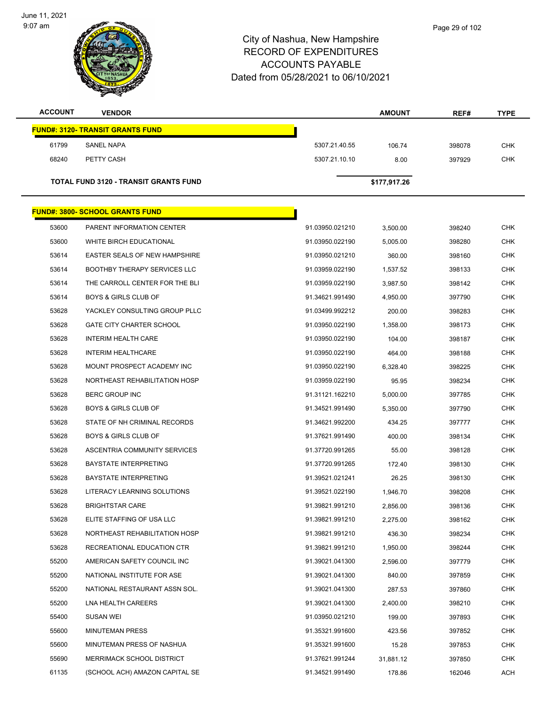June 11, 2021 9:07 am



| <b>ACCOUNT</b> | <b>VENDOR</b>                                |               | <b>AMOUNT</b> | REF#   | <b>TYPE</b> |
|----------------|----------------------------------------------|---------------|---------------|--------|-------------|
|                | <b>FUND#: 3120- TRANSIT GRANTS FUND</b>      |               |               |        |             |
| 61799          | <b>SANEL NAPA</b>                            | 5307.21.40.55 | 106.74        | 398078 | <b>CHK</b>  |
| 68240          | PETTY CASH                                   | 5307.21.10.10 | 8.00          | 397929 | <b>CHK</b>  |
|                | <b>TOTAL FUND 3120 - TRANSIT GRANTS FUND</b> |               | \$177,917.26  |        |             |
|                |                                              |               |               |        |             |

|       | <u> FUND#: 3800- SCHOOL GRANTS FUND</u> |                 |           |        |            |
|-------|-----------------------------------------|-----------------|-----------|--------|------------|
| 53600 | PARENT INFORMATION CENTER               | 91.03950.021210 | 3,500.00  | 398240 | <b>CHK</b> |
| 53600 | WHITE BIRCH EDUCATIONAL                 | 91.03950.022190 | 5,005.00  | 398280 | <b>CHK</b> |
| 53614 | EASTER SEALS OF NEW HAMPSHIRE           | 91.03950.021210 | 360.00    | 398160 | CHK        |
| 53614 | <b>BOOTHBY THERAPY SERVICES LLC</b>     | 91.03959.022190 | 1,537.52  | 398133 | <b>CHK</b> |
| 53614 | THE CARROLL CENTER FOR THE BLI          | 91.03959.022190 | 3,987.50  | 398142 | <b>CHK</b> |
| 53614 | <b>BOYS &amp; GIRLS CLUB OF</b>         | 91.34621.991490 | 4,950.00  | 397790 | <b>CHK</b> |
| 53628 | YACKLEY CONSULTING GROUP PLLC           | 91.03499.992212 | 200.00    | 398283 | <b>CHK</b> |
| 53628 | <b>GATE CITY CHARTER SCHOOL</b>         | 91.03950.022190 | 1,358.00  | 398173 | CHK        |
| 53628 | <b>INTERIM HEALTH CARE</b>              | 91.03950.022190 | 104.00    | 398187 | <b>CHK</b> |
| 53628 | <b>INTERIM HEALTHCARE</b>               | 91.03950.022190 | 464.00    | 398188 | <b>CHK</b> |
| 53628 | MOUNT PROSPECT ACADEMY INC              | 91.03950.022190 | 6,328.40  | 398225 | <b>CHK</b> |
| 53628 | NORTHEAST REHABILITATION HOSP           | 91.03959.022190 | 95.95     | 398234 | <b>CHK</b> |
| 53628 | <b>BERC GROUP INC</b>                   | 91.31121.162210 | 5,000.00  | 397785 | CHK        |
| 53628 | <b>BOYS &amp; GIRLS CLUB OF</b>         | 91.34521.991490 | 5,350.00  | 397790 | <b>CHK</b> |
| 53628 | STATE OF NH CRIMINAL RECORDS            | 91.34621.992200 | 434.25    | 397777 | <b>CHK</b> |
| 53628 | <b>BOYS &amp; GIRLS CLUB OF</b>         | 91.37621.991490 | 400.00    | 398134 | <b>CHK</b> |
| 53628 | ASCENTRIA COMMUNITY SERVICES            | 91.37720.991265 | 55.00     | 398128 | <b>CHK</b> |
| 53628 | <b>BAYSTATE INTERPRETING</b>            | 91.37720.991265 | 172.40    | 398130 | CHK        |
| 53628 | <b>BAYSTATE INTERPRETING</b>            | 91.39521.021241 | 26.25     | 398130 | <b>CHK</b> |
| 53628 | LITERACY LEARNING SOLUTIONS             | 91.39521.022190 | 1,946.70  | 398208 | <b>CHK</b> |
| 53628 | <b>BRIGHTSTAR CARE</b>                  | 91.39821.991210 | 2,856.00  | 398136 | <b>CHK</b> |
| 53628 | ELITE STAFFING OF USA LLC               | 91.39821.991210 | 2,275.00  | 398162 | <b>CHK</b> |
| 53628 | NORTHEAST REHABILITATION HOSP           | 91.39821.991210 | 436.30    | 398234 | CHK        |
| 53628 | RECREATIONAL EDUCATION CTR              | 91.39821.991210 | 1,950.00  | 398244 | <b>CHK</b> |
| 55200 | AMERICAN SAFETY COUNCIL INC             | 91.39021.041300 | 2,596.00  | 397779 | CHK        |
| 55200 | NATIONAL INSTITUTE FOR ASE              | 91.39021.041300 | 840.00    | 397859 | <b>CHK</b> |
| 55200 | NATIONAL RESTAURANT ASSN SOL.           | 91.39021.041300 | 287.53    | 397860 | <b>CHK</b> |
| 55200 | LNA HEALTH CAREERS                      | 91.39021.041300 | 2,400.00  | 398210 | <b>CHK</b> |
| 55400 | <b>SUSAN WEI</b>                        | 91.03950.021210 | 199.00    | 397893 | <b>CHK</b> |
| 55600 | <b>MINUTEMAN PRESS</b>                  | 91.35321.991600 | 423.56    | 397852 | <b>CHK</b> |
| 55600 | MINUTEMAN PRESS OF NASHUA               | 91.35321.991600 | 15.28     | 397853 | <b>CHK</b> |
| 55690 | <b>MERRIMACK SCHOOL DISTRICT</b>        | 91.37621.991244 | 31,881.12 | 397850 | <b>CHK</b> |
| 61135 | (SCHOOL ACH) AMAZON CAPITAL SE          | 91.34521.991490 | 178.86    | 162046 | ACH        |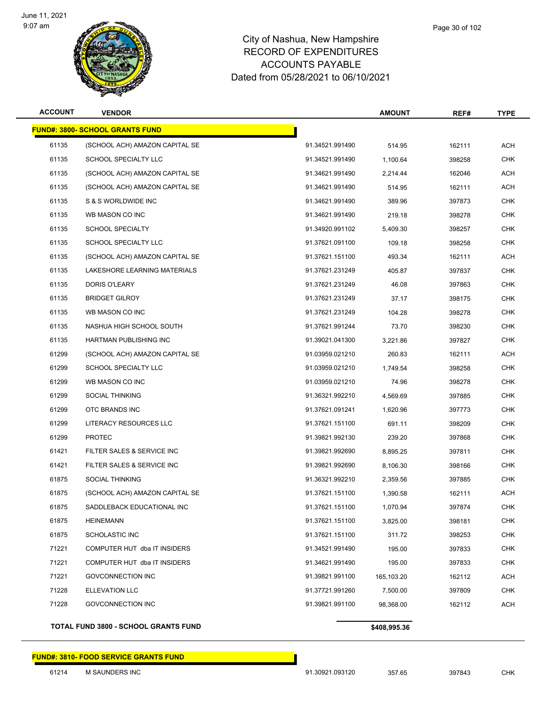

| <b>ACCOUNT</b> | <b>VENDOR</b>                           |                 | <b>AMOUNT</b> | REF#   | <b>TYPE</b> |
|----------------|-----------------------------------------|-----------------|---------------|--------|-------------|
|                | <u> FUND#: 3800- SCHOOL GRANTS FUND</u> |                 |               |        |             |
| 61135          | (SCHOOL ACH) AMAZON CAPITAL SE          | 91.34521.991490 | 514.95        | 162111 | <b>ACH</b>  |
| 61135          | <b>SCHOOL SPECIALTY LLC</b>             | 91.34521.991490 | 1,100.64      | 398258 | <b>CHK</b>  |
| 61135          | (SCHOOL ACH) AMAZON CAPITAL SE          | 91.34621.991490 | 2,214.44      | 162046 | ACH         |
| 61135          | (SCHOOL ACH) AMAZON CAPITAL SE          | 91.34621.991490 | 514.95        | 162111 | <b>ACH</b>  |
| 61135          | S & S WORLDWIDE INC                     | 91.34621.991490 | 389.96        | 397873 | <b>CHK</b>  |
| 61135          | WB MASON CO INC                         | 91.34621.991490 | 219.18        | 398278 | <b>CHK</b>  |
| 61135          | <b>SCHOOL SPECIALTY</b>                 | 91.34920.991102 | 5,409.30      | 398257 | <b>CHK</b>  |
| 61135          | SCHOOL SPECIALTY LLC                    | 91.37621.091100 | 109.18        | 398258 | <b>CHK</b>  |
| 61135          | (SCHOOL ACH) AMAZON CAPITAL SE          | 91.37621.151100 | 493.34        | 162111 | <b>ACH</b>  |
| 61135          | LAKESHORE LEARNING MATERIALS            | 91.37621.231249 | 405.87        | 397837 | <b>CHK</b>  |
| 61135          | DORIS O'LEARY                           | 91.37621.231249 | 46.08         | 397863 | <b>CHK</b>  |
| 61135          | <b>BRIDGET GILROY</b>                   | 91.37621.231249 | 37.17         | 398175 | <b>CHK</b>  |
| 61135          | WB MASON CO INC                         | 91.37621.231249 | 104.28        | 398278 | CHK         |
| 61135          | NASHUA HIGH SCHOOL SOUTH                | 91.37621.991244 | 73.70         | 398230 | <b>CHK</b>  |
| 61135          | HARTMAN PUBLISHING INC                  | 91.39021.041300 | 3,221.86      | 397827 | <b>CHK</b>  |
| 61299          | (SCHOOL ACH) AMAZON CAPITAL SE          | 91.03959.021210 | 260.83        | 162111 | ACH         |
| 61299          | <b>SCHOOL SPECIALTY LLC</b>             | 91.03959.021210 | 1,749.54      | 398258 | <b>CHK</b>  |
| 61299          | WB MASON CO INC                         | 91.03959.021210 | 74.96         | 398278 | CHK         |
| 61299          | <b>SOCIAL THINKING</b>                  | 91.36321.992210 | 4,569.69      | 397885 | CHK         |
| 61299          | OTC BRANDS INC                          | 91.37621.091241 | 1,620.96      | 397773 | <b>CHK</b>  |
| 61299          | LITERACY RESOURCES LLC                  | 91.37621.151100 | 691.11        | 398209 | CHK         |
| 61299          | <b>PROTEC</b>                           | 91.39821.992130 | 239.20        | 397868 | <b>CHK</b>  |
| 61421          | FILTER SALES & SERVICE INC              | 91.39821.992690 | 8,895.25      | 397811 | <b>CHK</b>  |
| 61421          | FILTER SALES & SERVICE INC              | 91.39821.992690 | 8,106.30      | 398166 | <b>CHK</b>  |
| 61875          | <b>SOCIAL THINKING</b>                  | 91.36321.992210 | 2,359.56      | 397885 | CHK         |
| 61875          | (SCHOOL ACH) AMAZON CAPITAL SE          | 91.37621.151100 | 1,390.58      | 162111 | ACH         |
| 61875          | SADDLEBACK EDUCATIONAL INC              | 91.37621.151100 | 1,070.94      | 397874 | <b>CHK</b>  |
| 61875          | <b>HEINEMANN</b>                        | 91.37621.151100 | 3,825.00      | 398181 | <b>CHK</b>  |
| 61875          | <b>SCHOLASTIC INC</b>                   | 91.37621.151100 | 311.72        | 398253 | <b>CHK</b>  |
| 71221          | COMPUTER HUT dba IT INSIDERS            | 91.34521.991490 | 195.00        | 397833 | <b>CHK</b>  |
| 71221          | COMPUTER HUT dba IT INSIDERS            | 91.34621.991490 | 195.00        | 397833 | <b>CHK</b>  |
| 71221          | <b>GOVCONNECTION INC</b>                | 91.39821.991100 | 165,103.20    | 162112 | <b>ACH</b>  |
| 71228          | <b>ELLEVATION LLC</b>                   | 91.37721.991260 | 7,500.00      | 397809 | CHK         |
| 71228          | <b>GOVCONNECTION INC</b>                | 91.39821.991100 | 98,368.00     | 162112 | <b>ACH</b>  |
|                |                                         |                 |               |        |             |

**TOTAL FUND 3800 - SCHOOL GRANTS FUND \$408,995.36** 

#### **FUND#: 3810- FOOD SERVICE GRANTS FUND**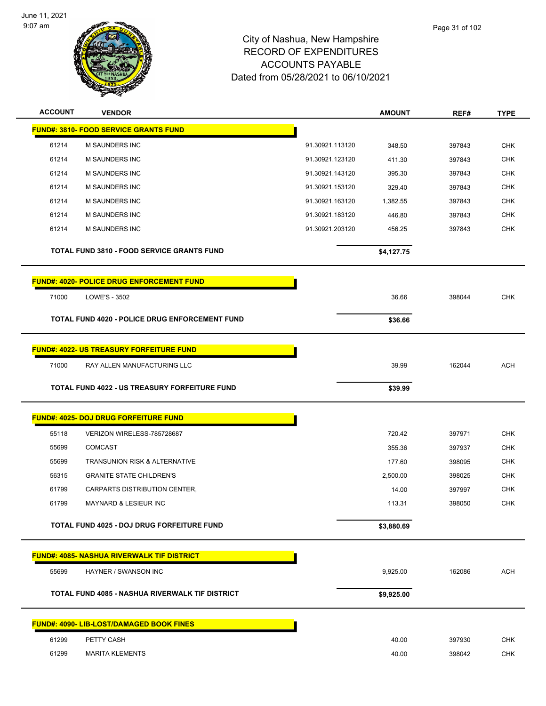

| <b>ACCOUNT</b> | <b>VENDOR</b>                                     |                 | <b>AMOUNT</b> | REF#   | <b>TYPE</b> |
|----------------|---------------------------------------------------|-----------------|---------------|--------|-------------|
|                | <b>FUND#: 3810- FOOD SERVICE GRANTS FUND</b>      |                 |               |        |             |
| 61214          | M SAUNDERS INC                                    | 91.30921.113120 | 348.50        | 397843 | <b>CHK</b>  |
| 61214          | <b>M SAUNDERS INC</b>                             | 91.30921.123120 | 411.30        | 397843 | <b>CHK</b>  |
| 61214          | M SAUNDERS INC                                    | 91.30921.143120 | 395.30        | 397843 | CHK         |
| 61214          | M SAUNDERS INC                                    | 91.30921.153120 | 329.40        | 397843 | <b>CHK</b>  |
| 61214          | <b>M SAUNDERS INC</b>                             | 91.30921.163120 | 1,382.55      | 397843 | <b>CHK</b>  |
| 61214          | <b>M SAUNDERS INC</b>                             | 91.30921.183120 | 446.80        | 397843 | CHK         |
| 61214          | <b>M SAUNDERS INC</b>                             | 91.30921.203120 | 456.25        | 397843 | <b>CHK</b>  |
|                | <b>TOTAL FUND 3810 - FOOD SERVICE GRANTS FUND</b> |                 | \$4,127.75    |        |             |
|                | <b>FUND#: 4020- POLICE DRUG ENFORCEMENT FUND</b>  |                 |               |        |             |
| 71000          | LOWE'S - 3502                                     |                 | 36.66         | 398044 | <b>CHK</b>  |
|                | TOTAL FUND 4020 - POLICE DRUG ENFORCEMENT FUND    |                 | \$36.66       |        |             |
|                | FUND#: 4022- US TREASURY FORFEITURE FUND          |                 |               |        |             |
| 71000          | RAY ALLEN MANUFACTURING LLC                       |                 | 39.99         | 162044 | <b>ACH</b>  |
|                | TOTAL FUND 4022 - US TREASURY FORFEITURE FUND     |                 | \$39.99       |        |             |
|                |                                                   |                 |               |        |             |
|                | <b>FUND#: 4025- DOJ DRUG FORFEITURE FUND</b>      |                 |               |        |             |
| 55118          | VERIZON WIRELESS-785728687                        |                 | 720.42        | 397971 | <b>CHK</b>  |
| 55699          | <b>COMCAST</b>                                    |                 | 355.36        | 397937 | CHK         |
| 55699          | TRANSUNION RISK & ALTERNATIVE                     |                 | 177.60        | 398095 | <b>CHK</b>  |
| 56315          | <b>GRANITE STATE CHILDREN'S</b>                   |                 | 2,500.00      | 398025 | <b>CHK</b>  |
| 61799          | CARPARTS DISTRIBUTION CENTER,                     |                 | 14.00         | 397997 | CHK         |
| 61799          | <b>MAYNARD &amp; LESIEUR INC</b>                  |                 | 113.31        | 398050 | <b>CHK</b>  |
|                | TOTAL FUND 4025 - DOJ DRUG FORFEITURE FUND        |                 | \$3,880.69    |        |             |
|                | <b>FUND#: 4085- NASHUA RIVERWALK TIF DISTRICT</b> |                 |               |        |             |
| 55699          | HAYNER / SWANSON INC                              |                 | 9,925.00      | 162086 | <b>ACH</b>  |
|                | TOTAL FUND 4085 - NASHUA RIVERWALK TIF DISTRICT   |                 | \$9,925.00    |        |             |
|                | <b>FUND#: 4090- LIB-LOST/DAMAGED BOOK FINES</b>   |                 |               |        |             |
| 61299          | PETTY CASH                                        |                 | 40.00         | 397930 | <b>CHK</b>  |
| 61299          | <b>MARITA KLEMENTS</b>                            |                 | 40.00         | 398042 | <b>CHK</b>  |
|                |                                                   |                 |               |        |             |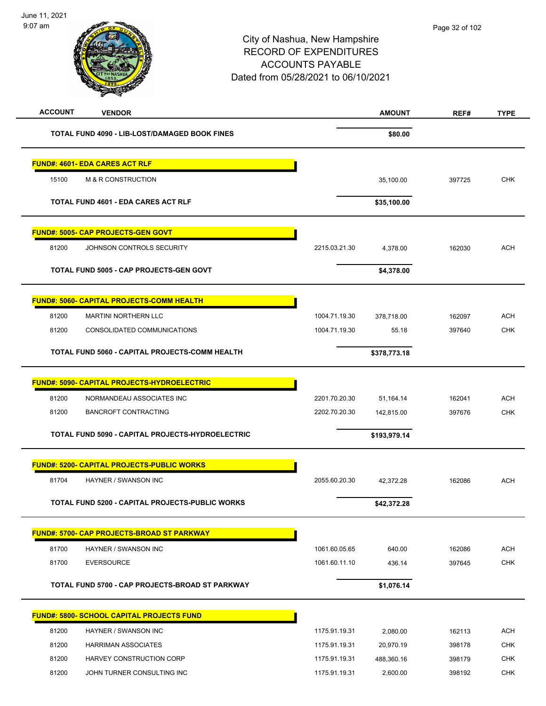

| <b>ACCOUNT</b> | <b>VENDOR</b>                                       |               | <b>AMOUNT</b> | REF#   | <b>TYPE</b> |
|----------------|-----------------------------------------------------|---------------|---------------|--------|-------------|
|                | TOTAL FUND 4090 - LIB-LOST/DAMAGED BOOK FINES       |               | \$80.00       |        |             |
|                | <u> FUND#: 4601- EDA CARES ACT RLF</u>              |               |               |        |             |
| 15100          | M & R CONSTRUCTION                                  |               | 35,100.00     | 397725 | <b>CHK</b>  |
|                | <b>TOTAL FUND 4601 - EDA CARES ACT RLF</b>          |               | \$35,100.00   |        |             |
|                | <b>FUND#: 5005- CAP PROJECTS-GEN GOVT</b>           |               |               |        |             |
| 81200          | JOHNSON CONTROLS SECURITY                           | 2215.03.21.30 | 4,378.00      | 162030 | <b>ACH</b>  |
|                | <b>TOTAL FUND 5005 - CAP PROJECTS-GEN GOVT</b>      |               | \$4,378.00    |        |             |
|                | <u> FUND#: 5060- CAPITAL PROJECTS-COMM HEALTH</u>   |               |               |        |             |
| 81200          | MARTINI NORTHERN LLC                                | 1004.71.19.30 | 378,718.00    | 162097 | <b>ACH</b>  |
| 81200          | CONSOLIDATED COMMUNICATIONS                         | 1004.71.19.30 | 55.18         | 397640 | <b>CHK</b>  |
|                | TOTAL FUND 5060 - CAPITAL PROJECTS-COMM HEALTH      |               | \$378,773.18  |        |             |
|                | <u> FUND#: 5090- CAPITAL PROJECTS-HYDROELECTRIC</u> |               |               |        |             |
| 81200          | NORMANDEAU ASSOCIATES INC                           | 2201.70.20.30 | 51,164.14     | 162041 | <b>ACH</b>  |
| 81200          | <b>BANCROFT CONTRACTING</b>                         | 2202.70.20.30 | 142,815.00    | 397676 | <b>CHK</b>  |
|                | TOTAL FUND 5090 - CAPITAL PROJECTS-HYDROELECTRIC    |               | \$193,979.14  |        |             |
|                | <b>FUND#: 5200- CAPITAL PROJECTS-PUBLIC WORKS</b>   |               |               |        |             |
| 81704          | HAYNER / SWANSON INC                                | 2055.60.20.30 | 42,372.28     | 162086 | <b>ACH</b>  |
|                | TOTAL FUND 5200 - CAPITAL PROJECTS-PUBLIC WORKS     |               | \$42,372.28   |        |             |
|                | <u> FUND#: 5700- CAP PROJECTS-BROAD ST PARKWAY</u>  |               |               |        |             |
| 81700          | HAYNER / SWANSON INC                                | 1061.60.05.65 | 640.00        | 162086 | <b>ACH</b>  |
| 81700          | <b>EVERSOURCE</b>                                   | 1061.60.11.10 | 436.14        | 397645 | <b>CHK</b>  |
|                | TOTAL FUND 5700 - CAP PROJECTS-BROAD ST PARKWAY     |               | \$1,076.14    |        |             |
|                | FUND#: 5800- SCHOOL CAPITAL PROJECTS FUND           |               |               |        |             |
| 81200          | HAYNER / SWANSON INC                                | 1175.91.19.31 | 2,080.00      | 162113 | <b>ACH</b>  |
| 81200          | <b>HARRIMAN ASSOCIATES</b>                          | 1175.91.19.31 | 20,970.19     | 398178 | <b>CHK</b>  |
| 81200          | HARVEY CONSTRUCTION CORP                            | 1175.91.19.31 | 488,360.16    | 398179 | <b>CHK</b>  |
| 81200          | JOHN TURNER CONSULTING INC                          | 1175.91.19.31 | 2,600.00      | 398192 | <b>CHK</b>  |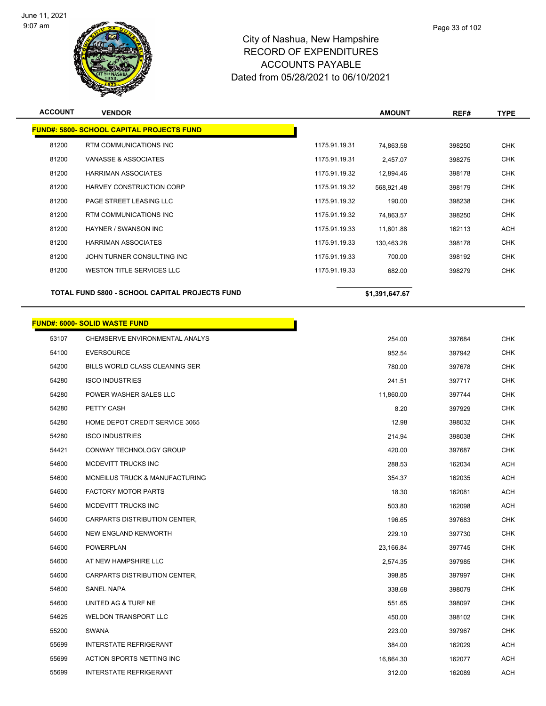

| <b>ACCOUNT</b> | <b>VENDOR</b>                                         |               | <b>AMOUNT</b>  | REF#   | <b>TYPE</b> |
|----------------|-------------------------------------------------------|---------------|----------------|--------|-------------|
|                | <b>FUND#: 5800- SCHOOL CAPITAL PROJECTS FUND</b>      |               |                |        |             |
| 81200          | RTM COMMUNICATIONS INC                                | 1175.91.19.31 | 74,863.58      | 398250 | <b>CHK</b>  |
| 81200          | VANASSE & ASSOCIATES                                  | 1175.91.19.31 | 2,457.07       | 398275 | <b>CHK</b>  |
| 81200          | <b>HARRIMAN ASSOCIATES</b>                            | 1175.91.19.32 | 12,894.46      | 398178 | <b>CHK</b>  |
| 81200          | HARVEY CONSTRUCTION CORP                              | 1175.91.19.32 | 568,921.48     | 398179 | <b>CHK</b>  |
| 81200          | PAGE STREET LEASING LLC                               | 1175.91.19.32 | 190.00         | 398238 | <b>CHK</b>  |
| 81200          | RTM COMMUNICATIONS INC                                | 1175.91.19.32 | 74,863.57      | 398250 | <b>CHK</b>  |
| 81200          | <b>HAYNER / SWANSON INC</b>                           | 1175.91.19.33 | 11,601.88      | 162113 | ACH         |
| 81200          | <b>HARRIMAN ASSOCIATES</b>                            | 1175.91.19.33 | 130,463.28     | 398178 | <b>CHK</b>  |
| 81200          | JOHN TURNER CONSULTING INC                            | 1175.91.19.33 | 700.00         | 398192 | <b>CHK</b>  |
| 81200          | WESTON TITLE SERVICES LLC                             | 1175.91.19.33 | 682.00         | 398279 | <b>CHK</b>  |
|                | <b>TOTAL FUND 5800 - SCHOOL CAPITAL PROJECTS FUND</b> |               | \$1,391,647.67 |        |             |
|                | <b>FUND#: 6000- SOLID WASTE FUND</b>                  |               |                |        |             |
| 53107          | CHEMSERVE ENVIRONMENTAL ANALYS                        |               | 254.00         | 397684 | <b>CHK</b>  |
| 54100          | <b>EVERSOURCE</b>                                     |               | 952.54         | 397942 | <b>CHK</b>  |
| 54200          | BILLS WORLD CLASS CLEANING SER                        |               | 780.00         | 397678 | <b>CHK</b>  |
| 54280          | <b>ISCO INDUSTRIES</b>                                |               | 241.51         | 397717 | <b>CHK</b>  |
| 54280          | POWER WASHER SALES LLC                                |               | 11,860.00      | 397744 | <b>CHK</b>  |
| 54280          | PETTY CASH                                            |               | 8.20           | 397929 | <b>CHK</b>  |
| 54280          | HOME DEPOT CREDIT SERVICE 3065                        |               | 12.98          | 398032 | <b>CHK</b>  |
| 54280          | <b>ISCO INDUSTRIES</b>                                |               | 214.94         | 398038 | <b>CHK</b>  |
| 54421          | CONWAY TECHNOLOGY GROUP                               |               | 420.00         | 397687 | <b>CHK</b>  |
| 54600          | MCDEVITT TRUCKS INC                                   |               | 288.53         | 162034 | ACH         |
| 54600          | MCNEILUS TRUCK & MANUFACTURING                        |               | 354.37         | 162035 | <b>ACH</b>  |
| 54600          | <b>FACTORY MOTOR PARTS</b>                            |               | 18.30          | 162081 | <b>ACH</b>  |
| 54600          | MCDEVITT TRUCKS INC                                   |               | 503.80         | 162098 | <b>ACH</b>  |
| 54600          | CARPARTS DISTRIBUTION CENTER,                         |               | 196.65         | 397683 | <b>CHK</b>  |
| 54600          | NEW ENGLAND KENWORTH                                  |               | 229.10         | 397730 | <b>CHK</b>  |
| 54600          | POWERPLAN                                             |               | 23,166.84      | 397745 | <b>CHK</b>  |
| 54600          | AT NEW HAMPSHIRE LLC                                  |               | 2,574.35       | 397985 | <b>CHK</b>  |
| 54600          | CARPARTS DISTRIBUTION CENTER,                         |               | 398.85         | 397997 | <b>CHK</b>  |
| 54600          | <b>SANEL NAPA</b>                                     |               | 338.68         | 398079 | <b>CHK</b>  |
| 54600          | UNITED AG & TURF NE                                   |               | 551.65         | 398097 | <b>CHK</b>  |
| 54625          | <b>WELDON TRANSPORT LLC</b>                           |               | 450.00         | 398102 | <b>CHK</b>  |
| 55200          | SWANA                                                 |               | 223.00         | 397967 | <b>CHK</b>  |
| 55699          | <b>INTERSTATE REFRIGERANT</b>                         |               | 384.00         | 162029 | ACH         |
| 55699          | ACTION SPORTS NETTING INC                             |               | 16,864.30      | 162077 | ACH         |
| 55699          | <b>INTERSTATE REFRIGERANT</b>                         |               | 312.00         | 162089 | ACH         |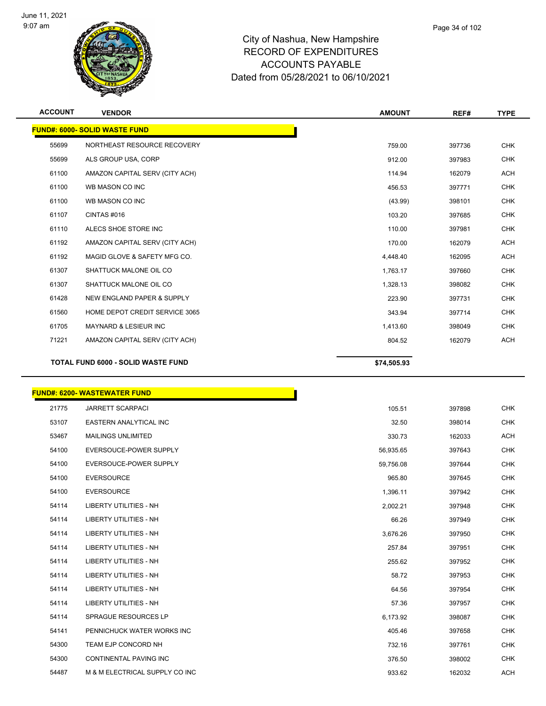

| <b>ACCOUNT</b> | <b>VENDOR</b>                        | <b>AMOUNT</b> | REF#   | <b>TYPE</b> |
|----------------|--------------------------------------|---------------|--------|-------------|
|                | <b>FUND#: 6000- SOLID WASTE FUND</b> |               |        |             |
| 55699          | NORTHEAST RESOURCE RECOVERY          | 759.00        | 397736 | <b>CHK</b>  |
| 55699          | ALS GROUP USA, CORP                  | 912.00        | 397983 | <b>CHK</b>  |
| 61100          | AMAZON CAPITAL SERV (CITY ACH)       | 114.94        | 162079 | <b>ACH</b>  |
| 61100          | WB MASON CO INC                      | 456.53        | 397771 | <b>CHK</b>  |
| 61100          | WB MASON CO INC                      | (43.99)       | 398101 | <b>CHK</b>  |
| 61107          | CINTAS#016                           | 103.20        | 397685 | <b>CHK</b>  |
| 61110          | ALECS SHOE STORE INC                 | 110.00        | 397981 | <b>CHK</b>  |
| 61192          | AMAZON CAPITAL SERV (CITY ACH)       | 170.00        | 162079 | <b>ACH</b>  |
| 61192          | MAGID GLOVE & SAFETY MFG CO.         | 4,448.40      | 162095 | <b>ACH</b>  |
| 61307          | SHATTUCK MALONE OIL CO               | 1,763.17      | 397660 | <b>CHK</b>  |
| 61307          | SHATTUCK MALONE OIL CO               | 1,328.13      | 398082 | <b>CHK</b>  |
| 61428          | NEW ENGLAND PAPER & SUPPLY           | 223.90        | 397731 | <b>CHK</b>  |
| 61560          | HOME DEPOT CREDIT SERVICE 3065       | 343.94        | 397714 | <b>CHK</b>  |
| 61705          | MAYNARD & LESIEUR INC                | 1,413.60      | 398049 | <b>CHK</b>  |
| 71221          | AMAZON CAPITAL SERV (CITY ACH)       | 804.52        | 162079 | ACH         |
|                | TOTAL FUND 6000 - SOLID WASTE FUND   | \$74,505.93   |        |             |

|       | <b>FUND#: 6200- WASTEWATER FUND</b> |           |        |            |
|-------|-------------------------------------|-----------|--------|------------|
| 21775 | <b>JARRETT SCARPACI</b>             | 105.51    | 397898 | <b>CHK</b> |
| 53107 | <b>EASTERN ANALYTICAL INC</b>       | 32.50     | 398014 | <b>CHK</b> |
| 53467 | <b>MAILINGS UNLIMITED</b>           | 330.73    | 162033 | <b>ACH</b> |
| 54100 | EVERSOUCE-POWER SUPPLY              | 56,935.65 | 397643 | <b>CHK</b> |
| 54100 | <b>EVERSOUCE-POWER SUPPLY</b>       | 59,756.08 | 397644 | <b>CHK</b> |
| 54100 | <b>EVERSOURCE</b>                   | 965.80    | 397645 | <b>CHK</b> |
| 54100 | <b>EVERSOURCE</b>                   | 1,396.11  | 397942 | <b>CHK</b> |
| 54114 | LIBERTY UTILITIES - NH              | 2,002.21  | 397948 | <b>CHK</b> |
| 54114 | <b>LIBERTY UTILITIES - NH</b>       | 66.26     | 397949 | <b>CHK</b> |
| 54114 | <b>LIBERTY UTILITIES - NH</b>       | 3,676.26  | 397950 | <b>CHK</b> |
| 54114 | LIBERTY UTILITIES - NH              | 257.84    | 397951 | <b>CHK</b> |
| 54114 | LIBERTY UTILITIES - NH              | 255.62    | 397952 | <b>CHK</b> |
| 54114 | <b>LIBERTY UTILITIES - NH</b>       | 58.72     | 397953 | <b>CHK</b> |
| 54114 | <b>LIBERTY UTILITIES - NH</b>       | 64.56     | 397954 | <b>CHK</b> |
| 54114 | LIBERTY UTILITIES - NH              | 57.36     | 397957 | <b>CHK</b> |
| 54114 | <b>SPRAGUE RESOURCES LP</b>         | 6,173.92  | 398087 | <b>CHK</b> |
| 54141 | PENNICHUCK WATER WORKS INC          | 405.46    | 397658 | <b>CHK</b> |
| 54300 | TEAM EJP CONCORD NH                 | 732.16    | 397761 | <b>CHK</b> |
| 54300 | <b>CONTINENTAL PAVING INC</b>       | 376.50    | 398002 | <b>CHK</b> |
| 54487 | M & M ELECTRICAL SUPPLY CO INC      | 933.62    | 162032 | <b>ACH</b> |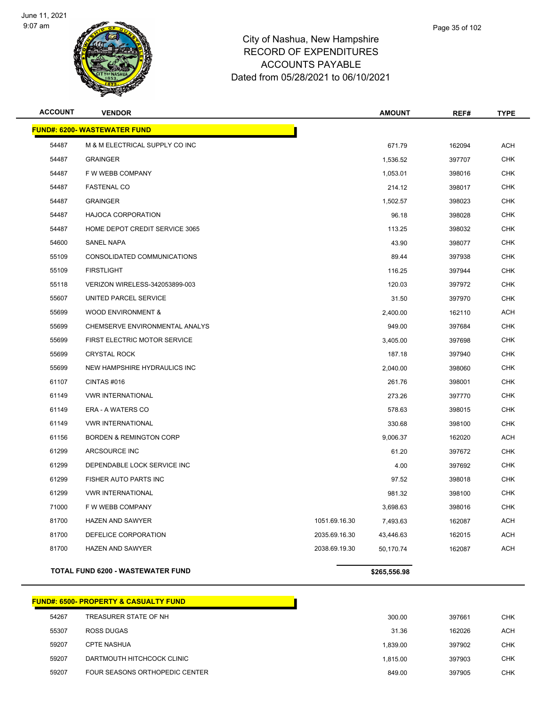

| <b>ACCOUNT</b> | <b>VENDOR</b>                       |               | <b>AMOUNT</b> | REF#   | <b>TYPE</b> |
|----------------|-------------------------------------|---------------|---------------|--------|-------------|
|                | <b>FUND#: 6200- WASTEWATER FUND</b> |               |               |        |             |
| 54487          | M & M ELECTRICAL SUPPLY CO INC      |               | 671.79        | 162094 | <b>ACH</b>  |
| 54487          | <b>GRAINGER</b>                     |               | 1,536.52      | 397707 | <b>CHK</b>  |
| 54487          | F W WEBB COMPANY                    |               | 1.053.01      | 398016 | <b>CHK</b>  |
| 54487          | <b>FASTENAL CO</b>                  |               | 214.12        | 398017 | <b>CHK</b>  |
| 54487          | <b>GRAINGER</b>                     |               | 1,502.57      | 398023 | <b>CHK</b>  |
| 54487          | <b>HAJOCA CORPORATION</b>           |               | 96.18         | 398028 | <b>CHK</b>  |
| 54487          | HOME DEPOT CREDIT SERVICE 3065      |               | 113.25        | 398032 | <b>CHK</b>  |
| 54600          | SANEL NAPA                          |               | 43.90         | 398077 | <b>CHK</b>  |
| 55109          | CONSOLIDATED COMMUNICATIONS         |               | 89.44         | 397938 | <b>CHK</b>  |
| 55109          | <b>FIRSTLIGHT</b>                   |               | 116.25        | 397944 | <b>CHK</b>  |
| 55118          | VERIZON WIRELESS-342053899-003      |               | 120.03        | 397972 | <b>CHK</b>  |
| 55607          | UNITED PARCEL SERVICE               |               | 31.50         | 397970 | CHK         |
| 55699          | <b>WOOD ENVIRONMENT &amp;</b>       |               | 2,400.00      | 162110 | <b>ACH</b>  |
| 55699          | CHEMSERVE ENVIRONMENTAL ANALYS      |               | 949.00        | 397684 | <b>CHK</b>  |
| 55699          | FIRST ELECTRIC MOTOR SERVICE        |               | 3,405.00      | 397698 | <b>CHK</b>  |
| 55699          | <b>CRYSTAL ROCK</b>                 |               | 187.18        | 397940 | <b>CHK</b>  |
| 55699          | NEW HAMPSHIRE HYDRAULICS INC        |               | 2,040.00      | 398060 | <b>CHK</b>  |
| 61107          | CINTAS#016                          |               | 261.76        | 398001 | <b>CHK</b>  |
| 61149          | <b>VWR INTERNATIONAL</b>            |               | 273.26        | 397770 | <b>CHK</b>  |
| 61149          | ERA - A WATERS CO                   |               | 578.63        | 398015 | <b>CHK</b>  |
| 61149          | <b>VWR INTERNATIONAL</b>            |               | 330.68        | 398100 | <b>CHK</b>  |
| 61156          | <b>BORDEN &amp; REMINGTON CORP</b>  |               | 9,006.37      | 162020 | ACH         |
| 61299          | ARCSOURCE INC                       |               | 61.20         | 397672 | <b>CHK</b>  |
| 61299          | DEPENDABLE LOCK SERVICE INC         |               | 4.00          | 397692 | <b>CHK</b>  |
| 61299          | FISHER AUTO PARTS INC               |               | 97.52         | 398018 | CHK         |
| 61299          | <b>VWR INTERNATIONAL</b>            |               | 981.32        | 398100 | CHK         |
| 71000          | F W WEBB COMPANY                    |               | 3,698.63      | 398016 | <b>CHK</b>  |
| 81700          | <b>HAZEN AND SAWYER</b>             | 1051.69.16.30 | 7,493.63      | 162087 | ACH         |
| 81700          | DEFELICE CORPORATION                | 2035.69.16.30 | 43,446.63     | 162015 | <b>ACH</b>  |
| 81700          | <b>HAZEN AND SAWYER</b>             | 2038.69.19.30 | 50,170.74     | 162087 | <b>ACH</b>  |
|                | TOTAL FUND 6200 - WASTEWATER FUND   |               | \$265,556.98  |        |             |

|       | <b>FUND#: 6500- PROPERTY &amp; CASUALTY FUND</b> |
|-------|--------------------------------------------------|
| 54267 | TREASURER STATE OF NH                            |
| 55307 | ROSS DUGAS                                       |
| 59207 | <b>CPTE NASHUA</b>                               |
| 59207 | DARTMOUTH HITCHCOCK CLINIC                       |
| 59207 | FOUR SEASONS ORTHOPEDIC CENTER                   |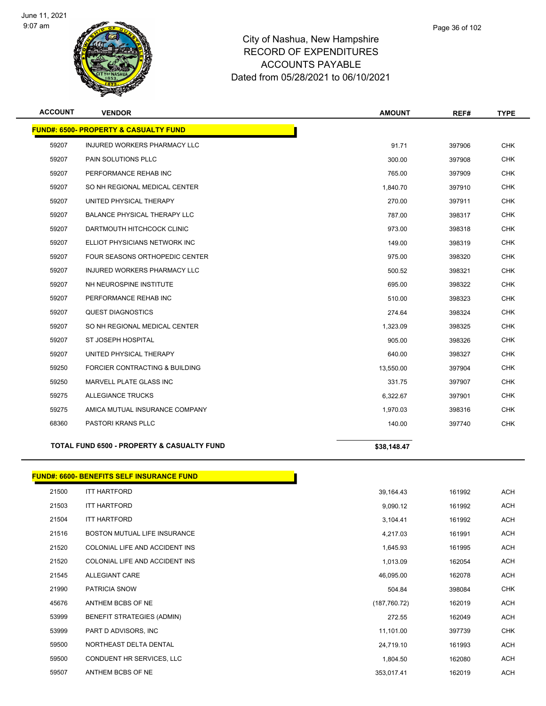

| <b>ACCOUNT</b> | <b>VENDOR</b>                                         | <b>AMOUNT</b> | REF#   | <b>TYPE</b> |
|----------------|-------------------------------------------------------|---------------|--------|-------------|
|                | <b>FUND#: 6500- PROPERTY &amp; CASUALTY FUND</b>      |               |        |             |
| 59207          | <b>INJURED WORKERS PHARMACY LLC</b>                   | 91.71         | 397906 | <b>CHK</b>  |
| 59207          | PAIN SOLUTIONS PLLC                                   | 300.00        | 397908 | <b>CHK</b>  |
| 59207          | PERFORMANCE REHAB INC                                 | 765.00        | 397909 | <b>CHK</b>  |
| 59207          | SO NH REGIONAL MEDICAL CENTER                         | 1,840.70      | 397910 | <b>CHK</b>  |
| 59207          | UNITED PHYSICAL THERAPY                               | 270.00        | 397911 | <b>CHK</b>  |
| 59207          | <b>BALANCE PHYSICAL THERAPY LLC</b>                   | 787.00        | 398317 | <b>CHK</b>  |
| 59207          | DARTMOUTH HITCHCOCK CLINIC                            | 973.00        | 398318 | <b>CHK</b>  |
| 59207          | ELLIOT PHYSICIANS NETWORK INC                         | 149.00        | 398319 | <b>CHK</b>  |
| 59207          | FOUR SEASONS ORTHOPEDIC CENTER                        | 975.00        | 398320 | <b>CHK</b>  |
| 59207          | INJURED WORKERS PHARMACY LLC                          | 500.52        | 398321 | <b>CHK</b>  |
| 59207          | NH NEUROSPINE INSTITUTE                               | 695.00        | 398322 | <b>CHK</b>  |
| 59207          | PERFORMANCE REHAB INC                                 | 510.00        | 398323 | <b>CHK</b>  |
| 59207          | QUEST DIAGNOSTICS                                     | 274.64        | 398324 | <b>CHK</b>  |
| 59207          | SO NH REGIONAL MEDICAL CENTER                         | 1,323.09      | 398325 | <b>CHK</b>  |
| 59207          | ST JOSEPH HOSPITAL                                    | 905.00        | 398326 | <b>CHK</b>  |
| 59207          | UNITED PHYSICAL THERAPY                               | 640.00        | 398327 | <b>CHK</b>  |
| 59250          | FORCIER CONTRACTING & BUILDING                        | 13,550.00     | 397904 | <b>CHK</b>  |
| 59250          | MARVELL PLATE GLASS INC                               | 331.75        | 397907 | <b>CHK</b>  |
| 59275          | <b>ALLEGIANCE TRUCKS</b>                              | 6,322.67      | 397901 | <b>CHK</b>  |
| 59275          | AMICA MUTUAL INSURANCE COMPANY                        | 1,970.03      | 398316 | <b>CHK</b>  |
| 68360          | <b>PASTORI KRANS PLLC</b>                             | 140.00        | 397740 | <b>CHK</b>  |
|                | <b>TOTAL FUND 6500 - PROPERTY &amp; CASUALTY FUND</b> | \$38.148.47   |        |             |

|       | <b>FUND#: 6600- BENEFITS SELF INSURANCE FUND</b> |               |        |            |
|-------|--------------------------------------------------|---------------|--------|------------|
| 21500 | <b>ITT HARTFORD</b>                              | 39,164.43     | 161992 | <b>ACH</b> |
| 21503 | ITT HARTFORD                                     | 9,090.12      | 161992 | <b>ACH</b> |
| 21504 | <b>ITT HARTFORD</b>                              | 3,104.41      | 161992 | <b>ACH</b> |
| 21516 | BOSTON MUTUAL LIFE INSURANCE                     | 4,217.03      | 161991 | <b>ACH</b> |
| 21520 | COLONIAL LIFE AND ACCIDENT INS                   | 1,645.93      | 161995 | <b>ACH</b> |
| 21520 | COLONIAL LIFE AND ACCIDENT INS                   | 1,013.09      | 162054 | <b>ACH</b> |
| 21545 | <b>ALLEGIANT CARE</b>                            | 46,095.00     | 162078 | <b>ACH</b> |
| 21990 | <b>PATRICIA SNOW</b>                             | 504.84        | 398084 | <b>CHK</b> |
| 45676 | ANTHEM BCBS OF NE                                | (187, 760.72) | 162019 | ACH        |
| 53999 | <b>BENEFIT STRATEGIES (ADMIN)</b>                | 272.55        | 162049 | <b>ACH</b> |
| 53999 | PART D ADVISORS, INC                             | 11,101.00     | 397739 | <b>CHK</b> |
| 59500 | NORTHEAST DELTA DENTAL                           | 24,719.10     | 161993 | <b>ACH</b> |
| 59500 | CONDUENT HR SERVICES, LLC                        | 1,804.50      | 162080 | <b>ACH</b> |
| 59507 | ANTHEM BCBS OF NE                                | 353,017.41    | 162019 | <b>ACH</b> |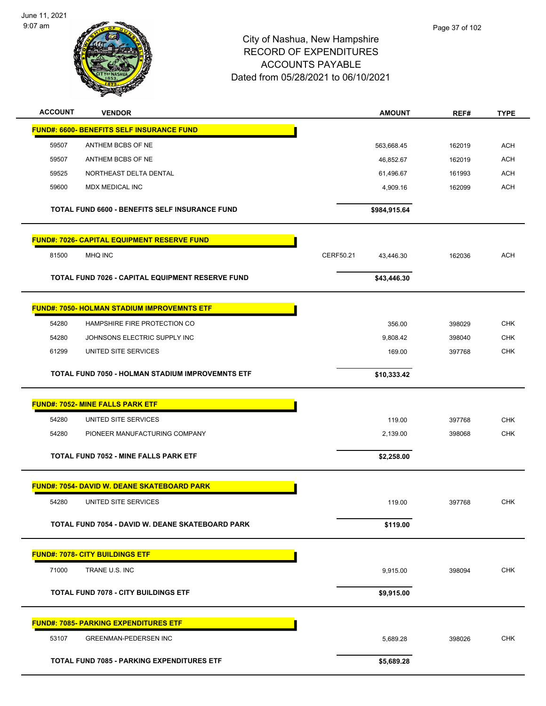

Page 37 of 102

| <b>ACCOUNT</b> | <b>VENDOR</b>                                         | <b>AMOUNT</b>          | REF#   | <b>TYPE</b> |
|----------------|-------------------------------------------------------|------------------------|--------|-------------|
|                | <b>FUND#: 6600- BENEFITS SELF INSURANCE FUND</b>      |                        |        |             |
| 59507          | ANTHEM BCBS OF NE                                     | 563,668.45             | 162019 | <b>ACH</b>  |
| 59507          | ANTHEM BCBS OF NE                                     | 46,852.67              | 162019 | <b>ACH</b>  |
| 59525          | NORTHEAST DELTA DENTAL                                | 61,496.67              | 161993 | <b>ACH</b>  |
| 59600          | MDX MEDICAL INC                                       | 4,909.16               | 162099 | <b>ACH</b>  |
|                | <b>TOTAL FUND 6600 - BENEFITS SELF INSURANCE FUND</b> | \$984,915.64           |        |             |
|                | <b>FUND#: 7026- CAPITAL EQUIPMENT RESERVE FUND</b>    |                        |        |             |
| 81500          | MHQ INC                                               | CERF50.21<br>43,446.30 | 162036 | <b>ACH</b>  |
|                | TOTAL FUND 7026 - CAPITAL EQUIPMENT RESERVE FUND      | \$43,446.30            |        |             |
|                | <b>FUND#: 7050- HOLMAN STADIUM IMPROVEMNTS ETF</b>    |                        |        |             |
| 54280          | HAMPSHIRE FIRE PROTECTION CO                          | 356.00                 | 398029 | <b>CHK</b>  |
| 54280          | JOHNSONS ELECTRIC SUPPLY INC                          | 9,808.42               | 398040 | <b>CHK</b>  |
| 61299          | UNITED SITE SERVICES                                  | 169.00                 | 397768 | <b>CHK</b>  |
|                | TOTAL FUND 7050 - HOLMAN STADIUM IMPROVEMNTS ETF      | \$10,333.42            |        |             |
|                | <b>FUND#: 7052- MINE FALLS PARK ETF</b>               |                        |        |             |
| 54280          | UNITED SITE SERVICES                                  | 119.00                 | 397768 | <b>CHK</b>  |
| 54280          | PIONEER MANUFACTURING COMPANY                         | 2,139.00               | 398068 | <b>CHK</b>  |
|                | TOTAL FUND 7052 - MINE FALLS PARK ETF                 | \$2,258.00             |        |             |
|                | <u> FUND#: 7054- DAVID W. DEANE SKATEBOARD PARK</u>   |                        |        |             |
| 54280          | UNITED SITE SERVICES                                  | 119.00                 | 397768 | <b>CHK</b>  |
|                | TOTAL FUND 7054 - DAVID W. DEANE SKATEBOARD PARK      | \$119.00               |        |             |
|                | <b>FUND#: 7078- CITY BUILDINGS ETF</b>                |                        |        |             |
| 71000          | TRANE U.S. INC                                        | 9,915.00               | 398094 | <b>CHK</b>  |
|                | <b>TOTAL FUND 7078 - CITY BUILDINGS ETF</b>           | \$9,915.00             |        |             |
|                |                                                       |                        |        |             |
|                | <b>FUND#: 7085- PARKING EXPENDITURES ETF</b>          |                        |        |             |
| 53107          | <b>GREENMAN-PEDERSEN INC</b>                          | 5,689.28               | 398026 | <b>CHK</b>  |
|                | TOTAL FUND 7085 - PARKING EXPENDITURES ETF            | \$5,689.28             |        |             |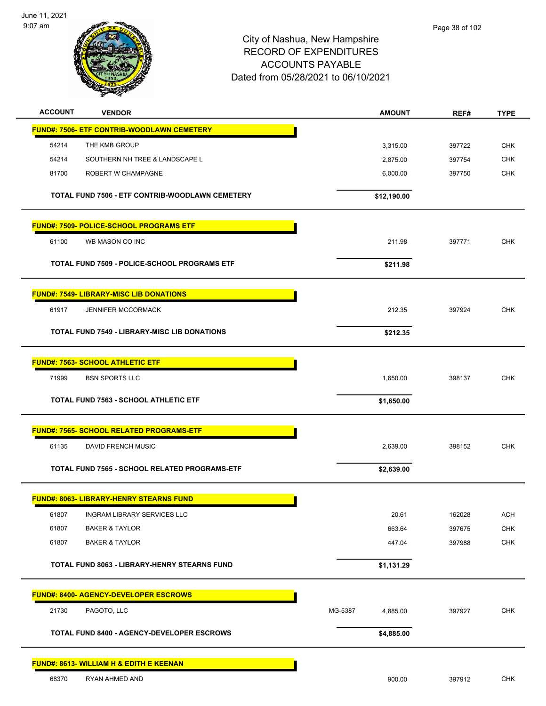

| <b>ACCOUNT</b> | <b>VENDOR</b>                                       | <b>AMOUNT</b>       | REF#   | <b>TYPE</b> |
|----------------|-----------------------------------------------------|---------------------|--------|-------------|
|                | <b>FUND#: 7506- ETF CONTRIB-WOODLAWN CEMETERY</b>   |                     |        |             |
| 54214          | THE KMB GROUP                                       | 3,315.00            | 397722 | <b>CHK</b>  |
| 54214          | SOUTHERN NH TREE & LANDSCAPE L                      | 2,875.00            | 397754 | <b>CHK</b>  |
| 81700          | ROBERT W CHAMPAGNE                                  | 6,000.00            | 397750 | <b>CHK</b>  |
|                | TOTAL FUND 7506 - ETF CONTRIB-WOODLAWN CEMETERY     | \$12,190.00         |        |             |
|                | <b>FUND#: 7509- POLICE-SCHOOL PROGRAMS ETF</b>      |                     |        |             |
| 61100          | WB MASON CO INC                                     | 211.98              | 397771 | <b>CHK</b>  |
|                | TOTAL FUND 7509 - POLICE-SCHOOL PROGRAMS ETF        | \$211.98            |        |             |
|                | <b>FUND#: 7549- LIBRARY-MISC LIB DONATIONS</b>      |                     |        |             |
| 61917          | <b>JENNIFER MCCORMACK</b>                           | 212.35              | 397924 | <b>CHK</b>  |
|                | <b>TOTAL FUND 7549 - LIBRARY-MISC LIB DONATIONS</b> | \$212.35            |        |             |
|                | <b>FUND#: 7563- SCHOOL ATHLETIC ETF</b>             |                     |        |             |
| 71999          | <b>BSN SPORTS LLC</b>                               | 1,650.00            | 398137 | <b>CHK</b>  |
|                | <b>TOTAL FUND 7563 - SCHOOL ATHLETIC ETF</b>        | \$1,650.00          |        |             |
|                | <b>FUND#: 7565- SCHOOL RELATED PROGRAMS-ETF</b>     |                     |        |             |
| 61135          | DAVID FRENCH MUSIC                                  | 2,639.00            | 398152 | <b>CHK</b>  |
|                | TOTAL FUND 7565 - SCHOOL RELATED PROGRAMS-ETF       | \$2,639.00          |        |             |
|                | <b>FUND#: 8063- LIBRARY-HENRY STEARNS FUND</b>      |                     |        |             |
| 61807          | <b>INGRAM LIBRARY SERVICES LLC</b>                  | 20.61               | 162028 | ACH         |
| 61807          | <b>BAKER &amp; TAYLOR</b>                           | 663.64              | 397675 | <b>CHK</b>  |
| 61807          | <b>BAKER &amp; TAYLOR</b>                           | 447.04              | 397988 | <b>CHK</b>  |
|                | TOTAL FUND 8063 - LIBRARY-HENRY STEARNS FUND        | \$1,131.29          |        |             |
|                | <b>FUND#: 8400- AGENCY-DEVELOPER ESCROWS</b>        |                     |        |             |
| 21730          | PAGOTO, LLC                                         | MG-5387<br>4,885.00 | 397927 | CHK         |
|                | <b>TOTAL FUND 8400 - AGENCY-DEVELOPER ESCROWS</b>   | \$4,885.00          |        |             |
|                | <u> FUND#: 8613- WILLIAM H &amp; EDITH E KEENAN</u> |                     |        |             |
| 68370          | RYAN AHMED AND                                      | 900.00              | 397912 | <b>CHK</b>  |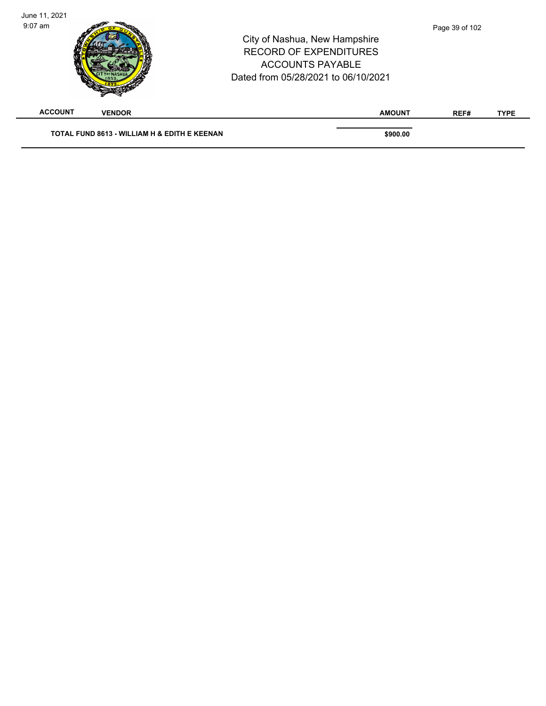| June 11, 2021  |                                              |                                                                                                                                  |                |             |
|----------------|----------------------------------------------|----------------------------------------------------------------------------------------------------------------------------------|----------------|-------------|
| $9:07$ am      |                                              | City of Nashua, New Hampshire<br><b>RECORD OF EXPENDITURES</b><br><b>ACCOUNTS PAYABLE</b><br>Dated from 05/28/2021 to 06/10/2021 | Page 39 of 102 |             |
| <b>ACCOUNT</b> | <b>VENDOR</b>                                | <b>AMOUNT</b>                                                                                                                    | REF#           | <b>TYPE</b> |
|                | TOTAL FUND 8613 - WILLIAM H & EDITH E KEENAN | \$900.00                                                                                                                         |                |             |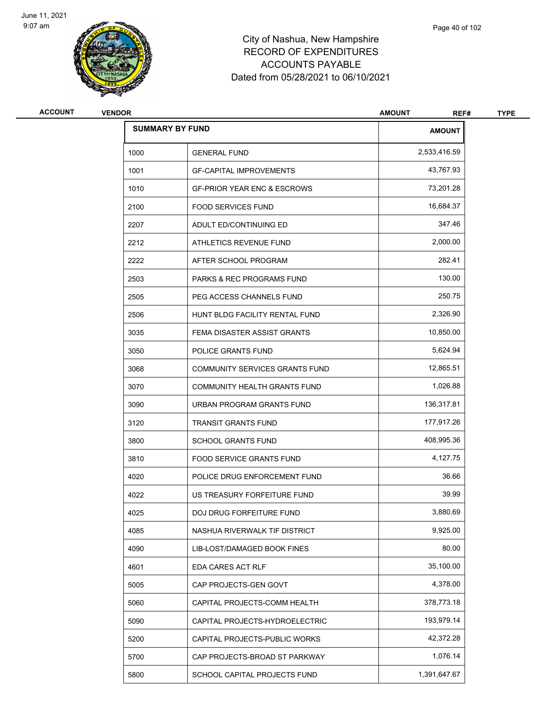

| <b>ACCOUNT</b> | <b>VENDOR</b> |                                        | <b>AMOUNT</b><br>REF# | <b>TYPE</b> |
|----------------|---------------|----------------------------------------|-----------------------|-------------|
|                |               | <b>SUMMARY BY FUND</b>                 | <b>AMOUNT</b>         |             |
|                | 1000          | <b>GENERAL FUND</b>                    | 2,533,416.59          |             |
|                | 1001          | <b>GF-CAPITAL IMPROVEMENTS</b>         | 43,767.93             |             |
|                | 1010          | <b>GF-PRIOR YEAR ENC &amp; ESCROWS</b> | 73,201.28             |             |
|                | 2100          | <b>FOOD SERVICES FUND</b>              | 16,684.37             |             |
|                | 2207          | ADULT ED/CONTINUING ED                 | 347.46                |             |
|                | 2212          | ATHLETICS REVENUE FUND                 | 2,000.00              |             |
|                | 2222          | AFTER SCHOOL PROGRAM                   | 282.41                |             |
|                | 2503          | PARKS & REC PROGRAMS FUND              | 130.00                |             |
|                | 2505          | PEG ACCESS CHANNELS FUND               | 250.75                |             |
|                | 2506          | HUNT BLDG FACILITY RENTAL FUND         | 2,326.90              |             |
|                | 3035          | FEMA DISASTER ASSIST GRANTS            | 10,850.00             |             |
|                | 3050          | POLICE GRANTS FUND                     | 5,624.94              |             |
|                | 3068          | COMMUNITY SERVICES GRANTS FUND         | 12,865.51             |             |
|                | 3070          | COMMUNITY HEALTH GRANTS FUND           | 1,026.88              |             |
|                | 3090          | URBAN PROGRAM GRANTS FUND              | 136,317.81            |             |
|                | 3120          | <b>TRANSIT GRANTS FUND</b>             | 177,917.26            |             |
|                | 3800          | <b>SCHOOL GRANTS FUND</b>              | 408,995.36            |             |
|                | 3810          | <b>FOOD SERVICE GRANTS FUND</b>        | 4,127.75              |             |
|                | 4020          | POLICE DRUG ENFORCEMENT FUND           | 36.66                 |             |
|                | 4022          | US TREASURY FORFEITURE FUND            | 39.99                 |             |
|                | 4025          | DOJ DRUG FORFEITURE FUND               | 3,880.69              |             |
|                | 4085          | NASHUA RIVERWALK TIF DISTRICT          | 9,925.00              |             |
|                | 4090          | LIB-LOST/DAMAGED BOOK FINES            | 80.00                 |             |
|                | 4601          | <b>EDA CARES ACT RLF</b>               | 35,100.00             |             |
|                | 5005          | CAP PROJECTS-GEN GOVT                  | 4,378.00              |             |
|                | 5060          | CAPITAL PROJECTS-COMM HEALTH           | 378,773.18            |             |
|                | 5090          | CAPITAL PROJECTS-HYDROELECTRIC         | 193,979.14            |             |
|                | 5200          | CAPITAL PROJECTS-PUBLIC WORKS          | 42,372.28             |             |
|                | 5700          | CAP PROJECTS-BROAD ST PARKWAY          | 1,076.14              |             |
|                | 5800          | SCHOOL CAPITAL PROJECTS FUND           | 1,391,647.67          |             |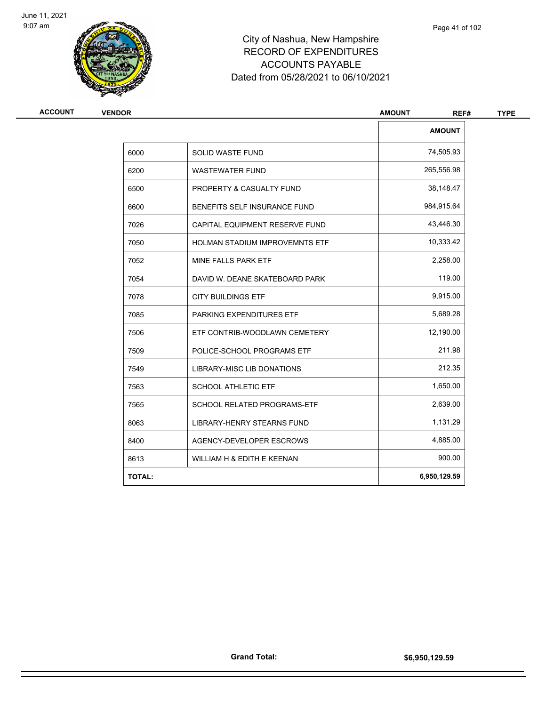

**ACCOUNT VENDOR AMOUNT REF# TYPE**

TO 7085 PARKING EXPENDITURES ETF THE STATE STATE STATE STATE STATE STATE STATE STATE STATE STATE STATE STATE S

7506 ETF CONTRIB-WOODLAWN CEMETERY 12,190.00 7509 POLICE-SCHOOL PROGRAMS ETF 211.98

7549 LIBRARY-MISC LIB DONATIONS 212.35

7563 SCHOOL ATHLETIC ETF 1,650.00 7565 SCHOOL RELATED PROGRAMS-ETF 2,639.00

8063 LIBRARY-HENRY STEARNS FUND 1,131.29 8400 AGENCY-DEVELOPER ESCROWS 4,885.00

8613 WILLIAM H & EDITH E KEENAN 1900.00 **TOTAL: 6,950,129.59**

**AMOUNT**

6000 SOLID WASTE FUND 74,505.93 6200 WASTEWATER FUND 265,556.98 6500 PROPERTY & CASUALTY FUND **12000 PROPERTY & CASUALTY FUND** 38,148.47 6600 BENEFITS SELF INSURANCE FUND 984,915.64 7026 CAPITAL EQUIPMENT RESERVE FUND 43,446.30 7050 HOLMAN STADIUM IMPROVEMNTS ETF 10,333.42 7052 MINE FALLS PARK ETF 2,258.00 7054 DAVID W. DEANE SKATEBOARD PARK 119.00 7078 CITY BUILDINGS ETF 9,915.00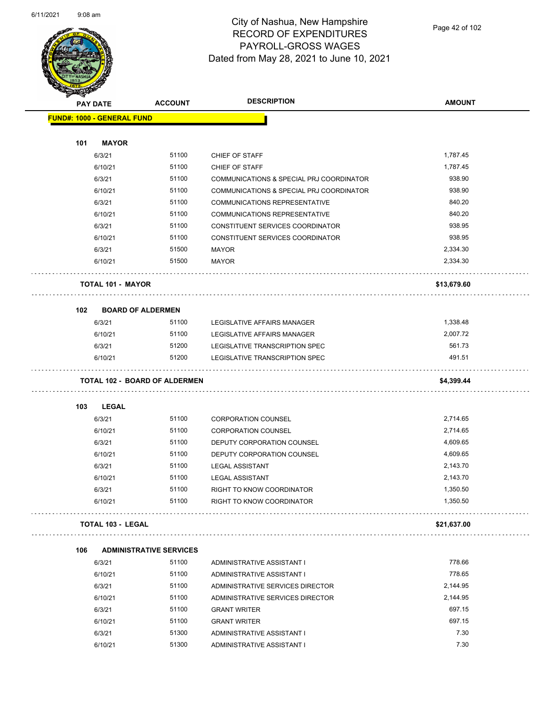

Page 42 of 102

|     | <b>PAY DATE</b>                   | <b>ACCOUNT</b>                       | <b>DESCRIPTION</b>                       | <b>AMOUNT</b>                     |
|-----|-----------------------------------|--------------------------------------|------------------------------------------|-----------------------------------|
|     | <b>FUND#: 1000 - GENERAL FUND</b> |                                      |                                          |                                   |
| 101 | <b>MAYOR</b>                      |                                      |                                          |                                   |
|     | 6/3/21                            | 51100                                | CHIEF OF STAFF                           | 1,787.45                          |
|     | 6/10/21                           | 51100                                | CHIEF OF STAFF                           | 1,787.45                          |
|     | 6/3/21                            | 51100                                | COMMUNICATIONS & SPECIAL PRJ COORDINATOR | 938.90                            |
|     | 6/10/21                           | 51100                                | COMMUNICATIONS & SPECIAL PRJ COORDINATOR | 938.90                            |
|     | 6/3/21                            | 51100                                | COMMUNICATIONS REPRESENTATIVE            | 840.20                            |
|     | 6/10/21                           | 51100                                | COMMUNICATIONS REPRESENTATIVE            | 840.20                            |
|     | 6/3/21                            | 51100                                | CONSTITUENT SERVICES COORDINATOR         | 938.95                            |
|     | 6/10/21                           | 51100                                | CONSTITUENT SERVICES COORDINATOR         | 938.95                            |
|     | 6/3/21                            | 51500                                | <b>MAYOR</b>                             | 2,334.30                          |
|     | 6/10/21                           | 51500                                | <b>MAYOR</b>                             | 2,334.30                          |
|     | TOTAL 101 - MAYOR                 |                                      |                                          | \$13,679.60                       |
| 102 | <b>BOARD OF ALDERMEN</b>          |                                      |                                          |                                   |
|     | 6/3/21                            | 51100                                | LEGISLATIVE AFFAIRS MANAGER              | 1,338.48                          |
|     | 6/10/21                           | 51100                                | LEGISLATIVE AFFAIRS MANAGER              | 2,007.72                          |
|     | 6/3/21                            | 51200                                | LEGISLATIVE TRANSCRIPTION SPEC           | 561.73                            |
|     | 6/10/21                           | 51200                                | LEGISLATIVE TRANSCRIPTION SPEC           | 491.51                            |
|     |                                   | <b>TOTAL 102 - BOARD OF ALDERMEN</b> |                                          | \$4,399.44                        |
| 103 | <b>LEGAL</b>                      |                                      |                                          |                                   |
|     | 6/3/21                            | 51100                                | <b>CORPORATION COUNSEL</b>               | 2,714.65                          |
|     | 6/10/21                           | 51100                                | <b>CORPORATION COUNSEL</b>               | 2,714.65                          |
|     | 6/3/21                            | 51100                                | DEPUTY CORPORATION COUNSEL               | 4,609.65                          |
|     | 6/10/21                           | 51100                                | DEPUTY CORPORATION COUNSEL               | 4,609.65                          |
|     | 6/3/21                            | 51100                                | <b>LEGAL ASSISTANT</b>                   | 2,143.70                          |
|     | 6/10/21                           | 51100                                | <b>LEGAL ASSISTANT</b>                   | 2,143.70                          |
|     | 6/3/21                            | 51100                                | RIGHT TO KNOW COORDINATOR                | 1,350.50                          |
|     | 6/10/21                           | 51100                                | RIGHT TO KNOW COORDINATOR                | 1,350.50<br>dia dia dia dia dia k |
|     | <b>TOTAL 103 - LEGAL</b>          |                                      |                                          | \$21,637.00                       |
|     |                                   |                                      |                                          |                                   |
| 106 |                                   | <b>ADMINISTRATIVE SERVICES</b>       |                                          |                                   |
|     | 6/3/21                            | 51100                                | ADMINISTRATIVE ASSISTANT I               | 778.66                            |
|     | 6/10/21                           | 51100                                | ADMINISTRATIVE ASSISTANT I               | 778.65                            |
|     | 6/3/21                            | 51100                                | ADMINISTRATIVE SERVICES DIRECTOR         | 2,144.95                          |
|     | 6/10/21                           | 51100                                | ADMINISTRATIVE SERVICES DIRECTOR         | 2,144.95                          |
|     | 6/3/21                            | 51100                                | <b>GRANT WRITER</b>                      | 697.15                            |
|     | 6/10/21                           | 51100                                | <b>GRANT WRITER</b>                      | 697.15                            |
|     | 6/3/21                            | 51300                                | ADMINISTRATIVE ASSISTANT I               | 7.30                              |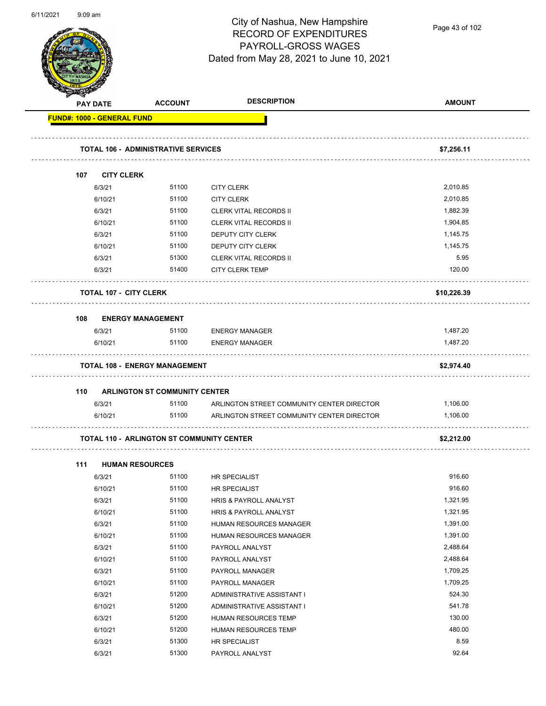

Page 43 of 102

| PAY DATE                          |                               | <b>ACCOUNT</b>                                   | <b>DESCRIPTION</b>                         | <b>AMOUNT</b> |
|-----------------------------------|-------------------------------|--------------------------------------------------|--------------------------------------------|---------------|
| <b>FUND#: 1000 - GENERAL FUND</b> |                               |                                                  |                                            |               |
|                                   |                               |                                                  |                                            |               |
|                                   |                               | <b>TOTAL 106 - ADMINISTRATIVE SERVICES</b>       |                                            | \$7,256.11    |
| 107                               | <b>CITY CLERK</b>             |                                                  |                                            |               |
|                                   | 6/3/21                        | 51100                                            | <b>CITY CLERK</b>                          | 2,010.85      |
|                                   | 6/10/21                       | 51100                                            | <b>CITY CLERK</b>                          | 2.010.85      |
|                                   | 6/3/21                        | 51100                                            | <b>CLERK VITAL RECORDS II</b>              | 1,882.39      |
|                                   | 6/10/21                       | 51100                                            | <b>CLERK VITAL RECORDS II</b>              | 1,904.85      |
|                                   | 6/3/21                        | 51100                                            | DEPUTY CITY CLERK                          | 1,145.75      |
|                                   | 6/10/21                       | 51100                                            | DEPUTY CITY CLERK                          | 1,145.75      |
|                                   | 6/3/21                        | 51300                                            | <b>CLERK VITAL RECORDS II</b>              | 5.95          |
|                                   | 6/3/21                        | 51400                                            | <b>CITY CLERK TEMP</b>                     | 120.00        |
|                                   | <b>TOTAL 107 - CITY CLERK</b> |                                                  |                                            | \$10,226.39   |
| 108                               |                               | <b>ENERGY MANAGEMENT</b>                         |                                            |               |
|                                   | 6/3/21                        | 51100                                            | <b>ENERGY MANAGER</b>                      | 1,487.20      |
|                                   | 6/10/21                       | 51100                                            | <b>ENERGY MANAGER</b>                      | 1,487.20      |
|                                   |                               |                                                  |                                            |               |
|                                   |                               | <b>TOTAL 108 - ENERGY MANAGEMENT</b>             |                                            | \$2,974.40    |
| 110                               |                               | <b>ARLINGTON ST COMMUNITY CENTER</b>             |                                            |               |
|                                   | 6/3/21                        | 51100                                            | ARLINGTON STREET COMMUNITY CENTER DIRECTOR | 1,106.00      |
|                                   | 6/10/21                       | 51100                                            | ARLINGTON STREET COMMUNITY CENTER DIRECTOR | 1,106.00      |
|                                   |                               | <b>TOTAL 110 - ARLINGTON ST COMMUNITY CENTER</b> |                                            | \$2,212.00    |
| 111                               | <b>HUMAN RESOURCES</b>        |                                                  |                                            |               |
|                                   | 6/3/21                        | 51100                                            | <b>HR SPECIALIST</b>                       | 916.60        |
|                                   | 6/10/21                       | 51100                                            | HR SPECIALIST                              | 916.60        |
|                                   | 6/3/21                        | 51100                                            | HRIS & PAYROLL ANALYST                     | 1,321.95      |
|                                   | 6/10/21                       | 51100                                            | HRIS & PAYROLL ANALYST                     | 1,321.95      |
|                                   | 6/3/21                        | 51100                                            | HUMAN RESOURCES MANAGER                    | 1,391.00      |
|                                   | 6/10/21                       | 51100                                            | HUMAN RESOURCES MANAGER                    | 1,391.00      |
|                                   | 6/3/21                        | 51100                                            | PAYROLL ANALYST                            | 2,488.64      |
|                                   | 6/10/21                       | 51100                                            | PAYROLL ANALYST                            | 2,488.64      |
|                                   | 6/3/21                        | 51100                                            | PAYROLL MANAGER                            | 1,709.25      |
|                                   | 6/10/21                       | 51100                                            | PAYROLL MANAGER                            | 1,709.25      |
|                                   | 6/3/21                        | 51200                                            | ADMINISTRATIVE ASSISTANT I                 | 524.30        |
|                                   | 6/10/21                       | 51200                                            | ADMINISTRATIVE ASSISTANT I                 | 541.78        |
|                                   | 6/3/21                        | 51200                                            | HUMAN RESOURCES TEMP                       | 130.00        |
|                                   | 6/10/21                       | 51200                                            | HUMAN RESOURCES TEMP                       | 480.00        |
|                                   | 6/3/21                        | 51300                                            | HR SPECIALIST                              | 8.59          |
|                                   | 6/3/21                        | 51300                                            | PAYROLL ANALYST                            | 92.64         |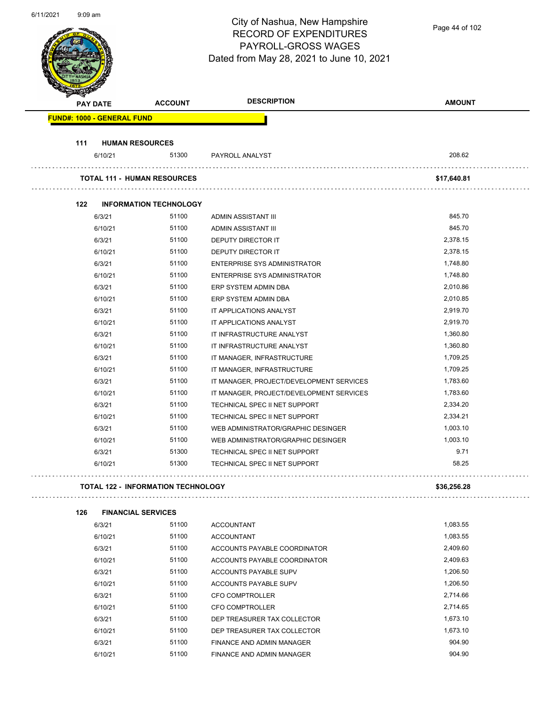| 6/11/2021 | $9:09$ am       |                                   |                                           | City of Nashua, New Hampshire<br><b>RECORD OF EXPENDITURES</b><br>PAYROLL-GROSS WAGES<br>Dated from May 28, 2021 to June 10, 2021 | Page 44 of 102 |
|-----------|-----------------|-----------------------------------|-------------------------------------------|-----------------------------------------------------------------------------------------------------------------------------------|----------------|
|           | <b>PAY DATE</b> |                                   | <b>ACCOUNT</b>                            | <b>DESCRIPTION</b>                                                                                                                | <b>AMOUNT</b>  |
|           |                 | <b>FUND#: 1000 - GENERAL FUND</b> |                                           |                                                                                                                                   |                |
|           |                 |                                   |                                           |                                                                                                                                   |                |
|           | 111             | <b>HUMAN RESOURCES</b>            |                                           |                                                                                                                                   |                |
|           |                 | 6/10/21                           | 51300                                     | PAYROLL ANALYST                                                                                                                   | 208.62         |
|           |                 |                                   | <b>TOTAL 111 - HUMAN RESOURCES</b>        |                                                                                                                                   | \$17,640.81    |
|           | 122             |                                   | <b>INFORMATION TECHNOLOGY</b>             |                                                                                                                                   |                |
|           |                 | 6/3/21                            | 51100                                     | ADMIN ASSISTANT III                                                                                                               | 845.70         |
|           |                 | 6/10/21                           | 51100                                     | ADMIN ASSISTANT III                                                                                                               | 845.70         |
|           |                 | 6/3/21                            | 51100                                     | <b>DEPUTY DIRECTOR IT</b>                                                                                                         | 2,378.15       |
|           |                 | 6/10/21                           | 51100                                     | DEPUTY DIRECTOR IT                                                                                                                | 2,378.15       |
|           |                 | 6/3/21                            | 51100                                     | <b>ENTERPRISE SYS ADMINISTRATOR</b>                                                                                               | 1,748.80       |
|           |                 | 6/10/21                           | 51100                                     | <b>ENTERPRISE SYS ADMINISTRATOR</b>                                                                                               | 1,748.80       |
|           |                 | 6/3/21                            | 51100                                     | ERP SYSTEM ADMIN DBA                                                                                                              | 2,010.86       |
|           |                 | 6/10/21                           | 51100                                     | ERP SYSTEM ADMIN DBA                                                                                                              | 2,010.85       |
|           |                 | 6/3/21                            | 51100                                     | IT APPLICATIONS ANALYST                                                                                                           | 2,919.70       |
|           |                 | 6/10/21                           | 51100                                     | IT APPLICATIONS ANALYST                                                                                                           | 2,919.70       |
|           |                 | 6/3/21                            | 51100                                     | IT INFRASTRUCTURE ANALYST                                                                                                         | 1,360.80       |
|           |                 | 6/10/21                           | 51100                                     | IT INFRASTRUCTURE ANALYST                                                                                                         | 1,360.80       |
|           |                 | 6/3/21                            | 51100                                     | IT MANAGER, INFRASTRUCTURE                                                                                                        | 1,709.25       |
|           |                 | 6/10/21                           | 51100                                     | IT MANAGER, INFRASTRUCTURE                                                                                                        | 1,709.25       |
|           |                 | 6/3/21                            | 51100                                     | IT MANAGER, PROJECT/DEVELOPMENT SERVICES                                                                                          | 1,783.60       |
|           |                 | 6/10/21                           | 51100                                     | IT MANAGER, PROJECT/DEVELOPMENT SERVICES                                                                                          | 1,783.60       |
|           |                 | 6/3/21                            | 51100                                     | TECHNICAL SPEC II NET SUPPORT                                                                                                     | 2,334.20       |
|           |                 | 6/10/21                           | 51100                                     | TECHNICAL SPEC II NET SUPPORT                                                                                                     | 2,334.21       |
|           |                 | 6/3/21                            | 51100                                     | WEB ADMINISTRATOR/GRAPHIC DESINGER                                                                                                | 1,003.10       |
|           |                 | 6/10/21                           | 51100                                     | WEB ADMINISTRATOR/GRAPHIC DESINGER                                                                                                | 1,003.10       |
|           |                 | 6/3/21                            | 51300                                     | TECHNICAL SPEC II NET SUPPORT                                                                                                     | 9.71           |
|           |                 | 6/10/21                           | 51300                                     | TECHNICAL SPEC II NET SUPPORT                                                                                                     | 58.25          |
|           |                 |                                   | <b>TOTAL 122 - INFORMATION TECHNOLOGY</b> |                                                                                                                                   | \$36,256.28    |
|           | 126             | <b>FINANCIAL SERVICES</b>         |                                           |                                                                                                                                   |                |
|           |                 | 6/3/21                            | 51100                                     | <b>ACCOUNTANT</b>                                                                                                                 | 1,083.55       |
|           |                 | 6/10/21                           | 51100                                     | ACCOUNTANT                                                                                                                        | 1 083 55       |

| 6/3/21  | 51100 | ACCOUNTANT                   | 1,083.55 |
|---------|-------|------------------------------|----------|
| 6/10/21 | 51100 | <b>ACCOUNTANT</b>            | 1.083.55 |
| 6/3/21  | 51100 | ACCOUNTS PAYABLE COORDINATOR | 2.409.60 |
| 6/10/21 | 51100 | ACCOUNTS PAYABLE COORDINATOR | 2,409.63 |
| 6/3/21  | 51100 | ACCOUNTS PAYABLE SUPV        | 1,206.50 |
| 6/10/21 | 51100 | ACCOUNTS PAYABLE SUPV        | 1.206.50 |
| 6/3/21  | 51100 | CFO COMPTROLLER              | 2,714.66 |
| 6/10/21 | 51100 | CFO COMPTROLLER              | 2.714.65 |
| 6/3/21  | 51100 | DEP TREASURER TAX COLLECTOR  | 1.673.10 |
| 6/10/21 | 51100 | DEP TREASURER TAX COLLECTOR  | 1,673.10 |
| 6/3/21  | 51100 | FINANCE AND ADMIN MANAGER    | 904.90   |
| 6/10/21 | 51100 | FINANCE AND ADMIN MANAGER    | 904.90   |
|         |       |                              |          |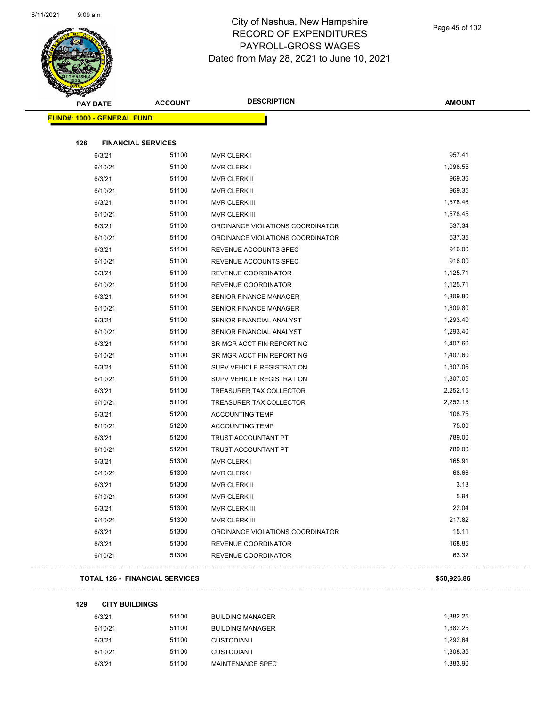

| <b>PAY DATE</b>                   | <b>ACCOUNT</b>            | <b>DESCRIPTION</b>               | <b>AMOUNT</b> |
|-----------------------------------|---------------------------|----------------------------------|---------------|
| <b>FUND#: 1000 - GENERAL FUND</b> |                           |                                  |               |
| 126                               | <b>FINANCIAL SERVICES</b> |                                  |               |
| 6/3/21                            | 51100                     | <b>MVR CLERK I</b>               | 957.41        |
| 6/10/21                           | 51100                     | <b>MVR CLERK I</b>               | 1,098.55      |
| 6/3/21                            | 51100                     | <b>MVR CLERK II</b>              | 969.36        |
| 6/10/21                           | 51100                     | MVR CLERK II                     | 969.35        |
| 6/3/21                            | 51100                     | MVR CLERK III                    | 1,578.46      |
| 6/10/21                           | 51100                     | <b>MVR CLERK III</b>             | 1,578.45      |
| 6/3/21                            | 51100                     | ORDINANCE VIOLATIONS COORDINATOR | 537.34        |
| 6/10/21                           | 51100                     | ORDINANCE VIOLATIONS COORDINATOR | 537.35        |
| 6/3/21                            | 51100                     | REVENUE ACCOUNTS SPEC            | 916.00        |
| 6/10/21                           | 51100                     | REVENUE ACCOUNTS SPEC            | 916.00        |
| 6/3/21                            | 51100                     | REVENUE COORDINATOR              | 1,125.71      |
| 6/10/21                           | 51100                     | REVENUE COORDINATOR              | 1,125.71      |
| 6/3/21                            | 51100                     | <b>SENIOR FINANCE MANAGER</b>    | 1,809.80      |
| 6/10/21                           | 51100                     | <b>SENIOR FINANCE MANAGER</b>    | 1,809.80      |
| 6/3/21                            | 51100                     | SENIOR FINANCIAL ANALYST         | 1,293.40      |
| 6/10/21                           | 51100                     | SENIOR FINANCIAL ANALYST         | 1,293.40      |
| 6/3/21                            | 51100                     | SR MGR ACCT FIN REPORTING        | 1,407.60      |
| 6/10/21                           | 51100                     | SR MGR ACCT FIN REPORTING        | 1,407.60      |
| 6/3/21                            | 51100                     | SUPV VEHICLE REGISTRATION        | 1,307.05      |
| 6/10/21                           | 51100                     | <b>SUPV VEHICLE REGISTRATION</b> | 1,307.05      |
| 6/3/21                            | 51100                     | TREASURER TAX COLLECTOR          | 2,252.15      |
| 6/10/21                           | 51100                     | TREASURER TAX COLLECTOR          | 2,252.15      |
| 6/3/21                            | 51200                     | <b>ACCOUNTING TEMP</b>           | 108.75        |
| 6/10/21                           | 51200                     | <b>ACCOUNTING TEMP</b>           | 75.00         |
| 6/3/21                            | 51200                     | TRUST ACCOUNTANT PT              | 789.00        |
| 6/10/21                           | 51200                     | TRUST ACCOUNTANT PT              | 789.00        |
| 6/3/21                            | 51300                     | <b>MVR CLERK I</b>               | 165.91        |
| 6/10/21                           | 51300                     | <b>MVR CLERK I</b>               | 68.66         |
| 6/3/21                            | 51300                     | <b>MVR CLERK II</b>              | 3.13          |
| 6/10/21                           | 51300                     | MVR CLERK II                     | 5.94          |
| 6/3/21                            | 51300                     | MVR CLERK III                    | 22.04         |
| 6/10/21                           | 51300                     | <b>MVR CLERK III</b>             | 217.82        |
| 6/3/21                            | 51300                     | ORDINANCE VIOLATIONS COORDINATOR | 15.11         |
| 6/3/21                            | 51300                     | REVENUE COORDINATOR              | 168.85        |
| 6/10/21                           | 51300                     | REVENUE COORDINATOR              | 63.32         |

#### **TOTAL 126 - FINANCIAL SERVICES \$50,926.86**

**129 CITY BUILDINGS**

| 6/3/21  | 51100 | <b>BUILDING MANAGER</b> | 1.382.25 |
|---------|-------|-------------------------|----------|
| 6/10/21 | 51100 | <b>BUILDING MANAGER</b> | 1.382.25 |
| 6/3/21  | 51100 | <b>CUSTODIAN I</b>      | 1.292.64 |
| 6/10/21 | 51100 | <b>CUSTODIAN I</b>      | 1.308.35 |
| 6/3/21  | 51100 | MAINTENANCE SPEC        | 1.383.90 |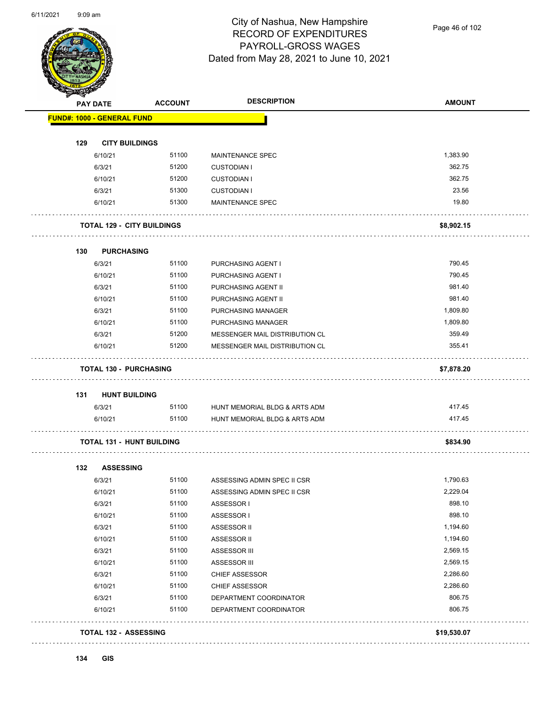

Page 46 of 102

| <b>PAY DATE</b>                   | <b>ACCOUNT</b> | <b>DESCRIPTION</b>                       | <b>AMOUNT</b>      |
|-----------------------------------|----------------|------------------------------------------|--------------------|
| <b>FUND#: 1000 - GENERAL FUND</b> |                |                                          |                    |
|                                   |                |                                          |                    |
| 129<br><b>CITY BUILDINGS</b>      |                |                                          |                    |
| 6/10/21                           | 51100<br>51200 | <b>MAINTENANCE SPEC</b>                  | 1,383.90<br>362.75 |
| 6/3/21<br>6/10/21                 | 51200          | <b>CUSTODIAN I</b><br><b>CUSTODIAN I</b> | 362.75             |
| 6/3/21                            | 51300          | <b>CUSTODIAN I</b>                       | 23.56              |
| 6/10/21                           | 51300          | MAINTENANCE SPEC                         | 19.80              |
| <b>TOTAL 129 - CITY BUILDINGS</b> |                |                                          | \$8,902.15         |
| 130<br><b>PURCHASING</b>          |                |                                          |                    |
| 6/3/21                            | 51100          | PURCHASING AGENT I                       | 790.45             |
| 6/10/21                           | 51100          | PURCHASING AGENT I                       | 790.45             |
| 6/3/21                            | 51100          | PURCHASING AGENT II                      | 981.40             |
| 6/10/21                           | 51100          | PURCHASING AGENT II                      | 981.40             |
| 6/3/21                            | 51100          | PURCHASING MANAGER                       | 1,809.80           |
| 6/10/21                           | 51100          | PURCHASING MANAGER                       | 1,809.80           |
| 6/3/21                            | 51200          | MESSENGER MAIL DISTRIBUTION CL           | 359.49             |
| 6/10/21                           | 51200          | MESSENGER MAIL DISTRIBUTION CL           | 355.41             |
| <b>TOTAL 130 - PURCHASING</b>     |                |                                          | \$7,878.20         |
| 131<br><b>HUNT BUILDING</b>       |                |                                          |                    |
| 6/3/21                            |                | 51100 HUNT MEMORIAL BLDG & ARTS ADM      | 417.45             |
| 6/10/21                           | 51100          | HUNT MEMORIAL BLDG & ARTS ADM            | 417.45             |
| <b>TOTAL 131 - HUNT BUILDING</b>  |                |                                          | \$834.90           |
| 132<br><b>ASSESSING</b>           |                |                                          |                    |
| 6/3/21                            | 51100          | ASSESSING ADMIN SPEC II CSR              | 1,790.63           |
| 6/10/21                           | 51100          | ASSESSING ADMIN SPEC II CSR              | 2,229.04           |
| 6/3/21                            | 51100          | ASSESSOR I                               | 898.10             |
| 6/10/21                           | 51100          | ASSESSOR I                               | 898.10             |
| 6/3/21                            | 51100          | ASSESSOR II                              | 1,194.60           |
| 6/10/21                           | 51100          | ASSESSOR II                              | 1,194.60           |
| 6/3/21                            | 51100          | ASSESSOR III                             | 2,569.15           |
| 6/10/21                           | 51100          | ASSESSOR III                             | 2,569.15           |
| 6/3/21                            | 51100          | CHIEF ASSESSOR                           | 2,286.60           |
| 6/10/21                           | 51100          | <b>CHIEF ASSESSOR</b>                    | 2,286.60           |
| 6/3/21                            | 51100          | DEPARTMENT COORDINATOR                   | 806.75             |
| 6/10/21                           | 51100          | DEPARTMENT COORDINATOR                   | 806.75             |
|                                   |                |                                          |                    |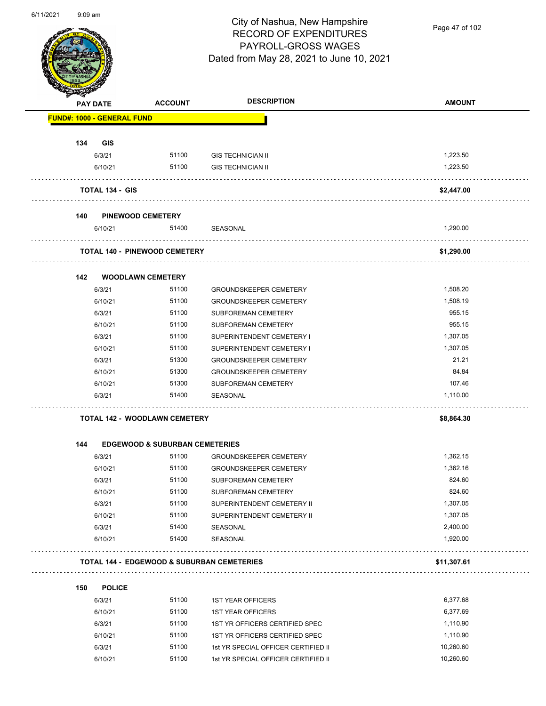

Page 47 of 102

|     | <b>PAY DATE</b>                   | <b>ACCOUNT</b>                            | <b>DESCRIPTION</b>                                    | <b>AMOUNT</b> |
|-----|-----------------------------------|-------------------------------------------|-------------------------------------------------------|---------------|
|     | <b>FUND#: 1000 - GENERAL FUND</b> |                                           |                                                       |               |
| 134 | <b>GIS</b>                        |                                           |                                                       |               |
|     | 6/3/21                            | 51100                                     | <b>GIS TECHNICIAN II</b>                              | 1,223.50      |
|     | 6/10/21                           | 51100                                     | <b>GIS TECHNICIAN II</b>                              | 1,223.50      |
|     | <b>TOTAL 134 - GIS</b>            |                                           |                                                       | \$2,447.00    |
| 140 |                                   | <b>PINEWOOD CEMETERY</b>                  |                                                       |               |
|     | 6/10/21                           | 51400                                     | SEASONAL                                              | 1,290.00      |
|     |                                   | <b>TOTAL 140 - PINEWOOD CEMETERY</b>      |                                                       | \$1,290.00    |
| 142 |                                   | <b>WOODLAWN CEMETERY</b>                  |                                                       |               |
|     | 6/3/21                            | 51100                                     | <b>GROUNDSKEEPER CEMETERY</b>                         | 1,508.20      |
|     | 6/10/21                           | 51100                                     | <b>GROUNDSKEEPER CEMETERY</b>                         | 1,508.19      |
|     | 6/3/21                            | 51100                                     | SUBFOREMAN CEMETERY                                   | 955.15        |
|     | 6/10/21                           | 51100                                     | SUBFOREMAN CEMETERY                                   | 955.15        |
|     | 6/3/21                            | 51100                                     | SUPERINTENDENT CEMETERY I                             | 1,307.05      |
|     | 6/10/21                           | 51100                                     | SUPERINTENDENT CEMETERY I                             | 1,307.05      |
|     | 6/3/21                            | 51300                                     | <b>GROUNDSKEEPER CEMETERY</b>                         | 21.21         |
|     | 6/10/21                           | 51300                                     | <b>GROUNDSKEEPER CEMETERY</b>                         | 84.84         |
|     | 6/10/21                           | 51300                                     | SUBFOREMAN CEMETERY                                   | 107.46        |
|     | 6/3/21                            | 51400                                     | SEASONAL                                              | 1,110.00      |
|     |                                   | <b>TOTAL 142 - WOODLAWN CEMETERY</b>      |                                                       | \$8,864.30    |
| 144 |                                   | <b>EDGEWOOD &amp; SUBURBAN CEMETERIES</b> |                                                       |               |
|     | 6/3/21                            | 51100                                     | <b>GROUNDSKEEPER CEMETERY</b>                         | 1,362.15      |
|     | 6/10/21                           | 51100                                     | <b>GROUNDSKEEPER CEMETERY</b>                         | 1,362.16      |
|     | 6/3/21                            | 51100                                     | SUBFOREMAN CEMETERY                                   | 824.60        |
|     | 6/10/21                           | 51100                                     | SUBFOREMAN CEMETERY                                   | 824.60        |
|     | 6/3/21                            | 51100                                     | SUPERINTENDENT CEMETERY II                            | 1,307.05      |
|     | 6/10/21                           | 51100                                     | SUPERINTENDENT CEMETERY II                            | 1,307.05      |
|     | 6/3/21                            | 51400                                     | SEASONAL                                              | 2,400.00      |
|     | 6/10/21                           | 51400                                     | SEASONAL                                              | 1,920.00      |
|     |                                   |                                           | <b>TOTAL 144 - EDGEWOOD &amp; SUBURBAN CEMETERIES</b> | \$11,307.61   |
| 150 | <b>POLICE</b>                     |                                           |                                                       |               |
|     | 6/3/21                            | 51100                                     | <b>1ST YEAR OFFICERS</b>                              | 6,377.68      |
|     | 6/10/21                           | 51100                                     | <b>1ST YEAR OFFICERS</b>                              | 6,377.69      |
|     | 6/3/21                            | 51100                                     | 1ST YR OFFICERS CERTIFIED SPEC                        | 1,110.90      |
|     | 6/10/21                           | 51100                                     | 1ST YR OFFICERS CERTIFIED SPEC                        | 1,110.90      |

6/3/21 51100 1st YR SPECIAL OFFICER CERTIFIED II 10,260.60 6/10/21 51100 1st YR SPECIAL OFFICER CERTIFIED II 10,260.60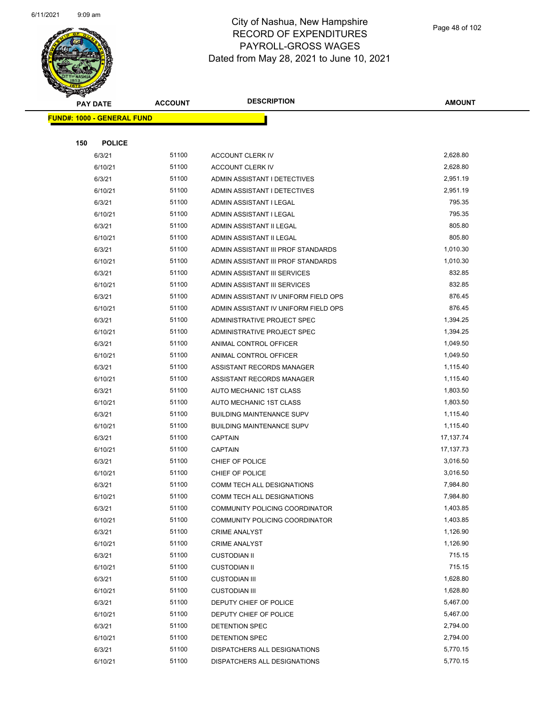

Page 48 of 102

| <b>PAY DATE</b>                   | <b>ACCOUNT</b> | <b>DESCRIPTION</b>                   | <b>AMOUNT</b> |
|-----------------------------------|----------------|--------------------------------------|---------------|
| <b>FUND#: 1000 - GENERAL FUND</b> |                |                                      |               |
|                                   |                |                                      |               |
| 150<br><b>POLICE</b>              |                |                                      |               |
| 6/3/21                            | 51100          | <b>ACCOUNT CLERK IV</b>              | 2,628.80      |
| 6/10/21                           | 51100          | <b>ACCOUNT CLERK IV</b>              | 2,628.80      |
| 6/3/21                            | 51100          | ADMIN ASSISTANT I DETECTIVES         | 2,951.19      |
| 6/10/21                           | 51100          | ADMIN ASSISTANT I DETECTIVES         | 2,951.19      |
| 6/3/21                            | 51100          | ADMIN ASSISTANT I LEGAL              | 795.35        |
| 6/10/21                           | 51100          | ADMIN ASSISTANT I LEGAL              | 795.35        |
| 6/3/21                            | 51100          | ADMIN ASSISTANT II LEGAL             | 805.80        |
| 6/10/21                           | 51100          | ADMIN ASSISTANT II LEGAL             | 805.80        |
| 6/3/21                            | 51100          | ADMIN ASSISTANT III PROF STANDARDS   | 1,010.30      |
| 6/10/21                           | 51100          | ADMIN ASSISTANT III PROF STANDARDS   | 1,010.30      |
| 6/3/21                            | 51100          | ADMIN ASSISTANT III SERVICES         | 832.85        |
| 6/10/21                           | 51100          | ADMIN ASSISTANT III SERVICES         | 832.85        |
| 6/3/21                            | 51100          | ADMIN ASSISTANT IV UNIFORM FIELD OPS | 876.45        |
| 6/10/21                           | 51100          | ADMIN ASSISTANT IV UNIFORM FIELD OPS | 876.45        |
| 6/3/21                            | 51100          | ADMINISTRATIVE PROJECT SPEC          | 1,394.25      |
| 6/10/21                           | 51100          | ADMINISTRATIVE PROJECT SPEC          | 1,394.25      |
| 6/3/21                            | 51100          | ANIMAL CONTROL OFFICER               | 1,049.50      |
| 6/10/21                           | 51100          | ANIMAL CONTROL OFFICER               | 1,049.50      |
| 6/3/21                            | 51100          | ASSISTANT RECORDS MANAGER            | 1,115.40      |
| 6/10/21                           | 51100          | ASSISTANT RECORDS MANAGER            | 1,115.40      |
| 6/3/21                            | 51100          | AUTO MECHANIC 1ST CLASS              | 1,803.50      |
| 6/10/21                           | 51100          | AUTO MECHANIC 1ST CLASS              | 1,803.50      |
| 6/3/21                            | 51100          | <b>BUILDING MAINTENANCE SUPV</b>     | 1,115.40      |
| 6/10/21                           | 51100          | <b>BUILDING MAINTENANCE SUPV</b>     | 1,115.40      |
| 6/3/21                            | 51100          | <b>CAPTAIN</b>                       | 17,137.74     |
| 6/10/21                           | 51100          | <b>CAPTAIN</b>                       | 17,137.73     |
| 6/3/21                            | 51100          | CHIEF OF POLICE                      | 3,016.50      |
| 6/10/21                           | 51100          | CHIEF OF POLICE                      | 3,016.50      |
| 6/3/21                            | 51100          | COMM TECH ALL DESIGNATIONS           | 7,984.80      |
| 6/10/21                           | 51100          | COMM TECH ALL DESIGNATIONS           | 7,984.80      |
| 6/3/21                            | 51100          | COMMUNITY POLICING COORDINATOR       | 1,403.85      |
| 6/10/21                           | 51100          | COMMUNITY POLICING COORDINATOR       | 1,403.85      |
| 6/3/21                            | 51100          | <b>CRIME ANALYST</b>                 | 1,126.90      |
| 6/10/21                           | 51100          | <b>CRIME ANALYST</b>                 | 1,126.90      |
| 6/3/21                            | 51100          | <b>CUSTODIAN II</b>                  | 715.15        |
| 6/10/21                           | 51100          | <b>CUSTODIAN II</b>                  | 715.15        |
| 6/3/21                            | 51100          | <b>CUSTODIAN III</b>                 | 1,628.80      |
| 6/10/21                           | 51100          | <b>CUSTODIAN III</b>                 | 1,628.80      |
| 6/3/21                            | 51100          | DEPUTY CHIEF OF POLICE               | 5,467.00      |
| 6/10/21                           | 51100          | DEPUTY CHIEF OF POLICE               | 5,467.00      |
| 6/3/21                            | 51100          | DETENTION SPEC                       | 2,794.00      |
| 6/10/21                           | 51100          | DETENTION SPEC                       | 2,794.00      |
| 6/3/21                            | 51100          | DISPATCHERS ALL DESIGNATIONS         | 5,770.15      |
| 6/10/21                           | 51100          | DISPATCHERS ALL DESIGNATIONS         | 5,770.15      |
|                                   |                |                                      |               |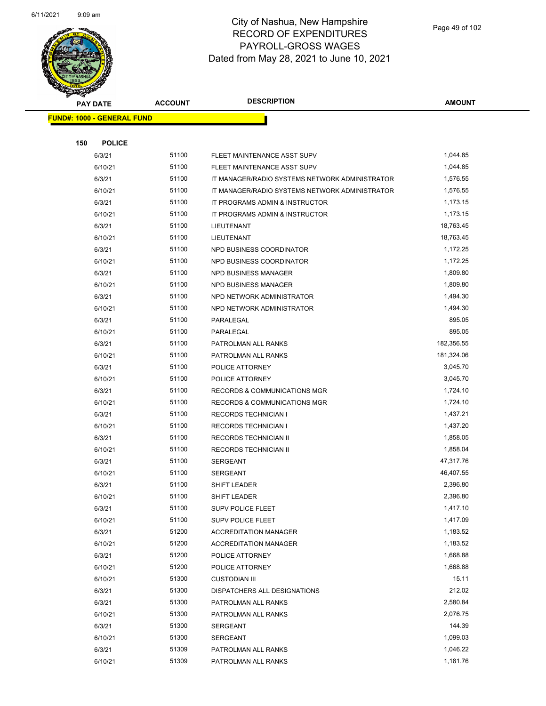

|     | <b>PAY DATE</b>                   | <b>ACCOUNT</b> | <b>DESCRIPTION</b>                             | <b>AMOUNT</b> |  |
|-----|-----------------------------------|----------------|------------------------------------------------|---------------|--|
|     | <b>FUND#: 1000 - GENERAL FUND</b> |                |                                                |               |  |
|     |                                   |                |                                                |               |  |
| 150 | <b>POLICE</b>                     |                |                                                |               |  |
|     | 6/3/21                            | 51100          | FLEET MAINTENANCE ASST SUPV                    | 1,044.85      |  |
|     | 6/10/21                           | 51100          | FLEET MAINTENANCE ASST SUPV                    | 1,044.85      |  |
|     | 6/3/21                            | 51100          | IT MANAGER/RADIO SYSTEMS NETWORK ADMINISTRATOR | 1,576.55      |  |
|     | 6/10/21                           | 51100          | IT MANAGER/RADIO SYSTEMS NETWORK ADMINISTRATOR | 1,576.55      |  |
|     | 6/3/21                            | 51100          | IT PROGRAMS ADMIN & INSTRUCTOR                 | 1,173.15      |  |
|     | 6/10/21                           | 51100          | IT PROGRAMS ADMIN & INSTRUCTOR                 | 1,173.15      |  |
|     | 6/3/21                            | 51100          | LIEUTENANT                                     | 18,763.45     |  |
|     | 6/10/21                           | 51100          | LIEUTENANT                                     | 18,763.45     |  |
|     | 6/3/21                            | 51100          | NPD BUSINESS COORDINATOR                       | 1,172.25      |  |
|     | 6/10/21                           | 51100          | NPD BUSINESS COORDINATOR                       | 1,172.25      |  |
|     | 6/3/21                            | 51100          | NPD BUSINESS MANAGER                           | 1,809.80      |  |
|     | 6/10/21                           | 51100          | NPD BUSINESS MANAGER                           | 1,809.80      |  |
|     | 6/3/21                            | 51100          | NPD NETWORK ADMINISTRATOR                      | 1,494.30      |  |
|     | 6/10/21                           | 51100          | NPD NETWORK ADMINISTRATOR                      | 1,494.30      |  |
|     | 6/3/21                            | 51100          | PARALEGAL                                      | 895.05        |  |
|     | 6/10/21                           | 51100          | PARALEGAL                                      | 895.05        |  |
|     | 6/3/21                            | 51100          | PATROLMAN ALL RANKS                            | 182,356.55    |  |
|     | 6/10/21                           | 51100          | PATROLMAN ALL RANKS                            | 181,324.06    |  |
|     | 6/3/21                            | 51100          | POLICE ATTORNEY                                | 3,045.70      |  |
|     | 6/10/21                           | 51100          | POLICE ATTORNEY                                | 3,045.70      |  |
|     | 6/3/21                            | 51100          | <b>RECORDS &amp; COMMUNICATIONS MGR</b>        | 1,724.10      |  |
|     | 6/10/21                           | 51100          | RECORDS & COMMUNICATIONS MGR                   | 1,724.10      |  |
|     | 6/3/21                            | 51100          | <b>RECORDS TECHNICIAN I</b>                    | 1,437.21      |  |
|     | 6/10/21                           | 51100          | <b>RECORDS TECHNICIAN I</b>                    | 1,437.20      |  |
|     | 6/3/21                            | 51100          | <b>RECORDS TECHNICIAN II</b>                   | 1,858.05      |  |
|     | 6/10/21                           | 51100          | RECORDS TECHNICIAN II                          | 1,858.04      |  |
|     | 6/3/21                            | 51100          | <b>SERGEANT</b>                                | 47,317.76     |  |
|     | 6/10/21                           | 51100          | <b>SERGEANT</b>                                | 46,407.55     |  |
|     | 6/3/21                            | 51100          | <b>SHIFT LEADER</b>                            | 2,396.80      |  |
|     | 6/10/21                           | 51100          | SHIFT LEADER                                   | 2,396.80      |  |
|     | 6/3/21                            | 51100          | SUPV POLICE FLEET                              | 1,417.10      |  |
|     | 6/10/21                           | 51100          | SUPV POLICE FLEET                              | 1,417.09      |  |
|     | 6/3/21                            | 51200          | <b>ACCREDITATION MANAGER</b>                   | 1,183.52      |  |
|     | 6/10/21                           | 51200          | <b>ACCREDITATION MANAGER</b>                   | 1,183.52      |  |
|     | 6/3/21                            | 51200          | POLICE ATTORNEY                                | 1,668.88      |  |
|     | 6/10/21                           | 51200          | POLICE ATTORNEY                                | 1,668.88      |  |
|     | 6/10/21                           | 51300          | <b>CUSTODIAN III</b>                           | 15.11         |  |
|     | 6/3/21                            | 51300          | DISPATCHERS ALL DESIGNATIONS                   | 212.02        |  |
|     | 6/3/21                            | 51300          | PATROLMAN ALL RANKS                            | 2,580.84      |  |
|     | 6/10/21                           | 51300          | PATROLMAN ALL RANKS                            | 2,076.75      |  |
|     | 6/3/21                            | 51300          | SERGEANT                                       | 144.39        |  |
|     | 6/10/21                           | 51300          | SERGEANT                                       | 1,099.03      |  |
|     | 6/3/21                            | 51309          | PATROLMAN ALL RANKS                            | 1,046.22      |  |
|     | 6/10/21                           | 51309          | PATROLMAN ALL RANKS                            | 1,181.76      |  |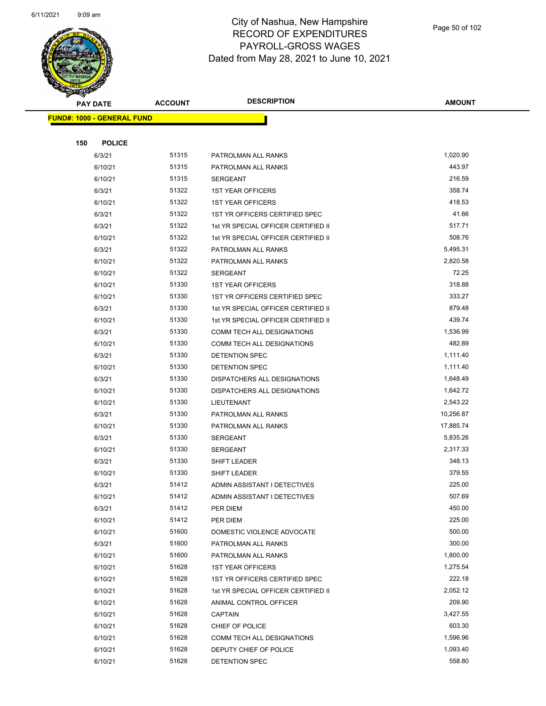

Page 50 of 102

|     | <b>PAY DATE</b>                   | <b>ACCOUNT</b> | <b>DESCRIPTION</b>                  | <b>AMOUNT</b> |
|-----|-----------------------------------|----------------|-------------------------------------|---------------|
|     | <b>FUND#: 1000 - GENERAL FUND</b> |                |                                     |               |
|     |                                   |                |                                     |               |
| 150 | <b>POLICE</b>                     |                |                                     |               |
|     | 6/3/21                            | 51315          | PATROLMAN ALL RANKS                 | 1,020.90      |
|     | 6/10/21                           | 51315          | PATROLMAN ALL RANKS                 | 443.97        |
|     | 6/10/21                           | 51315          | <b>SERGEANT</b>                     | 216.59        |
|     | 6/3/21                            | 51322          | <b>1ST YEAR OFFICERS</b>            | 358.74        |
|     | 6/10/21                           | 51322          | <b>1ST YEAR OFFICERS</b>            | 418.53        |
|     | 6/3/21                            | 51322          | 1ST YR OFFICERS CERTIFIED SPEC      | 41.66         |
|     | 6/3/21                            | 51322          | 1st YR SPECIAL OFFICER CERTIFIED II | 517.71        |
|     | 6/10/21                           | 51322          | 1st YR SPECIAL OFFICER CERTIFIED II | 508.76        |
|     | 6/3/21                            | 51322          | PATROLMAN ALL RANKS                 | 5,495.31      |
|     | 6/10/21                           | 51322          | PATROLMAN ALL RANKS                 | 2,820.58      |
|     | 6/10/21                           | 51322          | <b>SERGEANT</b>                     | 72.25         |
|     | 6/10/21                           | 51330          | <b>1ST YEAR OFFICERS</b>            | 318.88        |
|     | 6/10/21                           | 51330          | 1ST YR OFFICERS CERTIFIED SPEC      | 333.27        |
|     | 6/3/21                            | 51330          | 1st YR SPECIAL OFFICER CERTIFIED II | 879.48        |
|     | 6/10/21                           | 51330          | 1st YR SPECIAL OFFICER CERTIFIED II | 439.74        |
|     | 6/3/21                            | 51330          | COMM TECH ALL DESIGNATIONS          | 1,536.99      |
|     | 6/10/21                           | 51330          | <b>COMM TECH ALL DESIGNATIONS</b>   | 482.89        |
|     | 6/3/21                            | 51330          | DETENTION SPEC                      | 1,111.40      |
|     | 6/10/21                           | 51330          | DETENTION SPEC                      | 1,111.40      |
|     | 6/3/21                            | 51330          | DISPATCHERS ALL DESIGNATIONS        | 1,648.49      |
|     | 6/10/21                           | 51330          | DISPATCHERS ALL DESIGNATIONS        | 1,642.72      |
|     | 6/10/21                           | 51330          | LIEUTENANT                          | 2,543.22      |
|     | 6/3/21                            | 51330          | PATROLMAN ALL RANKS                 | 10,256.87     |
|     | 6/10/21                           | 51330          | PATROLMAN ALL RANKS                 | 17,885.74     |
|     | 6/3/21                            | 51330          | <b>SERGEANT</b>                     | 5,835.26      |
|     | 6/10/21                           | 51330          | <b>SERGEANT</b>                     | 2,317.33      |
|     | 6/3/21                            | 51330          | SHIFT LEADER                        | 348.13        |
|     | 6/10/21                           | 51330          | SHIFT LEADER                        | 379.55        |
|     | 6/3/21                            | 51412          | ADMIN ASSISTANT I DETECTIVES        | 225.00        |
|     | 6/10/21                           | 51412          | ADMIN ASSISTANT I DETECTIVES        | 507.69        |
|     | 6/3/21                            | 51412          | PER DIEM                            | 450.00        |
|     | 6/10/21                           | 51412          | PER DIEM                            | 225.00        |
|     | 6/10/21                           | 51600          | DOMESTIC VIOLENCE ADVOCATE          | 500.00        |
|     | 6/3/21                            | 51600          | PATROLMAN ALL RANKS                 | 300.00        |
|     | 6/10/21                           | 51600          | PATROLMAN ALL RANKS                 | 1,800.00      |
|     | 6/10/21                           | 51628          | <b>1ST YEAR OFFICERS</b>            | 1,275.54      |
|     | 6/10/21                           | 51628          | 1ST YR OFFICERS CERTIFIED SPEC      | 222.18        |
|     | 6/10/21                           | 51628          | 1st YR SPECIAL OFFICER CERTIFIED II | 2,052.12      |
|     | 6/10/21                           | 51628          | ANIMAL CONTROL OFFICER              | 209.90        |
|     | 6/10/21                           | 51628          | <b>CAPTAIN</b>                      | 3,427.55      |
|     | 6/10/21                           | 51628          | CHIEF OF POLICE                     | 603.30        |
|     | 6/10/21                           | 51628          | COMM TECH ALL DESIGNATIONS          | 1,596.96      |
|     | 6/10/21                           | 51628          | DEPUTY CHIEF OF POLICE              | 1,093.40      |
|     | 6/10/21                           | 51628          | DETENTION SPEC                      | 558.80        |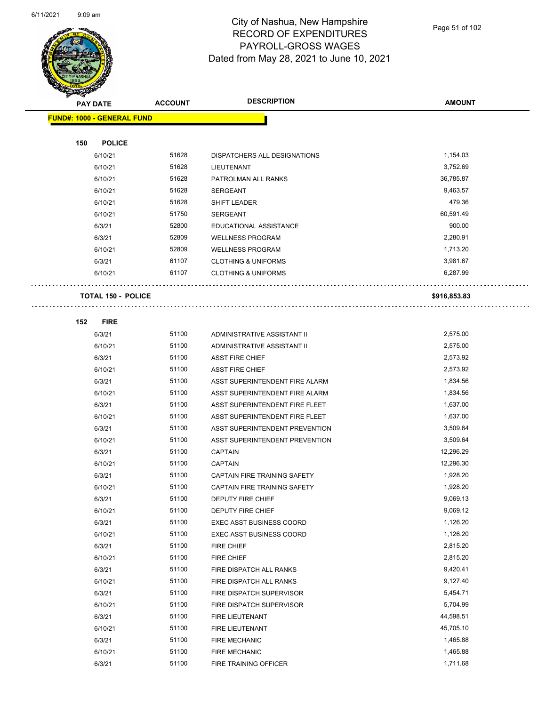$\overline{\phantom{0}}$ 



### City of Nashua, New Hampshire RECORD OF EXPENDITURES PAYROLL-GROSS WAGES Dated from May 28, 2021 to June 10, 2021

Page 51 of 102

|     | <b>PAY DATE</b>                   | <b>ACCOUNT</b> | <b>DESCRIPTION</b>                                 | <b>AMOUNT</b>        |
|-----|-----------------------------------|----------------|----------------------------------------------------|----------------------|
|     | <b>FUND#: 1000 - GENERAL FUND</b> |                |                                                    |                      |
|     |                                   |                |                                                    |                      |
| 150 | <b>POLICE</b>                     |                |                                                    |                      |
|     | 6/10/21                           | 51628          | DISPATCHERS ALL DESIGNATIONS                       | 1,154.03             |
|     | 6/10/21                           | 51628          | LIEUTENANT                                         | 3,752.69             |
|     | 6/10/21                           | 51628          | PATROLMAN ALL RANKS                                | 36,785.87            |
|     | 6/10/21                           | 51628          | <b>SERGEANT</b>                                    | 9,463.57             |
|     | 6/10/21                           | 51628          | SHIFT LEADER                                       | 479.36               |
|     | 6/10/21                           | 51750          | <b>SERGEANT</b>                                    | 60,591.49            |
|     | 6/3/21                            | 52800          | EDUCATIONAL ASSISTANCE                             | 900.00               |
|     | 6/3/21                            | 52809          | <b>WELLNESS PROGRAM</b>                            | 2,280.91             |
|     | 6/10/21                           | 52809          | <b>WELLNESS PROGRAM</b>                            | 1,713.20             |
|     | 6/3/21                            | 61107          | <b>CLOTHING &amp; UNIFORMS</b>                     | 3,981.67             |
|     | 6/10/21                           | 61107          | <b>CLOTHING &amp; UNIFORMS</b>                     | 6,287.99             |
|     |                                   |                |                                                    |                      |
|     | <b>TOTAL 150 - POLICE</b>         |                |                                                    | \$916,853.83         |
|     |                                   |                |                                                    |                      |
| 152 | <b>FIRE</b>                       |                |                                                    |                      |
|     | 6/3/21                            | 51100          | ADMINISTRATIVE ASSISTANT II                        | 2,575.00             |
|     | 6/10/21                           | 51100          | ADMINISTRATIVE ASSISTANT II                        | 2,575.00             |
|     | 6/3/21                            | 51100          | <b>ASST FIRE CHIEF</b>                             | 2,573.92             |
|     | 6/10/21                           | 51100          | <b>ASST FIRE CHIEF</b>                             | 2,573.92             |
|     | 6/3/21                            | 51100          | ASST SUPERINTENDENT FIRE ALARM                     | 1,834.56             |
|     | 6/10/21                           | 51100          | ASST SUPERINTENDENT FIRE ALARM                     | 1,834.56             |
|     | 6/3/21                            | 51100          | ASST SUPERINTENDENT FIRE FLEET                     | 1,637.00             |
|     | 6/10/21                           | 51100          | ASST SUPERINTENDENT FIRE FLEET                     | 1,637.00             |
|     | 6/3/21                            | 51100          | ASST SUPERINTENDENT PREVENTION                     | 3,509.64             |
|     | 6/10/21                           | 51100          | ASST SUPERINTENDENT PREVENTION                     | 3,509.64             |
|     | 6/3/21                            | 51100          | <b>CAPTAIN</b>                                     | 12,296.29            |
|     | 6/10/21                           | 51100          | <b>CAPTAIN</b>                                     | 12,296.30            |
|     | 6/3/21                            | 51100          | CAPTAIN FIRE TRAINING SAFETY                       | 1,928.20             |
|     | 6/10/21                           | 51100          | <b>CAPTAIN FIRE TRAINING SAFETY</b>                | 1,928.20             |
|     | 6/3/21                            | 51100          | DEPUTY FIRE CHIEF                                  | 9,069.13             |
|     | 6/10/21                           | 51100          | DEPUTY FIRE CHIEF                                  | 9,069.12             |
|     | 6/3/21                            | 51100          | <b>EXEC ASST BUSINESS COORD</b>                    | 1,126.20             |
|     | 6/10/21                           | 51100          | <b>EXEC ASST BUSINESS COORD</b>                    | 1,126.20             |
|     | 6/3/21                            | 51100<br>51100 | <b>FIRE CHIEF</b>                                  | 2,815.20             |
|     | 6/10/21                           | 51100          | FIRE CHIEF                                         | 2,815.20<br>9,420.41 |
|     | 6/3/21                            | 51100          | FIRE DISPATCH ALL RANKS<br>FIRE DISPATCH ALL RANKS | 9,127.40             |
|     | 6/10/21<br>6/3/21                 | 51100          | FIRE DISPATCH SUPERVISOR                           | 5,454.71             |
|     | 6/10/21                           | 51100          | FIRE DISPATCH SUPERVISOR                           | 5,704.99             |
|     | 6/3/21                            | 51100          | FIRE LIEUTENANT                                    | 44,598.51            |
|     | 6/10/21                           | 51100          | FIRE LIEUTENANT                                    | 45,705.10            |
|     | 6/3/21                            | 51100          | <b>FIRE MECHANIC</b>                               | 1,465.88             |
|     | 6/10/21                           | 51100          | <b>FIRE MECHANIC</b>                               | 1,465.88             |
|     | 6/3/21                            | 51100          | FIRE TRAINING OFFICER                              | 1,711.68             |
|     |                                   |                |                                                    |                      |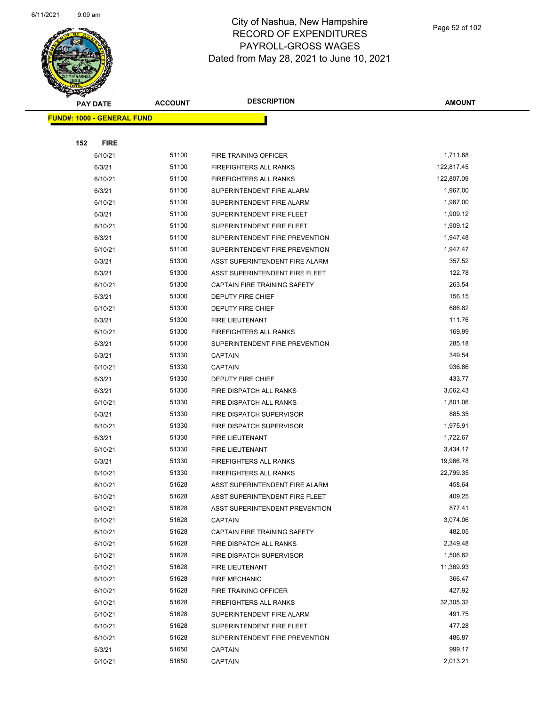

|                                   | <b>PAY DATE</b> | <b>ACCOUNT</b> | <b>DESCRIPTION</b>             | AMOUNT     |
|-----------------------------------|-----------------|----------------|--------------------------------|------------|
| <b>FUND#: 1000 - GENERAL FUND</b> |                 |                |                                |            |
|                                   |                 |                |                                |            |
| 152                               | <b>FIRE</b>     |                |                                |            |
|                                   | 6/10/21         | 51100          | FIRE TRAINING OFFICER          | 1,711.68   |
|                                   | 6/3/21          | 51100          | <b>FIREFIGHTERS ALL RANKS</b>  | 122,817.45 |
|                                   | 6/10/21         | 51100          | <b>FIREFIGHTERS ALL RANKS</b>  | 122,807.09 |
|                                   | 6/3/21          | 51100          | SUPERINTENDENT FIRE ALARM      | 1,967.00   |
|                                   | 6/10/21         | 51100          | SUPERINTENDENT FIRE ALARM      | 1,967.00   |
|                                   | 6/3/21          | 51100          | SUPERINTENDENT FIRE FLEET      | 1,909.12   |
|                                   | 6/10/21         | 51100          | SUPERINTENDENT FIRE FLEET      | 1,909.12   |
|                                   | 6/3/21          | 51100          | SUPERINTENDENT FIRE PREVENTION | 1,947.48   |
|                                   | 6/10/21         | 51100          | SUPERINTENDENT FIRE PREVENTION | 1,947.47   |
|                                   | 6/3/21          | 51300          | ASST SUPERINTENDENT FIRE ALARM | 357.52     |
|                                   | 6/3/21          | 51300          | ASST SUPERINTENDENT FIRE FLEET | 122.78     |
|                                   | 6/10/21         | 51300          | CAPTAIN FIRE TRAINING SAFETY   | 263.54     |
|                                   | 6/3/21          | 51300          | <b>DEPUTY FIRE CHIEF</b>       | 156.15     |
|                                   | 6/10/21         | 51300          | <b>DEPUTY FIRE CHIEF</b>       | 686.82     |
|                                   | 6/3/21          | 51300          | FIRE LIEUTENANT                | 111.76     |
|                                   | 6/10/21         | 51300          | <b>FIREFIGHTERS ALL RANKS</b>  | 169.99     |
|                                   | 6/3/21          | 51300          | SUPERINTENDENT FIRE PREVENTION | 285.18     |
|                                   | 6/3/21          | 51330          | <b>CAPTAIN</b>                 | 349.54     |
|                                   | 6/10/21         | 51330          | <b>CAPTAIN</b>                 | 936.86     |
|                                   | 6/3/21          | 51330          | DEPUTY FIRE CHIEF              | 433.77     |
|                                   | 6/3/21          | 51330          | FIRE DISPATCH ALL RANKS        | 3,062.43   |
|                                   | 6/10/21         | 51330          | FIRE DISPATCH ALL RANKS        | 1,801.06   |
|                                   | 6/3/21          | 51330          | FIRE DISPATCH SUPERVISOR       | 885.35     |
|                                   | 6/10/21         | 51330          | FIRE DISPATCH SUPERVISOR       | 1,975.91   |
|                                   | 6/3/21          | 51330          | FIRE LIEUTENANT                | 1,722.67   |
|                                   | 6/10/21         | 51330          | <b>FIRE LIEUTENANT</b>         | 3,434.17   |
|                                   | 6/3/21          | 51330          | <b>FIREFIGHTERS ALL RANKS</b>  | 19,966.78  |
|                                   | 6/10/21         | 51330          | <b>FIREFIGHTERS ALL RANKS</b>  | 22,799.35  |
|                                   | 6/10/21         | 51628          | ASST SUPERINTENDENT FIRE ALARM | 458.64     |
|                                   | 6/10/21         | 51628          | ASST SUPERINTENDENT FIRE FLEET | 409.25     |
|                                   | 6/10/21         | 51628          | ASST SUPERINTENDENT PREVENTION | 877.41     |
|                                   | 6/10/21         | 51628          | <b>CAPTAIN</b>                 | 3,074.06   |
|                                   | 6/10/21         | 51628          | CAPTAIN FIRE TRAINING SAFETY   | 482.05     |
|                                   | 6/10/21         | 51628          | FIRE DISPATCH ALL RANKS        | 2,349.48   |
|                                   | 6/10/21         | 51628          | FIRE DISPATCH SUPERVISOR       | 1,506.62   |
|                                   | 6/10/21         | 51628          | FIRE LIEUTENANT                | 11,369.93  |
|                                   | 6/10/21         | 51628          | <b>FIRE MECHANIC</b>           | 366.47     |
|                                   | 6/10/21         | 51628          | FIRE TRAINING OFFICER          | 427.92     |
|                                   | 6/10/21         | 51628          | FIREFIGHTERS ALL RANKS         | 32,305.32  |
|                                   | 6/10/21         | 51628          | SUPERINTENDENT FIRE ALARM      | 491.75     |
|                                   | 6/10/21         | 51628          | SUPERINTENDENT FIRE FLEET      | 477.28     |
|                                   | 6/10/21         | 51628          | SUPERINTENDENT FIRE PREVENTION | 486.87     |
|                                   | 6/3/21          | 51650          | <b>CAPTAIN</b>                 | 999.17     |
|                                   | 6/10/21         | 51650          | <b>CAPTAIN</b>                 | 2,013.21   |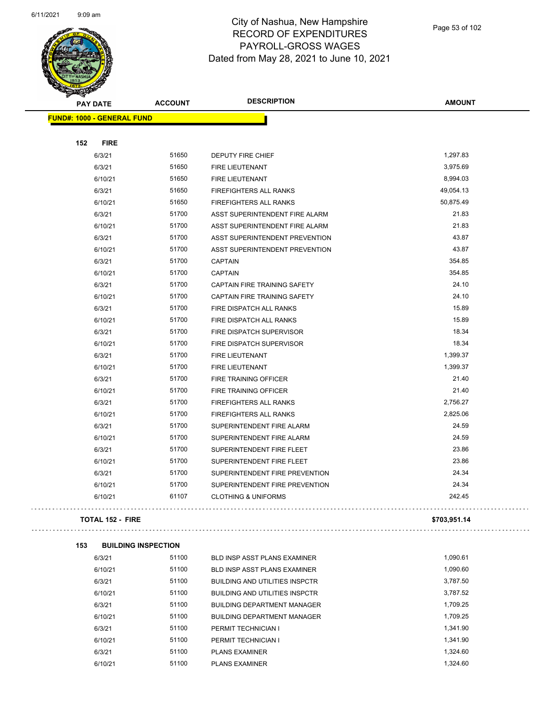$\bar{\psi}$  .

 $\ddot{\phantom{1}}$  .



### City of Nashua, New Hampshire RECORD OF EXPENDITURES PAYROLL-GROSS WAGES Dated from May 28, 2021 to June 10, 2021

Page 53 of 102

| <b>DESCRIPTION</b><br><b>ACCOUNT</b><br><b>PAY DATE</b> | <b>AMOUNT</b> |
|---------------------------------------------------------|---------------|
|                                                         |               |
| <b>FUND#: 1000 - GENERAL FUND</b>                       |               |
|                                                         |               |
| 152<br><b>FIRE</b>                                      |               |
| 51650<br>6/3/21<br><b>DEPUTY FIRE CHIEF</b>             | 1,297.83      |
| 51650<br>6/3/21<br>FIRE LIEUTENANT                      | 3,975.69      |
| 51650<br>6/10/21<br><b>FIRE LIEUTENANT</b>              | 8,994.03      |
| 6/3/21<br>51650<br>FIREFIGHTERS ALL RANKS               | 49,054.13     |
| 51650<br>6/10/21<br>FIREFIGHTERS ALL RANKS              | 50,875.49     |
| 51700<br>6/3/21<br>ASST SUPERINTENDENT FIRE ALARM       | 21.83         |
| 51700<br>6/10/21<br>ASST SUPERINTENDENT FIRE ALARM      | 21.83         |
| 51700<br>6/3/21<br>ASST SUPERINTENDENT PREVENTION       | 43.87         |
| 51700<br>ASST SUPERINTENDENT PREVENTION<br>6/10/21      | 43.87         |
| 51700<br>6/3/21<br><b>CAPTAIN</b>                       | 354.85        |
| 51700<br>6/10/21<br><b>CAPTAIN</b>                      | 354.85        |
| 51700<br>CAPTAIN FIRE TRAINING SAFETY<br>6/3/21         | 24.10         |
| 51700<br>CAPTAIN FIRE TRAINING SAFETY<br>6/10/21        | 24.10         |
| 51700<br>6/3/21<br>FIRE DISPATCH ALL RANKS              | 15.89         |
| 51700<br>6/10/21<br>FIRE DISPATCH ALL RANKS             | 15.89         |
| 51700<br>6/3/21<br>FIRE DISPATCH SUPERVISOR             | 18.34         |
| 51700<br>6/10/21<br>FIRE DISPATCH SUPERVISOR            | 18.34         |
| 51700<br>6/3/21<br>FIRE LIEUTENANT                      | 1,399.37      |
| 6/10/21<br>51700<br>FIRE LIEUTENANT                     | 1,399.37      |
| 51700<br>6/3/21<br>FIRE TRAINING OFFICER                | 21.40         |
| 51700<br>6/10/21<br>FIRE TRAINING OFFICER               | 21.40         |
| 51700<br>6/3/21<br><b>FIREFIGHTERS ALL RANKS</b>        | 2,756.27      |
| 51700<br>FIREFIGHTERS ALL RANKS<br>6/10/21              | 2,825.06      |
| 6/3/21<br>51700<br>SUPERINTENDENT FIRE ALARM            | 24.59         |
| 51700<br>6/10/21<br>SUPERINTENDENT FIRE ALARM           | 24.59         |
| 51700<br>6/3/21<br>SUPERINTENDENT FIRE FLEET            | 23.86         |
| 51700<br>6/10/21<br>SUPERINTENDENT FIRE FLEET           | 23.86         |
| 51700<br>6/3/21<br>SUPERINTENDENT FIRE PREVENTION       | 24.34         |
| 51700<br>6/10/21<br>SUPERINTENDENT FIRE PREVENTION      | 24.34         |
| 61107<br><b>CLOTHING &amp; UNIFORMS</b><br>6/10/21      | 242.45        |
| <b>TOTAL 152 - FIRE</b>                                 | \$703,951.14  |
| 153<br><b>BUILDING INSPECTION</b>                       |               |
| 51100<br>6/3/21<br><b>BLD INSP ASST PLANS EXAMINER</b>  | 1,090.61      |
| 51100<br>6/10/21<br>BLD INSP ASST PLANS EXAMINER        | 1,090.60      |

| 6/10/21 | 51100 | <b>BLD INSP ASST PLANS EXAMINER</b>   | 1,090.60 |
|---------|-------|---------------------------------------|----------|
| 6/3/21  | 51100 | <b>BUILDING AND UTILITIES INSPCTR</b> | 3,787.50 |
| 6/10/21 | 51100 | <b>BUILDING AND UTILITIES INSPCTR</b> | 3,787.52 |
| 6/3/21  | 51100 | <b>BUILDING DEPARTMENT MANAGER</b>    | 1.709.25 |
| 6/10/21 | 51100 | <b>BUILDING DEPARTMENT MANAGER</b>    | 1.709.25 |
| 6/3/21  | 51100 | PERMIT TECHNICIAN I                   | 1.341.90 |
| 6/10/21 | 51100 | PERMIT TECHNICIAN I                   | 1.341.90 |
| 6/3/21  | 51100 | <b>PLANS EXAMINER</b>                 | 1.324.60 |
| 6/10/21 | 51100 | <b>PLANS EXAMINER</b>                 | 1.324.60 |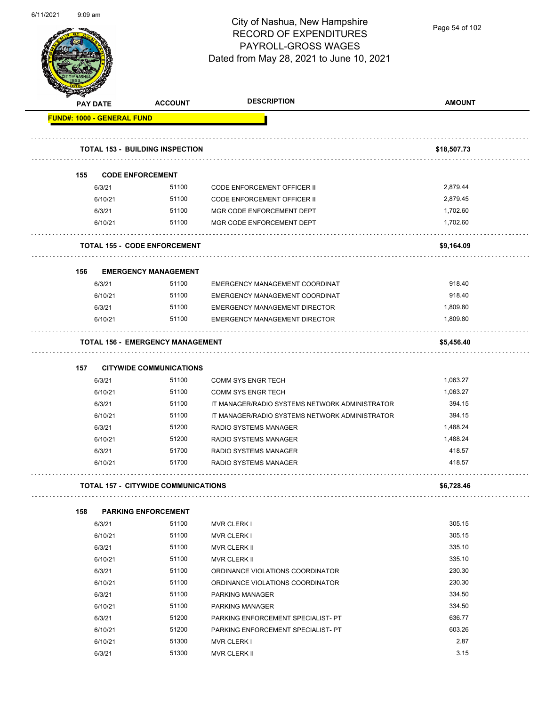

Page 54 of 102

|                                   | <b>PAY DATE</b> | <b>ACCOUNT</b>                          | <b>DESCRIPTION</b>                             | <b>AMOUNT</b> |  |  |
|-----------------------------------|-----------------|-----------------------------------------|------------------------------------------------|---------------|--|--|
| <b>FUND#: 1000 - GENERAL FUND</b> |                 |                                         |                                                |               |  |  |
|                                   |                 | <b>TOTAL 153 - BUILDING INSPECTION</b>  |                                                | \$18,507.73   |  |  |
| 155                               |                 | <b>CODE ENFORCEMENT</b>                 |                                                |               |  |  |
|                                   | 6/3/21          | 51100                                   | <b>CODE ENFORCEMENT OFFICER II</b>             | 2,879.44      |  |  |
|                                   | 6/10/21         | 51100                                   | <b>CODE ENFORCEMENT OFFICER II</b>             | 2,879.45      |  |  |
|                                   | 6/3/21          | 51100                                   | MGR CODE ENFORCEMENT DEPT                      | 1,702.60      |  |  |
|                                   | 6/10/21         | 51100                                   | MGR CODE ENFORCEMENT DEPT                      | 1,702.60      |  |  |
|                                   |                 | <b>TOTAL 155 - CODE ENFORCEMENT</b>     |                                                | \$9,164.09    |  |  |
| 156                               |                 | <b>EMERGENCY MANAGEMENT</b>             |                                                |               |  |  |
|                                   | 6/3/21          | 51100                                   | EMERGENCY MANAGEMENT COORDINAT                 | 918.40        |  |  |
|                                   | 6/10/21         | 51100                                   | <b>EMERGENCY MANAGEMENT COORDINAT</b>          | 918.40        |  |  |
|                                   | 6/3/21          | 51100                                   | <b>EMERGENCY MANAGEMENT DIRECTOR</b>           | 1,809.80      |  |  |
|                                   | 6/10/21         | 51100                                   | <b>EMERGENCY MANAGEMENT DIRECTOR</b>           | 1,809.80      |  |  |
|                                   |                 | <b>TOTAL 156 - EMERGENCY MANAGEMENT</b> |                                                | \$5,456.40    |  |  |
| 157                               |                 | <b>CITYWIDE COMMUNICATIONS</b>          |                                                |               |  |  |
|                                   | 6/3/21          | 51100                                   | <b>COMM SYS ENGR TECH</b>                      | 1,063.27      |  |  |
|                                   | 6/10/21         | 51100                                   | <b>COMM SYS ENGR TECH</b>                      | 1,063.27      |  |  |
|                                   | 6/3/21          | 51100                                   | IT MANAGER/RADIO SYSTEMS NETWORK ADMINISTRATOR | 394.15        |  |  |
|                                   | 6/10/21         | 51100                                   | IT MANAGER/RADIO SYSTEMS NETWORK ADMINISTRATOR | 394.15        |  |  |
|                                   | 6/3/21          | 51200                                   | RADIO SYSTEMS MANAGER                          | 1,488.24      |  |  |
|                                   | 6/10/21         | 51200                                   | RADIO SYSTEMS MANAGER                          | 1,488.24      |  |  |
|                                   | 6/3/21          | 51700                                   | RADIO SYSTEMS MANAGER                          | 418.57        |  |  |
|                                   | 6/10/21         | 51700                                   | <b>RADIO SYSTEMS MANAGER</b>                   | 418.57        |  |  |
|                                   |                 | TOTAL 157 - CITYWIDE COMMUNICATIONS     |                                                | \$6,728.46    |  |  |
| 158                               |                 | <b>PARKING ENFORCEMENT</b>              |                                                |               |  |  |
|                                   | 6/3/21          | 51100                                   | <b>MVR CLERK I</b>                             | 305.15        |  |  |
|                                   | 6/10/21         | 51100                                   | <b>MVR CLERK I</b>                             | 305.15        |  |  |
|                                   | 6/3/21          | 51100                                   | MVR CLERK II                                   | 335.10        |  |  |
|                                   | 6/10/21         | 51100                                   | MVR CLERK II                                   | 335.10        |  |  |
|                                   | 6/3/21          | 51100                                   | ORDINANCE VIOLATIONS COORDINATOR               | 230.30        |  |  |
|                                   | 6/10/21         | 51100                                   | ORDINANCE VIOLATIONS COORDINATOR               | 230.30        |  |  |
|                                   | 6/3/21          | 51100                                   | PARKING MANAGER                                | 334.50        |  |  |
|                                   | 6/10/21         | 51100                                   | PARKING MANAGER                                | 334.50        |  |  |
|                                   | 6/3/21          | 51200                                   | PARKING ENFORCEMENT SPECIALIST- PT             | 636.77        |  |  |
|                                   | 6/10/21         | 51200                                   | PARKING ENFORCEMENT SPECIALIST- PT             | 603.26        |  |  |
|                                   | 6/10/21         | 51300                                   | <b>MVR CLERK I</b>                             | 2.87          |  |  |
|                                   | 6/3/21          | 51300                                   | MVR CLERK II                                   | 3.15          |  |  |
|                                   |                 |                                         |                                                |               |  |  |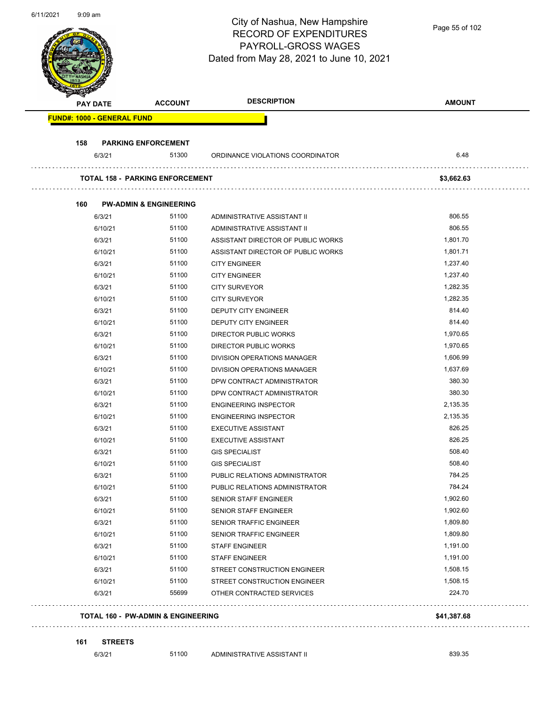|                                   |                                        | City of Nashua, New Hampshire<br><b>RECORD OF EXPENDITURES</b><br>PAYROLL-GROSS WAGES<br>Dated from May 28, 2021 to June 10, 2021 | Page 55 of 102 |
|-----------------------------------|----------------------------------------|-----------------------------------------------------------------------------------------------------------------------------------|----------------|
| PAY DATE                          | <b>ACCOUNT</b>                         | <b>DESCRIPTION</b>                                                                                                                | <b>AMOUNT</b>  |
| <b>FUND#: 1000 - GENERAL FUND</b> |                                        |                                                                                                                                   |                |
| 158                               | <b>PARKING ENFORCEMENT</b>             |                                                                                                                                   |                |
| 6/3/21                            | 51300                                  | ORDINANCE VIOLATIONS COORDINATOR                                                                                                  | 6.48           |
|                                   | <b>TOTAL 158 - PARKING ENFORCEMENT</b> |                                                                                                                                   | \$3,662.63     |
|                                   |                                        |                                                                                                                                   |                |
| 160                               | <b>PW-ADMIN &amp; ENGINEERING</b>      |                                                                                                                                   |                |
| 6/3/21                            | 51100                                  | ADMINISTRATIVE ASSISTANT II                                                                                                       | 806.55         |
| 6/10/21                           | 51100                                  | ADMINISTRATIVE ASSISTANT II                                                                                                       | 806.55         |
| 6/3/21                            | 51100                                  | ASSISTANT DIRECTOR OF PUBLIC WORKS                                                                                                | 1,801.70       |
| 6/10/21                           | 51100                                  | ASSISTANT DIRECTOR OF PUBLIC WORKS                                                                                                | 1,801.71       |
| 6/3/21                            | 51100                                  | <b>CITY ENGINEER</b>                                                                                                              | 1,237.40       |
| 6/10/21                           | 51100                                  | <b>CITY ENGINEER</b>                                                                                                              | 1,237.40       |
| 6/3/21                            | 51100                                  | <b>CITY SURVEYOR</b>                                                                                                              | 1,282.35       |
| 6/10/21                           | 51100                                  | <b>CITY SURVEYOR</b>                                                                                                              | 1,282.35       |
| 6/3/21                            | 51100                                  | DEPUTY CITY ENGINEER                                                                                                              | 814.40         |
| 6/10/21                           | 51100                                  | DEPUTY CITY ENGINEER                                                                                                              | 814.40         |
| 6/3/21                            | 51100                                  | <b>DIRECTOR PUBLIC WORKS</b>                                                                                                      | 1,970.65       |
| 6/10/21                           | 51100                                  | <b>DIRECTOR PUBLIC WORKS</b>                                                                                                      | 1,970.65       |
| 6/3/21                            | 51100                                  | DIVISION OPERATIONS MANAGER                                                                                                       | 1,606.99       |
| 6/10/21                           | 51100                                  | <b>DIVISION OPERATIONS MANAGER</b>                                                                                                | 1,637.69       |
| 6/3/21                            | 51100                                  | DPW CONTRACT ADMINISTRATOR                                                                                                        | 380.30         |
| 6/10/21                           | 51100                                  | DPW CONTRACT ADMINISTRATOR                                                                                                        | 380.30         |
| 6/3/21                            | 51100                                  | <b>ENGINEERING INSPECTOR</b>                                                                                                      | 2,135.35       |
| 6/10/21                           | 51100                                  | <b>ENGINEERING INSPECTOR</b>                                                                                                      | 2,135.35       |
| 6/3/21                            | 51100                                  | <b>EXECUTIVE ASSISTANT</b>                                                                                                        | 826.25         |
| 6/10/21                           | 51100                                  | <b>EXECUTIVE ASSISTANT</b>                                                                                                        | 826.25         |
| 6/3/21                            | 51100                                  | <b>GIS SPECIALIST</b>                                                                                                             | 508.40         |
| 6/10/21                           | 51100                                  | <b>GIS SPECIALIST</b>                                                                                                             | 508.40         |
| 6/3/21                            | 51100                                  | PUBLIC RELATIONS ADMINISTRATOR                                                                                                    | 784.25         |
| 6/10/21                           | 51100                                  | PUBLIC RELATIONS ADMINISTRATOR                                                                                                    | 784.24         |
| 6/3/21                            | 51100                                  | <b>SENIOR STAFF ENGINEER</b>                                                                                                      | 1,902.60       |
| 6/10/21                           | 51100                                  | SENIOR STAFF ENGINEER                                                                                                             | 1,902.60       |
| 6/3/21                            | 51100                                  | SENIOR TRAFFIC ENGINEER                                                                                                           | 1,809.80       |
| 6/10/21                           | 51100                                  | SENIOR TRAFFIC ENGINEER                                                                                                           | 1,809.80       |
| 6/3/21                            | 51100                                  | <b>STAFF ENGINEER</b>                                                                                                             | 1,191.00       |
| 6/10/21                           | 51100                                  | <b>STAFF ENGINEER</b>                                                                                                             | 1,191.00       |
| 6/3/21                            | 51100                                  | STREET CONSTRUCTION ENGINEER                                                                                                      | 1,508.15       |
| 6/10/21                           | 51100                                  | STREET CONSTRUCTION ENGINEER                                                                                                      | 1,508.15       |
| 6/3/21                            | 55699                                  | OTHER CONTRACTED SERVICES                                                                                                         | 224.70         |

#### **161 STREETS**

6/3/21 51100 ADMINISTRATIVE ASSISTANT II 6/3/21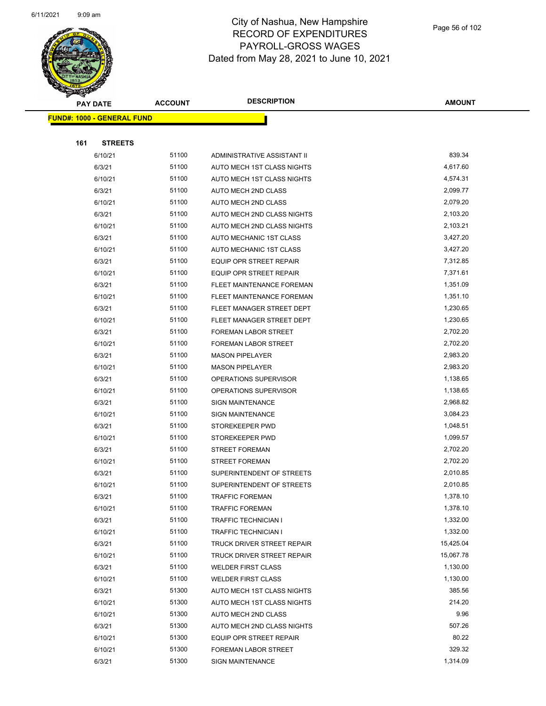

|     | <b>PAY DATE</b>                    | <b>ACCOUNT</b> | <b>DESCRIPTION</b>             | <b>AMOUNT</b> |
|-----|------------------------------------|----------------|--------------------------------|---------------|
|     | <u> FUND#: 1000 - GENERAL FUND</u> |                |                                |               |
|     |                                    |                |                                |               |
| 161 | <b>STREETS</b>                     |                |                                |               |
|     | 6/10/21                            | 51100          | ADMINISTRATIVE ASSISTANT II    | 839.34        |
|     | 6/3/21                             | 51100          | AUTO MECH 1ST CLASS NIGHTS     | 4,617.60      |
|     | 6/10/21                            | 51100          | AUTO MECH 1ST CLASS NIGHTS     | 4,574.31      |
|     | 6/3/21                             | 51100          | AUTO MECH 2ND CLASS            | 2,099.77      |
|     | 6/10/21                            | 51100          | AUTO MECH 2ND CLASS            | 2,079.20      |
|     | 6/3/21                             | 51100          | AUTO MECH 2ND CLASS NIGHTS     | 2,103.20      |
|     | 6/10/21                            | 51100          | AUTO MECH 2ND CLASS NIGHTS     | 2,103.21      |
|     | 6/3/21                             | 51100          | AUTO MECHANIC 1ST CLASS        | 3,427.20      |
|     | 6/10/21                            | 51100          | AUTO MECHANIC 1ST CLASS        | 3,427.20      |
|     | 6/3/21                             | 51100          | <b>EQUIP OPR STREET REPAIR</b> | 7,312.85      |
|     | 6/10/21                            | 51100          | <b>EQUIP OPR STREET REPAIR</b> | 7,371.61      |
|     | 6/3/21                             | 51100          | FLEET MAINTENANCE FOREMAN      | 1,351.09      |
|     | 6/10/21                            | 51100          | FLEET MAINTENANCE FOREMAN      | 1,351.10      |
|     | 6/3/21                             | 51100          | FLEET MANAGER STREET DEPT      | 1,230.65      |
|     | 6/10/21                            | 51100          | FLEET MANAGER STREET DEPT      | 1,230.65      |
|     | 6/3/21                             | 51100          | <b>FOREMAN LABOR STREET</b>    | 2,702.20      |
|     | 6/10/21                            | 51100          | <b>FOREMAN LABOR STREET</b>    | 2,702.20      |
|     | 6/3/21                             | 51100          | <b>MASON PIPELAYER</b>         | 2,983.20      |
|     | 6/10/21                            | 51100          | <b>MASON PIPELAYER</b>         | 2,983.20      |
|     | 6/3/21                             | 51100          | OPERATIONS SUPERVISOR          | 1,138.65      |
|     | 6/10/21                            | 51100          | OPERATIONS SUPERVISOR          | 1,138.65      |
|     | 6/3/21                             | 51100          | <b>SIGN MAINTENANCE</b>        | 2,968.82      |
|     | 6/10/21                            | 51100          | <b>SIGN MAINTENANCE</b>        | 3,084.23      |
|     | 6/3/21                             | 51100          | STOREKEEPER PWD                | 1,048.51      |
|     | 6/10/21                            | 51100          | STOREKEEPER PWD                | 1,099.57      |
|     | 6/3/21                             | 51100          | <b>STREET FOREMAN</b>          | 2,702.20      |
|     | 6/10/21                            | 51100          | <b>STREET FOREMAN</b>          | 2,702.20      |
|     | 6/3/21                             | 51100          | SUPERINTENDENT OF STREETS      | 2,010.85      |
|     | 6/10/21                            | 51100          | SUPERINTENDENT OF STREETS      | 2,010.85      |
|     | 6/3/21                             | 51100          | TRAFFIC FOREMAN                | 1,378.10      |
|     | 6/10/21                            | 51100          | <b>TRAFFIC FOREMAN</b>         | 1,378.10      |
|     | 6/3/21                             | 51100          | <b>TRAFFIC TECHNICIAN I</b>    | 1,332.00      |
|     | 6/10/21                            | 51100          | <b>TRAFFIC TECHNICIAN I</b>    | 1,332.00      |
|     | 6/3/21                             | 51100          | TRUCK DRIVER STREET REPAIR     | 15,425.04     |
|     | 6/10/21                            | 51100          | TRUCK DRIVER STREET REPAIR     | 15,067.78     |
|     | 6/3/21                             | 51100          | <b>WELDER FIRST CLASS</b>      | 1,130.00      |
|     | 6/10/21                            | 51100          | <b>WELDER FIRST CLASS</b>      | 1,130.00      |
|     | 6/3/21                             | 51300          | AUTO MECH 1ST CLASS NIGHTS     | 385.56        |
|     | 6/10/21                            | 51300          | AUTO MECH 1ST CLASS NIGHTS     | 214.20        |
|     | 6/10/21                            | 51300          | AUTO MECH 2ND CLASS            | 9.96          |
|     | 6/3/21                             | 51300          | AUTO MECH 2ND CLASS NIGHTS     | 507.26        |
|     | 6/10/21                            | 51300          | EQUIP OPR STREET REPAIR        | 80.22         |
|     | 6/10/21                            | 51300          | FOREMAN LABOR STREET           | 329.32        |
|     | 6/3/21                             | 51300          | SIGN MAINTENANCE               | 1,314.09      |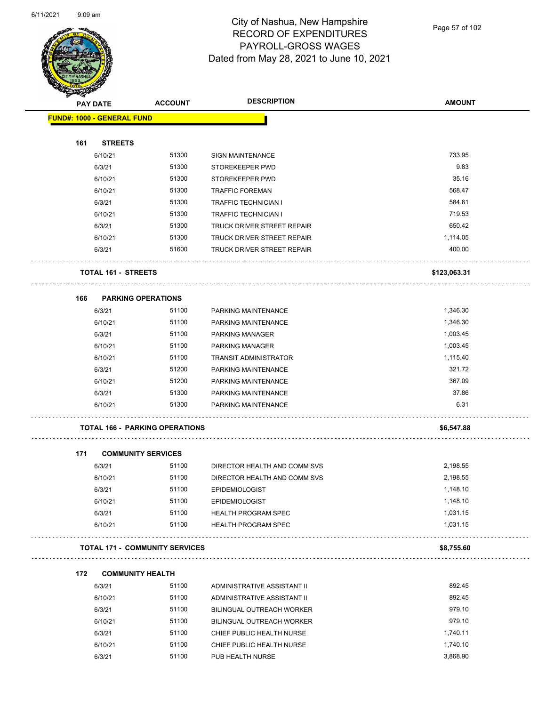

Page 57 of 102

|     | <b>PAY DATE</b>                   | <b>ACCOUNT</b>                        | <b>DESCRIPTION</b>                                       | <b>AMOUNT</b>    |
|-----|-----------------------------------|---------------------------------------|----------------------------------------------------------|------------------|
|     | <b>FUND#: 1000 - GENERAL FUND</b> |                                       |                                                          |                  |
|     |                                   |                                       |                                                          |                  |
| 161 | <b>STREETS</b>                    |                                       |                                                          |                  |
|     | 6/10/21                           | 51300                                 | <b>SIGN MAINTENANCE</b>                                  | 733.95           |
|     | 6/3/21                            | 51300                                 | STOREKEEPER PWD                                          | 9.83             |
|     | 6/10/21                           | 51300                                 | STOREKEEPER PWD                                          | 35.16            |
|     | 6/10/21                           | 51300                                 | <b>TRAFFIC FOREMAN</b>                                   | 568.47           |
|     | 6/3/21                            | 51300                                 | <b>TRAFFIC TECHNICIAN I</b>                              | 584.61<br>719.53 |
|     | 6/10/21                           | 51300<br>51300                        | <b>TRAFFIC TECHNICIAN I</b>                              | 650.42           |
|     | 6/3/21                            | 51300                                 | TRUCK DRIVER STREET REPAIR                               | 1,114.05         |
|     | 6/10/21<br>6/3/21                 | 51600                                 | TRUCK DRIVER STREET REPAIR<br>TRUCK DRIVER STREET REPAIR | 400.00           |
|     |                                   |                                       |                                                          |                  |
|     | <b>TOTAL 161 - STREETS</b>        |                                       |                                                          | \$123,063.31     |
| 166 | <b>PARKING OPERATIONS</b>         |                                       |                                                          |                  |
|     | 6/3/21                            | 51100                                 | PARKING MAINTENANCE                                      | 1,346.30         |
|     | 6/10/21                           | 51100                                 | PARKING MAINTENANCE                                      | 1,346.30         |
|     | 6/3/21                            | 51100                                 | PARKING MANAGER                                          | 1,003.45         |
|     | 6/10/21                           | 51100                                 | PARKING MANAGER                                          | 1,003.45         |
|     | 6/10/21                           | 51100                                 | <b>TRANSIT ADMINISTRATOR</b>                             | 1,115.40         |
|     | 6/3/21                            | 51200                                 | PARKING MAINTENANCE                                      | 321.72           |
|     | 6/10/21                           | 51200                                 | PARKING MAINTENANCE                                      | 367.09           |
|     | 6/3/21                            | 51300                                 | PARKING MAINTENANCE                                      | 37.86            |
|     | 6/10/21                           | 51300                                 | PARKING MAINTENANCE                                      | 6.31             |
|     |                                   | <b>TOTAL 166 - PARKING OPERATIONS</b> |                                                          | \$6,547.88       |
| 171 | <b>COMMUNITY SERVICES</b>         |                                       |                                                          |                  |
|     | 6/3/21                            | 51100                                 | DIRECTOR HEALTH AND COMM SVS                             | 2,198.55         |
|     | 6/10/21                           | 51100                                 | DIRECTOR HEALTH AND COMM SVS                             | 2,198.55         |
|     | 6/3/21                            | 51100                                 | <b>EPIDEMIOLOGIST</b>                                    | 1,148.10         |
|     | 6/10/21                           | 51100                                 | <b>EPIDEMIOLOGIST</b>                                    | 1,148.10         |
|     | 6/3/21                            | 51100                                 | <b>HEALTH PROGRAM SPEC</b>                               | 1,031.15         |
|     | 6/10/21                           | 51100                                 | <b>HEALTH PROGRAM SPEC</b>                               | 1,031.15         |
|     |                                   | <b>TOTAL 171 - COMMUNITY SERVICES</b> |                                                          | \$8,755.60       |
|     |                                   |                                       |                                                          |                  |
| 172 | <b>COMMUNITY HEALTH</b>           |                                       |                                                          |                  |
|     | 6/3/21                            | 51100                                 | ADMINISTRATIVE ASSISTANT II                              | 892.45           |
|     | 6/10/21                           | 51100                                 | ADMINISTRATIVE ASSISTANT II                              | 892.45           |
|     | 6/3/21                            | 51100                                 | <b>BILINGUAL OUTREACH WORKER</b>                         | 979.10           |
|     | 6/10/21                           | 51100                                 | <b>BILINGUAL OUTREACH WORKER</b>                         | 979.10           |
|     | 6/3/21                            | 51100                                 | CHIEF PUBLIC HEALTH NURSE                                | 1,740.11         |
|     | 6/10/21                           | 51100                                 | CHIEF PUBLIC HEALTH NURSE                                | 1,740.10         |

6/3/21 51100 PUB HEALTH NURSE 3,868.90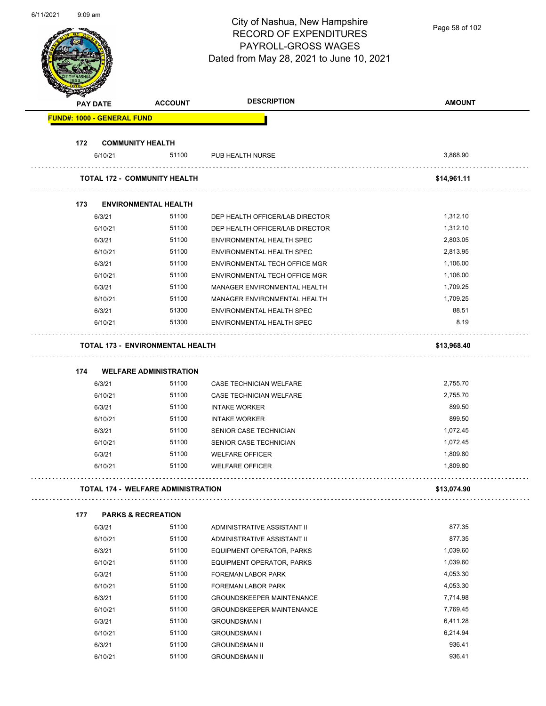| 0/11/ZUZ |                                   |                                           | City of Nashua, New Hampshire<br><b>RECORD OF EXPENDITURES</b><br>PAYROLL-GROSS WAGES | Page 58 of 102       |
|----------|-----------------------------------|-------------------------------------------|---------------------------------------------------------------------------------------|----------------------|
|          |                                   |                                           | Dated from May 28, 2021 to June 10, 2021                                              |                      |
|          | <b>PAY DATE</b>                   | <b>ACCOUNT</b>                            | <b>DESCRIPTION</b>                                                                    | <b>AMOUNT</b>        |
|          | <b>FUND#: 1000 - GENERAL FUND</b> |                                           |                                                                                       |                      |
| 172      |                                   | <b>COMMUNITY HEALTH</b>                   |                                                                                       |                      |
|          | 6/10/21                           | 51100                                     | PUB HEALTH NURSE                                                                      | 3,868.90             |
|          |                                   | <b>TOTAL 172 - COMMUNITY HEALTH</b>       |                                                                                       | \$14,961.11          |
|          |                                   |                                           |                                                                                       |                      |
| 173      |                                   | <b>ENVIRONMENTAL HEALTH</b>               |                                                                                       |                      |
|          | 6/3/21                            | 51100                                     | DEP HEALTH OFFICER/LAB DIRECTOR                                                       | 1,312.10             |
|          | 6/10/21                           | 51100                                     | DEP HEALTH OFFICER/LAB DIRECTOR                                                       | 1,312.10             |
|          | 6/3/21                            | 51100                                     | ENVIRONMENTAL HEALTH SPEC                                                             | 2,803.05             |
|          | 6/10/21                           | 51100                                     | ENVIRONMENTAL HEALTH SPEC                                                             | 2,813.95             |
|          | 6/3/21                            | 51100                                     | ENVIRONMENTAL TECH OFFICE MGR                                                         | 1,106.00             |
|          | 6/10/21                           | 51100                                     | ENVIRONMENTAL TECH OFFICE MGR                                                         | 1,106.00             |
|          | 6/3/21                            | 51100                                     | MANAGER ENVIRONMENTAL HEALTH                                                          | 1,709.25             |
|          | 6/10/21                           | 51100                                     | MANAGER ENVIRONMENTAL HEALTH                                                          | 1,709.25             |
|          | 6/3/21                            | 51300                                     | ENVIRONMENTAL HEALTH SPEC                                                             | 88.51                |
|          | 6/10/21                           | 51300                                     | ENVIRONMENTAL HEALTH SPEC                                                             | 8.19                 |
|          |                                   | <b>TOTAL 173 - ENVIRONMENTAL HEALTH</b>   |                                                                                       | \$13,968.40          |
|          | 174                               | <b>WELFARE ADMINISTRATION</b>             |                                                                                       |                      |
|          | 6/3/21                            | 51100                                     | CASE TECHNICIAN WELFARE                                                               | 2,755.70             |
|          | 6/10/21                           | 51100                                     | <b>CASE TECHNICIAN WELFARE</b>                                                        | 2,755.70             |
|          | 6/3/21                            | 51100                                     | <b>INTAKE WORKER</b>                                                                  | 899.50               |
|          |                                   |                                           |                                                                                       | 899.50               |
|          | 6/10/21                           | 51100<br>51100                            | <b>INTAKE WORKER</b><br>SENIOR CASE TECHNICIAN                                        | 1,072.45             |
|          | 6/3/21                            | 51100                                     |                                                                                       | 1,072.45             |
|          | 6/10/21                           |                                           | SENIOR CASE TECHNICIAN                                                                |                      |
|          | 6/3/21<br>6/10/21                 | 51100<br>51100                            | <b>WELFARE OFFICER</b><br><b>WELFARE OFFICER</b>                                      | 1,809.80<br>1,809.80 |
|          |                                   |                                           |                                                                                       |                      |
|          |                                   | <b>TOTAL 174 - WELFARE ADMINISTRATION</b> |                                                                                       | \$13,074.90          |
| 177      |                                   | <b>PARKS &amp; RECREATION</b>             |                                                                                       |                      |
|          | 6/3/21                            | 51100                                     | ADMINISTRATIVE ASSISTANT II                                                           | 877.35               |
|          | 6/10/21                           | 51100                                     | ADMINISTRATIVE ASSISTANT II                                                           | 877.35               |
|          | 6/3/21                            | 51100                                     | EQUIPMENT OPERATOR, PARKS                                                             | 1,039.60             |
|          | 6/10/21                           | 51100                                     | EQUIPMENT OPERATOR, PARKS                                                             | 1,039.60             |
|          | 6/3/21                            | 51100                                     | FOREMAN LABOR PARK                                                                    | 4,053.30             |
|          | 6/10/21                           | 51100                                     | FOREMAN LABOR PARK                                                                    | 4,053.30             |
|          | 6/3/21                            | 51100                                     | <b>GROUNDSKEEPER MAINTENANCE</b>                                                      | 7,714.98             |
|          | 6/10/21                           | 51100                                     | <b>GROUNDSKEEPER MAINTENANCE</b>                                                      | 7,769.45             |
|          | 6/3/21                            | 51100                                     | <b>GROUNDSMAN I</b>                                                                   | 6,411.28             |
|          | 6/10/21                           | 51100                                     | <b>GROUNDSMAN I</b>                                                                   | 6,214.94             |
|          | 6/3/21                            | 51100                                     | <b>GROUNDSMAN II</b>                                                                  | 936.41               |
|          | 6/10/21                           | 51100                                     | <b>GROUNDSMAN II</b>                                                                  | 936.41               |

6/11/2021 9:09 am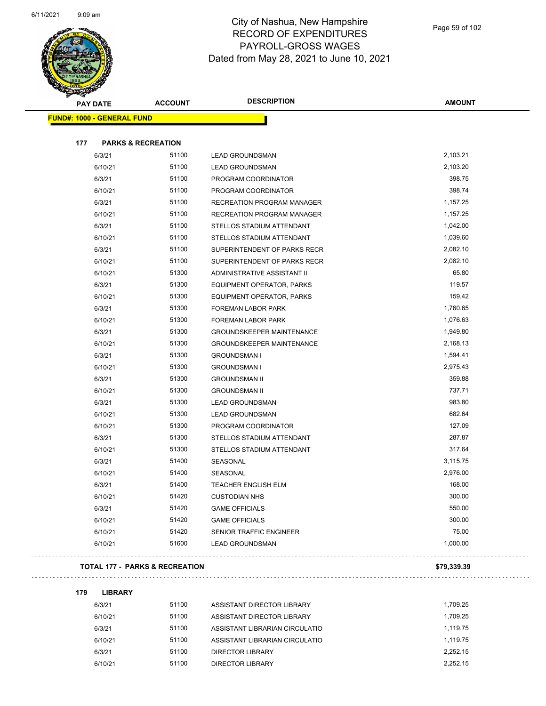

| <b>PAY DATE</b>                   | <b>ACCOUNT</b>                | <b>DESCRIPTION</b>                | <b>AMOUNT</b> |
|-----------------------------------|-------------------------------|-----------------------------------|---------------|
| <b>FUND#: 1000 - GENERAL FUND</b> |                               |                                   |               |
| 177                               | <b>PARKS &amp; RECREATION</b> |                                   |               |
| 6/3/21                            | 51100                         | <b>LEAD GROUNDSMAN</b>            | 2,103.21      |
| 6/10/21                           | 51100                         | <b>LEAD GROUNDSMAN</b>            | 2,103.20      |
| 6/3/21                            | 51100                         | PROGRAM COORDINATOR               | 398.75        |
| 6/10/21                           | 51100                         | PROGRAM COORDINATOR               | 398.74        |
| 6/3/21                            | 51100                         | <b>RECREATION PROGRAM MANAGER</b> | 1,157.25      |
| 6/10/21                           | 51100                         | RECREATION PROGRAM MANAGER        | 1,157.25      |
| 6/3/21                            | 51100                         | STELLOS STADIUM ATTENDANT         | 1,042.00      |
| 6/10/21                           | 51100                         | STELLOS STADIUM ATTENDANT         | 1,039.60      |
| 6/3/21                            | 51100                         | SUPERINTENDENT OF PARKS RECR      | 2,082.10      |
| 6/10/21                           | 51100                         | SUPERINTENDENT OF PARKS RECR      | 2,082.10      |
| 6/10/21                           | 51300                         | ADMINISTRATIVE ASSISTANT II       | 65.80         |
| 6/3/21                            | 51300                         | EQUIPMENT OPERATOR, PARKS         | 119.57        |
| 6/10/21                           | 51300                         | EQUIPMENT OPERATOR, PARKS         | 159.42        |
| 6/3/21                            | 51300                         | <b>FOREMAN LABOR PARK</b>         | 1,760.65      |
| 6/10/21                           | 51300                         | <b>FOREMAN LABOR PARK</b>         | 1,076.63      |
| 6/3/21                            | 51300                         | <b>GROUNDSKEEPER MAINTENANCE</b>  | 1,949.80      |
| 6/10/21                           | 51300                         | <b>GROUNDSKEEPER MAINTENANCE</b>  | 2,168.13      |
| 6/3/21                            | 51300                         | <b>GROUNDSMAN I</b>               | 1,594.41      |
| 6/10/21                           | 51300                         | <b>GROUNDSMAN I</b>               | 2,975.43      |
| 6/3/21                            | 51300                         | <b>GROUNDSMAN II</b>              | 359.88        |
| 6/10/21                           | 51300                         | <b>GROUNDSMAN II</b>              | 737.71        |
| 6/3/21                            | 51300                         | <b>LEAD GROUNDSMAN</b>            | 983.80        |
| 6/10/21                           | 51300                         | <b>LEAD GROUNDSMAN</b>            | 682.64        |
| 6/10/21                           | 51300                         | PROGRAM COORDINATOR               | 127.09        |
| 6/3/21                            | 51300                         | STELLOS STADIUM ATTENDANT         | 287.87        |
| 6/10/21                           | 51300                         | STELLOS STADIUM ATTENDANT         | 317.64        |
| 6/3/21                            | 51400                         | SEASONAL                          | 3,115.75      |
| 6/10/21                           | 51400                         | SEASONAL                          | 2,976.00      |
| 6/3/21                            | 51400                         | TEACHER ENGLISH ELM               | 168.00        |
| 6/10/21                           | 51420                         | <b>CUSTODIAN NHS</b>              | 300.00        |
| 6/3/21                            | 51420                         | <b>GAME OFFICIALS</b>             | 550.00        |
| 6/10/21                           | 51420                         | <b>GAME OFFICIALS</b>             | 300.00        |
| 6/10/21                           | 51420                         | SENIOR TRAFFIC ENGINEER           | 75.00         |
| 6/10/21                           | 51600                         | <b>LEAD GROUNDSMAN</b>            | 1,000.00      |

#### **TOTAL 177 - PARKS & RECREATION \$79,339.39**

**179 LIBRARY** 6/3/21 51100 ASSISTANT DIRECTOR LIBRARY 6/3/21 1,709.25 6/10/21 51100 ASSISTANT DIRECTOR LIBRARY 6/10/21 1,709.25 6/3/21 51100 ASSISTANT LIBRARIAN CIRCULATIO 1,119.75 6/10/21 51100 ASSISTANT LIBRARIAN CIRCULATIO 1,119.75 6/3/21 51100 DIRECTOR LIBRARY 2,252.15 6/10/21 51100 DIRECTOR LIBRARY 2,252.15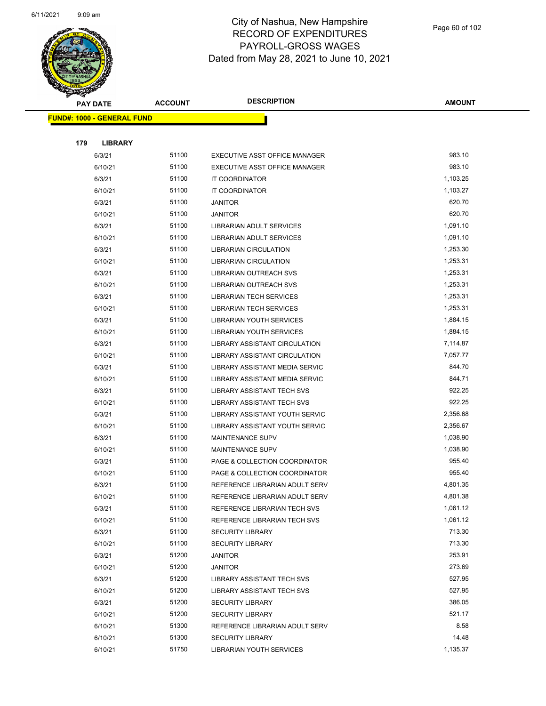

|     | <b>PAY DATE</b>                   | <b>ACCOUNT</b> | <b>DESCRIPTION</b>                                               | <b>AMOUNT</b>        |
|-----|-----------------------------------|----------------|------------------------------------------------------------------|----------------------|
|     | <b>FUND#: 1000 - GENERAL FUND</b> |                |                                                                  |                      |
|     |                                   |                |                                                                  |                      |
| 179 | <b>LIBRARY</b>                    |                |                                                                  |                      |
|     | 6/3/21                            | 51100          | EXECUTIVE ASST OFFICE MANAGER                                    | 983.10               |
|     | 6/10/21                           | 51100          | EXECUTIVE ASST OFFICE MANAGER                                    | 983.10               |
|     | 6/3/21                            | 51100          | IT COORDINATOR                                                   | 1,103.25             |
|     | 6/10/21                           | 51100          | <b>IT COORDINATOR</b>                                            | 1,103.27             |
|     | 6/3/21                            | 51100          | <b>JANITOR</b>                                                   | 620.70               |
|     | 6/10/21                           | 51100          | <b>JANITOR</b>                                                   | 620.70               |
|     | 6/3/21                            | 51100          | LIBRARIAN ADULT SERVICES                                         | 1,091.10             |
|     | 6/10/21                           | 51100          | LIBRARIAN ADULT SERVICES                                         | 1,091.10             |
|     | 6/3/21                            | 51100          | LIBRARIAN CIRCULATION                                            | 1,253.30             |
|     | 6/10/21                           | 51100          | LIBRARIAN CIRCULATION                                            | 1,253.31             |
|     | 6/3/21                            | 51100          | LIBRARIAN OUTREACH SVS                                           | 1,253.31             |
|     | 6/10/21                           | 51100          | LIBRARIAN OUTREACH SVS                                           | 1,253.31             |
|     | 6/3/21                            | 51100          | <b>LIBRARIAN TECH SERVICES</b>                                   | 1,253.31             |
|     | 6/10/21                           | 51100          | <b>LIBRARIAN TECH SERVICES</b>                                   | 1,253.31             |
|     | 6/3/21                            | 51100          | <b>LIBRARIAN YOUTH SERVICES</b>                                  | 1,884.15             |
|     | 6/10/21                           | 51100          | LIBRARIAN YOUTH SERVICES                                         | 1,884.15             |
|     | 6/3/21                            | 51100          | LIBRARY ASSISTANT CIRCULATION                                    | 7,114.87             |
|     | 6/10/21                           | 51100          | LIBRARY ASSISTANT CIRCULATION                                    | 7,057.77             |
|     | 6/3/21                            | 51100          | LIBRARY ASSISTANT MEDIA SERVIC                                   | 844.70               |
|     | 6/10/21                           | 51100          | LIBRARY ASSISTANT MEDIA SERVIC                                   | 844.71               |
|     | 6/3/21                            | 51100          | <b>LIBRARY ASSISTANT TECH SVS</b>                                | 922.25<br>922.25     |
|     | 6/10/21                           | 51100          | LIBRARY ASSISTANT TECH SVS                                       |                      |
|     | 6/3/21                            | 51100<br>51100 | LIBRARY ASSISTANT YOUTH SERVIC<br>LIBRARY ASSISTANT YOUTH SERVIC | 2,356.68<br>2,356.67 |
|     | 6/10/21<br>6/3/21                 | 51100          | <b>MAINTENANCE SUPV</b>                                          | 1,038.90             |
|     | 6/10/21                           | 51100          | <b>MAINTENANCE SUPV</b>                                          | 1,038.90             |
|     | 6/3/21                            | 51100          | PAGE & COLLECTION COORDINATOR                                    | 955.40               |
|     | 6/10/21                           | 51100          | PAGE & COLLECTION COORDINATOR                                    | 955.40               |
|     | 6/3/21                            | 51100          | REFERENCE LIBRARIAN ADULT SERV                                   | 4,801.35             |
|     | 6/10/21                           | 51100          | REFERENCE LIBRARIAN ADULT SERV                                   | 4,801.38             |
|     | 6/3/21                            | 51100          | REFERENCE LIBRARIAN TECH SVS                                     | 1,061.12             |
|     | 6/10/21                           | 51100          | REFERENCE LIBRARIAN TECH SVS                                     | 1,061.12             |
|     | 6/3/21                            | 51100          | <b>SECURITY LIBRARY</b>                                          | 713.30               |
|     | 6/10/21                           | 51100          | <b>SECURITY LIBRARY</b>                                          | 713.30               |
|     | 6/3/21                            | 51200          | JANITOR                                                          | 253.91               |
|     | 6/10/21                           | 51200          | JANITOR                                                          | 273.69               |
|     | 6/3/21                            | 51200          | LIBRARY ASSISTANT TECH SVS                                       | 527.95               |
|     | 6/10/21                           | 51200          | LIBRARY ASSISTANT TECH SVS                                       | 527.95               |
|     | 6/3/21                            | 51200          | <b>SECURITY LIBRARY</b>                                          | 386.05               |
|     | 6/10/21                           | 51200          | <b>SECURITY LIBRARY</b>                                          | 521.17               |
|     | 6/10/21                           | 51300          | REFERENCE LIBRARIAN ADULT SERV                                   | 8.58                 |
|     | 6/10/21                           | 51300          | <b>SECURITY LIBRARY</b>                                          | 14.48                |
|     | 6/10/21                           | 51750          | LIBRARIAN YOUTH SERVICES                                         | 1,135.37             |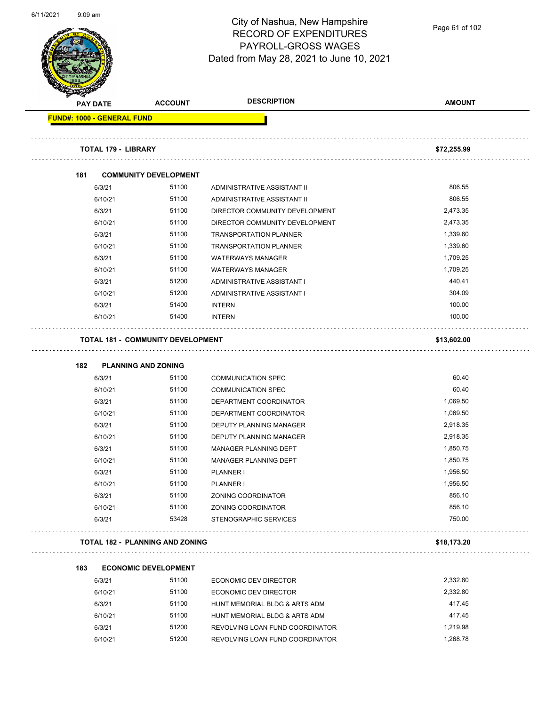

Page 61 of 102

|                                   | <b>ACCOUNT</b>                           | <b>DESCRIPTION</b>              | <b>AMOUNT</b> |
|-----------------------------------|------------------------------------------|---------------------------------|---------------|
| <b>PAY DATE</b>                   |                                          |                                 |               |
| <b>FUND#: 1000 - GENERAL FUND</b> |                                          |                                 |               |
| <b>TOTAL 179 - LIBRARY</b>        |                                          |                                 | \$72,255.99   |
| 181                               | <b>COMMUNITY DEVELOPMENT</b>             |                                 |               |
| 6/3/21                            | 51100                                    | ADMINISTRATIVE ASSISTANT II     | 806.55        |
| 6/10/21                           | 51100                                    | ADMINISTRATIVE ASSISTANT II     | 806.55        |
| 6/3/21                            | 51100                                    | DIRECTOR COMMUNITY DEVELOPMENT  | 2,473.35      |
| 6/10/21                           | 51100                                    | DIRECTOR COMMUNITY DEVELOPMENT  | 2,473.35      |
| 6/3/21                            | 51100                                    | <b>TRANSPORTATION PLANNER</b>   | 1,339.60      |
| 6/10/21                           | 51100                                    | <b>TRANSPORTATION PLANNER</b>   | 1,339.60      |
| 6/3/21                            | 51100                                    | <b>WATERWAYS MANAGER</b>        | 1,709.25      |
| 6/10/21                           | 51100                                    | <b>WATERWAYS MANAGER</b>        | 1,709.25      |
| 6/3/21                            | 51200                                    | ADMINISTRATIVE ASSISTANT I      | 440.41        |
| 6/10/21                           | 51200                                    | ADMINISTRATIVE ASSISTANT I      | 304.09        |
| 6/3/21                            | 51400                                    | <b>INTERN</b>                   | 100.00        |
| 6/10/21                           | 51400                                    | <b>INTERN</b>                   | 100.00        |
|                                   | <b>TOTAL 181 - COMMUNITY DEVELOPMENT</b> |                                 | \$13,602.00   |
| 182                               | <b>PLANNING AND ZONING</b>               |                                 |               |
| 6/3/21                            | 51100                                    | <b>COMMUNICATION SPEC</b>       | 60.40         |
| 6/10/21                           | 51100                                    | <b>COMMUNICATION SPEC</b>       | 60.40         |
| 6/3/21                            | 51100                                    | DEPARTMENT COORDINATOR          | 1,069.50      |
| 6/10/21                           | 51100                                    | DEPARTMENT COORDINATOR          | 1,069.50      |
| 6/3/21                            | 51100                                    | DEPUTY PLANNING MANAGER         | 2,918.35      |
| 6/10/21                           | 51100                                    | DEPUTY PLANNING MANAGER         | 2,918.35      |
| 6/3/21                            | 51100                                    | <b>MANAGER PLANNING DEPT</b>    | 1,850.75      |
| 6/10/21                           | 51100                                    | MANAGER PLANNING DEPT           | 1,850.75      |
| 6/3/21                            | 51100                                    | PLANNER I                       | 1,956.50      |
| 6/10/21                           | 51100                                    | <b>PLANNER I</b>                | 1,956.50      |
| 6/3/21                            | 51100                                    | ZONING COORDINATOR              | 856.10        |
| 6/10/21                           | 51100                                    | ZONING COORDINATOR              | 856.10        |
| 6/3/21                            | 53428                                    | <b>STENOGRAPHIC SERVICES</b>    | 750.00        |
|                                   | <b>TOTAL 182 - PLANNING AND ZONING</b>   |                                 | \$18,173.20   |
| 183                               | <b>ECONOMIC DEVELOPMENT</b>              |                                 |               |
| 6/3/21                            | 51100                                    | <b>ECONOMIC DEV DIRECTOR</b>    | 2,332.80      |
| 6/10/21                           | 51100                                    | ECONOMIC DEV DIRECTOR           | 2,332.80      |
| 6/3/21                            | 51100                                    | HUNT MEMORIAL BLDG & ARTS ADM   | 417.45        |
| 6/10/21                           | 51100                                    | HUNT MEMORIAL BLDG & ARTS ADM   | 417.45        |
| 6/3/21                            | 51200                                    | REVOLVING LOAN FUND COORDINATOR | 1,219.98      |
|                                   | 51200                                    |                                 |               |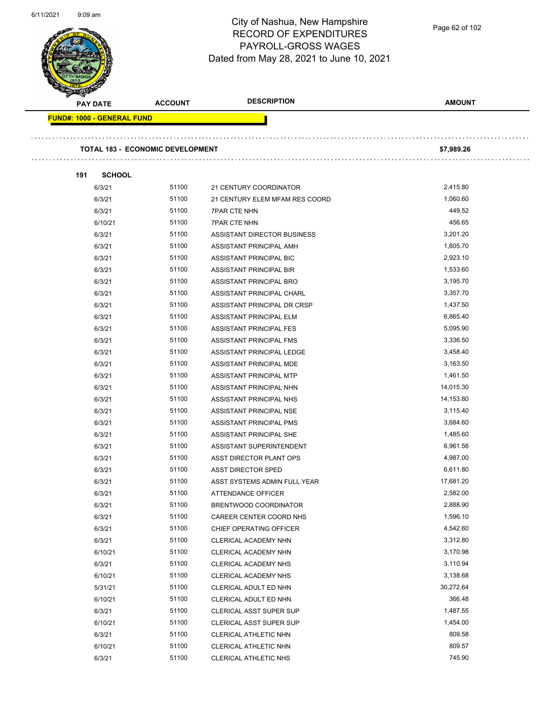

Page 62 of 102

| <b>TOTAL 183 - ECONOMIC DEVELOPMENT</b><br>21 CENTURY COORDINATOR<br>21 CENTURY ELEM MFAM RES COORD | \$7,989.26                                                              |
|-----------------------------------------------------------------------------------------------------|-------------------------------------------------------------------------|
|                                                                                                     |                                                                         |
|                                                                                                     |                                                                         |
|                                                                                                     |                                                                         |
|                                                                                                     |                                                                         |
|                                                                                                     | 2,415.80                                                                |
|                                                                                                     | 1,060.60                                                                |
| <b>7PAR CTE NHN</b>                                                                                 | 449.52                                                                  |
| <b>7PAR CTE NHN</b>                                                                                 | 456.65                                                                  |
| ASSISTANT DIRECTOR BUSINESS                                                                         | 3,201.20                                                                |
| ASSISTANT PRINCIPAL AMH                                                                             | 1,605.70                                                                |
| ASSISTANT PRINCIPAL BIC                                                                             | 2,923.10                                                                |
| ASSISTANT PRINCIPAL BIR                                                                             | 1,533.60                                                                |
| ASSISTANT PRINCIPAL BRO                                                                             | 3,195.70                                                                |
| ASSISTANT PRINCIPAL CHARL                                                                           | 3,357.70                                                                |
| ASSISTANT PRINCIPAL DR CRSP                                                                         | 1,437.50                                                                |
| ASSISTANT PRINCIPAL ELM                                                                             | 6,865.40                                                                |
| ASSISTANT PRINCIPAL FES                                                                             | 5,095.90                                                                |
| ASSISTANT PRINCIPAL FMS                                                                             | 3,336.50                                                                |
| ASSISTANT PRINCIPAL LEDGE                                                                           | 3,458.40                                                                |
| ASSISTANT PRINCIPAL MDE                                                                             | 3,163.50                                                                |
| ASSISTANT PRINCIPAL MTP                                                                             | 1,461.50                                                                |
| ASSISTANT PRINCIPAL NHN                                                                             | 14,015.30                                                               |
|                                                                                                     | 14,153.80                                                               |
| ASSISTANT PRINCIPAL NHS                                                                             | 3,115.40                                                                |
| ASSISTANT PRINCIPAL NSE                                                                             |                                                                         |
| ASSISTANT PRINCIPAL PMS                                                                             | 3,684.60                                                                |
| ASSISTANT PRINCIPAL SHE                                                                             | 1,485.60                                                                |
| ASSISTANT SUPERINTENDENT                                                                            | 6,961.56                                                                |
| ASST DIRECTOR PLANT OPS                                                                             | 4,987.00                                                                |
| <b>ASST DIRECTOR SPED</b>                                                                           | 6,611.80                                                                |
| ASST SYSTEMS ADMIN FULL YEAR                                                                        | 17,681.20                                                               |
| ATTENDANCE OFFICER                                                                                  | 2,582.00                                                                |
| BRENTWOOD COORDINATOR                                                                               | 2,888.90                                                                |
| CAREER CENTER COORD NHS                                                                             | 1,596.10                                                                |
| CHIEF OPERATING OFFICER                                                                             | 4,542.60                                                                |
| CLERICAL ACADEMY NHN                                                                                | 3,312.80                                                                |
| CLERICAL ACADEMY NHN                                                                                | 3,170.98                                                                |
| CLERICAL ACADEMY NHS                                                                                | 3,110.94                                                                |
| CLERICAL ACADEMY NHS                                                                                | 3,138.68                                                                |
| CLERICAL ADULT ED NHN                                                                               | 30,272.64                                                               |
| CLERICAL ADULT ED NHN                                                                               | 366.48                                                                  |
| <b>CLERICAL ASST SUPER SUP</b>                                                                      | 1,487.55                                                                |
| CLERICAL ASST SUPER SUP                                                                             | 1,454.00                                                                |
| <b>CLERICAL ATHLETIC NHN</b>                                                                        | 809.58                                                                  |
|                                                                                                     | 809.57                                                                  |
| 51100<br>51100<br>51100<br>51100                                                                    | 51100<br>CLERICAL ATHLETIC NHN<br>51100<br><b>CLERICAL ATHLETIC NHS</b> |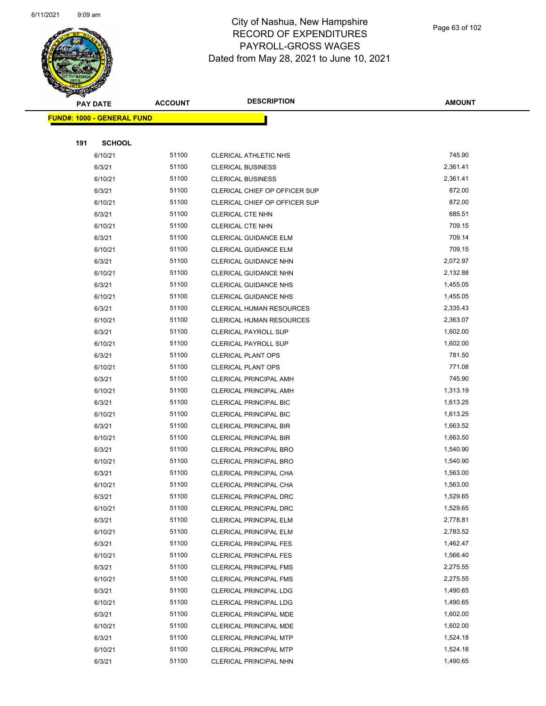

Page 63 of 102

| <b>STARBAN</b> |                                   |                |                                 |               |
|----------------|-----------------------------------|----------------|---------------------------------|---------------|
|                | <b>PAY DATE</b>                   | <b>ACCOUNT</b> | <b>DESCRIPTION</b>              | <b>AMOUNT</b> |
|                | <b>FUND#: 1000 - GENERAL FUND</b> |                |                                 |               |
|                |                                   |                |                                 |               |
| 191            | <b>SCHOOL</b>                     |                |                                 |               |
|                | 6/10/21                           | 51100          | <b>CLERICAL ATHLETIC NHS</b>    | 745.90        |
|                | 6/3/21                            | 51100          | <b>CLERICAL BUSINESS</b>        | 2,361.41      |
|                | 6/10/21                           | 51100          | <b>CLERICAL BUSINESS</b>        | 2,361.41      |
|                | 6/3/21                            | 51100          | CLERICAL CHIEF OP OFFICER SUP   | 872.00        |
|                | 6/10/21                           | 51100          | CLERICAL CHIEF OP OFFICER SUP   | 872.00        |
|                | 6/3/21                            | 51100          | CLERICAL CTE NHN                | 685.51        |
|                | 6/10/21                           | 51100          | CLERICAL CTE NHN                | 709.15        |
|                | 6/3/21                            | 51100          | CLERICAL GUIDANCE ELM           | 709.14        |
|                | 6/10/21                           | 51100          | <b>CLERICAL GUIDANCE ELM</b>    | 709.15        |
|                | 6/3/21                            | 51100          | <b>CLERICAL GUIDANCE NHN</b>    | 2,072.97      |
|                | 6/10/21                           | 51100          | CLERICAL GUIDANCE NHN           | 2,132.88      |
|                | 6/3/21                            | 51100          | CLERICAL GUIDANCE NHS           | 1,455.05      |
|                | 6/10/21                           | 51100          | <b>CLERICAL GUIDANCE NHS</b>    | 1,455.05      |
|                | 6/3/21                            | 51100          | <b>CLERICAL HUMAN RESOURCES</b> | 2,335.43      |
|                | 6/10/21                           | 51100          | CLERICAL HUMAN RESOURCES        | 2,363.07      |
|                | 6/3/21                            | 51100          | <b>CLERICAL PAYROLL SUP</b>     | 1,602.00      |
|                | 6/10/21                           | 51100          | <b>CLERICAL PAYROLL SUP</b>     | 1,602.00      |
|                | 6/3/21                            | 51100          | <b>CLERICAL PLANT OPS</b>       | 781.50        |
|                | 6/10/21                           | 51100          | <b>CLERICAL PLANT OPS</b>       | 771.08        |
|                | 6/3/21                            | 51100          | <b>CLERICAL PRINCIPAL AMH</b>   | 745.90        |
|                | 6/10/21                           | 51100          | <b>CLERICAL PRINCIPAL AMH</b>   | 1,313.19      |
|                | 6/3/21                            | 51100          | <b>CLERICAL PRINCIPAL BIC</b>   | 1,613.25      |
|                | 6/10/21                           | 51100          | CLERICAL PRINCIPAL BIC          | 1,613.25      |
|                | 6/3/21                            | 51100          | <b>CLERICAL PRINCIPAL BIR</b>   | 1,663.52      |
|                | 6/10/21                           | 51100          | <b>CLERICAL PRINCIPAL BIR</b>   | 1,663.50      |
|                | 6/3/21                            | 51100          | <b>CLERICAL PRINCIPAL BRO</b>   | 1,540.90      |
|                | 6/10/21                           | 51100          | <b>CLERICAL PRINCIPAL BRO</b>   | 1,540.90      |
|                | 6/3/21                            | 51100          | <b>CLERICAL PRINCIPAL CHA</b>   | 1,563.00      |
|                | 6/10/21                           | 51100          | CLERICAL PRINCIPAL CHA          | 1,563.00      |
|                | 6/3/21                            | 51100          | <b>CLERICAL PRINCIPAL DRC</b>   | 1,529.65      |
|                | 6/10/21                           | 51100          | <b>CLERICAL PRINCIPAL DRC</b>   | 1,529.65      |
|                | 6/3/21                            | 51100          | <b>CLERICAL PRINCIPAL ELM</b>   | 2,778.81      |
|                | 6/10/21                           | 51100          | <b>CLERICAL PRINCIPAL ELM</b>   | 2,783.52      |
|                | 6/3/21                            | 51100          | <b>CLERICAL PRINCIPAL FES</b>   | 1,462.47      |
|                | 6/10/21                           | 51100          | <b>CLERICAL PRINCIPAL FES</b>   | 1,566.40      |
|                | 6/3/21                            | 51100          | <b>CLERICAL PRINCIPAL FMS</b>   | 2,275.55      |
|                | 6/10/21                           | 51100          | <b>CLERICAL PRINCIPAL FMS</b>   | 2,275.55      |
|                | 6/3/21                            | 51100          | <b>CLERICAL PRINCIPAL LDG</b>   | 1,490.65      |
|                | 6/10/21                           | 51100          | <b>CLERICAL PRINCIPAL LDG</b>   | 1,490.65      |
|                | 6/3/21                            | 51100          | CLERICAL PRINCIPAL MDE          | 1,602.00      |
|                | 6/10/21                           | 51100          | CLERICAL PRINCIPAL MDE          | 1,602.00      |
|                | 6/3/21                            | 51100          | <b>CLERICAL PRINCIPAL MTP</b>   | 1,524.18      |
|                | 6/10/21                           | 51100          | <b>CLERICAL PRINCIPAL MTP</b>   | 1,524.18      |
|                | 6/3/21                            | 51100          | <b>CLERICAL PRINCIPAL NHN</b>   | 1,490.65      |
|                |                                   |                |                                 |               |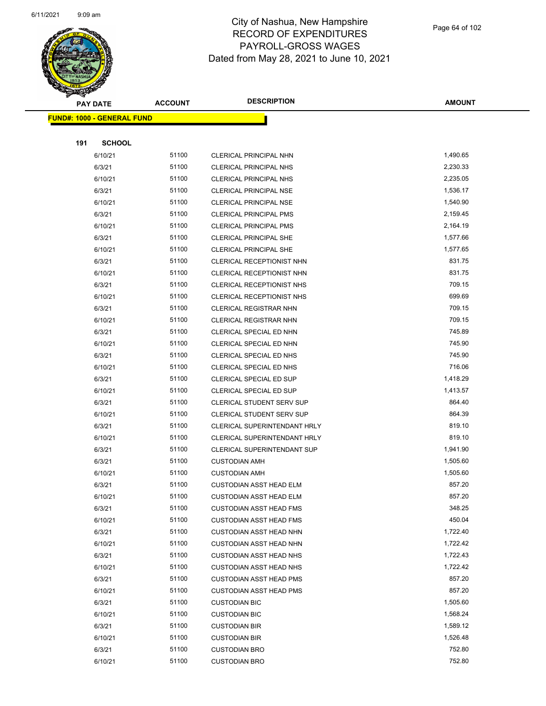

Page 64 of 102

| <b>SANGRAP</b> |                                   |                |                                  |               |
|----------------|-----------------------------------|----------------|----------------------------------|---------------|
|                | <b>PAY DATE</b>                   | <b>ACCOUNT</b> | <b>DESCRIPTION</b>               | <b>AMOUNT</b> |
|                | <b>FUND#: 1000 - GENERAL FUND</b> |                |                                  |               |
|                |                                   |                |                                  |               |
| 191            | <b>SCHOOL</b>                     |                |                                  |               |
|                | 6/10/21                           | 51100          | CLERICAL PRINCIPAL NHN           | 1,490.65      |
|                | 6/3/21                            | 51100          | <b>CLERICAL PRINCIPAL NHS</b>    | 2,230.33      |
|                | 6/10/21                           | 51100          | <b>CLERICAL PRINCIPAL NHS</b>    | 2,235.05      |
|                | 6/3/21                            | 51100          | <b>CLERICAL PRINCIPAL NSE</b>    | 1,536.17      |
|                | 6/10/21                           | 51100          | CLERICAL PRINCIPAL NSE           | 1,540.90      |
|                | 6/3/21                            | 51100          | <b>CLERICAL PRINCIPAL PMS</b>    | 2,159.45      |
|                | 6/10/21                           | 51100          | <b>CLERICAL PRINCIPAL PMS</b>    | 2,164.19      |
|                | 6/3/21                            | 51100          | <b>CLERICAL PRINCIPAL SHE</b>    | 1,577.66      |
|                | 6/10/21                           | 51100          | <b>CLERICAL PRINCIPAL SHE</b>    | 1,577.65      |
|                | 6/3/21                            | 51100          | CLERICAL RECEPTIONIST NHN        | 831.75        |
|                | 6/10/21                           | 51100          | CLERICAL RECEPTIONIST NHN        | 831.75        |
|                | 6/3/21                            | 51100          | CLERICAL RECEPTIONIST NHS        | 709.15        |
|                | 6/10/21                           | 51100          | <b>CLERICAL RECEPTIONIST NHS</b> | 699.69        |
|                | 6/3/21                            | 51100          | <b>CLERICAL REGISTRAR NHN</b>    | 709.15        |
|                | 6/10/21                           | 51100          | CLERICAL REGISTRAR NHN           | 709.15        |
|                | 6/3/21                            | 51100          | CLERICAL SPECIAL ED NHN          | 745.89        |
|                | 6/10/21                           | 51100          | CLERICAL SPECIAL ED NHN          | 745.90        |
|                | 6/3/21                            | 51100          | CLERICAL SPECIAL ED NHS          | 745.90        |
|                | 6/10/21                           | 51100          | CLERICAL SPECIAL ED NHS          | 716.06        |
|                | 6/3/21                            | 51100          | CLERICAL SPECIAL ED SUP          | 1,418.29      |
|                | 6/10/21                           | 51100          | <b>CLERICAL SPECIAL ED SUP</b>   | 1,413.57      |
|                | 6/3/21                            | 51100          | <b>CLERICAL STUDENT SERV SUP</b> | 864.40        |
|                | 6/10/21                           | 51100          | CLERICAL STUDENT SERV SUP        | 864.39        |
|                | 6/3/21                            | 51100          | CLERICAL SUPERINTENDANT HRLY     | 819.10        |
|                | 6/10/21                           | 51100          | CLERICAL SUPERINTENDANT HRLY     | 819.10        |
|                | 6/3/21                            | 51100          | CLERICAL SUPERINTENDANT SUP      | 1,941.90      |
|                | 6/3/21                            | 51100          | <b>CUSTODIAN AMH</b>             | 1,505.60      |
|                | 6/10/21                           | 51100          | <b>CUSTODIAN AMH</b>             | 1,505.60      |
|                | 6/3/21                            | 51100          | <b>CUSTODIAN ASST HEAD ELM</b>   | 857.20        |
|                | 6/10/21                           | 51100          | <b>CUSTODIAN ASST HEAD ELM</b>   | 857.20        |
|                | 6/3/21                            | 51100          | <b>CUSTODIAN ASST HEAD FMS</b>   | 348.25        |
|                | 6/10/21                           | 51100          | <b>CUSTODIAN ASST HEAD FMS</b>   | 450.04        |
|                | 6/3/21                            | 51100          | <b>CUSTODIAN ASST HEAD NHN</b>   | 1,722.40      |
|                | 6/10/21                           | 51100          | <b>CUSTODIAN ASST HEAD NHN</b>   | 1,722.42      |
|                | 6/3/21                            | 51100          | <b>CUSTODIAN ASST HEAD NHS</b>   | 1,722.43      |
|                | 6/10/21                           | 51100          | <b>CUSTODIAN ASST HEAD NHS</b>   | 1,722.42      |
|                | 6/3/21                            | 51100          | <b>CUSTODIAN ASST HEAD PMS</b>   | 857.20        |
|                | 6/10/21                           | 51100          | <b>CUSTODIAN ASST HEAD PMS</b>   | 857.20        |
|                | 6/3/21                            | 51100          | <b>CUSTODIAN BIC</b>             | 1,505.60      |
|                | 6/10/21                           | 51100          | <b>CUSTODIAN BIC</b>             | 1,568.24      |
|                | 6/3/21                            | 51100          | <b>CUSTODIAN BIR</b>             | 1,589.12      |
|                | 6/10/21                           | 51100          | <b>CUSTODIAN BIR</b>             | 1,526.48      |
|                | 6/3/21                            | 51100          | <b>CUSTODIAN BRO</b>             | 752.80        |
|                | 6/10/21                           | 51100          | <b>CUSTODIAN BRO</b>             | 752.80        |
|                |                                   |                |                                  |               |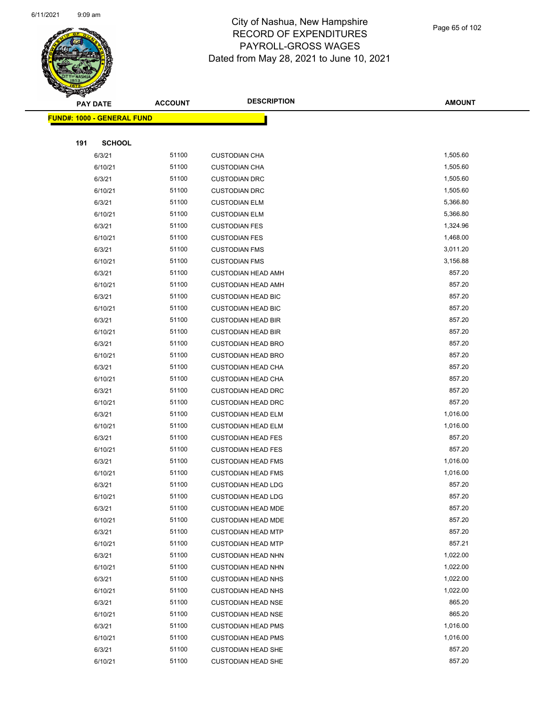

Page 65 of 102

|     | <b>PAY DATE</b>                   | <b>ACCOUNT</b> | <b>DESCRIPTION</b>                                     | <b>AMOUNT</b>    |
|-----|-----------------------------------|----------------|--------------------------------------------------------|------------------|
|     | <b>FUND#: 1000 - GENERAL FUND</b> |                |                                                        |                  |
|     |                                   |                |                                                        |                  |
| 191 | <b>SCHOOL</b>                     |                |                                                        |                  |
|     | 6/3/21                            | 51100          | <b>CUSTODIAN CHA</b>                                   | 1,505.60         |
|     | 6/10/21                           | 51100          | <b>CUSTODIAN CHA</b>                                   | 1,505.60         |
|     | 6/3/21                            | 51100          | <b>CUSTODIAN DRC</b>                                   | 1,505.60         |
|     | 6/10/21                           | 51100          | <b>CUSTODIAN DRC</b>                                   | 1,505.60         |
|     | 6/3/21                            | 51100          | <b>CUSTODIAN ELM</b>                                   | 5,366.80         |
|     | 6/10/21                           | 51100          | <b>CUSTODIAN ELM</b>                                   | 5,366.80         |
|     | 6/3/21                            | 51100          | <b>CUSTODIAN FES</b>                                   | 1,324.96         |
|     | 6/10/21                           | 51100          | <b>CUSTODIAN FES</b>                                   | 1,468.00         |
|     | 6/3/21                            | 51100          | <b>CUSTODIAN FMS</b>                                   | 3,011.20         |
|     | 6/10/21                           | 51100          | <b>CUSTODIAN FMS</b>                                   | 3,156.88         |
|     | 6/3/21                            | 51100          | <b>CUSTODIAN HEAD AMH</b>                              | 857.20           |
|     | 6/10/21                           | 51100          | <b>CUSTODIAN HEAD AMH</b>                              | 857.20           |
|     | 6/3/21                            | 51100          | <b>CUSTODIAN HEAD BIC</b>                              | 857.20           |
|     | 6/10/21                           | 51100          | <b>CUSTODIAN HEAD BIC</b>                              | 857.20           |
|     | 6/3/21                            | 51100          | <b>CUSTODIAN HEAD BIR</b>                              | 857.20           |
|     | 6/10/21                           | 51100          | <b>CUSTODIAN HEAD BIR</b>                              | 857.20           |
|     | 6/3/21                            | 51100          | <b>CUSTODIAN HEAD BRO</b>                              | 857.20           |
|     | 6/10/21                           | 51100          | <b>CUSTODIAN HEAD BRO</b>                              | 857.20           |
|     | 6/3/21                            | 51100          | <b>CUSTODIAN HEAD CHA</b>                              | 857.20           |
|     | 6/10/21                           | 51100          | <b>CUSTODIAN HEAD CHA</b>                              | 857.20           |
|     | 6/3/21                            | 51100          | <b>CUSTODIAN HEAD DRC</b>                              | 857.20           |
|     | 6/10/21                           | 51100          | <b>CUSTODIAN HEAD DRC</b>                              | 857.20           |
|     | 6/3/21                            | 51100          | <b>CUSTODIAN HEAD ELM</b>                              | 1,016.00         |
|     | 6/10/21                           | 51100          | <b>CUSTODIAN HEAD ELM</b>                              | 1,016.00         |
|     | 6/3/21                            | 51100          | <b>CUSTODIAN HEAD FES</b>                              | 857.20           |
|     | 6/10/21                           | 51100          | <b>CUSTODIAN HEAD FES</b>                              | 857.20           |
|     | 6/3/21                            | 51100          | <b>CUSTODIAN HEAD FMS</b>                              | 1,016.00         |
|     | 6/10/21                           | 51100          | <b>CUSTODIAN HEAD FMS</b>                              | 1,016.00         |
|     | 6/3/21                            | 51100          | <b>CUSTODIAN HEAD LDG</b>                              | 857.20           |
|     | 6/10/21                           | 51100          | <b>CUSTODIAN HEAD LDG</b>                              | 857.20           |
|     | 6/3/21                            | 51100          | <b>CUSTODIAN HEAD MDE</b>                              | 857.20           |
|     | 6/10/21                           | 51100          | <b>CUSTODIAN HEAD MDE</b>                              | 857.20           |
|     | 6/3/21                            | 51100          | <b>CUSTODIAN HEAD MTP</b>                              | 857.20<br>857.21 |
|     | 6/10/21                           | 51100          | <b>CUSTODIAN HEAD MTP</b>                              | 1,022.00         |
|     | 6/3/21                            | 51100<br>51100 | <b>CUSTODIAN HEAD NHN</b>                              | 1,022.00         |
|     | 6/10/21<br>6/3/21                 | 51100          | <b>CUSTODIAN HEAD NHN</b>                              | 1,022.00         |
|     |                                   | 51100          | <b>CUSTODIAN HEAD NHS</b><br><b>CUSTODIAN HEAD NHS</b> | 1,022.00         |
|     | 6/10/21<br>6/3/21                 | 51100          | <b>CUSTODIAN HEAD NSE</b>                              | 865.20           |
|     | 6/10/21                           | 51100          | <b>CUSTODIAN HEAD NSE</b>                              | 865.20           |
|     | 6/3/21                            | 51100          | <b>CUSTODIAN HEAD PMS</b>                              | 1,016.00         |
|     | 6/10/21                           | 51100          | <b>CUSTODIAN HEAD PMS</b>                              | 1,016.00         |
|     | 6/3/21                            | 51100          | <b>CUSTODIAN HEAD SHE</b>                              | 857.20           |
|     | 6/10/21                           | 51100          | <b>CUSTODIAN HEAD SHE</b>                              | 857.20           |
|     |                                   |                |                                                        |                  |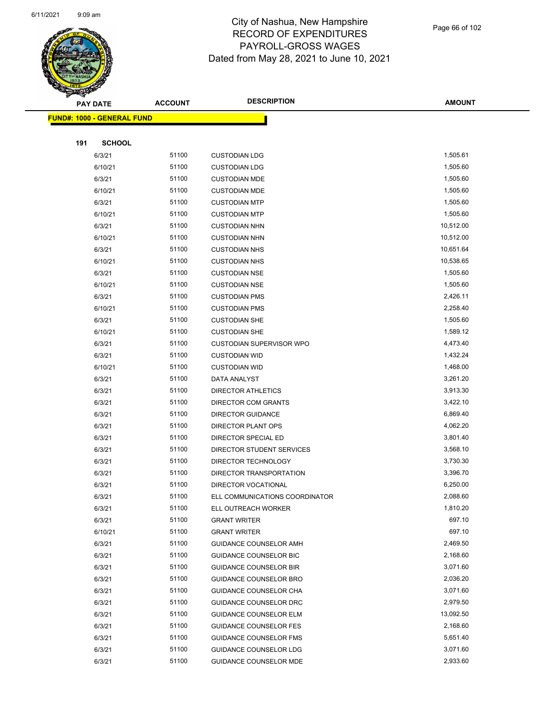

Page 66 of 102

|     | <b>PAY DATE</b>                    | <b>ACCOUNT</b> | <b>DESCRIPTION</b>              | <b>AMOUNT</b> |
|-----|------------------------------------|----------------|---------------------------------|---------------|
|     | <u> FUND#: 1000 - GENERAL FUND</u> |                |                                 |               |
|     |                                    |                |                                 |               |
| 191 | <b>SCHOOL</b>                      |                |                                 |               |
|     | 6/3/21                             | 51100          | <b>CUSTODIAN LDG</b>            | 1,505.61      |
|     | 6/10/21                            | 51100          | <b>CUSTODIAN LDG</b>            | 1,505.60      |
|     | 6/3/21                             | 51100          | <b>CUSTODIAN MDE</b>            | 1,505.60      |
|     | 6/10/21                            | 51100          | <b>CUSTODIAN MDE</b>            | 1,505.60      |
|     | 6/3/21                             | 51100          | <b>CUSTODIAN MTP</b>            | 1,505.60      |
|     | 6/10/21                            | 51100          | <b>CUSTODIAN MTP</b>            | 1,505.60      |
|     | 6/3/21                             | 51100          | <b>CUSTODIAN NHN</b>            | 10,512.00     |
|     | 6/10/21                            | 51100          | <b>CUSTODIAN NHN</b>            | 10,512.00     |
|     | 6/3/21                             | 51100          | <b>CUSTODIAN NHS</b>            | 10,651.64     |
|     | 6/10/21                            | 51100          | <b>CUSTODIAN NHS</b>            | 10,538.65     |
|     | 6/3/21                             | 51100          | <b>CUSTODIAN NSE</b>            | 1,505.60      |
|     | 6/10/21                            | 51100          | <b>CUSTODIAN NSE</b>            | 1,505.60      |
|     | 6/3/21                             | 51100          | <b>CUSTODIAN PMS</b>            | 2,426.11      |
|     | 6/10/21                            | 51100          | <b>CUSTODIAN PMS</b>            | 2,258.40      |
|     | 6/3/21                             | 51100          | <b>CUSTODIAN SHE</b>            | 1,505.60      |
|     | 6/10/21                            | 51100          | <b>CUSTODIAN SHE</b>            | 1,589.12      |
|     | 6/3/21                             | 51100          | <b>CUSTODIAN SUPERVISOR WPO</b> | 4,473.40      |
|     | 6/3/21                             | 51100          | <b>CUSTODIAN WID</b>            | 1,432.24      |
|     | 6/10/21                            | 51100          | <b>CUSTODIAN WID</b>            | 1,468.00      |
|     | 6/3/21                             | 51100          | DATA ANALYST                    | 3,261.20      |
|     | 6/3/21                             | 51100          | <b>DIRECTOR ATHLETICS</b>       | 3,913.30      |
|     | 6/3/21                             | 51100          | DIRECTOR COM GRANTS             | 3,422.10      |
|     | 6/3/21                             | 51100          | <b>DIRECTOR GUIDANCE</b>        | 6,869.40      |
|     | 6/3/21                             | 51100          | DIRECTOR PLANT OPS              | 4,062.20      |
|     | 6/3/21                             | 51100          | DIRECTOR SPECIAL ED             | 3,801.40      |
|     | 6/3/21                             | 51100          | DIRECTOR STUDENT SERVICES       | 3,568.10      |
|     | 6/3/21                             | 51100          | DIRECTOR TECHNOLOGY             | 3,730.30      |
|     | 6/3/21                             | 51100          | DIRECTOR TRANSPORTATION         | 3,396.70      |
|     | 6/3/21                             | 51100          | DIRECTOR VOCATIONAL             | 6,250.00      |
|     | 6/3/21                             | 51100          | ELL COMMUNICATIONS COORDINATOR  | 2,088.60      |
|     | 6/3/21                             | 51100          | ELL OUTREACH WORKER             | 1,810.20      |
|     | 6/3/21                             | 51100          | <b>GRANT WRITER</b>             | 697.10        |
|     | 6/10/21                            | 51100          | <b>GRANT WRITER</b>             | 697.10        |
|     | 6/3/21                             | 51100          | <b>GUIDANCE COUNSELOR AMH</b>   | 2,469.50      |
|     | 6/3/21                             | 51100          | GUIDANCE COUNSELOR BIC          | 2,168.60      |
|     | 6/3/21                             | 51100          | <b>GUIDANCE COUNSELOR BIR</b>   | 3,071.60      |
|     | 6/3/21                             | 51100          | <b>GUIDANCE COUNSELOR BRO</b>   | 2,036.20      |
|     | 6/3/21                             | 51100          | GUIDANCE COUNSELOR CHA          | 3,071.60      |
|     | 6/3/21                             | 51100          | <b>GUIDANCE COUNSELOR DRC</b>   | 2,979.50      |
|     | 6/3/21                             | 51100          | <b>GUIDANCE COUNSELOR ELM</b>   | 13,092.50     |
|     | 6/3/21                             | 51100          | <b>GUIDANCE COUNSELOR FES</b>   | 2,168.60      |
|     | 6/3/21                             | 51100          | <b>GUIDANCE COUNSELOR FMS</b>   | 5,651.40      |
|     | 6/3/21                             | 51100          | <b>GUIDANCE COUNSELOR LDG</b>   | 3,071.60      |
|     | 6/3/21                             | 51100          | GUIDANCE COUNSELOR MDE          | 2,933.60      |
|     |                                    |                |                                 |               |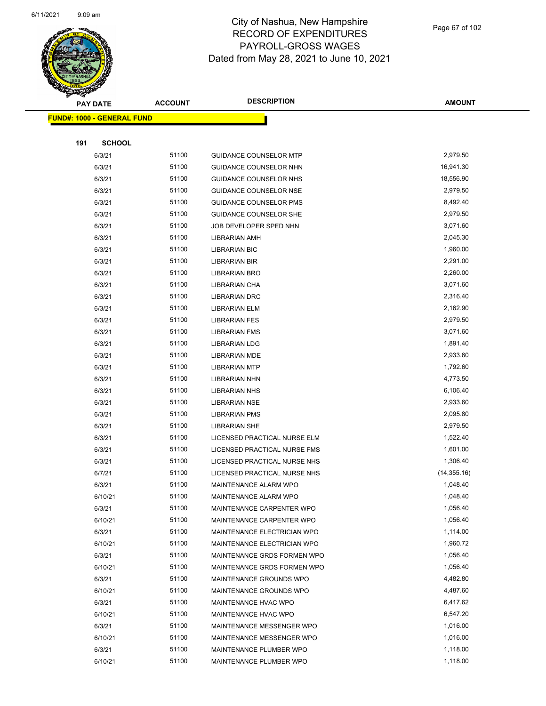

|     | <b>PAY DATE</b>                    | <b>ACCOUNT</b> | <b>DESCRIPTION</b>            | <b>AMOUNT</b> |
|-----|------------------------------------|----------------|-------------------------------|---------------|
|     | <u> FUND#: 1000 - GENERAL FUND</u> |                |                               |               |
|     |                                    |                |                               |               |
| 191 | <b>SCHOOL</b>                      |                |                               |               |
|     | 6/3/21                             | 51100          | <b>GUIDANCE COUNSELOR MTP</b> | 2,979.50      |
|     | 6/3/21                             | 51100          | GUIDANCE COUNSELOR NHN        | 16,941.30     |
|     | 6/3/21                             | 51100          | GUIDANCE COUNSELOR NHS        | 18,556.90     |
|     | 6/3/21                             | 51100          | <b>GUIDANCE COUNSELOR NSE</b> | 2,979.50      |
|     | 6/3/21                             | 51100          | <b>GUIDANCE COUNSELOR PMS</b> | 8,492.40      |
|     | 6/3/21                             | 51100          | <b>GUIDANCE COUNSELOR SHE</b> | 2,979.50      |
|     | 6/3/21                             | 51100          | JOB DEVELOPER SPED NHN        | 3,071.60      |
|     | 6/3/21                             | 51100          | <b>LIBRARIAN AMH</b>          | 2,045.30      |
|     | 6/3/21                             | 51100          | <b>LIBRARIAN BIC</b>          | 1,960.00      |
|     | 6/3/21                             | 51100          | <b>LIBRARIAN BIR</b>          | 2,291.00      |
|     | 6/3/21                             | 51100          | <b>LIBRARIAN BRO</b>          | 2,260.00      |
|     | 6/3/21                             | 51100          | LIBRARIAN CHA                 | 3,071.60      |
|     | 6/3/21                             | 51100          | <b>LIBRARIAN DRC</b>          | 2,316.40      |
|     | 6/3/21                             | 51100          | LIBRARIAN ELM                 | 2,162.90      |
|     | 6/3/21                             | 51100          | <b>LIBRARIAN FES</b>          | 2,979.50      |
|     | 6/3/21                             | 51100          | <b>LIBRARIAN FMS</b>          | 3,071.60      |
|     | 6/3/21                             | 51100          | <b>LIBRARIAN LDG</b>          | 1,891.40      |
|     | 6/3/21                             | 51100          | <b>LIBRARIAN MDE</b>          | 2,933.60      |
|     | 6/3/21                             | 51100          | <b>LIBRARIAN MTP</b>          | 1,792.60      |
|     | 6/3/21                             | 51100          | <b>LIBRARIAN NHN</b>          | 4,773.50      |
|     | 6/3/21                             | 51100          | <b>LIBRARIAN NHS</b>          | 6,106.40      |
|     | 6/3/21                             | 51100          | <b>LIBRARIAN NSE</b>          | 2,933.60      |
|     | 6/3/21                             | 51100          | <b>LIBRARIAN PMS</b>          | 2,095.80      |
|     | 6/3/21                             | 51100          | <b>LIBRARIAN SHE</b>          | 2,979.50      |
|     | 6/3/21                             | 51100          | LICENSED PRACTICAL NURSE ELM  | 1,522.40      |
|     | 6/3/21                             | 51100          | LICENSED PRACTICAL NURSE FMS  | 1,601.00      |
|     | 6/3/21                             | 51100          | LICENSED PRACTICAL NURSE NHS  | 1,306.40      |
|     | 6/7/21                             | 51100          | LICENSED PRACTICAL NURSE NHS  | (14, 355.16)  |
|     | 6/3/21                             | 51100          | MAINTENANCE ALARM WPO         | 1,048.40      |
|     | 6/10/21                            | 51100          | MAINTENANCE ALARM WPO         | 1,048.40      |
|     | 6/3/21                             | 51100          | MAINTENANCE CARPENTER WPO     | 1,056.40      |
|     | 6/10/21                            | 51100          | MAINTENANCE CARPENTER WPO     | 1,056.40      |
|     | 6/3/21                             | 51100          | MAINTENANCE ELECTRICIAN WPO   | 1,114.00      |
|     | 6/10/21                            | 51100          | MAINTENANCE ELECTRICIAN WPO   | 1,960.72      |
|     | 6/3/21                             | 51100          | MAINTENANCE GRDS FORMEN WPO   | 1,056.40      |
|     | 6/10/21                            | 51100          | MAINTENANCE GRDS FORMEN WPO   | 1,056.40      |
|     | 6/3/21                             | 51100          | MAINTENANCE GROUNDS WPO       | 4,482.80      |
|     | 6/10/21                            | 51100          | MAINTENANCE GROUNDS WPO       | 4,487.60      |
|     | 6/3/21                             | 51100          | MAINTENANCE HVAC WPO          | 6,417.62      |
|     | 6/10/21                            | 51100          | MAINTENANCE HVAC WPO          | 6,547.20      |
|     | 6/3/21                             | 51100          | MAINTENANCE MESSENGER WPO     | 1,016.00      |
|     | 6/10/21                            | 51100          | MAINTENANCE MESSENGER WPO     | 1,016.00      |
|     | 6/3/21                             | 51100          | MAINTENANCE PLUMBER WPO       | 1,118.00      |
|     | 6/10/21                            | 51100          | MAINTENANCE PLUMBER WPO       | 1,118.00      |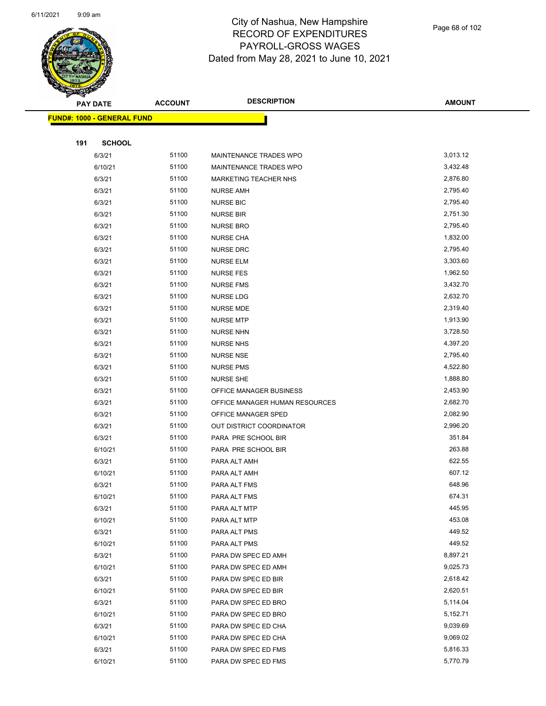

Page 68 of 102

|     | <b>PAY DATE</b>                    | <b>ACCOUNT</b> | <b>DESCRIPTION</b>             | <b>AMOUNT</b> |
|-----|------------------------------------|----------------|--------------------------------|---------------|
|     | <u> FUND#: 1000 - GENERAL FUND</u> |                |                                |               |
|     |                                    |                |                                |               |
| 191 | <b>SCHOOL</b>                      |                |                                |               |
|     | 6/3/21                             | 51100          | MAINTENANCE TRADES WPO         | 3,013.12      |
|     | 6/10/21                            | 51100          | MAINTENANCE TRADES WPO         | 3,432.48      |
|     | 6/3/21                             | 51100          | MARKETING TEACHER NHS          | 2,876.80      |
|     | 6/3/21                             | 51100          | <b>NURSE AMH</b>               | 2,795.40      |
|     | 6/3/21                             | 51100          | <b>NURSE BIC</b>               | 2,795.40      |
|     | 6/3/21                             | 51100          | <b>NURSE BIR</b>               | 2,751.30      |
|     | 6/3/21                             | 51100          | <b>NURSE BRO</b>               | 2,795.40      |
|     | 6/3/21                             | 51100          | <b>NURSE CHA</b>               | 1,832.00      |
|     | 6/3/21                             | 51100          | <b>NURSE DRC</b>               | 2,795.40      |
|     | 6/3/21                             | 51100          | <b>NURSE ELM</b>               | 3,303.60      |
|     | 6/3/21                             | 51100          | <b>NURSE FES</b>               | 1,962.50      |
|     | 6/3/21                             | 51100          | <b>NURSE FMS</b>               | 3,432.70      |
|     | 6/3/21                             | 51100          | NURSE LDG                      | 2,632.70      |
|     | 6/3/21                             | 51100          | <b>NURSE MDE</b>               | 2,319.40      |
|     | 6/3/21                             | 51100          | <b>NURSE MTP</b>               | 1,913.90      |
|     | 6/3/21                             | 51100          | <b>NURSE NHN</b>               | 3,728.50      |
|     | 6/3/21                             | 51100          | <b>NURSE NHS</b>               | 4,397.20      |
|     | 6/3/21                             | 51100          | <b>NURSE NSE</b>               | 2,795.40      |
|     | 6/3/21                             | 51100          | <b>NURSE PMS</b>               | 4,522.80      |
|     | 6/3/21                             | 51100          | <b>NURSE SHE</b>               | 1,888.80      |
|     | 6/3/21                             | 51100          | OFFICE MANAGER BUSINESS        | 2,453.90      |
|     | 6/3/21                             | 51100          | OFFICE MANAGER HUMAN RESOURCES | 2,682.70      |
|     | 6/3/21                             | 51100          | OFFICE MANAGER SPED            | 2,082.90      |
|     | 6/3/21                             | 51100          | OUT DISTRICT COORDINATOR       | 2,996.20      |
|     | 6/3/21                             | 51100          | PARA PRE SCHOOL BIR            | 351.84        |
|     | 6/10/21                            | 51100          | PARA PRE SCHOOL BIR            | 263.88        |
|     | 6/3/21                             | 51100          | PARA ALT AMH                   | 622.55        |
|     | 6/10/21                            | 51100          | PARA ALT AMH                   | 607.12        |
|     | 6/3/21                             | 51100          | PARA ALT FMS                   | 648.96        |
|     | 6/10/21                            | 51100          | PARA ALT FMS                   | 674.31        |
|     | 6/3/21                             | 51100          | PARA ALT MTP                   | 445.95        |
|     | 6/10/21                            | 51100          | PARA ALT MTP                   | 453.08        |
|     | 6/3/21                             | 51100          | PARA ALT PMS                   | 449.52        |
|     | 6/10/21                            | 51100          | PARA ALT PMS                   | 449.52        |
|     | 6/3/21                             | 51100          | PARA DW SPEC ED AMH            | 8,897.21      |
|     | 6/10/21                            | 51100          | PARA DW SPEC ED AMH            | 9,025.73      |
|     | 6/3/21                             | 51100          | PARA DW SPEC ED BIR            | 2,618.42      |
|     | 6/10/21                            | 51100          | PARA DW SPEC ED BIR            | 2,620.51      |
|     | 6/3/21                             | 51100          | PARA DW SPEC ED BRO            | 5,114.04      |
|     | 6/10/21                            | 51100          | PARA DW SPEC ED BRO            | 5,152.71      |
|     | 6/3/21                             | 51100          | PARA DW SPEC ED CHA            | 9,039.69      |
|     | 6/10/21                            | 51100          | PARA DW SPEC ED CHA            | 9,069.02      |
|     | 6/3/21                             | 51100          | PARA DW SPEC ED FMS            | 5,816.33      |
|     | 6/10/21                            | 51100          | PARA DW SPEC ED FMS            | 5,770.79      |
|     |                                    |                |                                |               |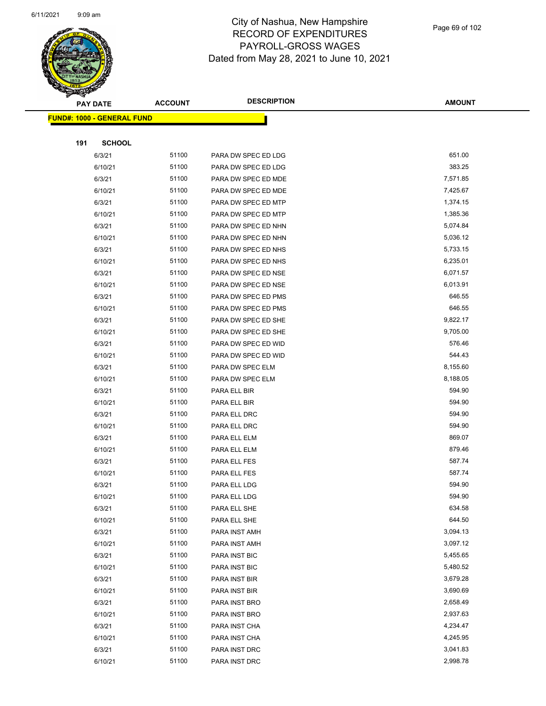

Page 69 of 102

|     | <b>PAY DATE</b>                    | <b>ACCOUNT</b> | <b>DESCRIPTION</b>  | <b>AMOUNT</b> |  |
|-----|------------------------------------|----------------|---------------------|---------------|--|
|     | <u> FUND#: 1000 - GENERAL FUND</u> |                |                     |               |  |
|     |                                    |                |                     |               |  |
| 191 | <b>SCHOOL</b>                      |                |                     |               |  |
|     | 6/3/21                             | 51100          | PARA DW SPEC ED LDG | 651.00        |  |
|     | 6/10/21                            | 51100          | PARA DW SPEC ED LDG | 383.25        |  |
|     | 6/3/21                             | 51100          | PARA DW SPEC ED MDE | 7,571.85      |  |
|     | 6/10/21                            | 51100          | PARA DW SPEC ED MDE | 7,425.67      |  |
|     | 6/3/21                             | 51100          | PARA DW SPEC ED MTP | 1,374.15      |  |
|     | 6/10/21                            | 51100          | PARA DW SPEC ED MTP | 1,385.36      |  |
|     | 6/3/21                             | 51100          | PARA DW SPEC ED NHN | 5,074.84      |  |
|     | 6/10/21                            | 51100          | PARA DW SPEC ED NHN | 5,036.12      |  |
|     | 6/3/21                             | 51100          | PARA DW SPEC ED NHS | 5,733.15      |  |
|     | 6/10/21                            | 51100          | PARA DW SPEC ED NHS | 6,235.01      |  |
|     | 6/3/21                             | 51100          | PARA DW SPEC ED NSE | 6,071.57      |  |
|     | 6/10/21                            | 51100          | PARA DW SPEC ED NSE | 6,013.91      |  |
|     | 6/3/21                             | 51100          | PARA DW SPEC ED PMS | 646.55        |  |
|     | 6/10/21                            | 51100          | PARA DW SPEC ED PMS | 646.55        |  |
|     | 6/3/21                             | 51100          | PARA DW SPEC ED SHE | 9,822.17      |  |
|     | 6/10/21                            | 51100          | PARA DW SPEC ED SHE | 9,705.00      |  |
|     | 6/3/21                             | 51100          | PARA DW SPEC ED WID | 576.46        |  |
|     | 6/10/21                            | 51100          | PARA DW SPEC ED WID | 544.43        |  |
|     | 6/3/21                             | 51100          | PARA DW SPEC ELM    | 8,155.60      |  |
|     | 6/10/21                            | 51100          | PARA DW SPEC ELM    | 8,188.05      |  |
|     | 6/3/21                             | 51100          | PARA ELL BIR        | 594.90        |  |
|     | 6/10/21                            | 51100          | PARA ELL BIR        | 594.90        |  |
|     | 6/3/21                             | 51100          | PARA ELL DRC        | 594.90        |  |
|     | 6/10/21                            | 51100          | PARA ELL DRC        | 594.90        |  |
|     | 6/3/21                             | 51100          | PARA ELL ELM        | 869.07        |  |
|     | 6/10/21                            | 51100          | PARA ELL ELM        | 879.46        |  |
|     | 6/3/21                             | 51100          | PARA ELL FES        | 587.74        |  |
|     | 6/10/21                            | 51100          | PARA ELL FES        | 587.74        |  |
|     | 6/3/21                             | 51100          | PARA ELL LDG        | 594.90        |  |
|     | 6/10/21                            | 51100          | PARA ELL LDG        | 594.90        |  |
|     | 6/3/21                             | 51100          | PARA ELL SHE        | 634.58        |  |
|     | 6/10/21                            | 51100          | PARA ELL SHE        | 644.50        |  |
|     | 6/3/21                             | 51100          | PARA INST AMH       | 3,094.13      |  |
|     | 6/10/21                            | 51100          | PARA INST AMH       | 3,097.12      |  |
|     | 6/3/21                             | 51100          | PARA INST BIC       | 5,455.65      |  |
|     | 6/10/21                            | 51100          | PARA INST BIC       | 5,480.52      |  |
|     | 6/3/21                             | 51100          | PARA INST BIR       | 3,679.28      |  |
|     | 6/10/21                            | 51100          | PARA INST BIR       | 3,690.69      |  |
|     | 6/3/21                             | 51100          | PARA INST BRO       | 2,658.49      |  |
|     | 6/10/21                            | 51100          | PARA INST BRO       | 2,937.63      |  |
|     | 6/3/21                             | 51100          | PARA INST CHA       | 4,234.47      |  |
|     | 6/10/21                            | 51100          | PARA INST CHA       | 4,245.95      |  |
|     | 6/3/21                             | 51100          | PARA INST DRC       | 3,041.83      |  |
|     | 6/10/21                            | 51100          | PARA INST DRC       | 2,998.78      |  |
|     |                                    |                |                     |               |  |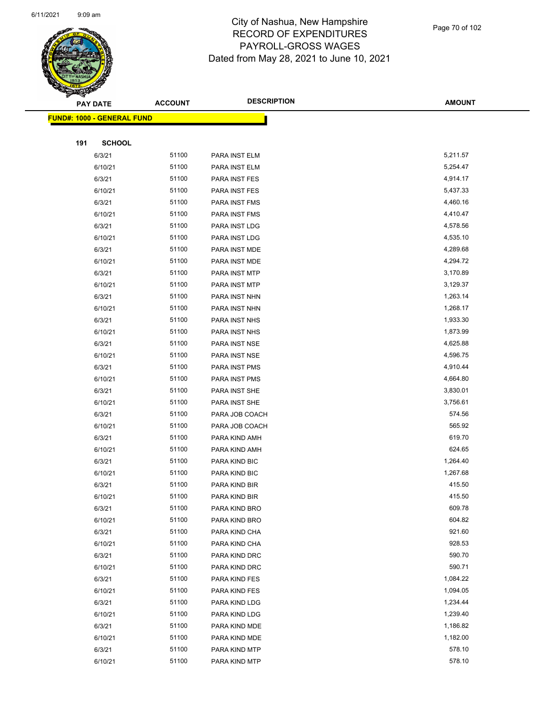

Page 70 of 102

|     | <b>PAY DATE</b>                    | <b>ACCOUNT</b> | <b>DESCRIPTION</b> | <b>AMOUNT</b> |
|-----|------------------------------------|----------------|--------------------|---------------|
|     | <u> FUND#: 1000 - GENERAL FUND</u> |                |                    |               |
|     |                                    |                |                    |               |
| 191 | <b>SCHOOL</b>                      |                |                    |               |
|     | 6/3/21                             | 51100          | PARA INST ELM      | 5,211.57      |
|     | 6/10/21                            | 51100          | PARA INST ELM      | 5,254.47      |
|     | 6/3/21                             | 51100          | PARA INST FES      | 4,914.17      |
|     | 6/10/21                            | 51100          | PARA INST FES      | 5,437.33      |
|     | 6/3/21                             | 51100          | PARA INST FMS      | 4,460.16      |
|     | 6/10/21                            | 51100          | PARA INST FMS      | 4,410.47      |
|     | 6/3/21                             | 51100          | PARA INST LDG      | 4,578.56      |
|     | 6/10/21                            | 51100          | PARA INST LDG      | 4,535.10      |
|     | 6/3/21                             | 51100          | PARA INST MDE      | 4,289.68      |
|     | 6/10/21                            | 51100          | PARA INST MDE      | 4,294.72      |
|     | 6/3/21                             | 51100          | PARA INST MTP      | 3,170.89      |
|     | 6/10/21                            | 51100          | PARA INST MTP      | 3,129.37      |
|     | 6/3/21                             | 51100          | PARA INST NHN      | 1,263.14      |
|     | 6/10/21                            | 51100          | PARA INST NHN      | 1,268.17      |
|     | 6/3/21                             | 51100          | PARA INST NHS      | 1,933.30      |
|     | 6/10/21                            | 51100          | PARA INST NHS      | 1,873.99      |
|     | 6/3/21                             | 51100          | PARA INST NSE      | 4,625.88      |
|     | 6/10/21                            | 51100          | PARA INST NSE      | 4,596.75      |
|     | 6/3/21                             | 51100          | PARA INST PMS      | 4,910.44      |
|     | 6/10/21                            | 51100          | PARA INST PMS      | 4,664.80      |
|     | 6/3/21                             | 51100          | PARA INST SHE      | 3,830.01      |
|     | 6/10/21                            | 51100          | PARA INST SHE      | 3,756.61      |
|     | 6/3/21                             | 51100          | PARA JOB COACH     | 574.56        |
|     | 6/10/21                            | 51100          | PARA JOB COACH     | 565.92        |
|     | 6/3/21                             | 51100          | PARA KIND AMH      | 619.70        |
|     | 6/10/21                            | 51100          | PARA KIND AMH      | 624.65        |
|     | 6/3/21                             | 51100          | PARA KIND BIC      | 1,264.40      |
|     | 6/10/21                            | 51100          | PARA KIND BIC      | 1,267.68      |
|     | 6/3/21                             | 51100          | PARA KIND BIR      | 415.50        |
|     | 6/10/21                            | 51100          | PARA KIND BIR      | 415.50        |
|     | 6/3/21                             | 51100          | PARA KIND BRO      | 609.78        |
|     | 6/10/21                            | 51100          | PARA KIND BRO      | 604.82        |
|     | 6/3/21                             | 51100          | PARA KIND CHA      | 921.60        |
|     | 6/10/21                            | 51100          | PARA KIND CHA      | 928.53        |
|     | 6/3/21                             | 51100          | PARA KIND DRC      | 590.70        |
|     | 6/10/21                            | 51100          | PARA KIND DRC      | 590.71        |
|     | 6/3/21                             | 51100          | PARA KIND FES      | 1,084.22      |
|     | 6/10/21                            | 51100          | PARA KIND FES      | 1,094.05      |
|     | 6/3/21                             | 51100          | PARA KIND LDG      | 1,234.44      |
|     | 6/10/21                            | 51100          | PARA KIND LDG      | 1,239.40      |
|     | 6/3/21                             | 51100          | PARA KIND MDE      | 1,186.82      |
|     | 6/10/21                            | 51100          | PARA KIND MDE      | 1,182.00      |
|     | 6/3/21                             | 51100          | PARA KIND MTP      | 578.10        |
|     | 6/10/21                            | 51100          | PARA KIND MTP      | 578.10        |
|     |                                    |                |                    |               |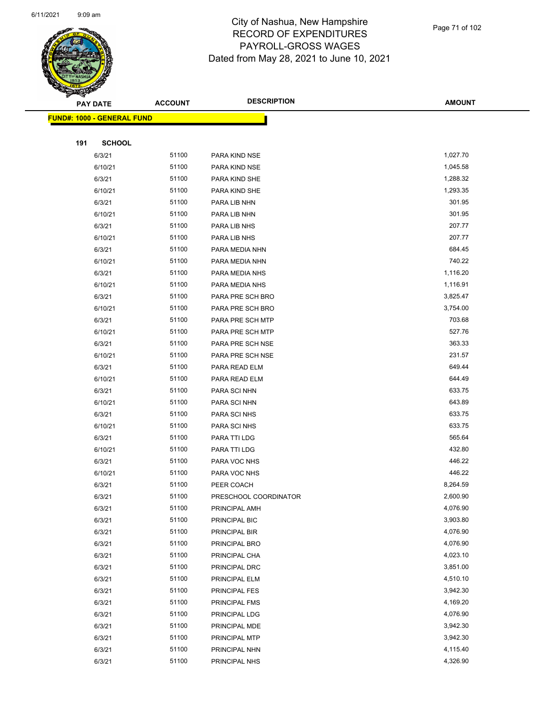

|     | <b>PAY DATE</b>                    | <b>ACCOUNT</b> | <b>DESCRIPTION</b>             | <b>AMOUNT</b>        |
|-----|------------------------------------|----------------|--------------------------------|----------------------|
|     | <u> FUND#: 1000 - GENERAL FUND</u> |                |                                |                      |
|     |                                    |                |                                |                      |
| 191 | <b>SCHOOL</b>                      |                |                                |                      |
|     | 6/3/21                             | 51100          | PARA KIND NSE                  | 1,027.70             |
|     | 6/10/21                            | 51100          | PARA KIND NSE                  | 1,045.58             |
|     | 6/3/21                             | 51100          | PARA KIND SHE                  | 1,288.32             |
|     | 6/10/21                            | 51100          | PARA KIND SHE                  | 1,293.35             |
|     | 6/3/21                             | 51100          | PARA LIB NHN                   | 301.95               |
|     | 6/10/21                            | 51100          | PARA LIB NHN                   | 301.95               |
|     | 6/3/21                             | 51100          | PARA LIB NHS                   | 207.77               |
|     | 6/10/21                            | 51100          | PARA LIB NHS                   | 207.77               |
|     | 6/3/21                             | 51100          | PARA MEDIA NHN                 | 684.45               |
|     | 6/10/21                            | 51100          | PARA MEDIA NHN                 | 740.22               |
|     | 6/3/21                             | 51100          | PARA MEDIA NHS                 | 1,116.20             |
|     | 6/10/21                            | 51100          | PARA MEDIA NHS                 | 1,116.91             |
|     | 6/3/21                             | 51100          | PARA PRE SCH BRO               | 3,825.47             |
|     | 6/10/21                            | 51100          | PARA PRE SCH BRO               | 3,754.00             |
|     | 6/3/21                             | 51100          | PARA PRE SCH MTP               | 703.68               |
|     | 6/10/21                            | 51100          | PARA PRE SCH MTP               | 527.76               |
|     | 6/3/21                             | 51100          | PARA PRE SCH NSE               | 363.33               |
|     | 6/10/21                            | 51100          | PARA PRE SCH NSE               | 231.57               |
|     | 6/3/21                             | 51100          | PARA READ ELM                  | 649.44               |
|     | 6/10/21                            | 51100          | PARA READ ELM                  | 644.49               |
|     | 6/3/21                             | 51100          | PARA SCI NHN                   | 633.75               |
|     | 6/10/21                            | 51100          | PARA SCI NHN                   | 643.89               |
|     | 6/3/21                             | 51100          | <b>PARA SCI NHS</b>            | 633.75               |
|     | 6/10/21                            | 51100          | <b>PARA SCI NHS</b>            | 633.75               |
|     | 6/3/21                             | 51100          | PARA TTI LDG                   | 565.64               |
|     | 6/10/21                            | 51100          | PARA TTI LDG                   | 432.80               |
|     | 6/3/21                             | 51100          | PARA VOC NHS                   | 446.22               |
|     | 6/10/21                            | 51100          | PARA VOC NHS                   | 446.22               |
|     | 6/3/21                             | 51100          | PEER COACH                     | 8,264.59             |
|     | 6/3/21                             | 51100          | PRESCHOOL COORDINATOR          | 2,600.90             |
|     | 6/3/21                             | 51100          | PRINCIPAL AMH                  | 4,076.90             |
|     | 6/3/21                             | 51100          | PRINCIPAL BIC                  | 3,903.80             |
|     | 6/3/21                             | 51100          | PRINCIPAL BIR                  | 4,076.90             |
|     | 6/3/21                             | 51100          | PRINCIPAL BRO                  | 4,076.90             |
|     | 6/3/21                             | 51100          | PRINCIPAL CHA                  | 4,023.10             |
|     | 6/3/21                             | 51100          | PRINCIPAL DRC                  | 3,851.00             |
|     | 6/3/21                             | 51100          | PRINCIPAL ELM                  | 4,510.10             |
|     | 6/3/21                             | 51100          | PRINCIPAL FES                  | 3,942.30             |
|     | 6/3/21                             | 51100<br>51100 | <b>PRINCIPAL FMS</b>           | 4,169.20<br>4,076.90 |
|     | 6/3/21                             |                | PRINCIPAL LDG                  |                      |
|     | 6/3/21                             | 51100<br>51100 | PRINCIPAL MDE                  | 3,942.30<br>3,942.30 |
|     | 6/3/21<br>6/3/21                   | 51100          | PRINCIPAL MTP<br>PRINCIPAL NHN | 4,115.40             |
|     | 6/3/21                             | 51100          | PRINCIPAL NHS                  | 4,326.90             |
|     |                                    |                |                                |                      |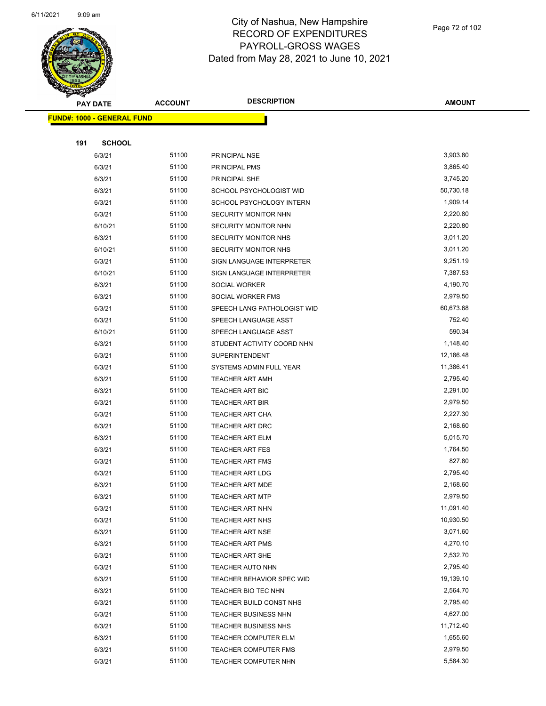

| $\checkmark$<br><b>PAY DATE</b>   | <b>ACCOUNT</b> | <b>DESCRIPTION</b>          | <b>AMOUNT</b>         |
|-----------------------------------|----------------|-----------------------------|-----------------------|
| <b>FUND#: 1000 - GENERAL FUND</b> |                |                             |                       |
|                                   |                |                             |                       |
| 191<br><b>SCHOOL</b>              |                |                             |                       |
| 6/3/21                            | 51100          | PRINCIPAL NSE               | 3,903.80              |
| 6/3/21                            | 51100          | PRINCIPAL PMS               | 3,865.40              |
| 6/3/21                            | 51100          | PRINCIPAL SHE               | 3,745.20              |
| 6/3/21                            | 51100          | SCHOOL PSYCHOLOGIST WID     | 50,730.18             |
| 6/3/21                            | 51100          | SCHOOL PSYCHOLOGY INTERN    | 1,909.14              |
| 6/3/21                            | 51100          | SECURITY MONITOR NHN        | 2,220.80              |
| 6/10/21                           | 51100          | SECURITY MONITOR NHN        | 2,220.80              |
| 6/3/21                            | 51100          | SECURITY MONITOR NHS        | 3,011.20              |
| 6/10/21                           | 51100          | <b>SECURITY MONITOR NHS</b> | 3,011.20              |
| 6/3/21                            | 51100          | SIGN LANGUAGE INTERPRETER   | 9,251.19              |
| 6/10/21                           | 51100          | SIGN LANGUAGE INTERPRETER   | 7,387.53              |
| 6/3/21                            | 51100          | SOCIAL WORKER               | 4,190.70              |
| 6/3/21                            | 51100          | SOCIAL WORKER FMS           | 2,979.50              |
| 6/3/21                            | 51100          | SPEECH LANG PATHOLOGIST WID | 60,673.68             |
| 6/3/21                            | 51100          | SPEECH LANGUAGE ASST        | 752.40                |
| 6/10/21                           | 51100          | SPEECH LANGUAGE ASST        | 590.34                |
| 6/3/21                            | 51100          | STUDENT ACTIVITY COORD NHN  | 1,148.40              |
| 6/3/21                            | 51100          | <b>SUPERINTENDENT</b>       | 12,186.48             |
| 6/3/21                            | 51100          | SYSTEMS ADMIN FULL YEAR     | 11,386.41             |
| 6/3/21                            | 51100          | <b>TEACHER ART AMH</b>      | 2,795.40              |
| 6/3/21                            | 51100          | <b>TEACHER ART BIC</b>      | 2,291.00              |
| 6/3/21                            | 51100          | <b>TEACHER ART BIR</b>      | 2,979.50              |
| 6/3/21                            | 51100          | TEACHER ART CHA             | 2,227.30              |
| 6/3/21                            | 51100          | TEACHER ART DRC             | 2,168.60              |
| 6/3/21                            | 51100          | <b>TEACHER ART ELM</b>      | 5,015.70              |
| 6/3/21                            | 51100          | <b>TEACHER ART FES</b>      | 1,764.50              |
| 6/3/21                            | 51100          | <b>TEACHER ART FMS</b>      | 827.80                |
| 6/3/21                            | 51100          | <b>TEACHER ART LDG</b>      | 2,795.40              |
| 6/3/21                            | 51100          | <b>TEACHER ART MDE</b>      | 2,168.60              |
| 6/3/21                            | 51100          | TEACHER ART MTP             | 2,979.50              |
| 6/3/21                            | 51100          | TEACHER ART NHN             | 11,091.40             |
| 6/3/21                            | 51100          | <b>TEACHER ART NHS</b>      | 10,930.50             |
| 6/3/21                            | 51100          | <b>TEACHER ART NSE</b>      | 3,071.60              |
| 6/3/21                            | 51100          | <b>TEACHER ART PMS</b>      | 4,270.10              |
| 6/3/21                            | 51100          | <b>TEACHER ART SHE</b>      | 2,532.70              |
| 6/3/21                            | 51100          | <b>TEACHER AUTO NHN</b>     | 2,795.40              |
| 6/3/21                            | 51100          | TEACHER BEHAVIOR SPEC WID   | 19,139.10             |
| 6/3/21                            | 51100          | TEACHER BIO TEC NHN         | 2,564.70              |
| 6/3/21                            | 51100<br>51100 | TEACHER BUILD CONST NHS     | 2,795.40              |
| 6/3/21                            |                | <b>TEACHER BUSINESS NHN</b> | 4,627.00              |
| 6/3/21                            | 51100<br>51100 | <b>TEACHER BUSINESS NHS</b> | 11,712.40<br>1,655.60 |
| 6/3/21                            |                | <b>TEACHER COMPUTER ELM</b> |                       |
| 6/3/21                            | 51100          | <b>TEACHER COMPUTER FMS</b> | 2,979.50              |
| 6/3/21                            | 51100          | TEACHER COMPUTER NHN        | 5,584.30              |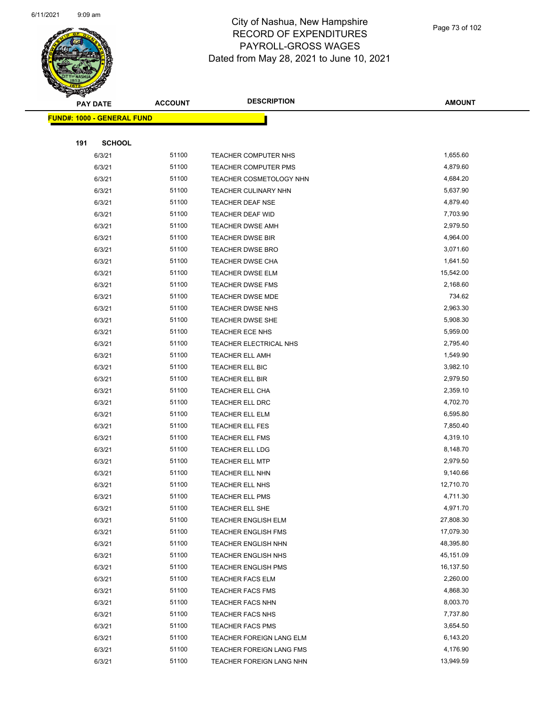

Page 73 of 102

|     | <b>PAY DATE</b>                    | <b>ACCOUNT</b> | <b>DESCRIPTION</b>                                   | <b>AMOUNT</b>        |
|-----|------------------------------------|----------------|------------------------------------------------------|----------------------|
|     | <u> FUND#: 1000 - GENERAL FUND</u> |                |                                                      |                      |
|     |                                    |                |                                                      |                      |
| 191 | <b>SCHOOL</b>                      |                |                                                      |                      |
|     | 6/3/21                             | 51100          | TEACHER COMPUTER NHS                                 | 1,655.60             |
|     | 6/3/21                             | 51100          | TEACHER COMPUTER PMS                                 | 4,879.60             |
|     | 6/3/21                             | 51100          | TEACHER COSMETOLOGY NHN                              | 4,684.20             |
|     | 6/3/21                             | 51100          | <b>TEACHER CULINARY NHN</b>                          | 5,637.90             |
|     | 6/3/21                             | 51100          | <b>TEACHER DEAF NSE</b>                              | 4,879.40             |
|     | 6/3/21                             | 51100          | TEACHER DEAF WID                                     | 7,703.90             |
|     | 6/3/21                             | 51100          | <b>TEACHER DWSE AMH</b>                              | 2,979.50             |
|     | 6/3/21                             | 51100          | <b>TEACHER DWSE BIR</b>                              | 4,964.00             |
|     | 6/3/21                             | 51100          | <b>TEACHER DWSE BRO</b>                              | 3,071.60             |
|     | 6/3/21                             | 51100          | <b>TEACHER DWSE CHA</b>                              | 1,641.50             |
|     | 6/3/21                             | 51100          | <b>TEACHER DWSE ELM</b>                              | 15,542.00            |
|     | 6/3/21                             | 51100          | <b>TEACHER DWSE FMS</b>                              | 2,168.60             |
|     | 6/3/21                             | 51100          | <b>TEACHER DWSE MDE</b>                              | 734.62               |
|     | 6/3/21                             | 51100          | <b>TEACHER DWSE NHS</b>                              | 2,963.30             |
|     | 6/3/21                             | 51100          | <b>TEACHER DWSE SHE</b>                              | 5,908.30             |
|     | 6/3/21                             | 51100          | <b>TEACHER ECE NHS</b>                               | 5,959.00             |
|     | 6/3/21                             | 51100          | TEACHER ELECTRICAL NHS                               | 2,795.40             |
|     | 6/3/21                             | 51100          | TEACHER ELL AMH                                      | 1,549.90             |
|     | 6/3/21                             | 51100          | TEACHER ELL BIC                                      | 3,982.10             |
|     | 6/3/21                             | 51100          | TEACHER ELL BIR                                      | 2,979.50             |
|     | 6/3/21                             | 51100          | TEACHER ELL CHA                                      | 2,359.10             |
|     | 6/3/21                             | 51100          | TEACHER ELL DRC                                      | 4,702.70             |
|     | 6/3/21                             | 51100          | <b>TEACHER ELL ELM</b>                               | 6,595.80             |
|     | 6/3/21                             | 51100          | TEACHER ELL FES                                      | 7,850.40             |
|     | 6/3/21                             | 51100          | <b>TEACHER ELL FMS</b>                               | 4,319.10             |
|     | 6/3/21                             | 51100          | <b>TEACHER ELL LDG</b>                               | 8,148.70             |
|     | 6/3/21                             | 51100          | <b>TEACHER ELL MTP</b>                               | 2,979.50             |
|     | 6/3/21                             | 51100          | TEACHER ELL NHN                                      | 9,140.66             |
|     | 6/3/21                             | 51100          | TEACHER ELL NHS                                      | 12,710.70            |
|     | 6/3/21                             | 51100          | TEACHER ELL PMS                                      | 4,711.30             |
|     | 6/3/21                             | 51100          | TEACHER ELL SHE                                      | 4,971.70             |
|     | 6/3/21                             | 51100          | TEACHER ENGLISH ELM                                  | 27,808.30            |
|     | 6/3/21                             | 51100          | <b>TEACHER ENGLISH FMS</b>                           | 17,079.30            |
|     | 6/3/21                             | 51100          | <b>TEACHER ENGLISH NHN</b>                           | 48,395.80            |
|     | 6/3/21                             | 51100          | <b>TEACHER ENGLISH NHS</b>                           | 45,151.09            |
|     | 6/3/21                             | 51100          | <b>TEACHER ENGLISH PMS</b>                           | 16,137.50            |
|     | 6/3/21                             | 51100          | <b>TEACHER FACS ELM</b>                              | 2,260.00             |
|     | 6/3/21                             | 51100          | <b>TEACHER FACS FMS</b>                              | 4,868.30             |
|     | 6/3/21                             | 51100          | <b>TEACHER FACS NHN</b>                              | 8,003.70             |
|     | 6/3/21                             | 51100<br>51100 | <b>TEACHER FACS NHS</b>                              | 7,737.80<br>3,654.50 |
|     | 6/3/21                             | 51100          | <b>TEACHER FACS PMS</b>                              | 6,143.20             |
|     | 6/3/21<br>6/3/21                   | 51100          | TEACHER FOREIGN LANG ELM<br>TEACHER FOREIGN LANG FMS | 4,176.90             |
|     | 6/3/21                             | 51100          |                                                      | 13,949.59            |
|     |                                    |                | TEACHER FOREIGN LANG NHN                             |                      |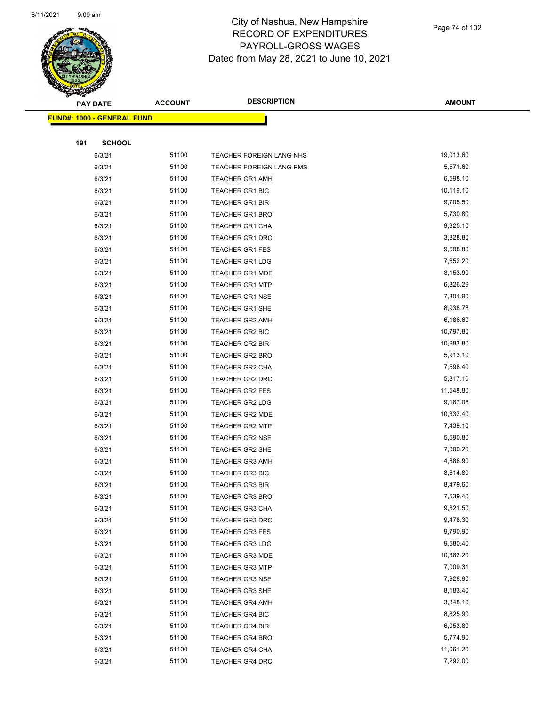

Page 74 of 102

| <b>PAY DATE</b>            | <b>ACCOUNT</b> | <b>DESCRIPTION</b>       | <b>AMOUNT</b> |
|----------------------------|----------------|--------------------------|---------------|
| FUND#: 1000 - GENERAL FUND |                |                          |               |
|                            |                |                          |               |
| 191<br><b>SCHOOL</b>       |                |                          |               |
| 6/3/21                     | 51100          | TEACHER FOREIGN LANG NHS | 19,013.60     |
| 6/3/21                     | 51100          | TEACHER FOREIGN LANG PMS | 5,571.60      |
| 6/3/21                     | 51100          | <b>TEACHER GR1 AMH</b>   | 6,598.10      |
| 6/3/21                     | 51100          | TEACHER GR1 BIC          | 10,119.10     |
| 6/3/21                     | 51100          | <b>TEACHER GR1 BIR</b>   | 9,705.50      |
| 6/3/21                     | 51100          | TEACHER GR1 BRO          | 5,730.80      |
| 6/3/21                     | 51100          | <b>TEACHER GR1 CHA</b>   | 9,325.10      |
| 6/3/21                     | 51100          | TEACHER GR1 DRC          | 3,828.80      |
| 6/3/21                     | 51100          | <b>TEACHER GR1 FES</b>   | 9,508.80      |
| 6/3/21                     | 51100          | <b>TEACHER GR1 LDG</b>   | 7,652.20      |
| 6/3/21                     | 51100          | <b>TEACHER GR1 MDE</b>   | 8,153.90      |
| 6/3/21                     | 51100          | <b>TEACHER GR1 MTP</b>   | 6,826.29      |
| 6/3/21                     | 51100          | <b>TEACHER GR1 NSE</b>   | 7,801.90      |
| 6/3/21                     | 51100          | TEACHER GR1 SHE          | 8,938.78      |
| 6/3/21                     | 51100          | <b>TEACHER GR2 AMH</b>   | 6,186.60      |
| 6/3/21                     | 51100          | TEACHER GR2 BIC          | 10,797.80     |
| 6/3/21                     | 51100          | <b>TEACHER GR2 BIR</b>   | 10,983.80     |
| 6/3/21                     | 51100          | <b>TEACHER GR2 BRO</b>   | 5,913.10      |
| 6/3/21                     | 51100          | TEACHER GR2 CHA          | 7,598.40      |
| 6/3/21                     | 51100          | TEACHER GR2 DRC          | 5,817.10      |
| 6/3/21                     | 51100          | <b>TEACHER GR2 FES</b>   | 11,548.80     |
| 6/3/21                     | 51100          | <b>TEACHER GR2 LDG</b>   | 9,187.08      |
| 6/3/21                     | 51100          | <b>TEACHER GR2 MDE</b>   | 10,332.40     |
| 6/3/21                     | 51100          | <b>TEACHER GR2 MTP</b>   | 7,439.10      |
| 6/3/21                     | 51100          | <b>TEACHER GR2 NSE</b>   | 5,590.80      |
| 6/3/21                     | 51100          | TEACHER GR2 SHE          | 7,000.20      |
| 6/3/21                     | 51100          | <b>TEACHER GR3 AMH</b>   | 4,886.90      |
| 6/3/21                     | 51100          | <b>TEACHER GR3 BIC</b>   | 8,614.80      |
| 6/3/21                     | 51100          | <b>TEACHER GR3 BIR</b>   | 8,479.60      |
| 6/3/21                     | 51100          | <b>TEACHER GR3 BRO</b>   | 7,539.40      |
| 6/3/21                     | 51100          | TEACHER GR3 CHA          | 9,821.50      |
| 6/3/21                     | 51100          | <b>TEACHER GR3 DRC</b>   | 9,478.30      |
| 6/3/21                     | 51100          | <b>TEACHER GR3 FES</b>   | 9,790.90      |
| 6/3/21                     | 51100          | <b>TEACHER GR3 LDG</b>   | 9,580.40      |
| 6/3/21                     | 51100          | <b>TEACHER GR3 MDE</b>   | 10,382.20     |
| 6/3/21                     | 51100          | TEACHER GR3 MTP          | 7,009.31      |
| 6/3/21                     | 51100          | <b>TEACHER GR3 NSE</b>   | 7,928.90      |
| 6/3/21                     | 51100          | <b>TEACHER GR3 SHE</b>   | 8,183.40      |
| 6/3/21                     | 51100          | <b>TEACHER GR4 AMH</b>   | 3,848.10      |
| 6/3/21                     | 51100          | <b>TEACHER GR4 BIC</b>   | 8,825.90      |
| 6/3/21                     | 51100          | <b>TEACHER GR4 BIR</b>   | 6,053.80      |
| 6/3/21                     | 51100          | <b>TEACHER GR4 BRO</b>   | 5,774.90      |
| 6/3/21                     | 51100          | <b>TEACHER GR4 CHA</b>   | 11,061.20     |
| 6/3/21                     | 51100          | TEACHER GR4 DRC          | 7,292.00      |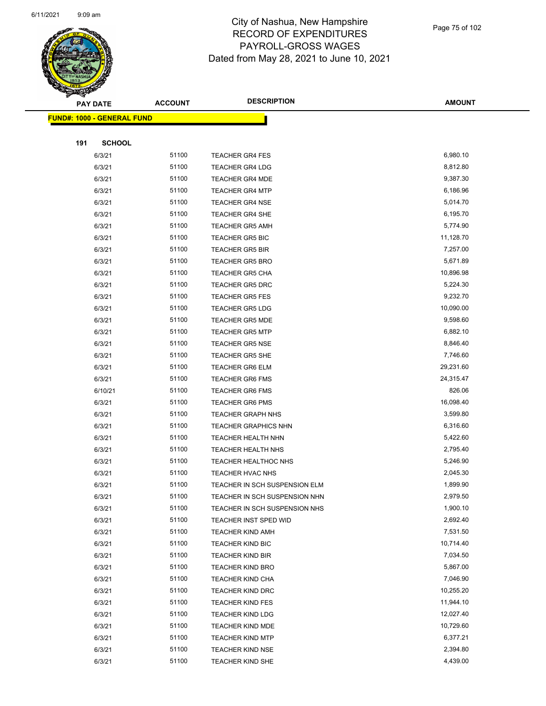

|     | <b>PAY DATE</b>                   | <b>ACCOUNT</b> | <b>DESCRIPTION</b>            | <b>AMOUNT</b> |
|-----|-----------------------------------|----------------|-------------------------------|---------------|
|     | <b>FUND#: 1000 - GENERAL FUND</b> |                |                               |               |
|     |                                   |                |                               |               |
| 191 | <b>SCHOOL</b>                     |                |                               |               |
|     | 6/3/21                            | 51100          | <b>TEACHER GR4 FES</b>        | 6,980.10      |
|     | 6/3/21                            | 51100          | <b>TEACHER GR4 LDG</b>        | 8,812.80      |
|     | 6/3/21                            | 51100          | <b>TEACHER GR4 MDE</b>        | 9,387.30      |
|     | 6/3/21                            | 51100          | <b>TEACHER GR4 MTP</b>        | 6,186.96      |
|     | 6/3/21                            | 51100          | <b>TEACHER GR4 NSE</b>        | 5,014.70      |
|     | 6/3/21                            | 51100          | <b>TEACHER GR4 SHE</b>        | 6,195.70      |
|     | 6/3/21                            | 51100          | <b>TEACHER GR5 AMH</b>        | 5,774.90      |
|     | 6/3/21                            | 51100          | <b>TEACHER GR5 BIC</b>        | 11,128.70     |
|     | 6/3/21                            | 51100          | <b>TEACHER GR5 BIR</b>        | 7,257.00      |
|     | 6/3/21                            | 51100          | <b>TEACHER GR5 BRO</b>        | 5,671.89      |
|     | 6/3/21                            | 51100          | <b>TEACHER GR5 CHA</b>        | 10,896.98     |
|     | 6/3/21                            | 51100          | <b>TEACHER GR5 DRC</b>        | 5,224.30      |
|     | 6/3/21                            | 51100          | <b>TEACHER GR5 FES</b>        | 9,232.70      |
|     | 6/3/21                            | 51100          | <b>TEACHER GR5 LDG</b>        | 10,090.00     |
|     | 6/3/21                            | 51100          | <b>TEACHER GR5 MDE</b>        | 9,598.60      |
|     | 6/3/21                            | 51100          | <b>TEACHER GR5 MTP</b>        | 6,882.10      |
|     | 6/3/21                            | 51100          | <b>TEACHER GR5 NSE</b>        | 8,846.40      |
|     | 6/3/21                            | 51100          | <b>TEACHER GR5 SHE</b>        | 7,746.60      |
|     | 6/3/21                            | 51100          | <b>TEACHER GR6 ELM</b>        | 29,231.60     |
|     | 6/3/21                            | 51100          | <b>TEACHER GR6 FMS</b>        | 24,315.47     |
|     | 6/10/21                           | 51100          | <b>TEACHER GR6 FMS</b>        | 826.06        |
|     | 6/3/21                            | 51100          | <b>TEACHER GR6 PMS</b>        | 16,098.40     |
|     | 6/3/21                            | 51100          | <b>TEACHER GRAPH NHS</b>      | 3,599.80      |
|     | 6/3/21                            | 51100          | <b>TEACHER GRAPHICS NHN</b>   | 6,316.60      |
|     | 6/3/21                            | 51100          | TEACHER HEALTH NHN            | 5,422.60      |
|     | 6/3/21                            | 51100          | <b>TEACHER HEALTH NHS</b>     | 2,795.40      |
|     | 6/3/21                            | 51100          | <b>TEACHER HEALTHOC NHS</b>   | 5,246.90      |
|     | 6/3/21                            | 51100          | TEACHER HVAC NHS              | 2,045.30      |
|     | 6/3/21                            | 51100          | TEACHER IN SCH SUSPENSION ELM | 1,899.90      |
|     | 6/3/21                            | 51100          | TEACHER IN SCH SUSPENSION NHN | 2,979.50      |
|     | 6/3/21                            | 51100          | TEACHER IN SCH SUSPENSION NHS | 1,900.10      |
|     | 6/3/21                            | 51100          | TEACHER INST SPED WID         | 2,692.40      |
|     | 6/3/21                            | 51100          | <b>TEACHER KIND AMH</b>       | 7,531.50      |
|     | 6/3/21                            | 51100          | <b>TEACHER KIND BIC</b>       | 10,714.40     |
|     | 6/3/21                            | 51100          | <b>TEACHER KIND BIR</b>       | 7,034.50      |
|     | 6/3/21                            | 51100          | <b>TEACHER KIND BRO</b>       | 5,867.00      |
|     | 6/3/21                            | 51100          | <b>TEACHER KIND CHA</b>       | 7,046.90      |
|     | 6/3/21                            | 51100          | <b>TEACHER KIND DRC</b>       | 10,255.20     |
|     | 6/3/21                            | 51100          | <b>TEACHER KIND FES</b>       | 11,944.10     |
|     | 6/3/21                            | 51100          | <b>TEACHER KIND LDG</b>       | 12,027.40     |
|     | 6/3/21                            | 51100          | <b>TEACHER KIND MDE</b>       | 10,729.60     |
|     | 6/3/21                            | 51100          | <b>TEACHER KIND MTP</b>       | 6,377.21      |
|     | 6/3/21                            | 51100          | <b>TEACHER KIND NSE</b>       | 2,394.80      |
|     | 6/3/21                            | 51100          | TEACHER KIND SHE              | 4,439.00      |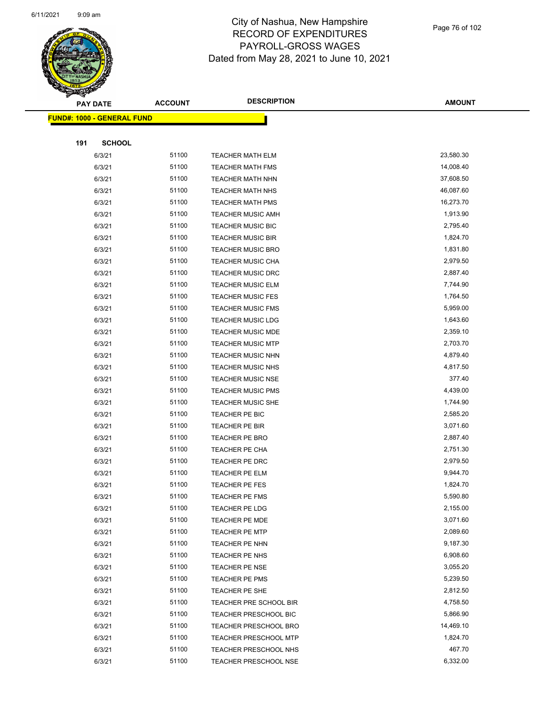

Page 76 of 102

|     | <b>PAY DATE</b>                    | <b>ACCOUNT</b> | <b>DESCRIPTION</b>           | <b>AMOUNT</b> |  |
|-----|------------------------------------|----------------|------------------------------|---------------|--|
|     | <u> FUND#: 1000 - GENERAL FUND</u> |                |                              |               |  |
|     |                                    |                |                              |               |  |
| 191 | <b>SCHOOL</b>                      |                |                              |               |  |
|     | 6/3/21                             | 51100          | <b>TEACHER MATH ELM</b>      | 23,580.30     |  |
|     | 6/3/21                             | 51100          | <b>TEACHER MATH FMS</b>      | 14,008.40     |  |
|     | 6/3/21                             | 51100          | <b>TEACHER MATH NHN</b>      | 37,608.50     |  |
|     | 6/3/21                             | 51100          | <b>TEACHER MATH NHS</b>      | 46,087.60     |  |
|     | 6/3/21                             | 51100          | <b>TEACHER MATH PMS</b>      | 16,273.70     |  |
|     | 6/3/21                             | 51100          | <b>TEACHER MUSIC AMH</b>     | 1,913.90      |  |
|     | 6/3/21                             | 51100          | TEACHER MUSIC BIC            | 2,795.40      |  |
|     | 6/3/21                             | 51100          | <b>TEACHER MUSIC BIR</b>     | 1,824.70      |  |
|     | 6/3/21                             | 51100          | <b>TEACHER MUSIC BRO</b>     | 1,831.80      |  |
|     | 6/3/21                             | 51100          | TEACHER MUSIC CHA            | 2,979.50      |  |
|     | 6/3/21                             | 51100          | <b>TEACHER MUSIC DRC</b>     | 2,887.40      |  |
|     | 6/3/21                             | 51100          | TEACHER MUSIC ELM            | 7,744.90      |  |
|     | 6/3/21                             | 51100          | <b>TEACHER MUSIC FES</b>     | 1,764.50      |  |
|     | 6/3/21                             | 51100          | <b>TEACHER MUSIC FMS</b>     | 5,959.00      |  |
|     | 6/3/21                             | 51100          | <b>TEACHER MUSIC LDG</b>     | 1,643.60      |  |
|     | 6/3/21                             | 51100          | <b>TEACHER MUSIC MDE</b>     | 2,359.10      |  |
|     | 6/3/21                             | 51100          | <b>TEACHER MUSIC MTP</b>     | 2,703.70      |  |
|     | 6/3/21                             | 51100          | <b>TEACHER MUSIC NHN</b>     | 4,879.40      |  |
|     | 6/3/21                             | 51100          | TEACHER MUSIC NHS            | 4,817.50      |  |
|     | 6/3/21                             | 51100          | TEACHER MUSIC NSE            | 377.40        |  |
|     | 6/3/21                             | 51100          | <b>TEACHER MUSIC PMS</b>     | 4,439.00      |  |
|     | 6/3/21                             | 51100          | <b>TEACHER MUSIC SHE</b>     | 1,744.90      |  |
|     | 6/3/21                             | 51100          | TEACHER PE BIC               | 2,585.20      |  |
|     | 6/3/21                             | 51100          | TEACHER PE BIR               | 3,071.60      |  |
|     | 6/3/21                             | 51100          | <b>TEACHER PE BRO</b>        | 2,887.40      |  |
|     | 6/3/21                             | 51100          | TEACHER PE CHA               | 2,751.30      |  |
|     | 6/3/21                             | 51100          | TEACHER PE DRC               | 2,979.50      |  |
|     | 6/3/21                             | 51100          | TEACHER PE ELM               | 9,944.70      |  |
|     | 6/3/21                             | 51100          | TEACHER PE FES               | 1,824.70      |  |
|     | 6/3/21                             | 51100          | TEACHER PE FMS               | 5,590.80      |  |
|     | 6/3/21                             | 51100          | TEACHER PE LDG               | 2,155.00      |  |
|     | 6/3/21                             | 51100          | TEACHER PE MDE               | 3,071.60      |  |
|     | 6/3/21                             | 51100          | <b>TEACHER PE MTP</b>        | 2,089.60      |  |
|     | 6/3/21                             | 51100          | TEACHER PE NHN               | 9,187.30      |  |
|     | 6/3/21                             | 51100          | TEACHER PE NHS               | 6,908.60      |  |
|     | 6/3/21                             | 51100          | <b>TEACHER PE NSE</b>        | 3,055.20      |  |
|     | 6/3/21                             | 51100          | TEACHER PE PMS               | 5,239.50      |  |
|     | 6/3/21                             | 51100          | TEACHER PE SHE               | 2,812.50      |  |
|     | 6/3/21                             | 51100          | TEACHER PRE SCHOOL BIR       | 4,758.50      |  |
|     | 6/3/21                             | 51100          | <b>TEACHER PRESCHOOL BIC</b> | 5,866.90      |  |
|     | 6/3/21                             | 51100          | TEACHER PRESCHOOL BRO        | 14,469.10     |  |
|     | 6/3/21                             | 51100          | <b>TEACHER PRESCHOOL MTP</b> | 1,824.70      |  |
|     | 6/3/21                             | 51100          | TEACHER PRESCHOOL NHS        | 467.70        |  |
|     | 6/3/21                             | 51100          | TEACHER PRESCHOOL NSE        | 6,332.00      |  |
|     |                                    |                |                              |               |  |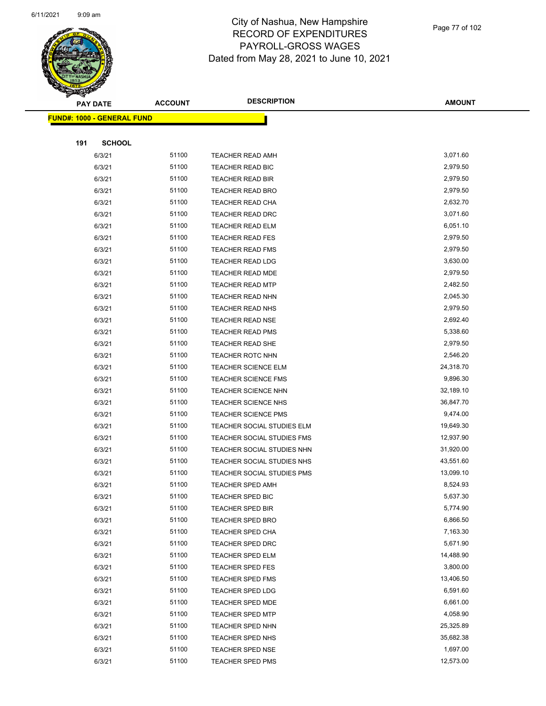

Page 77 of 102

|     | <b>PAY DATE</b>                   | <b>ACCOUNT</b> | <b>DESCRIPTION</b>         | <b>AMOUNT</b> |
|-----|-----------------------------------|----------------|----------------------------|---------------|
|     | <b>FUND#: 1000 - GENERAL FUND</b> |                |                            |               |
|     |                                   |                |                            |               |
| 191 | <b>SCHOOL</b>                     |                |                            |               |
|     | 6/3/21                            | 51100          | TEACHER READ AMH           | 3,071.60      |
|     | 6/3/21                            | 51100          | TEACHER READ BIC           | 2,979.50      |
|     | 6/3/21                            | 51100          | <b>TEACHER READ BIR</b>    | 2,979.50      |
|     | 6/3/21                            | 51100          | <b>TEACHER READ BRO</b>    | 2,979.50      |
|     | 6/3/21                            | 51100          | TEACHER READ CHA           | 2,632.70      |
|     | 6/3/21                            | 51100          | TEACHER READ DRC           | 3,071.60      |
|     | 6/3/21                            | 51100          | <b>TEACHER READ ELM</b>    | 6,051.10      |
|     | 6/3/21                            | 51100          | <b>TEACHER READ FES</b>    | 2,979.50      |
|     | 6/3/21                            | 51100          | <b>TEACHER READ FMS</b>    | 2,979.50      |
|     | 6/3/21                            | 51100          | <b>TEACHER READ LDG</b>    | 3,630.00      |
|     | 6/3/21                            | 51100          | <b>TEACHER READ MDE</b>    | 2,979.50      |
|     | 6/3/21                            | 51100          | <b>TEACHER READ MTP</b>    | 2,482.50      |
|     | 6/3/21                            | 51100          | TEACHER READ NHN           | 2,045.30      |
|     | 6/3/21                            | 51100          | <b>TEACHER READ NHS</b>    | 2,979.50      |
|     | 6/3/21                            | 51100          | <b>TEACHER READ NSE</b>    | 2,692.40      |
|     | 6/3/21                            | 51100          | <b>TEACHER READ PMS</b>    | 5,338.60      |
|     | 6/3/21                            | 51100          | <b>TEACHER READ SHE</b>    | 2,979.50      |
|     | 6/3/21                            | 51100          | <b>TEACHER ROTC NHN</b>    | 2,546.20      |
|     | 6/3/21                            | 51100          | <b>TEACHER SCIENCE ELM</b> | 24,318.70     |
|     | 6/3/21                            | 51100          | <b>TEACHER SCIENCE FMS</b> | 9,896.30      |
|     | 6/3/21                            | 51100          | <b>TEACHER SCIENCE NHN</b> | 32,189.10     |
|     | 6/3/21                            | 51100          | <b>TEACHER SCIENCE NHS</b> | 36,847.70     |
|     | 6/3/21                            | 51100          | <b>TEACHER SCIENCE PMS</b> | 9,474.00      |
|     | 6/3/21                            | 51100          | TEACHER SOCIAL STUDIES ELM | 19,649.30     |
|     | 6/3/21                            | 51100          | TEACHER SOCIAL STUDIES FMS | 12,937.90     |
|     | 6/3/21                            | 51100          | TEACHER SOCIAL STUDIES NHN | 31,920.00     |
|     | 6/3/21                            | 51100          | TEACHER SOCIAL STUDIES NHS | 43,551.60     |
|     | 6/3/21                            | 51100          | TEACHER SOCIAL STUDIES PMS | 13,099.10     |
|     | 6/3/21                            | 51100          | TEACHER SPED AMH           | 8,524.93      |
|     | 6/3/21                            | 51100          | TEACHER SPED BIC           | 5,637.30      |
|     | 6/3/21                            | 51100          | <b>TEACHER SPED BIR</b>    | 5,774.90      |
|     | 6/3/21                            | 51100          | <b>TEACHER SPED BRO</b>    | 6,866.50      |
|     | 6/3/21                            | 51100          | <b>TEACHER SPED CHA</b>    | 7,163.30      |
|     | 6/3/21                            | 51100          | <b>TEACHER SPED DRC</b>    | 5,671.90      |
|     | 6/3/21                            | 51100          | <b>TEACHER SPED ELM</b>    | 14,488.90     |
|     | 6/3/21                            | 51100          | TEACHER SPED FES           | 3,800.00      |
|     | 6/3/21                            | 51100          | <b>TEACHER SPED FMS</b>    | 13,406.50     |
|     | 6/3/21                            | 51100          | <b>TEACHER SPED LDG</b>    | 6,591.60      |
|     | 6/3/21                            | 51100          | TEACHER SPED MDE           | 6,661.00      |
|     | 6/3/21                            | 51100          | <b>TEACHER SPED MTP</b>    | 4,058.90      |
|     | 6/3/21                            | 51100          | TEACHER SPED NHN           | 25,325.89     |
|     | 6/3/21                            | 51100          | <b>TEACHER SPED NHS</b>    | 35,682.38     |
|     | 6/3/21                            | 51100          | <b>TEACHER SPED NSE</b>    | 1,697.00      |
|     | 6/3/21                            | 51100          | <b>TEACHER SPED PMS</b>    | 12,573.00     |
|     |                                   |                |                            |               |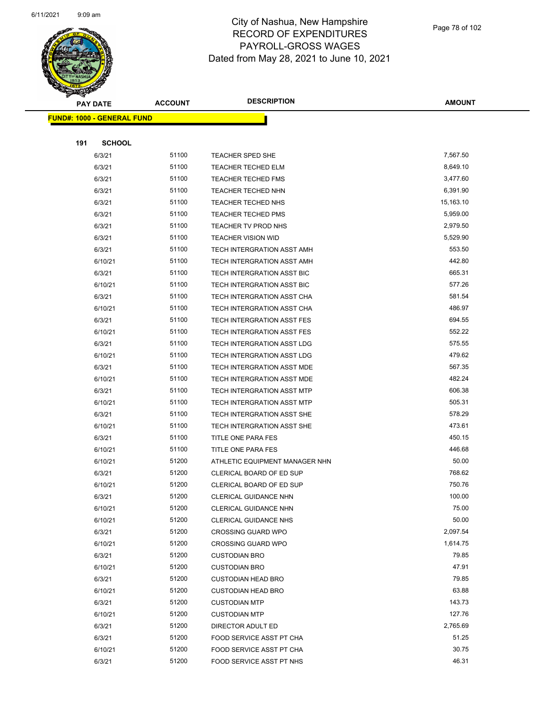

Page 78 of 102

| æ.  |                                   | <b>ACCOUNT</b> | <b>DESCRIPTION</b>              | <b>AMOUNT</b> |
|-----|-----------------------------------|----------------|---------------------------------|---------------|
|     | <b>PAY DATE</b>                   |                |                                 |               |
|     | <b>FUND#: 1000 - GENERAL FUND</b> |                |                                 |               |
|     |                                   |                |                                 |               |
| 191 | <b>SCHOOL</b>                     |                |                                 |               |
|     | 6/3/21                            | 51100          | <b>TEACHER SPED SHE</b>         | 7,567.50      |
|     | 6/3/21                            | 51100          | <b>TEACHER TECHED ELM</b>       | 8,649.10      |
|     | 6/3/21                            | 51100          | <b>TEACHER TECHED FMS</b>       | 3,477.60      |
|     | 6/3/21                            | 51100          | TEACHER TECHED NHN              | 6,391.90      |
|     | 6/3/21                            | 51100          | TEACHER TECHED NHS              | 15,163.10     |
|     | 6/3/21                            | 51100          | <b>TEACHER TECHED PMS</b>       | 5,959.00      |
|     | 6/3/21                            | 51100          | TEACHER TV PROD NHS             | 2,979.50      |
|     | 6/3/21                            | 51100          | <b>TEACHER VISION WID</b>       | 5,529.90      |
|     | 6/3/21                            | 51100          | TECH INTERGRATION ASST AMH      | 553.50        |
|     | 6/10/21                           | 51100          | TECH INTERGRATION ASST AMH      | 442.80        |
|     | 6/3/21                            | 51100          | TECH INTERGRATION ASST BIC      | 665.31        |
|     | 6/10/21                           | 51100          | TECH INTERGRATION ASST BIC      | 577.26        |
|     | 6/3/21                            | 51100          | TECH INTERGRATION ASST CHA      | 581.54        |
|     | 6/10/21                           | 51100          | TECH INTERGRATION ASST CHA      | 486.97        |
|     | 6/3/21                            | 51100          | TECH INTERGRATION ASST FES      | 694.55        |
|     | 6/10/21                           | 51100          | TECH INTERGRATION ASST FES      | 552.22        |
|     | 6/3/21                            | 51100          | TECH INTERGRATION ASST LDG      | 575.55        |
|     | 6/10/21                           | 51100          | TECH INTERGRATION ASST LDG      | 479.62        |
|     | 6/3/21                            | 51100          | TECH INTERGRATION ASST MDE      | 567.35        |
|     | 6/10/21                           | 51100          | TECH INTERGRATION ASST MDE      | 482.24        |
|     | 6/3/21                            | 51100          | TECH INTERGRATION ASST MTP      | 606.38        |
|     | 6/10/21                           | 51100          | TECH INTERGRATION ASST MTP      | 505.31        |
|     | 6/3/21                            | 51100          | TECH INTERGRATION ASST SHE      | 578.29        |
|     | 6/10/21                           | 51100          | TECH INTERGRATION ASST SHE      | 473.61        |
|     | 6/3/21                            | 51100          | TITLE ONE PARA FES              | 450.15        |
|     | 6/10/21                           | 51100          | TITLE ONE PARA FES              | 446.68        |
|     | 6/10/21                           | 51200          | ATHLETIC EQUIPMENT MANAGER NHN  | 50.00         |
|     | 6/3/21                            | 51200          | <b>CLERICAL BOARD OF ED SUP</b> | 768.62        |
|     | 6/10/21                           | 51200          | CLERICAL BOARD OF ED SUP        | 750.76        |
|     | 6/3/21                            | 51200          | CLERICAL GUIDANCE NHN           | 100.00        |
|     | 6/10/21                           | 51200          | <b>CLERICAL GUIDANCE NHN</b>    | 75.00         |
|     | 6/10/21                           | 51200          | <b>CLERICAL GUIDANCE NHS</b>    | 50.00         |
|     | 6/3/21                            | 51200          | <b>CROSSING GUARD WPO</b>       | 2,097.54      |
|     | 6/10/21                           | 51200          | <b>CROSSING GUARD WPO</b>       | 1,614.75      |
|     | 6/3/21                            | 51200          | <b>CUSTODIAN BRO</b>            | 79.85         |
|     | 6/10/21                           | 51200          | <b>CUSTODIAN BRO</b>            | 47.91         |
|     | 6/3/21                            | 51200          | <b>CUSTODIAN HEAD BRO</b>       | 79.85         |
|     | 6/10/21                           | 51200          | <b>CUSTODIAN HEAD BRO</b>       | 63.88         |
|     | 6/3/21                            | 51200          | <b>CUSTODIAN MTP</b>            | 143.73        |
|     | 6/10/21                           | 51200          | <b>CUSTODIAN MTP</b>            | 127.76        |
|     | 6/3/21                            | 51200          | DIRECTOR ADULT ED               | 2,765.69      |
|     | 6/3/21                            | 51200          | FOOD SERVICE ASST PT CHA        | 51.25         |
|     | 6/10/21                           | 51200          | FOOD SERVICE ASST PT CHA        | 30.75         |
|     | 6/3/21                            | 51200          | FOOD SERVICE ASST PT NHS        | 46.31         |
|     |                                   |                |                                 |               |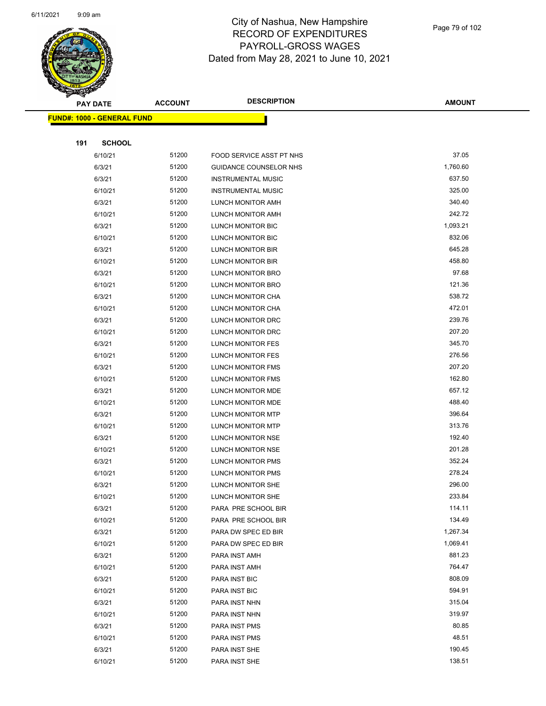

Page 79 of 102

| <b>STARTING COMPANY</b>    |               |                |                               |               |  |
|----------------------------|---------------|----------------|-------------------------------|---------------|--|
| <b>PAY DATE</b>            |               | <b>ACCOUNT</b> | <b>DESCRIPTION</b>            | <b>AMOUNT</b> |  |
| FUND#: 1000 - GENERAL FUND |               |                |                               |               |  |
|                            |               |                |                               |               |  |
| 191                        | <b>SCHOOL</b> |                |                               |               |  |
|                            | 6/10/21       | 51200          | FOOD SERVICE ASST PT NHS      | 37.05         |  |
|                            | 6/3/21        | 51200          | <b>GUIDANCE COUNSELOR NHS</b> | 1,760.60      |  |
|                            | 6/3/21        | 51200          | <b>INSTRUMENTAL MUSIC</b>     | 637.50        |  |
|                            | 6/10/21       | 51200          | <b>INSTRUMENTAL MUSIC</b>     | 325.00        |  |
|                            | 6/3/21        | 51200          | LUNCH MONITOR AMH             | 340.40        |  |
|                            | 6/10/21       | 51200          | LUNCH MONITOR AMH             | 242.72        |  |
|                            | 6/3/21        | 51200          | LUNCH MONITOR BIC             | 1,093.21      |  |
|                            | 6/10/21       | 51200          | LUNCH MONITOR BIC             | 832.06        |  |
|                            | 6/3/21        | 51200          | LUNCH MONITOR BIR             | 645.28        |  |
|                            | 6/10/21       | 51200          | LUNCH MONITOR BIR             | 458.80        |  |
|                            | 6/3/21        | 51200          | LUNCH MONITOR BRO             | 97.68         |  |
|                            | 6/10/21       | 51200          | LUNCH MONITOR BRO             | 121.36        |  |
|                            | 6/3/21        | 51200          | LUNCH MONITOR CHA             | 538.72        |  |
|                            | 6/10/21       | 51200          | LUNCH MONITOR CHA             | 472.01        |  |
|                            | 6/3/21        | 51200          | LUNCH MONITOR DRC             | 239.76        |  |
|                            | 6/10/21       | 51200          | LUNCH MONITOR DRC             | 207.20        |  |
|                            | 6/3/21        | 51200          | <b>LUNCH MONITOR FES</b>      | 345.70        |  |
|                            | 6/10/21       | 51200          | <b>LUNCH MONITOR FES</b>      | 276.56        |  |
|                            | 6/3/21        | 51200          | LUNCH MONITOR FMS             | 207.20        |  |
|                            | 6/10/21       | 51200          | LUNCH MONITOR FMS             | 162.80        |  |
|                            | 6/3/21        | 51200          | LUNCH MONITOR MDE             | 657.12        |  |
|                            | 6/10/21       | 51200          | LUNCH MONITOR MDE             | 488.40        |  |
|                            | 6/3/21        | 51200          | LUNCH MONITOR MTP             | 396.64        |  |
|                            | 6/10/21       | 51200          | LUNCH MONITOR MTP             | 313.76        |  |
|                            | 6/3/21        | 51200          | LUNCH MONITOR NSE             | 192.40        |  |
|                            | 6/10/21       | 51200          | LUNCH MONITOR NSE             | 201.28        |  |
|                            | 6/3/21        | 51200          | LUNCH MONITOR PMS             | 352.24        |  |
|                            | 6/10/21       | 51200          | LUNCH MONITOR PMS             | 278.24        |  |
|                            | 6/3/21        | 51200          | <b>LUNCH MONITOR SHE</b>      | 296.00        |  |
|                            | 6/10/21       | 51200          | <b>LUNCH MONITOR SHE</b>      | 233.84        |  |
|                            | 6/3/21        | 51200          | PARA PRE SCHOOL BIR           | 114.11        |  |
|                            | 6/10/21       | 51200          | PARA PRE SCHOOL BIR           | 134.49        |  |
|                            | 6/3/21        | 51200          | PARA DW SPEC ED BIR           | 1,267.34      |  |
|                            | 6/10/21       | 51200          | PARA DW SPEC ED BIR           | 1,069.41      |  |
|                            | 6/3/21        | 51200          | PARA INST AMH                 | 881.23        |  |
|                            | 6/10/21       | 51200          | PARA INST AMH                 | 764.47        |  |
|                            | 6/3/21        | 51200          | PARA INST BIC                 | 808.09        |  |
|                            | 6/10/21       | 51200          | <b>PARA INST BIC</b>          | 594.91        |  |
|                            | 6/3/21        | 51200          | PARA INST NHN                 | 315.04        |  |
|                            | 6/10/21       | 51200          | PARA INST NHN                 | 319.97        |  |
|                            | 6/3/21        | 51200          | PARA INST PMS                 | 80.85         |  |
|                            | 6/10/21       | 51200          | PARA INST PMS                 | 48.51         |  |
|                            | 6/3/21        | 51200          | PARA INST SHE                 | 190.45        |  |
|                            | 6/10/21       | 51200          | PARA INST SHE                 | 138.51        |  |
|                            |               |                |                               |               |  |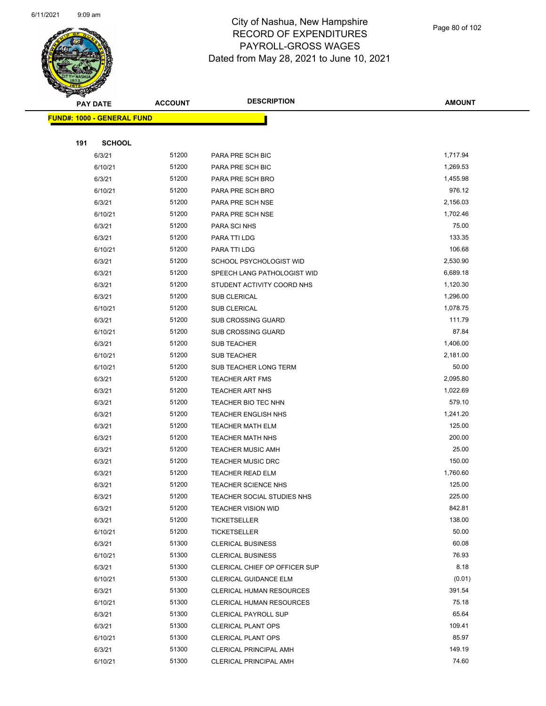

Page 80 of 102

| <b>Service Lines</b> |                                   |                |                                 |                 |  |
|----------------------|-----------------------------------|----------------|---------------------------------|-----------------|--|
| <b>PAY DATE</b>      |                                   | <b>ACCOUNT</b> | <b>DESCRIPTION</b>              | <b>AMOUNT</b>   |  |
|                      | <b>FUND#: 1000 - GENERAL FUND</b> |                |                                 |                 |  |
|                      |                                   |                |                                 |                 |  |
| 191                  | <b>SCHOOL</b>                     |                |                                 |                 |  |
|                      | 6/3/21                            | 51200          | PARA PRE SCH BIC                | 1,717.94        |  |
|                      | 6/10/21                           | 51200          | PARA PRE SCH BIC                | 1,269.53        |  |
|                      | 6/3/21                            | 51200          | PARA PRE SCH BRO                | 1,455.98        |  |
|                      | 6/10/21                           | 51200          | PARA PRE SCH BRO                | 976.12          |  |
|                      | 6/3/21                            | 51200          | PARA PRE SCH NSE                | 2,156.03        |  |
|                      | 6/10/21                           | 51200          | PARA PRE SCH NSE                | 1,702.46        |  |
|                      | 6/3/21                            | 51200          | PARA SCI NHS                    | 75.00           |  |
|                      | 6/3/21                            | 51200          | PARA TTI LDG                    | 133.35          |  |
|                      | 6/10/21                           | 51200          | PARA TTI LDG                    | 106.68          |  |
|                      | 6/3/21                            | 51200          | SCHOOL PSYCHOLOGIST WID         | 2,530.90        |  |
|                      | 6/3/21                            | 51200          | SPEECH LANG PATHOLOGIST WID     | 6,689.18        |  |
|                      | 6/3/21                            | 51200          | STUDENT ACTIVITY COORD NHS      | 1,120.30        |  |
|                      | 6/3/21                            | 51200          | SUB CLERICAL                    | 1,296.00        |  |
|                      | 6/10/21                           | 51200          | <b>SUB CLERICAL</b>             | 1,078.75        |  |
|                      | 6/3/21                            | 51200          | SUB CROSSING GUARD              | 111.79          |  |
|                      | 6/10/21                           | 51200          | <b>SUB CROSSING GUARD</b>       | 87.84           |  |
|                      | 6/3/21                            | 51200          | <b>SUB TEACHER</b>              | 1,406.00        |  |
|                      | 6/10/21                           | 51200          | SUB TEACHER                     | 2,181.00        |  |
|                      | 6/10/21                           | 51200          | SUB TEACHER LONG TERM           | 50.00           |  |
|                      | 6/3/21                            | 51200          | <b>TEACHER ART FMS</b>          | 2,095.80        |  |
|                      | 6/3/21                            | 51200          | <b>TEACHER ART NHS</b>          | 1,022.69        |  |
|                      | 6/3/21                            | 51200          | TEACHER BIO TEC NHN             | 579.10          |  |
|                      | 6/3/21                            | 51200          | TEACHER ENGLISH NHS             | 1,241.20        |  |
|                      | 6/3/21                            | 51200          | <b>TEACHER MATH ELM</b>         | 125.00          |  |
|                      | 6/3/21                            | 51200          | <b>TEACHER MATH NHS</b>         | 200.00          |  |
|                      | 6/3/21                            | 51200          | <b>TEACHER MUSIC AMH</b>        | 25.00           |  |
|                      | 6/3/21                            | 51200          | <b>TEACHER MUSIC DRC</b>        | 150.00          |  |
|                      | 6/3/21                            | 51200          | TEACHER READ ELM                | 1,760.60        |  |
|                      | 6/3/21                            | 51200          | <b>TEACHER SCIENCE NHS</b>      | 125.00          |  |
|                      | 6/3/21                            | 51200          | TEACHER SOCIAL STUDIES NHS      | 225.00          |  |
|                      | 6/3/21                            | 51200          | <b>TEACHER VISION WID</b>       | 842.81          |  |
|                      | 6/3/21                            | 51200          | TICKETSELLER                    | 138.00          |  |
|                      | 6/10/21                           | 51200          | <b>TICKETSELLER</b>             | 50.00           |  |
|                      | 6/3/21                            | 51300          | <b>CLERICAL BUSINESS</b>        | 60.08           |  |
|                      | 6/10/21                           | 51300          | <b>CLERICAL BUSINESS</b>        | 76.93           |  |
|                      | 6/3/21                            | 51300          | CLERICAL CHIEF OP OFFICER SUP   | 8.18            |  |
|                      | 6/10/21                           | 51300          | CLERICAL GUIDANCE ELM           | (0.01)          |  |
|                      | 6/3/21                            | 51300          | <b>CLERICAL HUMAN RESOURCES</b> | 391.54          |  |
|                      | 6/10/21                           | 51300          | <b>CLERICAL HUMAN RESOURCES</b> |                 |  |
|                      | 6/3/21                            | 51300          | <b>CLERICAL PAYROLL SUP</b>     | 65.64           |  |
|                      | 6/3/21                            | 51300          | <b>CLERICAL PLANT OPS</b>       | 109.41          |  |
|                      | 6/10/21                           | 51300          | <b>CLERICAL PLANT OPS</b>       | 85.97           |  |
|                      | 6/3/21                            | 51300          | <b>CLERICAL PRINCIPAL AMH</b>   |                 |  |
|                      | 6/10/21                           | 51300          | <b>CLERICAL PRINCIPAL AMH</b>   | 149.19<br>74.60 |  |
|                      |                                   |                |                                 | 75.18           |  |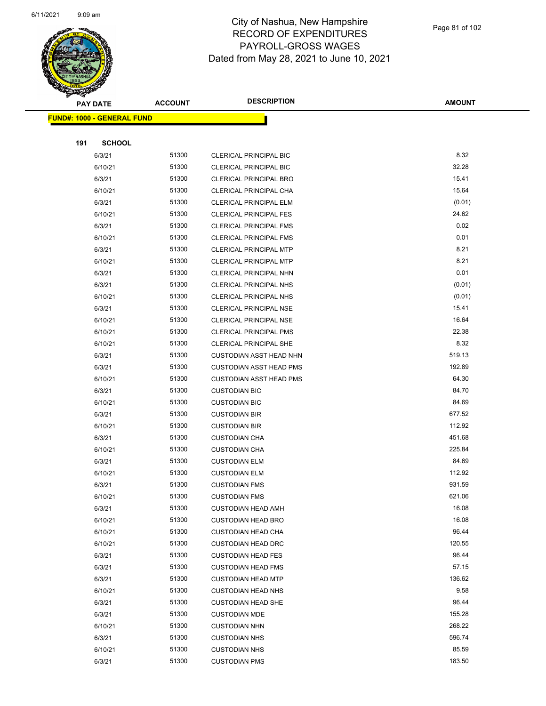

Page 81 of 102

| <b>PAY DATE</b> |                                    | <b>ACCOUNT</b> | <b>DESCRIPTION</b>             | <b>AMOUNT</b> |
|-----------------|------------------------------------|----------------|--------------------------------|---------------|
|                 | <u> FUND#: 1000 - GENERAL FUND</u> |                |                                |               |
|                 |                                    |                |                                |               |
| 191             | <b>SCHOOL</b>                      |                |                                |               |
|                 | 6/3/21                             | 51300          | <b>CLERICAL PRINCIPAL BIC</b>  | 8.32          |
|                 | 6/10/21                            | 51300          | <b>CLERICAL PRINCIPAL BIC</b>  | 32.28         |
|                 | 6/3/21                             | 51300          | <b>CLERICAL PRINCIPAL BRO</b>  | 15.41         |
|                 | 6/10/21                            | 51300          | CLERICAL PRINCIPAL CHA         | 15.64         |
|                 | 6/3/21                             | 51300          | CLERICAL PRINCIPAL ELM         | (0.01)        |
|                 | 6/10/21                            | 51300          | <b>CLERICAL PRINCIPAL FES</b>  | 24.62         |
|                 | 6/3/21                             | 51300          | <b>CLERICAL PRINCIPAL FMS</b>  | 0.02          |
|                 | 6/10/21                            | 51300          | CLERICAL PRINCIPAL FMS         | 0.01          |
|                 | 6/3/21                             | 51300          | CLERICAL PRINCIPAL MTP         | 8.21          |
|                 | 6/10/21                            | 51300          | CLERICAL PRINCIPAL MTP         | 8.21          |
|                 | 6/3/21                             | 51300          | CLERICAL PRINCIPAL NHN         | 0.01          |
|                 | 6/3/21                             | 51300          | <b>CLERICAL PRINCIPAL NHS</b>  | (0.01)        |
|                 | 6/10/21                            | 51300          | <b>CLERICAL PRINCIPAL NHS</b>  | (0.01)        |
|                 | 6/3/21                             | 51300          | <b>CLERICAL PRINCIPAL NSE</b>  | 15.41         |
|                 | 6/10/21                            | 51300          | CLERICAL PRINCIPAL NSE         | 16.64         |
|                 | 6/10/21                            | 51300          | <b>CLERICAL PRINCIPAL PMS</b>  | 22.38         |
|                 | 6/10/21                            | 51300          | <b>CLERICAL PRINCIPAL SHE</b>  | 8.32          |
|                 | 6/3/21                             | 51300          | <b>CUSTODIAN ASST HEAD NHN</b> | 519.13        |
|                 | 6/3/21                             | 51300          | <b>CUSTODIAN ASST HEAD PMS</b> | 192.89        |
|                 | 6/10/21                            | 51300          | <b>CUSTODIAN ASST HEAD PMS</b> | 64.30         |
|                 | 6/3/21                             | 51300          | <b>CUSTODIAN BIC</b>           | 84.70         |
|                 | 6/10/21                            | 51300          | <b>CUSTODIAN BIC</b>           | 84.69         |
|                 | 6/3/21                             | 51300          | <b>CUSTODIAN BIR</b>           | 677.52        |
|                 | 6/10/21                            | 51300          | <b>CUSTODIAN BIR</b>           | 112.92        |
|                 | 6/3/21                             | 51300          | <b>CUSTODIAN CHA</b>           | 451.68        |
|                 | 6/10/21                            | 51300          | <b>CUSTODIAN CHA</b>           | 225.84        |
|                 | 6/3/21                             | 51300          | <b>CUSTODIAN ELM</b>           | 84.69         |
|                 | 6/10/21                            | 51300          | <b>CUSTODIAN ELM</b>           | 112.92        |
|                 | 6/3/21                             | 51300          | <b>CUSTODIAN FMS</b>           | 931.59        |
|                 | 6/10/21                            | 51300          | <b>CUSTODIAN FMS</b>           | 621.06        |
|                 | 6/3/21                             | 51300          | <b>CUSTODIAN HEAD AMH</b>      | 16.08         |
|                 | 6/10/21                            | 51300          | <b>CUSTODIAN HEAD BRO</b>      | 16.08         |
|                 | 6/10/21                            | 51300          | <b>CUSTODIAN HEAD CHA</b>      | 96.44         |
|                 | 6/10/21                            | 51300          | <b>CUSTODIAN HEAD DRC</b>      | 120.55        |
|                 | 6/3/21                             | 51300          | <b>CUSTODIAN HEAD FES</b>      | 96.44         |
|                 | 6/3/21                             | 51300          | <b>CUSTODIAN HEAD FMS</b>      | 57.15         |
|                 | 6/3/21                             | 51300          | <b>CUSTODIAN HEAD MTP</b>      | 136.62        |
|                 | 6/10/21                            | 51300          | <b>CUSTODIAN HEAD NHS</b>      | 9.58          |
|                 | 6/3/21                             | 51300          | <b>CUSTODIAN HEAD SHE</b>      | 96.44         |
|                 | 6/3/21                             | 51300          | <b>CUSTODIAN MDE</b>           | 155.28        |
|                 | 6/10/21                            | 51300          | <b>CUSTODIAN NHN</b>           | 268.22        |
|                 | 6/3/21                             | 51300          | <b>CUSTODIAN NHS</b>           | 596.74        |
|                 | 6/10/21                            | 51300          | <b>CUSTODIAN NHS</b>           | 85.59         |
|                 | 6/3/21                             | 51300          | <b>CUSTODIAN PMS</b>           | 183.50        |
|                 |                                    |                |                                |               |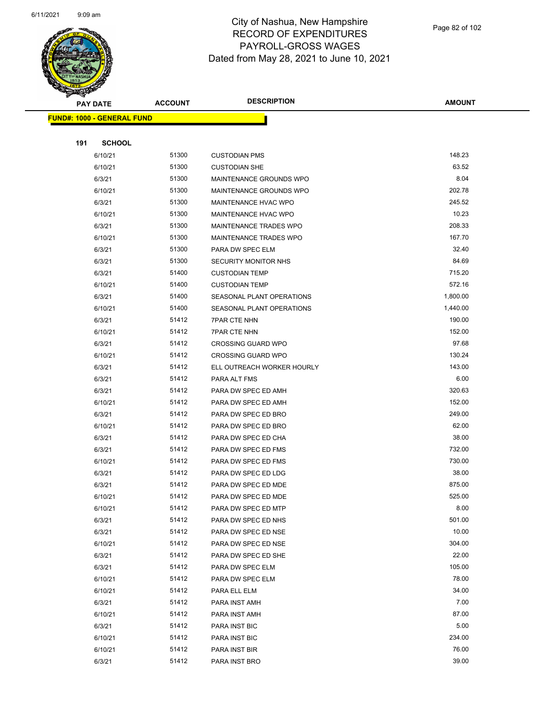

Page 82 of 102

|     | <b>PAY DATE</b>                   | <b>ACCOUNT</b> | <b>DESCRIPTION</b>          | <b>AMOUNT</b>  |
|-----|-----------------------------------|----------------|-----------------------------|----------------|
|     | <b>FUND#: 1000 - GENERAL FUND</b> |                |                             |                |
|     |                                   |                |                             |                |
| 191 | <b>SCHOOL</b>                     |                |                             |                |
|     | 6/10/21                           | 51300          | <b>CUSTODIAN PMS</b>        | 148.23         |
|     | 6/10/21                           | 51300          | <b>CUSTODIAN SHE</b>        | 63.52          |
|     | 6/3/21                            | 51300          | MAINTENANCE GROUNDS WPO     | 8.04           |
|     | 6/10/21                           | 51300          | MAINTENANCE GROUNDS WPO     | 202.78         |
|     | 6/3/21                            | 51300          | MAINTENANCE HVAC WPO        | 245.52         |
|     | 6/10/21                           | 51300          | <b>MAINTENANCE HVAC WPO</b> | 10.23          |
|     | 6/3/21                            | 51300          | MAINTENANCE TRADES WPO      | 208.33         |
|     | 6/10/21                           | 51300          | MAINTENANCE TRADES WPO      | 167.70         |
|     | 6/3/21                            | 51300          | PARA DW SPEC ELM            | 32.40          |
|     | 6/3/21                            | 51300          | SECURITY MONITOR NHS        | 84.69          |
|     | 6/3/21                            | 51400          | <b>CUSTODIAN TEMP</b>       | 715.20         |
|     | 6/10/21                           | 51400          | <b>CUSTODIAN TEMP</b>       | 572.16         |
|     | 6/3/21                            | 51400          | SEASONAL PLANT OPERATIONS   | 1,800.00       |
|     | 6/10/21                           | 51400          | SEASONAL PLANT OPERATIONS   | 1,440.00       |
|     | 6/3/21                            | 51412          | <b>7PAR CTE NHN</b>         | 190.00         |
|     | 6/10/21                           | 51412          | <b>7PAR CTE NHN</b>         | 152.00         |
|     | 6/3/21                            | 51412          | <b>CROSSING GUARD WPO</b>   | 97.68          |
|     | 6/10/21                           | 51412          | <b>CROSSING GUARD WPO</b>   | 130.24         |
|     | 6/3/21                            | 51412          | ELL OUTREACH WORKER HOURLY  | 143.00         |
|     | 6/3/21                            | 51412          | PARA ALT FMS                | 6.00           |
|     | 6/3/21                            | 51412          | PARA DW SPEC ED AMH         | 320.63         |
|     | 6/10/21                           | 51412          | PARA DW SPEC ED AMH         | 152.00         |
|     | 6/3/21                            | 51412          | PARA DW SPEC ED BRO         | 249.00         |
|     | 6/10/21                           | 51412          | PARA DW SPEC ED BRO         | 62.00          |
|     | 6/3/21                            | 51412          | PARA DW SPEC ED CHA         | 38.00          |
|     | 6/3/21                            | 51412          | PARA DW SPEC ED FMS         | 732.00         |
|     | 6/10/21                           | 51412          | PARA DW SPEC ED FMS         | 730.00         |
|     | 6/3/21                            | 51412          | PARA DW SPEC ED LDG         | 38.00          |
|     | 6/3/21                            | 51412          | PARA DW SPEC ED MDE         | 875.00         |
|     | 6/10/21                           | 51412          | PARA DW SPEC ED MDE         | 525.00         |
|     | 6/10/21                           | 51412          | PARA DW SPEC ED MTP         | 8.00           |
|     | 6/3/21                            | 51412          | PARA DW SPEC ED NHS         | 501.00         |
|     | 6/3/21                            | 51412          | PARA DW SPEC ED NSE         | 10.00          |
|     | 6/10/21                           | 51412          | PARA DW SPEC ED NSE         | 304.00         |
|     | 6/3/21                            | 51412          | PARA DW SPEC ED SHE         | 22.00          |
|     | 6/3/21                            | 51412          | PARA DW SPEC ELM            | 105.00         |
|     | 6/10/21                           | 51412          | PARA DW SPEC ELM            | 78.00          |
|     | 6/10/21                           | 51412          | PARA ELL ELM                | 34.00          |
|     | 6/3/21                            | 51412          | PARA INST AMH               | 7.00           |
|     | 6/10/21                           | 51412          | PARA INST AMH               | 87.00          |
|     | 6/3/21                            | 51412          | PARA INST BIC               | 5.00           |
|     | 6/10/21                           | 51412          | PARA INST BIC               | 234.00         |
|     | 6/10/21                           | 51412<br>51412 | PARA INST BIR               | 76.00<br>39.00 |
|     | 6/3/21                            |                | PARA INST BRO               |                |
|     |                                   |                |                             |                |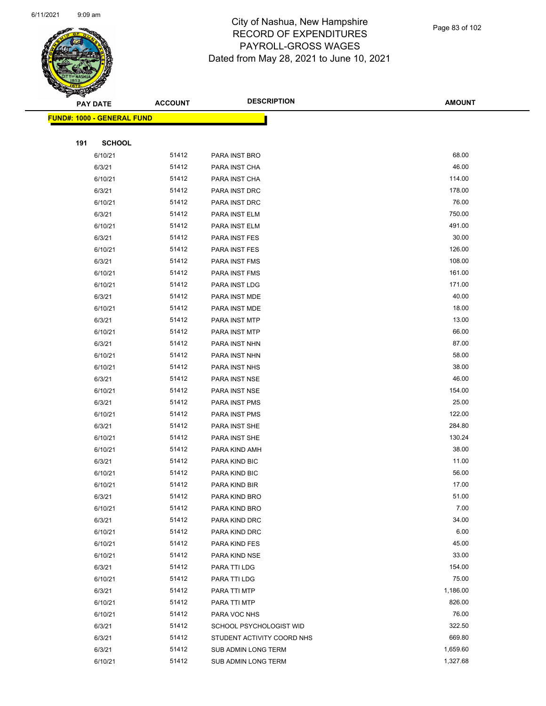

|     | <b>PAY DATE</b>                   | <b>ACCOUNT</b> | <b>DESCRIPTION</b>         | <b>AMOUNT</b> |
|-----|-----------------------------------|----------------|----------------------------|---------------|
|     | <b>FUND#: 1000 - GENERAL FUND</b> |                |                            |               |
|     |                                   |                |                            |               |
| 191 | <b>SCHOOL</b>                     |                |                            |               |
|     | 6/10/21                           | 51412          | PARA INST BRO              | 68.00         |
|     | 6/3/21                            | 51412          | PARA INST CHA              | 46.00         |
|     | 6/10/21                           | 51412          | PARA INST CHA              | 114.00        |
|     | 6/3/21                            | 51412          | PARA INST DRC              | 178.00        |
|     | 6/10/21                           | 51412          | PARA INST DRC              | 76.00         |
|     | 6/3/21                            | 51412          | PARA INST ELM              | 750.00        |
|     | 6/10/21                           | 51412          | PARA INST ELM              | 491.00        |
|     | 6/3/21                            | 51412          | PARA INST FES              | 30.00         |
|     | 6/10/21                           | 51412          | PARA INST FES              | 126.00        |
|     | 6/3/21                            | 51412          | PARA INST FMS              | 108.00        |
|     | 6/10/21                           | 51412          | PARA INST FMS              | 161.00        |
|     | 6/10/21                           | 51412          | PARA INST LDG              | 171.00        |
|     | 6/3/21                            | 51412          | PARA INST MDE              | 40.00         |
|     | 6/10/21                           | 51412          | PARA INST MDE              | 18.00         |
|     | 6/3/21                            | 51412          | PARA INST MTP              | 13.00         |
|     | 6/10/21                           | 51412          | PARA INST MTP              | 66.00         |
|     | 6/3/21                            | 51412          | PARA INST NHN              | 87.00         |
|     | 6/10/21                           | 51412          | PARA INST NHN              | 58.00         |
|     | 6/10/21                           | 51412          | PARA INST NHS              | 38.00         |
|     | 6/3/21                            | 51412          | PARA INST NSE              | 46.00         |
|     | 6/10/21                           | 51412          | PARA INST NSE              | 154.00        |
|     | 6/3/21                            | 51412          | PARA INST PMS              | 25.00         |
|     | 6/10/21                           | 51412          | PARA INST PMS              | 122.00        |
|     | 6/3/21                            | 51412          | PARA INST SHE              | 284.80        |
|     | 6/10/21                           | 51412          | PARA INST SHE              | 130.24        |
|     | 6/10/21                           | 51412          | PARA KIND AMH              | 38.00         |
|     | 6/3/21                            | 51412          | PARA KIND BIC              | 11.00         |
|     | 6/10/21                           | 51412          | PARA KIND BIC              | 56.00         |
|     | 6/10/21                           | 51412          | PARA KIND BIR              | 17.00         |
|     | 6/3/21                            | 51412          | PARA KIND BRO              | 51.00         |
|     | 6/10/21                           | 51412          | PARA KIND BRO              | 7.00          |
|     | 6/3/21                            | 51412          | PARA KIND DRC              | 34.00         |
|     | 6/10/21                           | 51412          | PARA KIND DRC              | 6.00          |
|     | 6/10/21                           | 51412          | PARA KIND FES              | 45.00         |
|     | 6/10/21                           | 51412          | PARA KIND NSE              | 33.00         |
|     | 6/3/21                            | 51412          | PARA TTI LDG               | 154.00        |
|     | 6/10/21                           | 51412          | PARA TTI LDG               | 75.00         |
|     | 6/3/21                            | 51412          | PARA TTI MTP               | 1,186.00      |
|     | 6/10/21                           | 51412          | PARA TTI MTP               | 826.00        |
|     | 6/10/21                           | 51412          | PARA VOC NHS               | 76.00         |
|     | 6/3/21                            | 51412          | SCHOOL PSYCHOLOGIST WID    | 322.50        |
|     | 6/3/21                            | 51412          | STUDENT ACTIVITY COORD NHS | 669.80        |
|     | 6/3/21                            | 51412          | SUB ADMIN LONG TERM        | 1,659.60      |
|     | 6/10/21                           | 51412          | SUB ADMIN LONG TERM        | 1,327.68      |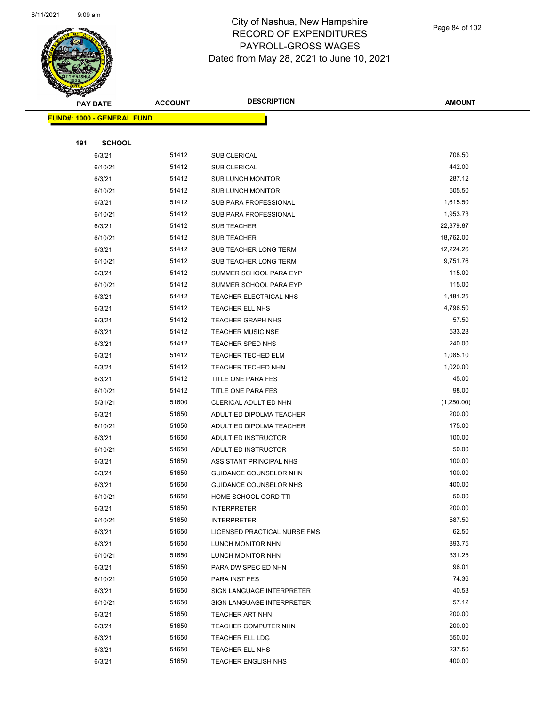

Page 84 of 102

|     | <b>PAY DATE</b>                    | <b>ACCOUNT</b> | <b>DESCRIPTION</b>           | <b>AMOUNT</b>    |
|-----|------------------------------------|----------------|------------------------------|------------------|
|     | <u> FUND#: 1000 - GENERAL FUND</u> |                |                              |                  |
|     |                                    |                |                              |                  |
| 191 | <b>SCHOOL</b>                      |                |                              |                  |
|     | 6/3/21                             | 51412          | <b>SUB CLERICAL</b>          | 708.50           |
|     | 6/10/21                            | 51412          | <b>SUB CLERICAL</b>          | 442.00           |
|     | 6/3/21                             | 51412          | <b>SUB LUNCH MONITOR</b>     | 287.12           |
|     | 6/10/21                            | 51412          | <b>SUB LUNCH MONITOR</b>     | 605.50           |
|     | 6/3/21                             | 51412          | SUB PARA PROFESSIONAL        | 1,615.50         |
|     | 6/10/21                            | 51412          | SUB PARA PROFESSIONAL        | 1,953.73         |
|     | 6/3/21                             | 51412          | <b>SUB TEACHER</b>           | 22,379.87        |
|     | 6/10/21                            | 51412          | <b>SUB TEACHER</b>           | 18,762.00        |
|     | 6/3/21                             | 51412          | SUB TEACHER LONG TERM        | 12,224.26        |
|     | 6/10/21                            | 51412          | SUB TEACHER LONG TERM        | 9,751.76         |
|     | 6/3/21                             | 51412          | SUMMER SCHOOL PARA EYP       | 115.00           |
|     | 6/10/21                            | 51412          | SUMMER SCHOOL PARA EYP       | 115.00           |
|     | 6/3/21                             | 51412          | TEACHER ELECTRICAL NHS       | 1,481.25         |
|     | 6/3/21                             | 51412          | TEACHER ELL NHS              | 4,796.50         |
|     | 6/3/21                             | 51412          | <b>TEACHER GRAPH NHS</b>     | 57.50            |
|     | 6/3/21                             | 51412          | <b>TEACHER MUSIC NSE</b>     | 533.28           |
|     | 6/3/21                             | 51412          | <b>TEACHER SPED NHS</b>      | 240.00           |
|     | 6/3/21                             | 51412          | <b>TEACHER TECHED ELM</b>    | 1,085.10         |
|     | 6/3/21                             | 51412          | TEACHER TECHED NHN           | 1,020.00         |
|     | 6/3/21                             | 51412          | TITLE ONE PARA FES           | 45.00            |
|     | 6/10/21                            | 51412          | TITLE ONE PARA FES           | 98.00            |
|     | 5/31/21                            | 51600          | CLERICAL ADULT ED NHN        | (1,250.00)       |
|     | 6/3/21                             | 51650          | ADULT ED DIPOLMA TEACHER     | 200.00           |
|     | 6/10/21                            | 51650          | ADULT ED DIPOLMA TEACHER     | 175.00           |
|     | 6/3/21                             | 51650          | ADULT ED INSTRUCTOR          | 100.00           |
|     | 6/10/21                            | 51650          | ADULT ED INSTRUCTOR          | 50.00            |
|     | 6/3/21                             | 51650          | ASSISTANT PRINCIPAL NHS      | 100.00           |
|     | 6/3/21                             | 51650          | GUIDANCE COUNSELOR NHN       | 100.00           |
|     | 6/3/21                             | 51650          | GUIDANCE COUNSELOR NHS       | 400.00           |
|     | 6/10/21                            | 51650          | HOME SCHOOL CORD TTI         | 50.00            |
|     | 6/3/21                             | 51650          | <b>INTERPRETER</b>           | 200.00           |
|     | 6/10/21                            | 51650          | <b>INTERPRETER</b>           | 587.50           |
|     | 6/3/21                             | 51650          | LICENSED PRACTICAL NURSE FMS | 62.50            |
|     | 6/3/21                             | 51650          | LUNCH MONITOR NHN            | 893.75           |
|     | 6/10/21                            | 51650          | LUNCH MONITOR NHN            | 331.25           |
|     | 6/3/21                             | 51650          | PARA DW SPEC ED NHN          | 96.01            |
|     | 6/10/21                            | 51650          | PARA INST FES                | 74.36            |
|     | 6/3/21                             | 51650          | SIGN LANGUAGE INTERPRETER    | 40.53            |
|     | 6/10/21                            | 51650          | SIGN LANGUAGE INTERPRETER    | 57.12            |
|     | 6/3/21                             | 51650          | TEACHER ART NHN              | 200.00           |
|     | 6/3/21                             | 51650          | TEACHER COMPUTER NHN         | 200.00           |
|     | 6/3/21                             | 51650          | TEACHER ELL LDG              | 550.00           |
|     | 6/3/21                             | 51650          | TEACHER ELL NHS              | 237.50<br>400.00 |
|     | 6/3/21                             | 51650          | <b>TEACHER ENGLISH NHS</b>   |                  |
|     |                                    |                |                              |                  |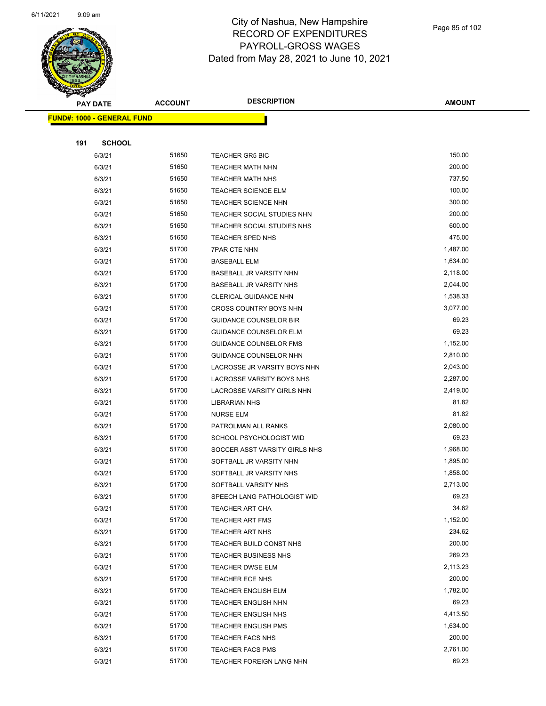

|     | <b>PAY DATE</b>                    | <b>ACCOUNT</b> | <b>DESCRIPTION</b>             | <b>AMOUNT</b> |
|-----|------------------------------------|----------------|--------------------------------|---------------|
|     | <u> FUND#: 1000 - GENERAL FUND</u> |                |                                |               |
|     |                                    |                |                                |               |
| 191 | <b>SCHOOL</b>                      |                |                                |               |
|     | 6/3/21                             | 51650          | <b>TEACHER GR5 BIC</b>         | 150.00        |
|     | 6/3/21                             | 51650          | <b>TEACHER MATH NHN</b>        | 200.00        |
|     | 6/3/21                             | 51650          | <b>TEACHER MATH NHS</b>        | 737.50        |
|     | 6/3/21                             | 51650          | <b>TEACHER SCIENCE ELM</b>     | 100.00        |
|     | 6/3/21                             | 51650          | <b>TEACHER SCIENCE NHN</b>     | 300.00        |
|     | 6/3/21                             | 51650          | TEACHER SOCIAL STUDIES NHN     | 200.00        |
|     | 6/3/21                             | 51650          | TEACHER SOCIAL STUDIES NHS     | 600.00        |
|     | 6/3/21                             | 51650          | TEACHER SPED NHS               | 475.00        |
|     | 6/3/21                             | 51700          | <b>7PAR CTE NHN</b>            | 1,487.00      |
|     | 6/3/21                             | 51700          | <b>BASEBALL ELM</b>            | 1,634.00      |
|     | 6/3/21                             | 51700          | BASEBALL JR VARSITY NHN        | 2,118.00      |
|     | 6/3/21                             | 51700          | <b>BASEBALL JR VARSITY NHS</b> | 2,044.00      |
|     | 6/3/21                             | 51700          | <b>CLERICAL GUIDANCE NHN</b>   | 1,538.33      |
|     | 6/3/21                             | 51700          | <b>CROSS COUNTRY BOYS NHN</b>  | 3,077.00      |
|     | 6/3/21                             | 51700          | <b>GUIDANCE COUNSELOR BIR</b>  | 69.23         |
|     | 6/3/21                             | 51700          | <b>GUIDANCE COUNSELOR ELM</b>  | 69.23         |
|     | 6/3/21                             | 51700          | GUIDANCE COUNSELOR FMS         | 1,152.00      |
|     | 6/3/21                             | 51700          | GUIDANCE COUNSELOR NHN         | 2,810.00      |
|     | 6/3/21                             | 51700          | LACROSSE JR VARSITY BOYS NHN   | 2,043.00      |
|     | 6/3/21                             | 51700          | LACROSSE VARSITY BOYS NHS      | 2,287.00      |
|     | 6/3/21                             | 51700          | LACROSSE VARSITY GIRLS NHN     | 2,419.00      |
|     | 6/3/21                             | 51700          | LIBRARIAN NHS                  | 81.82         |
|     | 6/3/21                             | 51700          | <b>NURSE ELM</b>               | 81.82         |
|     | 6/3/21                             | 51700          | PATROLMAN ALL RANKS            | 2,080.00      |
|     | 6/3/21                             | 51700          | SCHOOL PSYCHOLOGIST WID        | 69.23         |
|     | 6/3/21                             | 51700          | SOCCER ASST VARSITY GIRLS NHS  | 1,968.00      |
|     | 6/3/21                             | 51700          | SOFTBALL JR VARSITY NHN        | 1,895.00      |
|     | 6/3/21                             | 51700          | SOFTBALL JR VARSITY NHS        | 1,858.00      |
|     | 6/3/21                             | 51700          | SOFTBALL VARSITY NHS           | 2,713.00      |
|     | 6/3/21                             | 51700          | SPEECH LANG PATHOLOGIST WID    | 69.23         |
|     | 6/3/21                             | 51700          | <b>TEACHER ART CHA</b>         | 34.62         |
|     | 6/3/21                             | 51700          | <b>TEACHER ART FMS</b>         | 1,152.00      |
|     | 6/3/21                             | 51700          | TEACHER ART NHS                | 234.62        |
|     | 6/3/21                             | 51700          | TEACHER BUILD CONST NHS        | 200.00        |
|     | 6/3/21                             | 51700          | <b>TEACHER BUSINESS NHS</b>    | 269.23        |
|     | 6/3/21                             | 51700          | <b>TEACHER DWSE ELM</b>        | 2,113.23      |
|     | 6/3/21                             | 51700          | TEACHER ECE NHS                | 200.00        |
|     | 6/3/21                             | 51700          | <b>TEACHER ENGLISH ELM</b>     | 1,782.00      |
|     | 6/3/21                             | 51700          | <b>TEACHER ENGLISH NHN</b>     | 69.23         |
|     | 6/3/21                             | 51700          | <b>TEACHER ENGLISH NHS</b>     | 4,413.50      |
|     | 6/3/21                             | 51700          | <b>TEACHER ENGLISH PMS</b>     | 1,634.00      |
|     | 6/3/21                             | 51700          | <b>TEACHER FACS NHS</b>        | 200.00        |
|     | 6/3/21                             | 51700          | <b>TEACHER FACS PMS</b>        | 2,761.00      |
|     | 6/3/21                             | 51700          | TEACHER FOREIGN LANG NHN       | 69.23         |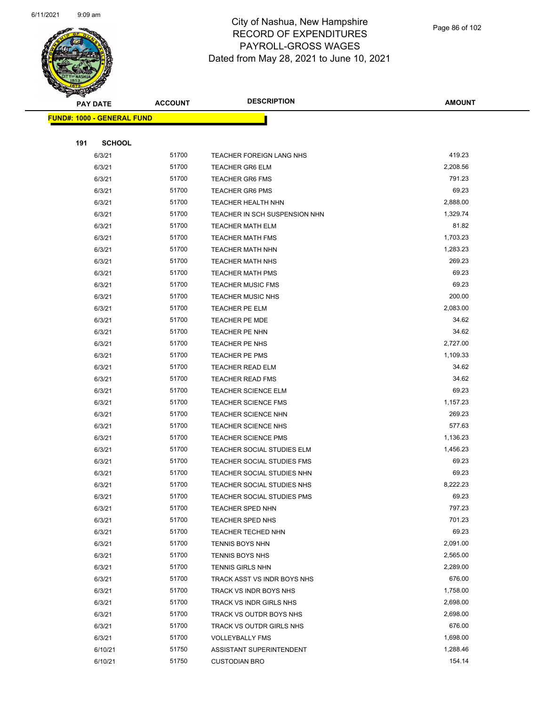

|     | <b>PAY DATE</b>                    | <b>ACCOUNT</b> | <b>DESCRIPTION</b>                | <b>AMOUNT</b> |
|-----|------------------------------------|----------------|-----------------------------------|---------------|
|     | <u> FUND#: 1000 - GENERAL FUND</u> |                |                                   |               |
|     |                                    |                |                                   |               |
| 191 | <b>SCHOOL</b>                      |                |                                   |               |
|     | 6/3/21                             | 51700          | TEACHER FOREIGN LANG NHS          | 419.23        |
|     | 6/3/21                             | 51700          | <b>TEACHER GR6 ELM</b>            | 2,208.56      |
|     | 6/3/21                             | 51700          | <b>TEACHER GR6 FMS</b>            | 791.23        |
|     | 6/3/21                             | 51700          | <b>TEACHER GR6 PMS</b>            | 69.23         |
|     | 6/3/21                             | 51700          | <b>TEACHER HEALTH NHN</b>         | 2,888.00      |
|     | 6/3/21                             | 51700          | TEACHER IN SCH SUSPENSION NHN     | 1,329.74      |
|     | 6/3/21                             | 51700          | <b>TEACHER MATH ELM</b>           | 81.82         |
|     | 6/3/21                             | 51700          | <b>TEACHER MATH FMS</b>           | 1,703.23      |
|     | 6/3/21                             | 51700          | <b>TEACHER MATH NHN</b>           | 1,283.23      |
|     | 6/3/21                             | 51700          | <b>TEACHER MATH NHS</b>           | 269.23        |
|     | 6/3/21                             | 51700          | <b>TEACHER MATH PMS</b>           | 69.23         |
|     | 6/3/21                             | 51700          | <b>TEACHER MUSIC FMS</b>          | 69.23         |
|     | 6/3/21                             | 51700          | <b>TEACHER MUSIC NHS</b>          | 200.00        |
|     | 6/3/21                             | 51700          | TEACHER PE ELM                    | 2,083.00      |
|     | 6/3/21                             | 51700          | <b>TEACHER PE MDE</b>             | 34.62         |
|     | 6/3/21                             | 51700          | <b>TEACHER PE NHN</b>             | 34.62         |
|     | 6/3/21                             | 51700          | TEACHER PE NHS                    | 2,727.00      |
|     | 6/3/21                             | 51700          | <b>TEACHER PE PMS</b>             | 1,109.33      |
|     | 6/3/21                             | 51700          | <b>TEACHER READ ELM</b>           | 34.62         |
|     | 6/3/21                             | 51700          | <b>TEACHER READ FMS</b>           | 34.62         |
|     | 6/3/21                             | 51700          | <b>TEACHER SCIENCE ELM</b>        | 69.23         |
|     | 6/3/21                             | 51700          | <b>TEACHER SCIENCE FMS</b>        | 1,157.23      |
|     | 6/3/21                             | 51700          | <b>TEACHER SCIENCE NHN</b>        | 269.23        |
|     | 6/3/21                             | 51700          | <b>TEACHER SCIENCE NHS</b>        | 577.63        |
|     | 6/3/21                             | 51700          | <b>TEACHER SCIENCE PMS</b>        | 1,136.23      |
|     | 6/3/21                             | 51700          | TEACHER SOCIAL STUDIES ELM        | 1,456.23      |
|     | 6/3/21                             | 51700          | TEACHER SOCIAL STUDIES FMS        | 69.23         |
|     | 6/3/21                             | 51700          | TEACHER SOCIAL STUDIES NHN        | 69.23         |
|     | 6/3/21                             | 51700          | TEACHER SOCIAL STUDIES NHS        | 8,222.23      |
|     | 6/3/21                             | 51700          | <b>TEACHER SOCIAL STUDIES PMS</b> | 69.23         |
|     | 6/3/21                             | 51700          | <b>TEACHER SPED NHN</b>           | 797.23        |
|     | 6/3/21                             | 51700          | <b>TEACHER SPED NHS</b>           | 701.23        |
|     | 6/3/21                             | 51700          | TEACHER TECHED NHN                | 69.23         |
|     | 6/3/21                             | 51700          | TENNIS BOYS NHN                   | 2,091.00      |
|     | 6/3/21                             | 51700          | <b>TENNIS BOYS NHS</b>            | 2,565.00      |
|     | 6/3/21                             | 51700          | <b>TENNIS GIRLS NHN</b>           | 2,289.00      |
|     | 6/3/21                             | 51700          | TRACK ASST VS INDR BOYS NHS       | 676.00        |
|     | 6/3/21                             | 51700          | TRACK VS INDR BOYS NHS            | 1,758.00      |
|     | 6/3/21                             | 51700          | TRACK VS INDR GIRLS NHS           | 2,698.00      |
|     | 6/3/21                             | 51700          | TRACK VS OUTDR BOYS NHS           | 2,698.00      |
|     | 6/3/21                             | 51700          | TRACK VS OUTDR GIRLS NHS          | 676.00        |
|     | 6/3/21                             | 51700          | <b>VOLLEYBALLY FMS</b>            | 1,698.00      |
|     | 6/10/21                            | 51750          | ASSISTANT SUPERINTENDENT          | 1,288.46      |
|     | 6/10/21                            | 51750          | <b>CUSTODIAN BRO</b>              | 154.14        |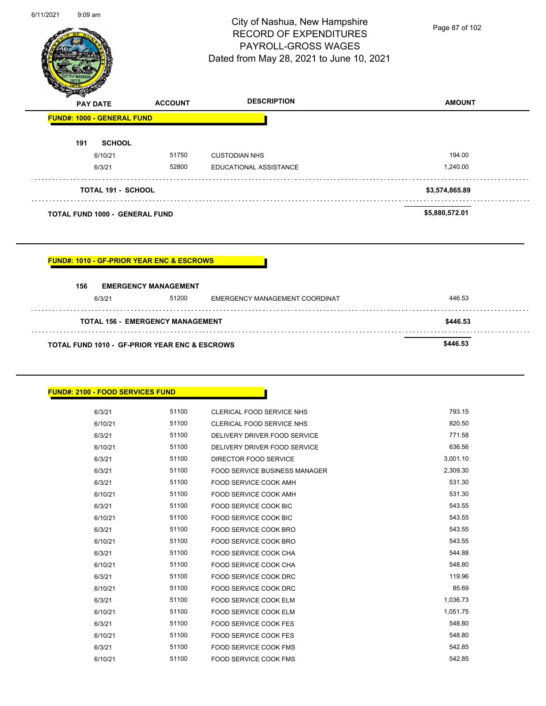| 6/11/2021 | $9:09$ am |
|-----------|-----------|
|           |           |



ä,

 $\sim$  .

## City of Nashua, New Hampshire RECORD OF EXPENDITURES PAYROLL-GROSS WAGES Dated from May 28, 2021 to June 10, 2021

Page 87 of 102

| $\mathscr{D} \mathscr{A}$ | <b>PAY DATE</b>                       | <b>ACCOUNT</b> | <b>DESCRIPTION</b>     | <b>AMOUNT</b>  |
|---------------------------|---------------------------------------|----------------|------------------------|----------------|
|                           | <b>FUND#: 1000 - GENERAL FUND</b>     |                |                        |                |
| 191                       | <b>SCHOOL</b>                         |                |                        |                |
|                           | 6/10/21                               | 51750          | <b>CUSTODIAN NHS</b>   | 194.00         |
|                           | 6/3/21                                | 52800          | EDUCATIONAL ASSISTANCE | 1,240.00       |
|                           | <b>TOTAL 191 - SCHOOL</b>             |                |                        | \$3,574,865.89 |
|                           | <b>TOTAL FUND 1000 - GENERAL FUND</b> |                |                        | \$5,880,572.01 |

## **FUND#: 1010 - GF-PRIOR YEAR ENC & ESCROWS**

| 156                                                      | <b>EMERGENCY MANAGEMENT</b> |                                |        |  |  |
|----------------------------------------------------------|-----------------------------|--------------------------------|--------|--|--|
| 6/3/21                                                   | 51200                       | EMERGENCY MANAGEMENT COORDINAT | 446.53 |  |  |
| <b>TOTAL 156 - EMERGENCY MANAGEMENT</b>                  | \$446.53                    |                                |        |  |  |
| <b>TOTAL FUND 1010 - GF-PRIOR YEAR ENC &amp; ESCROWS</b> | \$446.53                    |                                |        |  |  |

#### **FUND#: 2100 - FOOD SERVICES FUND**

| 6/3/21  | 51100 | CLERICAL FOOD SERVICE NHS     | 793.15   |
|---------|-------|-------------------------------|----------|
| 6/10/21 | 51100 | CLERICAL FOOD SERVICE NHS     | 820.50   |
| 6/3/21  | 51100 | DELIVERY DRIVER FOOD SERVICE  | 771.58   |
| 6/10/21 | 51100 | DELIVERY DRIVER FOOD SERVICE  | 636.56   |
| 6/3/21  | 51100 | DIRECTOR FOOD SERVICE         | 3,001.10 |
| 6/3/21  | 51100 | FOOD SERVICE BUSINESS MANAGER | 2,309.30 |
| 6/3/21  | 51100 | <b>FOOD SERVICE COOK AMH</b>  | 531.30   |
| 6/10/21 | 51100 | FOOD SERVICE COOK AMH         | 531.30   |
| 6/3/21  | 51100 | <b>FOOD SERVICE COOK BIC</b>  | 543.55   |
| 6/10/21 | 51100 | FOOD SERVICE COOK BIC         | 543.55   |
| 6/3/21  | 51100 | <b>FOOD SERVICE COOK BRO</b>  | 543.55   |
| 6/10/21 | 51100 | FOOD SERVICE COOK BRO         | 543.55   |
| 6/3/21  | 51100 | FOOD SERVICE COOK CHA         | 544.88   |
| 6/10/21 | 51100 | <b>FOOD SERVICE COOK CHA</b>  | 548.80   |
| 6/3/21  | 51100 | FOOD SERVICE COOK DRC         | 119.96   |
| 6/10/21 | 51100 | FOOD SERVICE COOK DRC         | 85.69    |
| 6/3/21  | 51100 | <b>FOOD SERVICE COOK ELM</b>  | 1,036.73 |
| 6/10/21 | 51100 | FOOD SERVICE COOK ELM         | 1,051.75 |
| 6/3/21  | 51100 | FOOD SERVICE COOK FES         | 548.80   |
| 6/10/21 | 51100 | FOOD SERVICE COOK FES         | 548.80   |
| 6/3/21  | 51100 | FOOD SERVICE COOK FMS         | 542.85   |
| 6/10/21 | 51100 | <b>FOOD SERVICE COOK FMS</b>  | 542.85   |
|         |       |                               |          |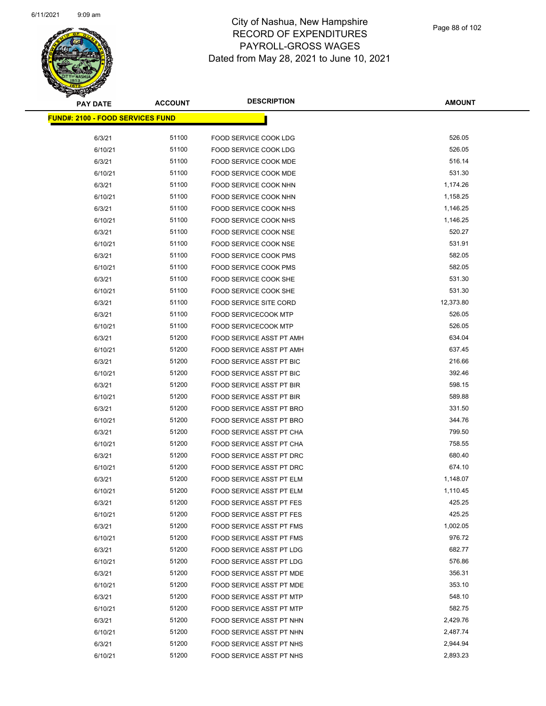

Page 88 of 102

| <b>PAY DATE</b>                          | <b>ACCOUNT</b> | <b>DESCRIPTION</b>                                   | <b>AMOUNT</b>    |
|------------------------------------------|----------------|------------------------------------------------------|------------------|
| <u> FUND#: 2100 - FOOD SERVICES FUND</u> |                |                                                      |                  |
|                                          |                |                                                      |                  |
| 6/3/21                                   | 51100          | FOOD SERVICE COOK LDG                                | 526.05           |
| 6/10/21                                  | 51100          | FOOD SERVICE COOK LDG                                | 526.05           |
| 6/3/21                                   | 51100          | <b>FOOD SERVICE COOK MDE</b>                         | 516.14           |
| 6/10/21                                  | 51100          | FOOD SERVICE COOK MDE                                | 531.30           |
| 6/3/21                                   | 51100          | FOOD SERVICE COOK NHN                                | 1,174.26         |
| 6/10/21                                  | 51100          | FOOD SERVICE COOK NHN                                | 1,158.25         |
| 6/3/21                                   | 51100          | FOOD SERVICE COOK NHS                                | 1,146.25         |
| 6/10/21                                  | 51100          | FOOD SERVICE COOK NHS                                | 1,146.25         |
| 6/3/21                                   | 51100          | FOOD SERVICE COOK NSE                                | 520.27           |
| 6/10/21                                  | 51100          | FOOD SERVICE COOK NSE                                | 531.91           |
| 6/3/21                                   | 51100          | <b>FOOD SERVICE COOK PMS</b>                         | 582.05           |
| 6/10/21                                  | 51100          | <b>FOOD SERVICE COOK PMS</b>                         | 582.05           |
| 6/3/21                                   | 51100          | FOOD SERVICE COOK SHE                                | 531.30           |
| 6/10/21                                  | 51100          | FOOD SERVICE COOK SHE                                | 531.30           |
| 6/3/21                                   | 51100          | <b>FOOD SERVICE SITE CORD</b>                        | 12,373.80        |
| 6/3/21                                   | 51100          | <b>FOOD SERVICECOOK MTP</b>                          | 526.05           |
| 6/10/21                                  | 51100          | <b>FOOD SERVICECOOK MTP</b>                          | 526.05           |
| 6/3/21                                   | 51200          | FOOD SERVICE ASST PT AMH                             | 634.04<br>637.45 |
| 6/10/21                                  | 51200          | FOOD SERVICE ASST PT AMH                             |                  |
| 6/3/21                                   | 51200          | FOOD SERVICE ASST PT BIC                             | 216.66           |
| 6/10/21                                  | 51200          | <b>FOOD SERVICE ASST PT BIC</b>                      | 392.46           |
| 6/3/21                                   | 51200<br>51200 | FOOD SERVICE ASST PT BIR                             | 598.15<br>589.88 |
| 6/10/21                                  | 51200          | FOOD SERVICE ASST PT BIR                             | 331.50           |
| 6/3/21                                   | 51200          | FOOD SERVICE ASST PT BRO<br>FOOD SERVICE ASST PT BRO | 344.76           |
| 6/10/21<br>6/3/21                        | 51200          | FOOD SERVICE ASST PT CHA                             | 799.50           |
| 6/10/21                                  | 51200          | FOOD SERVICE ASST PT CHA                             | 758.55           |
| 6/3/21                                   | 51200          | FOOD SERVICE ASST PT DRC                             | 680.40           |
| 6/10/21                                  | 51200          | FOOD SERVICE ASST PT DRC                             | 674.10           |
| 6/3/21                                   | 51200          | FOOD SERVICE ASST PT ELM                             | 1,148.07         |
| 6/10/21                                  | 51200          | <b>FOOD SERVICE ASST PT ELM</b>                      | 1,110.45         |
| 6/3/21                                   | 51200          | FOOD SERVICE ASST PT FES                             | 425.25           |
| 6/10/21                                  | 51200          | <b>FOOD SERVICE ASST PT FES</b>                      | 425.25           |
| 6/3/21                                   | 51200          | FOOD SERVICE ASST PT FMS                             | 1,002.05         |
| 6/10/21                                  | 51200          | FOOD SERVICE ASST PT FMS                             | 976.72           |
| 6/3/21                                   | 51200          | FOOD SERVICE ASST PT LDG                             | 682.77           |
| 6/10/21                                  | 51200          | FOOD SERVICE ASST PT LDG                             | 576.86           |
| 6/3/21                                   | 51200          | FOOD SERVICE ASST PT MDE                             | 356.31           |
| 6/10/21                                  | 51200          | FOOD SERVICE ASST PT MDE                             | 353.10           |
| 6/3/21                                   | 51200          | <b>FOOD SERVICE ASST PT MTP</b>                      | 548.10           |
| 6/10/21                                  | 51200          | FOOD SERVICE ASST PT MTP                             | 582.75           |
| 6/3/21                                   | 51200          | FOOD SERVICE ASST PT NHN                             | 2,429.76         |
| 6/10/21                                  | 51200          | FOOD SERVICE ASST PT NHN                             | 2,487.74         |
| 6/3/21                                   | 51200          | FOOD SERVICE ASST PT NHS                             | 2,944.94         |
| 6/10/21                                  | 51200          | FOOD SERVICE ASST PT NHS                             | 2,893.23         |
|                                          |                |                                                      |                  |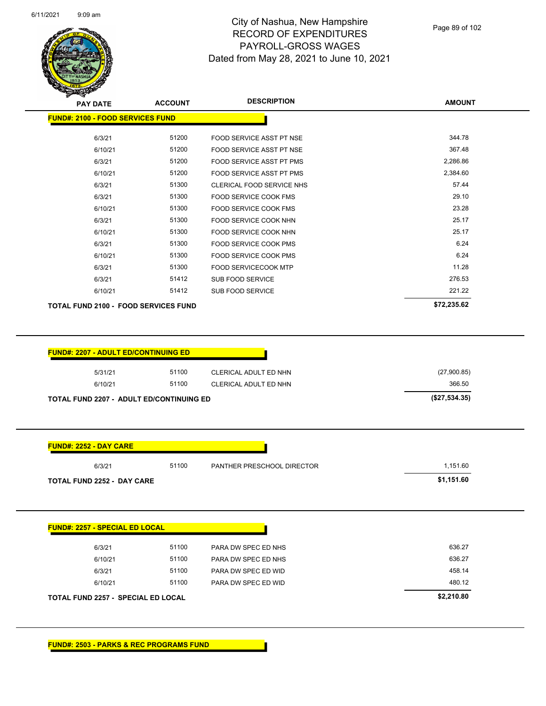

Page 89 of 102

|                                             | <b>ACCOUNT</b> |                              | <b>AMOUNT</b> |
|---------------------------------------------|----------------|------------------------------|---------------|
| <b>FUND#: 2100 - FOOD SERVICES FUND</b>     |                |                              |               |
| 6/3/21                                      | 51200          | FOOD SERVICE ASST PT NSE     | 344.78        |
| 6/10/21                                     | 51200          | FOOD SERVICE ASST PT NSE     | 367.48        |
| 6/3/21                                      | 51200          | FOOD SERVICE ASST PT PMS     | 2,286.86      |
| 6/10/21                                     | 51200          | FOOD SERVICE ASST PT PMS     | 2,384.60      |
| 6/3/21                                      | 51300          | CLERICAL FOOD SERVICE NHS    | 57.44         |
| 6/3/21                                      | 51300          | <b>FOOD SERVICE COOK FMS</b> | 29.10         |
| 6/10/21                                     | 51300          | FOOD SERVICE COOK FMS        | 23.28         |
| 6/3/21                                      | 51300          | FOOD SERVICE COOK NHN        | 25.17         |
| 6/10/21                                     | 51300          | FOOD SERVICE COOK NHN        | 25.17         |
| 6/3/21                                      | 51300          | <b>FOOD SERVICE COOK PMS</b> | 6.24          |
| 6/10/21                                     | 51300          | FOOD SERVICE COOK PMS        | 6.24          |
| 6/3/21                                      | 51300          | FOOD SERVICECOOK MTP         | 11.28         |
| 6/3/21                                      | 51412          | SUB FOOD SERVICE             | 276.53        |
| 6/10/21                                     | 51412          | <b>SUB FOOD SERVICE</b>      | 221.22        |
| <b>TOTAL FUND 2100 - FOOD SERVICES FUND</b> |                |                              | \$72,235.62   |
| <b>FUND#: 2207 - ADULT ED/CONTINUING ED</b> |                |                              |               |
| 5/31/21                                     | 51100          | CLERICAL ADULT ED NHN        | (27,900.85)   |
| 6/10/21                                     | 51100          | CLERICAL ADULT ED NHN        | 366.50        |
| TOTAL FUND 2207 - ADULT ED/CONTINUING ED    |                |                              | (\$27,534.35) |
| <b>FUND#: 2252 - DAY CARE</b>               |                |                              |               |
| 6/3/21                                      | 51100          | PANTHER PRESCHOOL DIRECTOR   | 1,151.60      |
| <b>TOTAL FUND 2252 - DAY CARE</b>           |                |                              | \$1,151.60    |
| <b>FUND#: 2257 - SPECIAL ED LOCAL</b>       |                |                              |               |
| 6/3/21                                      | 51100          | PARA DW SPEC ED NHS          | 636.27        |
| 6/10/21                                     | 51100          | PARA DW SPEC ED NHS          | 636.27        |

6/10/21 51100 PARA DW SPEC ED WID 480.12

**TOTAL FUND 2257 - SPECIAL ED LOCAL \$2,210.80**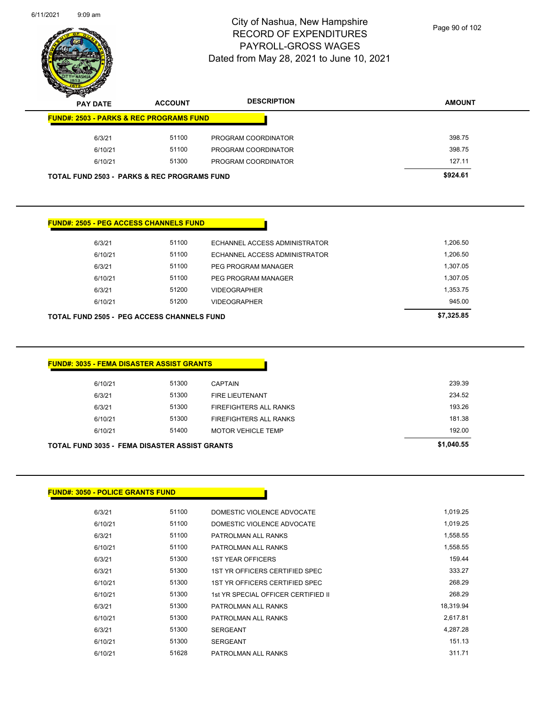

Page 90 of 102

| <b>CONSTRUCTION</b>                                    |                |                               |               |
|--------------------------------------------------------|----------------|-------------------------------|---------------|
| <b>PAY DATE</b>                                        | <b>ACCOUNT</b> | <b>DESCRIPTION</b>            | <b>AMOUNT</b> |
| <b>FUND#: 2503 - PARKS &amp; REC PROGRAMS FUND</b>     |                |                               |               |
| 6/3/21                                                 | 51100          | PROGRAM COORDINATOR           | 398.75        |
| 6/10/21                                                | 51100          | PROGRAM COORDINATOR           | 398.75        |
| 6/10/21                                                | 51300          | PROGRAM COORDINATOR           | 127.11        |
| <b>TOTAL FUND 2503 - PARKS &amp; REC PROGRAMS FUND</b> |                |                               | \$924.61      |
| <b>FUND#: 2505 - PEG ACCESS CHANNELS FUND</b>          |                |                               |               |
| 6/3/21                                                 | 51100          | ECHANNEL ACCESS ADMINISTRATOR | 1,206.50      |
| 6/10/21                                                |                |                               |               |
|                                                        | 51100          | ECHANNEL ACCESS ADMINISTRATOR | 1,206.50      |
| 6/3/21                                                 | 51100          | PEG PROGRAM MANAGER           | 1,307.05      |

6/3/21 51200 VIDEOGRAPHER 1,353.75 6/10/21 51200 VIDEOGRAPHER 945.00

| <b>FUND#: 3035 - FEMA DISASTER ASSIST GRANTS</b> |  |  |
|--------------------------------------------------|--|--|

| <b>TOTAL FUND 3035 - FEMA DISASTER ASSIST GRANTS</b> |         | \$1,040.55 |                           |        |
|------------------------------------------------------|---------|------------|---------------------------|--------|
|                                                      | 6/10/21 | 51400      | <b>MOTOR VEHICLE TEMP</b> | 192.00 |
|                                                      | 6/10/21 | 51300      | FIREFIGHTERS ALL RANKS    | 181.38 |
|                                                      | 6/3/21  | 51300      | FIREFIGHTERS ALL RANKS    | 193.26 |
|                                                      | 6/3/21  | 51300      | FIRE LIEUTENANT           | 234.52 |
|                                                      | 6/10/21 | 51300      | <b>CAPTAIN</b>            | 239.39 |
|                                                      |         |            |                           |        |

**TOTAL FUND 2505 - PEG ACCESS CHANNELS FUND \$7,325.85** 

#### **FUND#: 3050 - POLICE GRANTS FUND**

| 6/3/21  | 51100 | DOMESTIC VIOLENCE ADVOCATE          | 1,019.25  |
|---------|-------|-------------------------------------|-----------|
| 6/10/21 | 51100 | DOMESTIC VIOLENCE ADVOCATE          | 1,019.25  |
| 6/3/21  | 51100 | PATROLMAN ALL RANKS                 | 1,558.55  |
| 6/10/21 | 51100 | PATROLMAN ALL RANKS                 | 1,558.55  |
| 6/3/21  | 51300 | <b>1ST YEAR OFFICERS</b>            | 159.44    |
| 6/3/21  | 51300 | 1ST YR OFFICERS CERTIFIED SPEC      | 333.27    |
| 6/10/21 | 51300 | 1ST YR OFFICERS CERTIFIED SPEC      | 268.29    |
| 6/10/21 | 51300 | 1st YR SPECIAL OFFICER CERTIFIED II | 268.29    |
| 6/3/21  | 51300 | PATROLMAN ALL RANKS                 | 18.319.94 |
| 6/10/21 | 51300 | PATROLMAN ALL RANKS                 | 2,617.81  |
| 6/3/21  | 51300 | <b>SERGEANT</b>                     | 4,287.28  |
| 6/10/21 | 51300 | <b>SERGEANT</b>                     | 151.13    |
| 6/10/21 | 51628 | PATROLMAN ALL RANKS                 | 311.71    |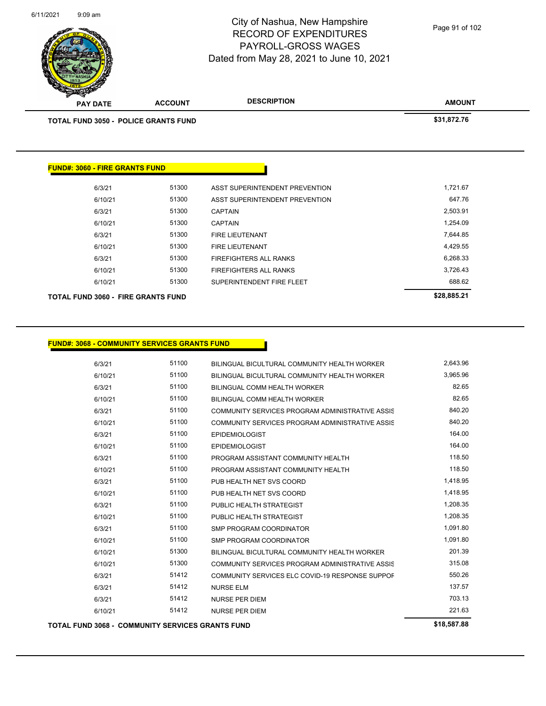

Page 91 of 102

| <b>PARTIES</b>                        |                                      |                                |               |
|---------------------------------------|--------------------------------------|--------------------------------|---------------|
| <b>PAY DATE</b>                       | <b>ACCOUNT</b>                       | <b>DESCRIPTION</b>             | <b>AMOUNT</b> |
|                                       | TOTAL FUND 3050 - POLICE GRANTS FUND |                                | \$31,872.76   |
|                                       |                                      |                                |               |
|                                       |                                      |                                |               |
| <b>FUND#: 3060 - FIRE GRANTS FUND</b> |                                      |                                |               |
|                                       |                                      |                                |               |
| 6/3/21                                | 51300                                | ASST SUPERINTENDENT PREVENTION | 1,721.67      |
| 6/10/21                               | 51300                                | ASST SUPERINTENDENT PREVENTION | 647.76        |
| 6/3/21                                | 51300                                | <b>CAPTAIN</b>                 | 2,503.91      |
| 6/10/21                               | 51300                                | <b>CAPTAIN</b>                 | 1,254.09      |
| 6/3/21                                | 51300                                | <b>FIRE LIEUTENANT</b>         | 7,644.85      |
| 6/10/21                               | 51300                                | <b>FIRE LIEUTENANT</b>         | 4,429.55      |
| 6/3/21                                | 51300                                | <b>FIREFIGHTERS ALL RANKS</b>  | 6,268.33      |
| 6/10/21                               | 51300                                | <b>FIREFIGHTERS ALL RANKS</b>  | 3,726.43      |
| 6/10/21                               | 51300                                | SUPERINTENDENT FIRE FLEET      | 688.62        |
|                                       |                                      |                                | $\cdots$      |

**TOTAL FUND 3060 - FIRE GRANTS FUND \$28,885.21** 

| 115.000 |       |                                                 | 640 E07 00 |
|---------|-------|-------------------------------------------------|------------|
| 6/10/21 | 51412 | <b>NURSE PER DIEM</b>                           | 221.63     |
| 6/3/21  | 51412 | <b>NURSE PER DIEM</b>                           | 703.13     |
| 6/3/21  | 51412 | <b>NURSE ELM</b>                                | 137.57     |
| 6/3/21  | 51412 | COMMUNITY SERVICES ELC COVID-19 RESPONSE SUPPOF | 550.26     |
| 6/10/21 | 51300 | COMMUNITY SERVICES PROGRAM ADMINISTRATIVE ASSIS | 315.08     |
| 6/10/21 | 51300 | BILINGUAL BICULTURAL COMMUNITY HEALTH WORKER    | 201.39     |
| 6/10/21 | 51100 | SMP PROGRAM COORDINATOR                         | 1,091.80   |
| 6/3/21  | 51100 | SMP PROGRAM COORDINATOR                         | 1.091.80   |
| 6/10/21 | 51100 | PUBLIC HEALTH STRATEGIST                        | 1,208.35   |
| 6/3/21  | 51100 | PUBLIC HEALTH STRATEGIST                        | 1,208.35   |
| 6/10/21 | 51100 | PUB HEALTH NET SVS COORD                        | 1,418.95   |
| 6/3/21  | 51100 | PUB HEALTH NET SVS COORD                        | 1,418.95   |
| 6/10/21 | 51100 | PROGRAM ASSISTANT COMMUNITY HEALTH              | 118.50     |
| 6/3/21  | 51100 | PROGRAM ASSISTANT COMMUNITY HEALTH              | 118.50     |
| 6/10/21 | 51100 | <b>EPIDEMIOLOGIST</b>                           | 164.00     |
| 6/3/21  | 51100 | <b>EPIDEMIOLOGIST</b>                           | 164.00     |
| 6/10/21 | 51100 | COMMUNITY SERVICES PROGRAM ADMINISTRATIVE ASSIS | 840.20     |
| 6/3/21  | 51100 | COMMUNITY SERVICES PROGRAM ADMINISTRATIVE ASSIS | 840.20     |
| 6/10/21 | 51100 | BILINGUAL COMM HEALTH WORKER                    | 82.65      |
| 6/3/21  | 51100 | BILINGUAL COMM HEALTH WORKER                    | 82.65      |
| 6/10/21 | 51100 | BILINGUAL BICULTURAL COMMUNITY HEALTH WORKER    | 3,965.96   |
| 6/3/21  | 51100 | BILINGUAL BICULTURAL COMMUNITY HEALTH WORKER    | 2,643.96   |
|         |       |                                                 |            |

**TOTAL FUND 3068 - COMMUNITY SERVICES GRANTS FUND \$18,587.88**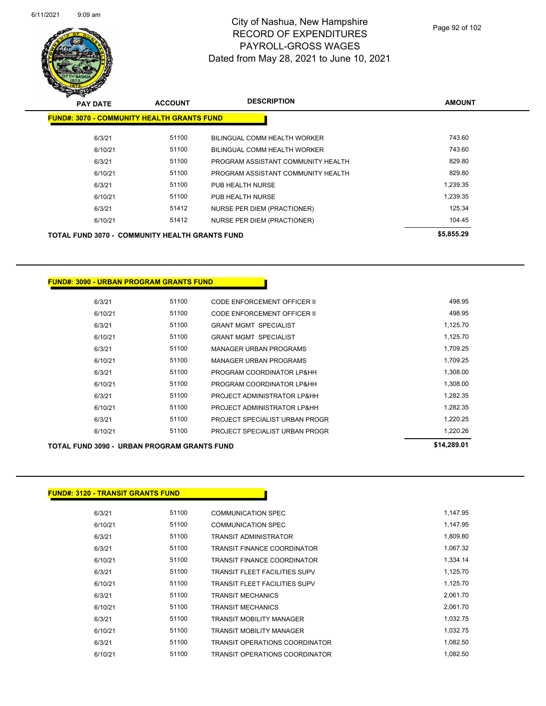

Page 92 of 102

| <b>THE CONTROLLER</b> |                                                       |                |                                    |               |
|-----------------------|-------------------------------------------------------|----------------|------------------------------------|---------------|
|                       | <b>PAY DATE</b>                                       | <b>ACCOUNT</b> | <b>DESCRIPTION</b>                 | <b>AMOUNT</b> |
|                       | <b>FUND#: 3070 - COMMUNITY HEALTH GRANTS FUND</b>     |                |                                    |               |
|                       | 6/3/21                                                | 51100          | BILINGUAL COMM HEALTH WORKER       | 743.60        |
|                       | 6/10/21                                               | 51100          | BILINGUAL COMM HEALTH WORKER       | 743.60        |
|                       | 6/3/21                                                | 51100          | PROGRAM ASSISTANT COMMUNITY HEALTH | 829.80        |
|                       | 6/10/21                                               | 51100          | PROGRAM ASSISTANT COMMUNITY HEALTH | 829.80        |
|                       | 6/3/21                                                | 51100          | PUB HEALTH NURSE                   | 1,239.35      |
|                       | 6/10/21                                               | 51100          | PUB HEALTH NURSE                   | 1,239.35      |
|                       | 6/3/21                                                | 51412          | NURSE PER DIEM (PRACTIONER)        | 125.34        |
|                       | 6/10/21                                               | 51412          | NURSE PER DIEM (PRACTIONER)        | 104.45        |
|                       | <b>TOTAL FUND 3070 - COMMUNITY HEALTH GRANTS FUND</b> |                |                                    | \$5,855.29    |

**FUND#: 3090 - URBAN PROGRAM GRANTS FUND**

| 6/3/21  | 51100 | CODE ENFORCEMENT OFFICER II    | 498.95   |
|---------|-------|--------------------------------|----------|
| 6/10/21 | 51100 | CODE ENFORCEMENT OFFICER II    | 498.95   |
| 6/3/21  | 51100 | <b>GRANT MGMT SPECIALIST</b>   | 1,125.70 |
| 6/10/21 | 51100 | <b>GRANT MGMT SPECIALIST</b>   | 1.125.70 |
| 6/3/21  | 51100 | <b>MANAGER URBAN PROGRAMS</b>  | 1.709.25 |
| 6/10/21 | 51100 | <b>MANAGER URBAN PROGRAMS</b>  | 1.709.25 |
| 6/3/21  | 51100 | PROGRAM COORDINATOR LP&HH      | 1,308.00 |
| 6/10/21 | 51100 | PROGRAM COORDINATOR LP&HH      | 1,308.00 |
| 6/3/21  | 51100 | PROJECT ADMINISTRATOR LP&HH    | 1.282.35 |
| 6/10/21 | 51100 | PROJECT ADMINISTRATOR LP&HH    | 1.282.35 |
| 6/3/21  | 51100 | PROJECT SPECIALIST URBAN PROGR | 1.220.25 |
| 6/10/21 | 51100 | PROJECT SPECIALIST URBAN PROGR | 1.220.26 |

## **TOTAL FUND 3090 - URBAN PROGRAM GRANTS FUND \$14,289.01**

#### **FUND#: 3120 - TRANSIT GRANTS FUND**

| 6/3/21  | 51100 | <b>COMMUNICATION SPEC</b>             | 1,147.95 |
|---------|-------|---------------------------------------|----------|
| 6/10/21 | 51100 | <b>COMMUNICATION SPEC</b>             | 1,147.95 |
| 6/3/21  | 51100 | <b>TRANSIT ADMINISTRATOR</b>          | 1,809.80 |
| 6/3/21  | 51100 | <b>TRANSIT FINANCE COORDINATOR</b>    | 1,067.32 |
| 6/10/21 | 51100 | <b>TRANSIT FINANCE COORDINATOR</b>    | 1,334.14 |
| 6/3/21  | 51100 | <b>TRANSIT FLEET FACILITIES SUPV</b>  | 1,125.70 |
| 6/10/21 | 51100 | <b>TRANSIT FLEET FACILITIES SUPV</b>  | 1,125.70 |
| 6/3/21  | 51100 | <b>TRANSIT MECHANICS</b>              | 2,061.70 |
| 6/10/21 | 51100 | <b>TRANSIT MECHANICS</b>              | 2,061.70 |
| 6/3/21  | 51100 | <b>TRANSIT MOBILITY MANAGER</b>       | 1,032.75 |
| 6/10/21 | 51100 | <b>TRANSIT MOBILITY MANAGER</b>       | 1,032.75 |
| 6/3/21  | 51100 | <b>TRANSIT OPERATIONS COORDINATOR</b> | 1,082.50 |
| 6/10/21 | 51100 | <b>TRANSIT OPERATIONS COORDINATOR</b> | 1.082.50 |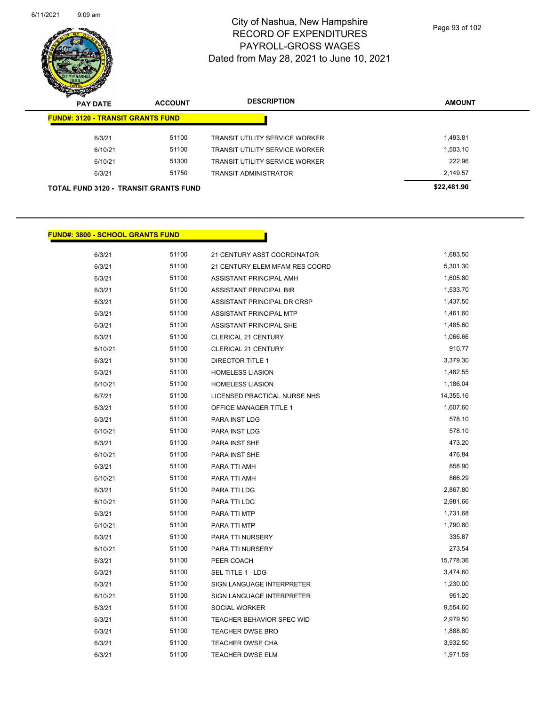

Page 93 of 102

| $\sum_{i=1}^n$<br><b>PAY DATE</b>            | <b>ACCOUNT</b> | <b>DESCRIPTION</b>                    | <b>AMOUNT</b> |
|----------------------------------------------|----------------|---------------------------------------|---------------|
| <b>FUND#: 3120 - TRANSIT GRANTS FUND</b>     |                |                                       |               |
| 6/3/21                                       | 51100          | <b>TRANSIT UTILITY SERVICE WORKER</b> | 1,493.81      |
| 6/10/21                                      | 51100          | <b>TRANSIT UTILITY SERVICE WORKER</b> | 1,503.10      |
| 6/10/21                                      | 51300          | <b>TRANSIT UTILITY SERVICE WORKER</b> | 222.96        |
| 6/3/21                                       | 51750          | <b>TRANSIT ADMINISTRATOR</b>          | 2,149.57      |
| <b>TOTAL FUND 3120 - TRANSIT GRANTS FUND</b> |                |                                       | \$22,481.90   |

## **FUND#: 3800 - SCHOOL GRANTS FUND**

| 6/3/21  | 51100 | 21 CENTURY ASST COORDINATOR    | 1,683.50  |
|---------|-------|--------------------------------|-----------|
| 6/3/21  | 51100 | 21 CENTURY ELEM MFAM RES COORD | 5,301.30  |
| 6/3/21  | 51100 | ASSISTANT PRINCIPAL AMH        | 1,605.80  |
| 6/3/21  | 51100 | ASSISTANT PRINCIPAL BIR        | 1,533.70  |
| 6/3/21  | 51100 | ASSISTANT PRINCIPAL DR CRSP    | 1,437.50  |
| 6/3/21  | 51100 | ASSISTANT PRINCIPAL MTP        | 1,461.60  |
| 6/3/21  | 51100 | ASSISTANT PRINCIPAL SHE        | 1,485.60  |
| 6/3/21  | 51100 | <b>CLERICAL 21 CENTURY</b>     | 1,066.66  |
| 6/10/21 | 51100 | <b>CLERICAL 21 CENTURY</b>     | 910.77    |
| 6/3/21  | 51100 | <b>DIRECTOR TITLE 1</b>        | 3,379.30  |
| 6/3/21  | 51100 | <b>HOMELESS LIASION</b>        | 1,482.55  |
| 6/10/21 | 51100 | <b>HOMELESS LIASION</b>        | 1,186.04  |
| 6/7/21  | 51100 | LICENSED PRACTICAL NURSE NHS   | 14,355.16 |
| 6/3/21  | 51100 | OFFICE MANAGER TITLE 1         | 1,607.60  |
| 6/3/21  | 51100 | PARA INST LDG                  | 578.10    |
| 6/10/21 | 51100 | PARA INST LDG                  | 578.10    |
| 6/3/21  | 51100 | PARA INST SHE                  | 473.20    |
| 6/10/21 | 51100 | PARA INST SHE                  | 476.84    |
| 6/3/21  | 51100 | PARA TTI AMH                   | 858.90    |
| 6/10/21 | 51100 | PARA TTI AMH                   | 866.29    |
| 6/3/21  | 51100 | PARA TTI LDG                   | 2,867.80  |
| 6/10/21 | 51100 | PARA TTI LDG                   | 2,981.66  |
| 6/3/21  | 51100 | PARA TTI MTP                   | 1,731.68  |
| 6/10/21 | 51100 | PARA TTI MTP                   | 1,790.80  |
| 6/3/21  | 51100 | PARA TTI NURSERY               | 335.87    |
| 6/10/21 | 51100 | PARA TTI NURSERY               | 273.54    |
| 6/3/21  | 51100 | PEER COACH                     | 15,778.36 |
| 6/3/21  | 51100 | SEL TITLE 1 - LDG              | 3,474.60  |
| 6/3/21  | 51100 | SIGN LANGUAGE INTERPRETER      | 1,230.00  |
| 6/10/21 | 51100 | SIGN LANGUAGE INTERPRETER      | 951.20    |
| 6/3/21  | 51100 | <b>SOCIAL WORKER</b>           | 9,554.60  |
| 6/3/21  | 51100 | TEACHER BEHAVIOR SPEC WID      | 2,979.50  |
| 6/3/21  | 51100 | <b>TEACHER DWSE BRO</b>        | 1,888.80  |
| 6/3/21  | 51100 | <b>TEACHER DWSE CHA</b>        | 3,932.50  |
| 6/3/21  | 51100 | <b>TEACHER DWSE ELM</b>        | 1,971.59  |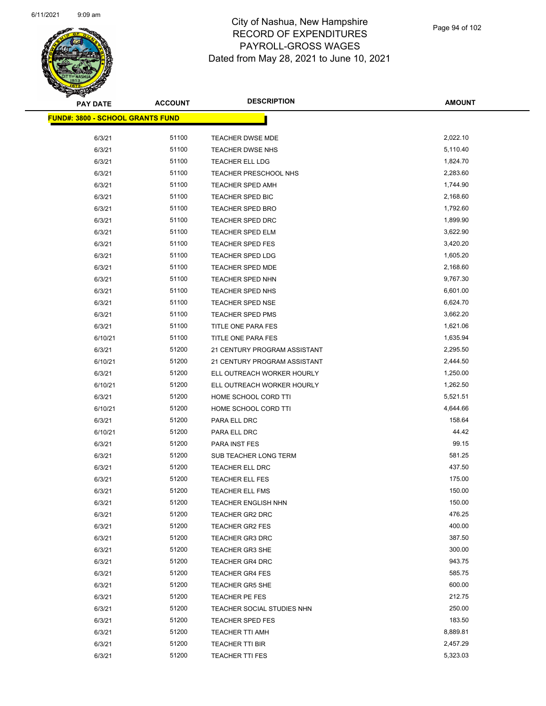

| <b>PAY DATE</b>                          | <b>ACCOUNT</b> | <b>DESCRIPTION</b>           | AMOUNT   |
|------------------------------------------|----------------|------------------------------|----------|
| <u> FUND#: 3800 - SCHOOL GRANTS FUND</u> |                |                              |          |
| 6/3/21                                   | 51100          | <b>TEACHER DWSE MDE</b>      | 2,022.10 |
| 6/3/21                                   | 51100          | <b>TEACHER DWSE NHS</b>      | 5,110.40 |
| 6/3/21                                   | 51100          | <b>TEACHER ELL LDG</b>       | 1,824.70 |
|                                          | 51100          |                              | 2,283.60 |
| 6/3/21                                   | 51100          | TEACHER PRESCHOOL NHS        | 1,744.90 |
| 6/3/21                                   |                | <b>TEACHER SPED AMH</b>      |          |
| 6/3/21                                   | 51100          | TEACHER SPED BIC             | 2,168.60 |
| 6/3/21                                   | 51100          | <b>TEACHER SPED BRO</b>      | 1,792.60 |
| 6/3/21                                   | 51100          | <b>TEACHER SPED DRC</b>      | 1,899.90 |
| 6/3/21                                   | 51100          | <b>TEACHER SPED ELM</b>      | 3,622.90 |
| 6/3/21                                   | 51100          | <b>TEACHER SPED FES</b>      | 3,420.20 |
| 6/3/21                                   | 51100          | <b>TEACHER SPED LDG</b>      | 1,605.20 |
| 6/3/21                                   | 51100          | TEACHER SPED MDE             | 2,168.60 |
| 6/3/21                                   | 51100          | <b>TEACHER SPED NHN</b>      | 9,767.30 |
| 6/3/21                                   | 51100          | TEACHER SPED NHS             | 6,601.00 |
| 6/3/21                                   | 51100          | <b>TEACHER SPED NSE</b>      | 6,624.70 |
| 6/3/21                                   | 51100          | <b>TEACHER SPED PMS</b>      | 3,662.20 |
| 6/3/21                                   | 51100          | <b>TITLE ONE PARA FES</b>    | 1,621.06 |
| 6/10/21                                  | 51100          | TITLE ONE PARA FES           | 1,635.94 |
| 6/3/21                                   | 51200          | 21 CENTURY PROGRAM ASSISTANT | 2,295.50 |
| 6/10/21                                  | 51200          | 21 CENTURY PROGRAM ASSISTANT | 2,444.50 |
| 6/3/21                                   | 51200          | ELL OUTREACH WORKER HOURLY   | 1,250.00 |
| 6/10/21                                  | 51200          | ELL OUTREACH WORKER HOURLY   | 1,262.50 |
| 6/3/21                                   | 51200          | HOME SCHOOL CORD TTI         | 5,521.51 |
| 6/10/21                                  | 51200          | HOME SCHOOL CORD TTI         | 4,644.66 |
| 6/3/21                                   | 51200          | PARA ELL DRC                 | 158.64   |
| 6/10/21                                  | 51200          | PARA ELL DRC                 | 44.42    |
| 6/3/21                                   | 51200          | PARA INST FES                | 99.15    |
| 6/3/21                                   | 51200          | SUB TEACHER LONG TERM        | 581.25   |
| 6/3/21                                   | 51200          | <b>TEACHER ELL DRC</b>       | 437.50   |
| 6/3/21                                   | 51200          | <b>TEACHER ELL FES</b>       | 175.00   |
| 6/3/21                                   | 51200          | <b>TEACHER ELL FMS</b>       | 150.00   |
| 6/3/21                                   | 51200          | <b>TEACHER ENGLISH NHN</b>   | 150.00   |
| 6/3/21                                   | 51200          | <b>TEACHER GR2 DRC</b>       | 476.25   |
| 6/3/21                                   | 51200          | <b>TEACHER GR2 FES</b>       | 400.00   |
| 6/3/21                                   | 51200          | <b>TEACHER GR3 DRC</b>       | 387.50   |
| 6/3/21                                   | 51200          | <b>TEACHER GR3 SHE</b>       | 300.00   |
| 6/3/21                                   | 51200          | <b>TEACHER GR4 DRC</b>       | 943.75   |
| 6/3/21                                   | 51200          | <b>TEACHER GR4 FES</b>       | 585.75   |
| 6/3/21                                   | 51200          | <b>TEACHER GR5 SHE</b>       | 600.00   |
| 6/3/21                                   | 51200          | TEACHER PE FES               | 212.75   |
| 6/3/21                                   | 51200          | TEACHER SOCIAL STUDIES NHN   | 250.00   |
| 6/3/21                                   | 51200          | <b>TEACHER SPED FES</b>      | 183.50   |
| 6/3/21                                   | 51200          | TEACHER TTI AMH              | 8,889.81 |
| 6/3/21                                   | 51200          | <b>TEACHER TTI BIR</b>       | 2,457.29 |
| 6/3/21                                   | 51200          | <b>TEACHER TTI FES</b>       | 5,323.03 |
|                                          |                |                              |          |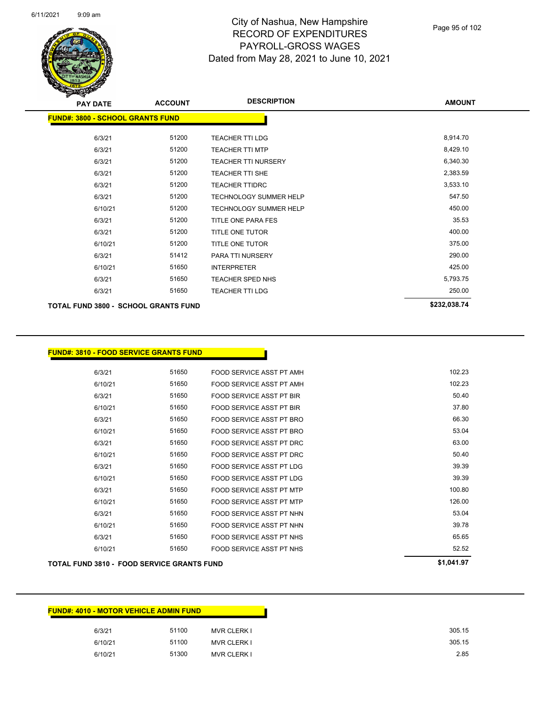

| <b>PAY DATE</b>                             | <b>ACCOUNT</b> | <b>DESCRIPTION</b>            | <b>AMOUNT</b> |  |  |  |
|---------------------------------------------|----------------|-------------------------------|---------------|--|--|--|
| <b>FUND#: 3800 - SCHOOL GRANTS FUND</b>     |                |                               |               |  |  |  |
| 6/3/21                                      | 51200          | <b>TEACHER TTI LDG</b>        | 8,914.70      |  |  |  |
| 6/3/21                                      | 51200          | <b>TEACHER TTI MTP</b>        | 8,429.10      |  |  |  |
| 6/3/21                                      | 51200          | <b>TEACHER TTI NURSERY</b>    | 6,340.30      |  |  |  |
| 6/3/21                                      | 51200          | <b>TEACHER TTI SHE</b>        | 2,383.59      |  |  |  |
| 6/3/21                                      | 51200          | <b>TEACHER TTIDRC</b>         | 3,533.10      |  |  |  |
| 6/3/21                                      | 51200          | TECHNOLOGY SUMMER HELP        | 547.50        |  |  |  |
| 6/10/21                                     | 51200          | <b>TECHNOLOGY SUMMER HELP</b> | 450.00        |  |  |  |
| 6/3/21                                      | 51200          | TITLE ONE PARA FES            | 35.53         |  |  |  |
| 6/3/21                                      | 51200          | TITLE ONE TUTOR               | 400.00        |  |  |  |
| 6/10/21                                     | 51200          | TITLE ONE TUTOR               | 375.00        |  |  |  |
| 6/3/21                                      | 51412          | PARA TTI NURSERY              | 290.00        |  |  |  |
| 6/10/21                                     | 51650          | <b>INTERPRETER</b>            | 425.00        |  |  |  |
| 6/3/21                                      | 51650          | <b>TEACHER SPED NHS</b>       | 5,793.75      |  |  |  |
| 6/3/21                                      | 51650          | <b>TEACHER TTI LDG</b>        | 250.00        |  |  |  |
| <b>TOTAL FUND 3800 - SCHOOL GRANTS FUND</b> |                |                               | \$232,038.74  |  |  |  |

### **FUND#: 3810 - FOOD SERVICE GRANTS FUND**

| 6/3/21  | 51650 | FOOD SERVICE ASST PT AMH | 102.23 |
|---------|-------|--------------------------|--------|
| 6/10/21 | 51650 | FOOD SERVICE ASST PT AMH | 102.23 |
| 6/3/21  | 51650 | FOOD SERVICE ASST PT BIR | 50.40  |
| 6/10/21 | 51650 | FOOD SERVICE ASST PT BIR | 37.80  |
| 6/3/21  | 51650 | FOOD SERVICE ASST PT BRO | 66.30  |
| 6/10/21 | 51650 | FOOD SERVICE ASST PT BRO | 53.04  |
| 6/3/21  | 51650 | FOOD SERVICE ASST PT DRC | 63.00  |
| 6/10/21 | 51650 | FOOD SERVICE ASST PT DRC | 50.40  |
| 6/3/21  | 51650 | FOOD SERVICE ASST PT LDG | 39.39  |
| 6/10/21 | 51650 | FOOD SERVICE ASST PT LDG | 39.39  |
| 6/3/21  | 51650 | FOOD SERVICE ASST PT MTP | 100.80 |
| 6/10/21 | 51650 | FOOD SERVICE ASST PT MTP | 126.00 |
| 6/3/21  | 51650 | FOOD SERVICE ASST PT NHN | 53.04  |
| 6/10/21 | 51650 | FOOD SERVICE ASST PT NHN | 39.78  |
| 6/3/21  | 51650 | FOOD SERVICE ASST PT NHS | 65.65  |
| 6/10/21 | 51650 | FOOD SERVICE ASST PT NHS | 52.52  |
|         |       |                          |        |

## **TOTAL FUND 3810 - FOOD SERVICE GRANTS FUND \$1,041.97**

| <b>FUND#: 4010 - MOTOR VEHICLE ADMIN FUND</b> |       |                    |
|-----------------------------------------------|-------|--------------------|
| 6/3/21                                        | 51100 | <b>MVR CLERK I</b> |
| 6/10/21                                       | 51100 | <b>MVR CLERK I</b> |
| 6/10/21                                       | 51300 | <b>MVR CLERK I</b> |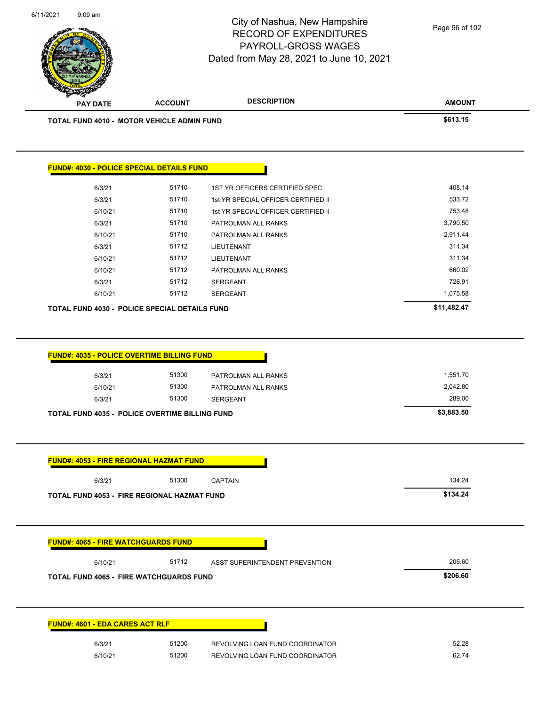**AMOUNT** City of Nashua, New Hampshire RECORD OF EXPENDITURES PAYROLL-GROSS WAGES Dated from May 28, 2021 to June 10, 2021 **PAY DATE ACCOUNT DESCRIPTION** 6/11/2021 9:09 am **TOTAL FUND 4010 - MOTOR VEHICLE ADMIN FUND \$613.15**  Page 96 of 102

| <b>TOTAL FUND 4030 - POLICE SPECIAL DETAILS FUND</b> | \$11,482.47 |                                     |          |
|------------------------------------------------------|-------------|-------------------------------------|----------|
| 6/10/21                                              | 51712       | <b>SERGEANT</b>                     | 1,075.58 |
| 6/3/21                                               | 51712       | <b>SERGEANT</b>                     | 726.91   |
| 6/10/21                                              | 51712       | PATROLMAN ALL RANKS                 | 660.02   |
| 6/10/21                                              | 51712       | LIEUTENANT                          | 311.34   |
| 6/3/21                                               | 51712       | <b>LIEUTENANT</b>                   | 311.34   |
| 6/10/21                                              | 51710       | PATROLMAN ALL RANKS                 | 2,911.44 |
| 6/3/21                                               | 51710       | PATROLMAN ALL RANKS                 | 3,790.50 |
| 6/10/21                                              | 51710       | 1st YR SPECIAL OFFICER CERTIFIED II | 753.48   |
| 6/3/21                                               | 51710       | 1st YR SPECIAL OFFICER CERTIFIED II | 533.72   |
| 6/3/21                                               | 51710       | 1ST YR OFFICERS CERTIFIED SPEC      | 408.14   |

| 6/3/21                                             | 51300                                                 | PATROLMAN ALL RANKS             | 1,551.70   |
|----------------------------------------------------|-------------------------------------------------------|---------------------------------|------------|
| 6/10/21                                            | 51300                                                 | PATROLMAN ALL RANKS             | 2,042.80   |
| 6/3/21                                             | 51300                                                 | <b>SERGEANT</b>                 | 289.00     |
|                                                    | <b>TOTAL FUND 4035 - POLICE OVERTIME BILLING FUND</b> |                                 | \$3,883.50 |
|                                                    |                                                       |                                 |            |
|                                                    | <b>FUND#: 4053 - FIRE REGIONAL HAZMAT FUND</b>        |                                 |            |
| 6/3/21                                             | 51300                                                 | <b>CAPTAIN</b>                  | 134.24     |
| <b>TOTAL FUND 4053 - FIRE REGIONAL HAZMAT FUND</b> | \$134.24                                              |                                 |            |
|                                                    |                                                       |                                 |            |
|                                                    |                                                       |                                 |            |
|                                                    | <b>FUND#: 4065 - FIRE WATCHGUARDS FUND</b>            |                                 |            |
| 6/10/21                                            | 51712                                                 | ASST SUPERINTENDENT PREVENTION  | 206.60     |
|                                                    | <b>TOTAL FUND 4065 - FIRE WATCHGUARDS FUND</b>        |                                 | \$206.60   |
|                                                    |                                                       |                                 |            |
|                                                    |                                                       |                                 |            |
|                                                    |                                                       |                                 |            |
|                                                    | <b>FUND#: 4601 - EDA CARES ACT RLF</b>                |                                 |            |
| 6/3/21                                             | 51200                                                 | REVOLVING LOAN FUND COORDINATOR | 52.28      |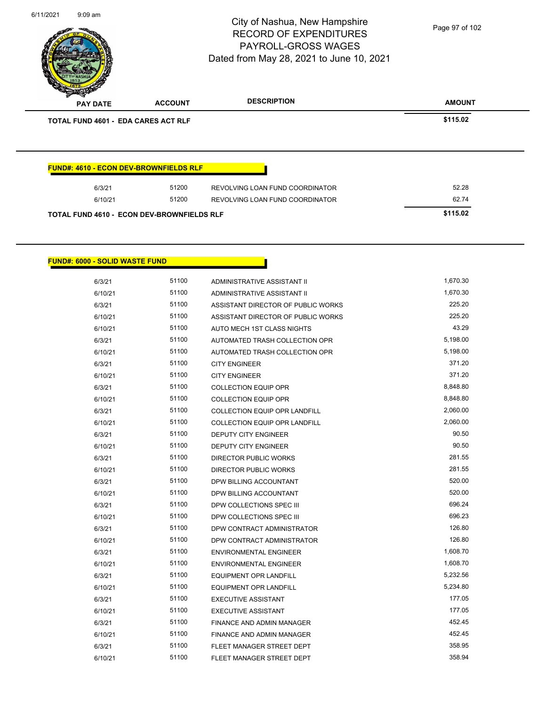| 6/11/2021 | $9:09$ am                             |                                            | City of Nashua, New Hampshire<br><b>RECORD OF EXPENDITURES</b><br><b>PAYROLL-GROSS WAGES</b><br>Dated from May 28, 2021 to June 10, 2021 | Page 97 of 102 |
|-----------|---------------------------------------|--------------------------------------------|------------------------------------------------------------------------------------------------------------------------------------------|----------------|
|           | <b>PAY DATE</b>                       | <b>ACCOUNT</b>                             | <b>DESCRIPTION</b>                                                                                                                       | <b>AMOUNT</b>  |
|           | TOTAL FUND 4601 - EDA CARES ACT RLF   |                                            |                                                                                                                                          | \$115.02       |
|           | 6/3/21<br>6/10/21                     | 51200<br>51200                             | REVOLVING LOAN FUND COORDINATOR<br>REVOLVING LOAN FUND COORDINATOR                                                                       | 52.28<br>62.74 |
|           |                                       | TOTAL FUND 4610 - ECON DEV-BROWNFIELDS RLF |                                                                                                                                          | \$115.02       |
|           | <b>FUND#: 6000 - SOLID WASTE FUND</b> |                                            |                                                                                                                                          |                |
|           | 6/3/21                                | 51100                                      | ADMINISTRATIVE ASSISTANT II                                                                                                              | 1,670.30       |
|           | 6/10/21                               | 51100                                      | ADMINISTRATIVE ASSISTANT II                                                                                                              | 1,670.30       |
|           | 6/3/21                                | 51100                                      | ASSISTANT DIRECTOR OF PUBLIC WORKS                                                                                                       | 225.20         |
|           | 6/10/21                               | 51100                                      | ASSISTANT DIRECTOR OF PUBLIC WORKS                                                                                                       | 225.20         |
|           | 6/10/21                               | 51100                                      | AUTO MECH 1ST CLASS NIGHTS                                                                                                               | 43.29          |
|           | 6/3/21                                | 51100                                      | AUTOMATED TRASH COLLECTION OPR                                                                                                           | 5,198.00       |
|           | 6/10/21                               | 51100                                      | AUTOMATED TRASH COLLECTION OPR                                                                                                           | 5,198.00       |
|           | 6/3/21                                | 51100                                      | <b>CITY ENGINEER</b>                                                                                                                     | 371.20         |

6/10/21 51100 CITY ENGINEER 371.20 6/3/21 51100 COLLECTION EQUIP OPR 6/3/21 8,848.80 6/10/21 51100 COLLECTION EQUIP OPR 6/10/21 8,848.80 6/3/21 51100 COLLECTION EQUIP OPR LANDFILL 2,060.00 6/10/21 51100 COLLECTION EQUIP OPR LANDFILL 2,060.00 6/3/21 51100 DEPUTY CITY ENGINEER 30.50 6/10/21 51100 DEPUTY CITY ENGINEER 30.50 6/3/21 51100 DIRECTOR PUBLIC WORKS 281.55 6/10/21 51100 DIRECTOR PUBLIC WORKS 281.55 6/3/21 51100 DPW BILLING ACCOUNTANT 520.00 6/10/21 51100 DPW BILLING ACCOUNTANT 520.00 6/3/21 51100 DPW COLLECTIONS SPEC III 696.24 6/10/21 51100 DPW COLLECTIONS SPEC III 696.23 6/3/21 51100 DPW CONTRACT ADMINISTRATOR 6/3/21 126.80 6/10/21 51100 DPW CONTRACT ADMINISTRATOR 126.80 6/3/21 51100 ENVIRONMENTAL ENGINEER 1,608.70 6/10/21 51100 ENVIRONMENTAL ENGINEER 1,608.70 6/3/21 51100 EQUIPMENT OPR LANDFILL 5,232.56 6/10/21 51100 EQUIPMENT OPR LANDFILL 5,234.80 6/3/21 51100 EXECUTIVE ASSISTANT 177.05 6/10/21 51100 EXECUTIVE ASSISTANT 6/10/21 177.05 6/3/21 51100 FINANCE AND ADMIN MANAGER 452.45 6/10/21 51100 FINANCE AND ADMIN MANAGER 452.45 6/3/21 51100 FLEET MANAGER STREET DEPT 358.95 6/10/21 51100 FLEET MANAGER STREET DEPT 358.94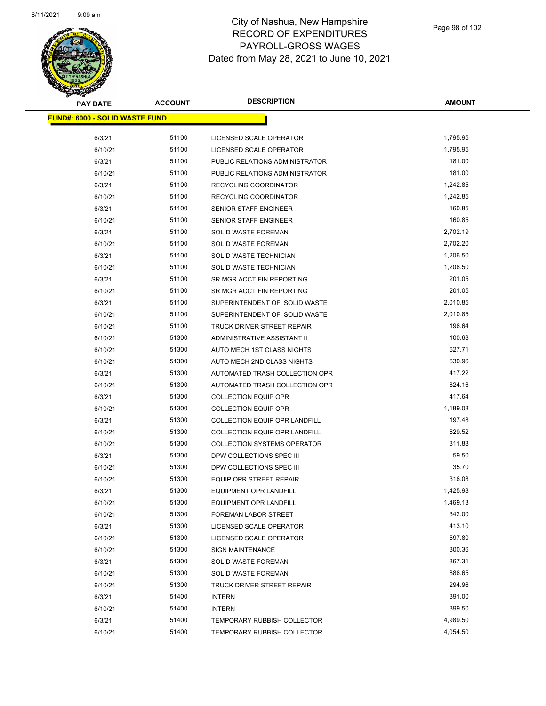

| <b>PAY DATE</b>                        | <b>ACCOUNT</b> | <b>DESCRIPTION</b>                   | <b>AMOUNT</b> |
|----------------------------------------|----------------|--------------------------------------|---------------|
| <u> FUND#: 6000 - SOLID WASTE FUND</u> |                |                                      |               |
|                                        |                |                                      |               |
| 6/3/21                                 | 51100          | LICENSED SCALE OPERATOR              | 1,795.95      |
| 6/10/21                                | 51100          | LICENSED SCALE OPERATOR              | 1,795.95      |
| 6/3/21                                 | 51100          | PUBLIC RELATIONS ADMINISTRATOR       | 181.00        |
| 6/10/21                                | 51100          | PUBLIC RELATIONS ADMINISTRATOR       | 181.00        |
| 6/3/21                                 | 51100          | RECYCLING COORDINATOR                | 1,242.85      |
| 6/10/21                                | 51100          | RECYCLING COORDINATOR                | 1,242.85      |
| 6/3/21                                 | 51100          | <b>SENIOR STAFF ENGINEER</b>         | 160.85        |
| 6/10/21                                | 51100          | SENIOR STAFF ENGINEER                | 160.85        |
| 6/3/21                                 | 51100          | <b>SOLID WASTE FOREMAN</b>           | 2,702.19      |
| 6/10/21                                | 51100          | <b>SOLID WASTE FOREMAN</b>           | 2,702.20      |
| 6/3/21                                 | 51100          | SOLID WASTE TECHNICIAN               | 1,206.50      |
| 6/10/21                                | 51100          | SOLID WASTE TECHNICIAN               | 1,206.50      |
| 6/3/21                                 | 51100          | SR MGR ACCT FIN REPORTING            | 201.05        |
| 6/10/21                                | 51100          | SR MGR ACCT FIN REPORTING            | 201.05        |
| 6/3/21                                 | 51100          | SUPERINTENDENT OF SOLID WASTE        | 2,010.85      |
| 6/10/21                                | 51100          | SUPERINTENDENT OF SOLID WASTE        | 2,010.85      |
| 6/10/21                                | 51100          | <b>TRUCK DRIVER STREET REPAIR</b>    | 196.64        |
| 6/10/21                                | 51300          | ADMINISTRATIVE ASSISTANT II          | 100.68        |
| 6/10/21                                | 51300          | AUTO MECH 1ST CLASS NIGHTS           | 627.71        |
| 6/10/21                                | 51300          | AUTO MECH 2ND CLASS NIGHTS           | 630.96        |
| 6/3/21                                 | 51300          | AUTOMATED TRASH COLLECTION OPR       | 417.22        |
| 6/10/21                                | 51300          | AUTOMATED TRASH COLLECTION OPR       | 824.16        |
| 6/3/21                                 | 51300          | <b>COLLECTION EQUIP OPR</b>          | 417.64        |
| 6/10/21                                | 51300          | <b>COLLECTION EQUIP OPR</b>          | 1,189.08      |
| 6/3/21                                 | 51300          | COLLECTION EQUIP OPR LANDFILL        | 197.48        |
| 6/10/21                                | 51300          | <b>COLLECTION EQUIP OPR LANDFILL</b> | 629.52        |
| 6/10/21                                | 51300          | <b>COLLECTION SYSTEMS OPERATOR</b>   | 311.88        |
| 6/3/21                                 | 51300          | DPW COLLECTIONS SPEC III             | 59.50         |
| 6/10/21                                | 51300          | DPW COLLECTIONS SPEC III             | 35.70         |
| 6/10/21                                | 51300          | EQUIP OPR STREET REPAIR              | 316.08        |
| 6/3/21                                 | 51300          | <b>EQUIPMENT OPR LANDFILL</b>        | 1,425.98      |
| 6/10/21                                | 51300          | <b>EQUIPMENT OPR LANDFILL</b>        | 1,469.13      |
| 6/10/21                                | 51300          | FOREMAN LABOR STREET                 | 342.00        |
| 6/3/21                                 | 51300          | LICENSED SCALE OPERATOR              | 413.10        |
| 6/10/21                                | 51300          | LICENSED SCALE OPERATOR              | 597.80        |
| 6/10/21                                | 51300          | <b>SIGN MAINTENANCE</b>              | 300.36        |
| 6/3/21                                 | 51300          | <b>SOLID WASTE FOREMAN</b>           | 367.31        |
| 6/10/21                                | 51300          | SOLID WASTE FOREMAN                  | 886.65        |
| 6/10/21                                | 51300          | TRUCK DRIVER STREET REPAIR           | 294.96        |
| 6/3/21                                 | 51400          | <b>INTERN</b>                        | 391.00        |
| 6/10/21                                | 51400          | <b>INTERN</b>                        | 399.50        |
| 6/3/21                                 | 51400          | <b>TEMPORARY RUBBISH COLLECTOR</b>   | 4,989.50      |
| 6/10/21                                | 51400          | <b>TEMPORARY RUBBISH COLLECTOR</b>   | 4,054.50      |
|                                        |                |                                      |               |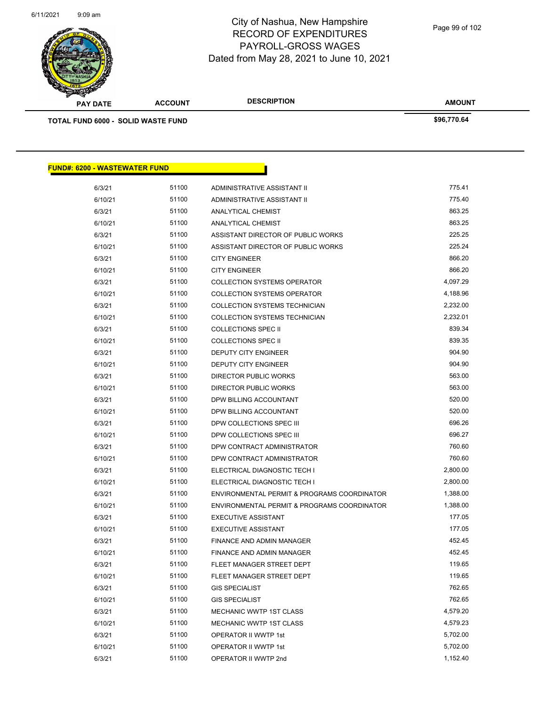

| <b>A STAR CARD</b>                        |                |                             |               |
|-------------------------------------------|----------------|-----------------------------|---------------|
| <b>PAY DATE</b>                           | <b>ACCOUNT</b> | <b>DESCRIPTION</b>          | <b>AMOUNT</b> |
| <b>TOTAL FUND 6000 - SOLID WASTE FUND</b> |                |                             | \$96,770.64   |
|                                           |                |                             |               |
|                                           |                |                             |               |
|                                           |                |                             |               |
|                                           |                |                             |               |
| <b>FUND#: 6200 - WASTEWATER FUND</b>      |                |                             |               |
| 6/3/21                                    | 51100          | ADMINISTRATIVE ASSISTANT II | 775.41        |
| 6/10/21                                   | 51100          | ADMINISTRATIVE ASSISTANT II | 775.40        |
| 6/3/21                                    |                | <b>ANALYTICAL CHEMIST</b>   |               |
| 6/10/21                                   | 51100          |                             | 863.25        |
|                                           | 51100          | <b>ANALYTICAL CHEMIST</b>   | 863.25        |

| 6/3/21  | 51100 | ASSISTANT DIRECTOR OF PUBLIC WORKS          | 225.25   |
|---------|-------|---------------------------------------------|----------|
| 6/10/21 | 51100 | ASSISTANT DIRECTOR OF PUBLIC WORKS          | 225.24   |
| 6/3/21  | 51100 | <b>CITY ENGINEER</b>                        | 866.20   |
| 6/10/21 | 51100 | <b>CITY ENGINEER</b>                        | 866.20   |
| 6/3/21  | 51100 | <b>COLLECTION SYSTEMS OPERATOR</b>          | 4,097.29 |
| 6/10/21 | 51100 | <b>COLLECTION SYSTEMS OPERATOR</b>          | 4,188.96 |
| 6/3/21  | 51100 | COLLECTION SYSTEMS TECHNICIAN               | 2,232.00 |
| 6/10/21 | 51100 | COLLECTION SYSTEMS TECHNICIAN               | 2,232.01 |
| 6/3/21  | 51100 | <b>COLLECTIONS SPEC II</b>                  | 839.34   |
| 6/10/21 | 51100 | <b>COLLECTIONS SPEC II</b>                  | 839.35   |
| 6/3/21  | 51100 | <b>DEPUTY CITY ENGINEER</b>                 | 904.90   |
| 6/10/21 | 51100 | <b>DEPUTY CITY ENGINEER</b>                 | 904.90   |
| 6/3/21  | 51100 | <b>DIRECTOR PUBLIC WORKS</b>                | 563.00   |
| 6/10/21 | 51100 | <b>DIRECTOR PUBLIC WORKS</b>                | 563.00   |
| 6/3/21  | 51100 | DPW BILLING ACCOUNTANT                      | 520.00   |
| 6/10/21 | 51100 | DPW BILLING ACCOUNTANT                      | 520.00   |
| 6/3/21  | 51100 | DPW COLLECTIONS SPEC III                    | 696.26   |
| 6/10/21 | 51100 | DPW COLLECTIONS SPEC III                    | 696.27   |
| 6/3/21  | 51100 | DPW CONTRACT ADMINISTRATOR                  | 760.60   |
| 6/10/21 | 51100 | DPW CONTRACT ADMINISTRATOR                  | 760.60   |
| 6/3/21  | 51100 | ELECTRICAL DIAGNOSTIC TECH I                | 2,800.00 |
| 6/10/21 | 51100 | ELECTRICAL DIAGNOSTIC TECH I                | 2,800.00 |
| 6/3/21  | 51100 | ENVIRONMENTAL PERMIT & PROGRAMS COORDINATOR | 1,388.00 |
| 6/10/21 | 51100 | ENVIRONMENTAL PERMIT & PROGRAMS COORDINATOR | 1,388.00 |
| 6/3/21  | 51100 | <b>EXECUTIVE ASSISTANT</b>                  | 177.05   |
| 6/10/21 | 51100 | <b>EXECUTIVE ASSISTANT</b>                  | 177.05   |
| 6/3/21  | 51100 | FINANCE AND ADMIN MANAGER                   | 452.45   |
| 6/10/21 | 51100 | FINANCE AND ADMIN MANAGER                   | 452.45   |
| 6/3/21  | 51100 | FLEET MANAGER STREET DEPT                   | 119.65   |
| 6/10/21 | 51100 | FLEET MANAGER STREET DEPT                   | 119.65   |
| 6/3/21  | 51100 | <b>GIS SPECIALIST</b>                       | 762.65   |
| 6/10/21 | 51100 | <b>GIS SPECIALIST</b>                       | 762.65   |
| 6/3/21  | 51100 | MECHANIC WWTP 1ST CLASS                     | 4,579.20 |
| 6/10/21 | 51100 | MECHANIC WWTP 1ST CLASS                     | 4,579.23 |
| 6/3/21  | 51100 | OPERATOR II WWTP 1st                        | 5,702.00 |
| 6/10/21 | 51100 | OPERATOR II WWTP 1st                        | 5,702.00 |
| 6/3/21  | 51100 | OPERATOR II WWTP 2nd                        | 1,152.40 |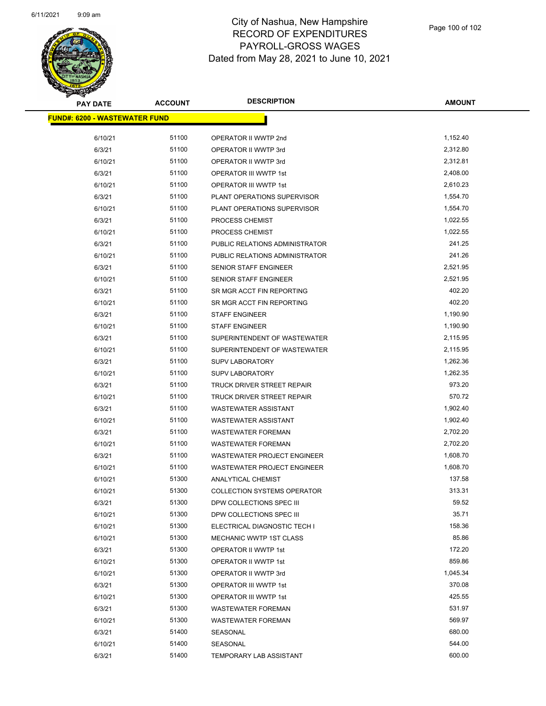

| <b>PAY DATE</b>                       | <b>ACCOUNT</b> | <b>DESCRIPTION</b>                 | AMOUNT   |
|---------------------------------------|----------------|------------------------------------|----------|
| <u> FUND#: 6200 - WASTEWATER FUND</u> |                |                                    |          |
|                                       |                |                                    |          |
| 6/10/21                               | 51100          | OPERATOR II WWTP 2nd               | 1,152.40 |
| 6/3/21                                | 51100          | OPERATOR II WWTP 3rd               | 2,312.80 |
| 6/10/21                               | 51100          | OPERATOR II WWTP 3rd               | 2,312.81 |
| 6/3/21                                | 51100          | OPERATOR III WWTP 1st              | 2,408.00 |
| 6/10/21                               | 51100          | OPERATOR III WWTP 1st              | 2,610.23 |
| 6/3/21                                | 51100          | PLANT OPERATIONS SUPERVISOR        | 1,554.70 |
| 6/10/21                               | 51100          | PLANT OPERATIONS SUPERVISOR        | 1,554.70 |
| 6/3/21                                | 51100          | PROCESS CHEMIST                    | 1,022.55 |
| 6/10/21                               | 51100          | PROCESS CHEMIST                    | 1,022.55 |
| 6/3/21                                | 51100          | PUBLIC RELATIONS ADMINISTRATOR     | 241.25   |
| 6/10/21                               | 51100          | PUBLIC RELATIONS ADMINISTRATOR     | 241.26   |
| 6/3/21                                | 51100          | SENIOR STAFF ENGINEER              | 2,521.95 |
| 6/10/21                               | 51100          | <b>SENIOR STAFF ENGINEER</b>       | 2,521.95 |
| 6/3/21                                | 51100          | SR MGR ACCT FIN REPORTING          | 402.20   |
| 6/10/21                               | 51100          | SR MGR ACCT FIN REPORTING          | 402.20   |
| 6/3/21                                | 51100          | <b>STAFF ENGINEER</b>              | 1,190.90 |
| 6/10/21                               | 51100          | <b>STAFF ENGINEER</b>              | 1,190.90 |
| 6/3/21                                | 51100          | SUPERINTENDENT OF WASTEWATER       | 2,115.95 |
| 6/10/21                               | 51100          | SUPERINTENDENT OF WASTEWATER       | 2,115.95 |
| 6/3/21                                | 51100          | <b>SUPV LABORATORY</b>             | 1,262.36 |
| 6/10/21                               | 51100          | <b>SUPV LABORATORY</b>             | 1,262.35 |
| 6/3/21                                | 51100          | TRUCK DRIVER STREET REPAIR         | 973.20   |
| 6/10/21                               | 51100          | TRUCK DRIVER STREET REPAIR         | 570.72   |
| 6/3/21                                | 51100          | WASTEWATER ASSISTANT               | 1,902.40 |
| 6/10/21                               | 51100          | WASTEWATER ASSISTANT               | 1,902.40 |
| 6/3/21                                | 51100          | <b>WASTEWATER FOREMAN</b>          | 2,702.20 |
| 6/10/21                               | 51100          | <b>WASTEWATER FOREMAN</b>          | 2,702.20 |
| 6/3/21                                | 51100          | <b>WASTEWATER PROJECT ENGINEER</b> | 1,608.70 |
| 6/10/21                               | 51100          | <b>WASTEWATER PROJECT ENGINEER</b> | 1,608.70 |
| 6/10/21                               | 51300          | <b>ANALYTICAL CHEMIST</b>          | 137.58   |
| 6/10/21                               | 51300          | <b>COLLECTION SYSTEMS OPERATOR</b> | 313.31   |
| 6/3/21                                | 51300          | DPW COLLECTIONS SPEC III           | 59.52    |
| 6/10/21                               | 51300          | DPW COLLECTIONS SPEC III           | 35.71    |
| 6/10/21                               | 51300          | ELECTRICAL DIAGNOSTIC TECH I       | 158.36   |
| 6/10/21                               | 51300          | <b>MECHANIC WWTP 1ST CLASS</b>     | 85.86    |
| 6/3/21                                | 51300          | OPERATOR II WWTP 1st               | 172.20   |
| 6/10/21                               | 51300          | OPERATOR II WWTP 1st               | 859.86   |
| 6/10/21                               | 51300          | OPERATOR II WWTP 3rd               | 1,045.34 |
| 6/3/21                                | 51300          | OPERATOR III WWTP 1st              | 370.08   |
| 6/10/21                               | 51300          | OPERATOR III WWTP 1st              | 425.55   |
| 6/3/21                                | 51300          | <b>WASTEWATER FOREMAN</b>          | 531.97   |
| 6/10/21                               | 51300          | <b>WASTEWATER FOREMAN</b>          | 569.97   |
| 6/3/21                                | 51400          | SEASONAL                           | 680.00   |
| 6/10/21                               | 51400          | SEASONAL                           | 544.00   |
| 6/3/21                                | 51400          | <b>TEMPORARY LAB ASSISTANT</b>     | 600.00   |
|                                       |                |                                    |          |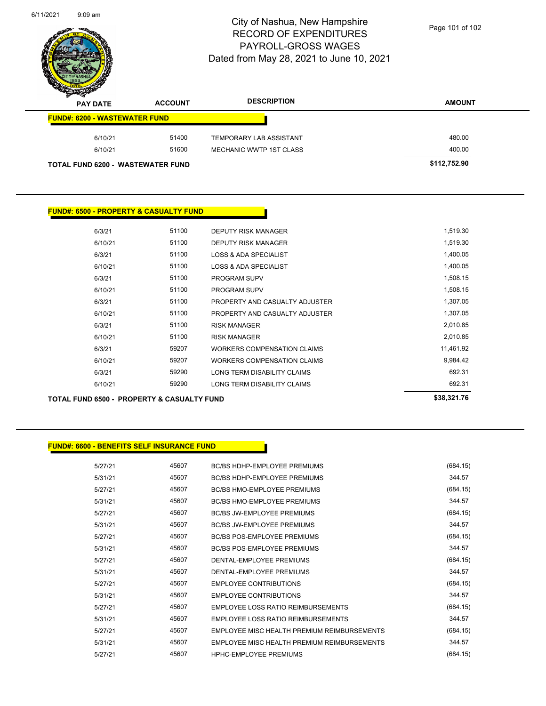

Page 101 of 102

| s<br>$\tilde{\phantom{a}}$<br><b>PAY DATE</b> | <b>ACCOUNT</b> | <b>DESCRIPTION</b>             | <b>AMOUNT</b> |
|-----------------------------------------------|----------------|--------------------------------|---------------|
| <b>FUND#: 6200 - WASTEWATER FUND</b>          |                |                                |               |
| 6/10/21                                       | 51400          | <b>TEMPORARY LAB ASSISTANT</b> | 480.00        |
| 6/10/21                                       | 51600          | <b>MECHANIC WWTP 1ST CLASS</b> | 400.00        |
| <b>TOTAL FUND 6200 - WASTEWATER FUND</b>      |                | \$112,752.90                   |               |

#### **FUND#: 6500 - PROPERTY & CASUALTY FUND**

|         |       |                                  | 0.0000170 |
|---------|-------|----------------------------------|-----------|
| 6/10/21 | 59290 | LONG TERM DISABILITY CLAIMS      | 692.31    |
| 6/3/21  | 59290 | LONG TERM DISABILITY CLAIMS      | 692.31    |
| 6/10/21 | 59207 | WORKERS COMPENSATION CLAIMS      | 9,984.42  |
| 6/3/21  | 59207 | WORKERS COMPENSATION CLAIMS      | 11,461.92 |
| 6/10/21 | 51100 | <b>RISK MANAGER</b>              | 2,010.85  |
| 6/3/21  | 51100 | <b>RISK MANAGER</b>              | 2,010.85  |
| 6/10/21 | 51100 | PROPERTY AND CASUALTY ADJUSTER   | 1,307.05  |
| 6/3/21  | 51100 | PROPERTY AND CASUALTY ADJUSTER   | 1,307.05  |
| 6/10/21 | 51100 | <b>PROGRAM SUPV</b>              | 1,508.15  |
| 6/3/21  | 51100 | PROGRAM SUPV                     | 1,508.15  |
| 6/10/21 | 51100 | <b>LOSS &amp; ADA SPECIALIST</b> | 1,400.05  |
| 6/3/21  | 51100 | LOSS & ADA SPECIALIST            | 1,400.05  |
| 6/10/21 | 51100 | <b>DEPUTY RISK MANAGER</b>       | 1,519.30  |
| 6/3/21  | 51100 | DEPUTY RISK MANAGER              | 1,519.30  |
|         |       |                                  |           |

**TOTAL FUND 6500 - PROPERTY & CASUALTY FUND \$38,321.76** 

#### **FUND#: 6600 - BENEFITS SELF INSURANCE FUND**

5/27/21 45607 BC/BS HDHP-EMPLOYEE PREMIUMS (684.15) 5/31/21 45607 BC/BS HDHP-EMPLOYEE PREMIUMS 344.57 5/27/21 45607 BC/BS HMO-EMPLOYEE PREMIUMS (684.15) 5/31/21 45607 BC/BS HMO-EMPLOYEE PREMIUMS 344.57 5/27/21 45607 BC/BS JW-EMPLOYEE PREMIUMS (684.15) 5/31/21 45607 BC/BS JW-EMPLOYEE PREMIUMS 344.57 5/27/21 45607 BC/BS POS-EMPLOYEE PREMIUMS 46564.15) 5/31/21 45607 BC/BS POS-EMPLOYEE PREMIUMS 344.57 5/27/21 45607 DENTAL-EMPLOYEE PREMIUMS (684.15) 5/31/21 45607 DENTAL-EMPLOYEE PREMIUMS 344.57 5/27/21 45607 EMPLOYEE CONTRIBUTIONS (684.15) 5/31/21 45607 EMPLOYEE CONTRIBUTIONS 344.57 5/27/21 45607 EMPLOYEE LOSS RATIO REIMBURSEMENTS (684.15) 5/31/21 45607 EMPLOYEE LOSS RATIO REIMBURSEMENTS 344.57 5/27/21 45607 EMPLOYEE MISC HEALTH PREMIUM REIMBURSEMENTS (684.15) 5/31/21 45607 EMPLOYEE MISC HEALTH PREMIUM REIMBURSEMENTS 344.57 5/27/21 45607 HPHC-EMPLOYEE PREMIUMS (684.15)